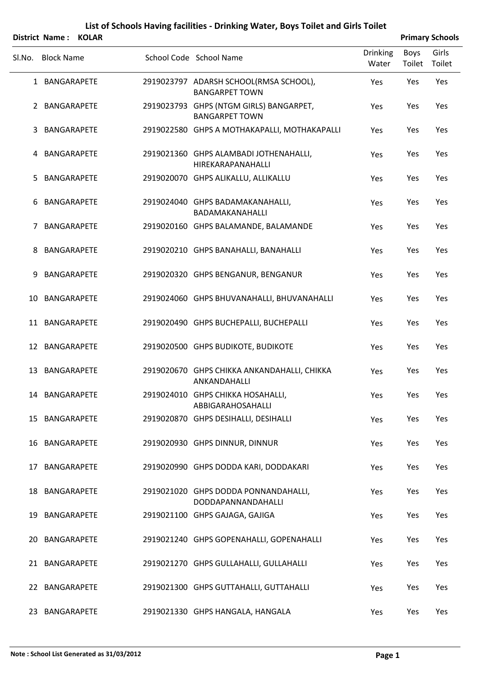|        | <b>District Name:</b> | <b>KOLAR</b> |                                                                  |                   |                | <b>Primary Schools</b> |
|--------|-----------------------|--------------|------------------------------------------------------------------|-------------------|----------------|------------------------|
| SI.No. | <b>Block Name</b>     |              | School Code School Name                                          | Drinking<br>Water | Boys<br>Toilet | Girls<br>Toilet        |
|        | 1 BANGARAPETE         |              | 2919023797 ADARSH SCHOOL(RMSA SCHOOL),<br><b>BANGARPET TOWN</b>  | Yes               | Yes            | Yes                    |
|        | 2 BANGARAPETE         |              | 2919023793 GHPS (NTGM GIRLS) BANGARPET,<br><b>BANGARPET TOWN</b> | Yes               | Yes            | Yes                    |
|        | 3 BANGARAPETE         |              | 2919022580 GHPS A MOTHAKAPALLI, MOTHAKAPALLI                     | Yes               | Yes            | Yes                    |
|        | 4 BANGARAPETE         |              | 2919021360 GHPS ALAMBADI JOTHENAHALLI,<br>HIREKARAPANAHALLI      | Yes               | Yes            | Yes                    |
| 5.     | BANGARAPETE           |              | 2919020070 GHPS ALIKALLU, ALLIKALLU                              | Yes               | Yes            | Yes                    |
| 6      | BANGARAPETE           |              | 2919024040 GHPS BADAMAKANAHALLI,<br>BADAMAKANAHALLI              | Yes               | Yes            | Yes                    |
| 7      | BANGARAPETE           |              | 2919020160 GHPS BALAMANDE, BALAMANDE                             | Yes               | Yes            | Yes                    |
| 8      | BANGARAPETE           |              | 2919020210 GHPS BANAHALLI, BANAHALLI                             | Yes               | Yes            | Yes                    |
| 9      | BANGARAPETE           |              | 2919020320 GHPS BENGANUR, BENGANUR                               | Yes               | Yes            | Yes                    |
| 10     | BANGARAPETE           |              | 2919024060 GHPS BHUVANAHALLI, BHUVANAHALLI                       | Yes               | Yes            | Yes                    |
|        | 11 BANGARAPETE        |              | 2919020490 GHPS BUCHEPALLI, BUCHEPALLI                           | Yes               | Yes            | Yes                    |
|        | 12 BANGARAPETE        |              | 2919020500 GHPS BUDIKOTE, BUDIKOTE                               | Yes               | Yes            | Yes                    |
|        | 13 BANGARAPETE        |              | 2919020670 GHPS CHIKKA ANKANDAHALLI, CHIKKA<br>ANKANDAHALLI      | Yes               | Yes            | Yes                    |
|        | 14 BANGARAPETE        |              | 2919024010 GHPS CHIKKA HOSAHALLI,<br>ABBIGARAHOSAHALLI           | Yes               | Yes            | Yes                    |
|        | 15 BANGARAPETE        |              | 2919020870 GHPS DESIHALLI, DESIHALLI                             | Yes               | Yes            | Yes                    |
|        | 16 BANGARAPETE        |              | 2919020930 GHPS DINNUR, DINNUR                                   | Yes               | Yes            | Yes                    |
|        | 17 BANGARAPETE        |              | 2919020990 GHPS DODDA KARI, DODDAKARI                            | Yes               | Yes            | Yes                    |
|        | 18 BANGARAPETE        |              | 2919021020 GHPS DODDA PONNANDAHALLI,<br>DODDAPANNANDAHALLI       | Yes               | Yes            | Yes                    |
|        | 19 BANGARAPETE        |              | 2919021100 GHPS GAJAGA, GAJIGA                                   | Yes               | Yes            | Yes                    |
|        | 20 BANGARAPETE        |              | 2919021240 GHPS GOPENAHALLI, GOPENAHALLI                         | Yes               | Yes            | Yes                    |
|        | 21 BANGARAPETE        |              | 2919021270 GHPS GULLAHALLI, GULLAHALLI                           | Yes               | Yes            | Yes                    |
|        | 22 BANGARAPETE        |              | 2919021300 GHPS GUTTAHALLI, GUTTAHALLI                           | Yes               | Yes            | Yes                    |
|        | 23 BANGARAPETE        |              | 2919021330 GHPS HANGALA, HANGALA                                 | Yes               | Yes            | Yes                    |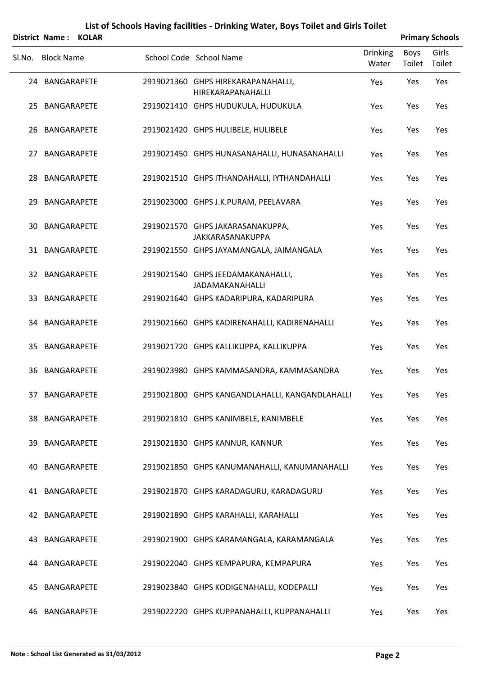|        | District Name: KOLAR |  |                                                             |                          |                | <b>Primary Schools</b> |
|--------|----------------------|--|-------------------------------------------------------------|--------------------------|----------------|------------------------|
| SI.No. | <b>Block Name</b>    |  | School Code School Name                                     | <b>Drinking</b><br>Water | Boys<br>Toilet | Girls<br>Toilet        |
|        | 24 BANGARAPETE       |  | 2919021360 GHPS HIREKARAPANAHALLI,<br>HIREKARAPANAHALLI     | Yes                      | Yes            | Yes                    |
| 25.    | BANGARAPETE          |  | 2919021410 GHPS HUDUKULA, HUDUKULA                          | Yes                      | Yes            | Yes                    |
|        | 26 BANGARAPETE       |  | 2919021420 GHPS HULIBELE, HULIBELE                          | Yes                      | Yes            | Yes                    |
| 27     | BANGARAPETE          |  | 2919021450 GHPS HUNASANAHALLI, HUNASANAHALLI                | Yes                      | Yes            | Yes                    |
|        | 28 BANGARAPETE       |  | 2919021510 GHPS ITHANDAHALLI, IYTHANDAHALLI                 | Yes                      | Yes            | Yes                    |
| 29.    | BANGARAPETE          |  | 2919023000 GHPS J.K.PURAM, PEELAVARA                        | Yes                      | Yes            | Yes                    |
|        | 30 BANGARAPETE       |  | 2919021570 GHPS JAKARASANAKUPPA,<br>JAKKARASANAKUPPA        | Yes                      | Yes            | Yes                    |
|        | 31 BANGARAPETE       |  | 2919021550 GHPS JAYAMANGALA, JAIMANGALA                     | Yes                      | Yes            | Yes                    |
|        | 32 BANGARAPETE       |  | 2919021540 GHPS JEEDAMAKANAHALLI,<br><b>JADAMAKANAHALLI</b> | Yes                      | Yes            | Yes                    |
|        | 33 BANGARAPETE       |  | 2919021640 GHPS KADARIPURA, KADARIPURA                      | Yes                      | Yes            | Yes                    |
|        | 34 BANGARAPETE       |  | 2919021660 GHPS KADIRENAHALLI, KADIRENAHALLI                | Yes                      | Yes            | Yes                    |
| 35     | BANGARAPETE          |  | 2919021720 GHPS KALLIKUPPA, KALLIKUPPA                      | Yes                      | Yes            | Yes                    |
|        | 36 BANGARAPETE       |  | 2919023980 GHPS KAMMASANDRA, KAMMASANDRA                    | Yes                      | Yes            | Yes                    |
|        | 37 BANGARAPETE       |  | 2919021800 GHPS KANGANDLAHALLI, KANGANDLAHALLI              | Yes                      | Yes            | Yes                    |
|        | 38 BANGARAPETE       |  | 2919021810 GHPS KANIMBELE, KANIMBELE                        | Yes                      | Yes            | Yes                    |
|        | 39 BANGARAPETE       |  | 2919021830 GHPS KANNUR, KANNUR                              | Yes                      | Yes            | Yes                    |
|        | 40 BANGARAPETE       |  | 2919021850 GHPS KANUMANAHALLI, KANUMANAHALLI                | Yes                      | Yes            | Yes                    |
|        | 41 BANGARAPETE       |  | 2919021870 GHPS KARADAGURU, KARADAGURU                      | Yes                      | Yes            | Yes                    |
|        | 42 BANGARAPETE       |  | 2919021890 GHPS KARAHALLI, KARAHALLI                        | Yes                      | Yes            | Yes                    |
|        | 43 BANGARAPETE       |  | 2919021900 GHPS KARAMANGALA, KARAMANGALA                    | Yes                      | Yes            | Yes                    |
|        | 44 BANGARAPETE       |  | 2919022040 GHPS KEMPAPURA, KEMPAPURA                        | Yes                      | Yes            | Yes                    |
| 45.    | BANGARAPETE          |  | 2919023840 GHPS KODIGENAHALLI, KODEPALLI                    | Yes                      | Yes            | Yes                    |
|        | 46 BANGARAPETE       |  | 2919022220 GHPS KUPPANAHALLI, KUPPANAHALLI                  | Yes                      | Yes            | Yes                    |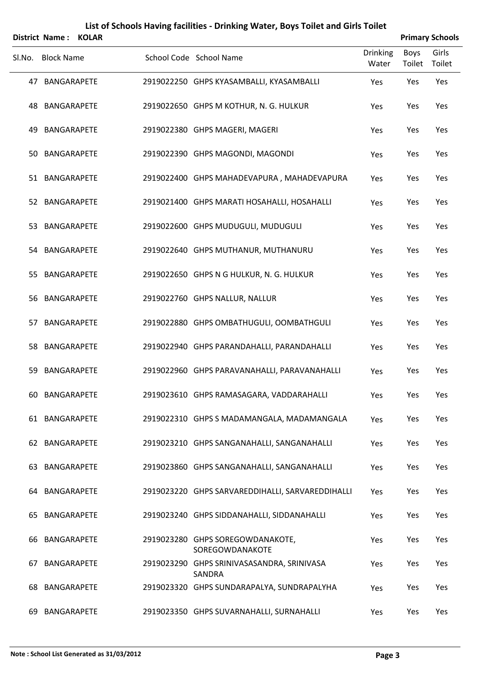|        | <b>District Name:</b> | <b>KOLAR</b> |                                                      |                          |                | <b>Primary Schools</b> |
|--------|-----------------------|--------------|------------------------------------------------------|--------------------------|----------------|------------------------|
| SI.No. | <b>Block Name</b>     |              | School Code School Name                              | <b>Drinking</b><br>Water | Boys<br>Toilet | Girls<br>Toilet        |
|        | 47 BANGARAPETE        |              | 2919022250 GHPS KYASAMBALLI, KYASAMBALLI             | Yes                      | Yes            | Yes                    |
|        | 48 BANGARAPETE        |              | 2919022650 GHPS M KOTHUR, N. G. HULKUR               | Yes                      | Yes            | Yes                    |
| 49.    | BANGARAPETE           |              | 2919022380 GHPS MAGERI, MAGERI                       | Yes                      | Yes            | Yes                    |
|        | 50 BANGARAPETE        |              | 2919022390 GHPS MAGONDI, MAGONDI                     | Yes                      | Yes            | Yes                    |
|        | 51 BANGARAPETE        |              | 2919022400 GHPS MAHADEVAPURA, MAHADEVAPURA           | Yes                      | Yes            | Yes                    |
|        | 52 BANGARAPETE        |              | 2919021400 GHPS MARATI HOSAHALLI, HOSAHALLI          | Yes                      | Yes            | Yes                    |
| 53.    | BANGARAPETE           |              | 2919022600 GHPS MUDUGULI, MUDUGULI                   | Yes                      | Yes            | Yes                    |
|        | 54 BANGARAPETE        |              | 2919022640 GHPS MUTHANUR, MUTHANURU                  | Yes                      | Yes            | Yes                    |
| 55.    | BANGARAPETE           |              | 2919022650 GHPS N G HULKUR, N. G. HULKUR             | Yes                      | Yes            | Yes                    |
|        | 56 BANGARAPETE        |              | 2919022760 GHPS NALLUR, NALLUR                       | Yes                      | Yes            | Yes                    |
| 57.    | BANGARAPETE           |              | 2919022880 GHPS OMBATHUGULI, OOMBATHGULI             | Yes                      | Yes            | Yes                    |
|        | 58 BANGARAPETE        |              | 2919022940 GHPS PARANDAHALLI, PARANDAHALLI           | Yes                      | Yes            | Yes                    |
| 59.    | <b>BANGARAPETE</b>    |              | 2919022960 GHPS PARAVANAHALLI, PARAVANAHALLI         | Yes                      | Yes            | Yes                    |
|        | 60 BANGARAPETE        |              | 2919023610 GHPS RAMASAGARA, VADDARAHALLI             | Yes                      | Yes            | Yes                    |
|        | 61 BANGARAPETE        |              | 2919022310 GHPS S MADAMANGALA, MADAMANGALA           | Yes                      | Yes            | Yes                    |
|        | 62 BANGARAPETE        |              | 2919023210 GHPS SANGANAHALLI, SANGANAHALLI           | Yes                      | Yes            | Yes                    |
|        | 63 BANGARAPETE        |              | 2919023860 GHPS SANGANAHALLI, SANGANAHALLI           | Yes                      | Yes            | Yes                    |
|        | 64 BANGARAPETE        |              | 2919023220 GHPS SARVAREDDIHALLI, SARVAREDDIHALLI     | Yes                      | Yes            | Yes                    |
|        | 65 BANGARAPETE        |              | 2919023240 GHPS SIDDANAHALLI, SIDDANAHALLI           | Yes                      | Yes            | Yes                    |
| 66     | BANGARAPETE           |              | 2919023280 GHPS SOREGOWDANAKOTE,<br>SOREGOWDANAKOTE  | Yes                      | Yes            | Yes                    |
| 67.    | BANGARAPETE           |              | 2919023290 GHPS SRINIVASASANDRA, SRINIVASA<br>SANDRA | Yes                      | Yes            | Yes                    |
| 68     | BANGARAPETE           |              | 2919023320 GHPS SUNDARAPALYA, SUNDRAPALYHA           | Yes                      | Yes            | Yes                    |
|        | 69 BANGARAPETE        |              | 2919023350 GHPS SUVARNAHALLI, SURNAHALLI             | Yes                      | Yes            | Yes                    |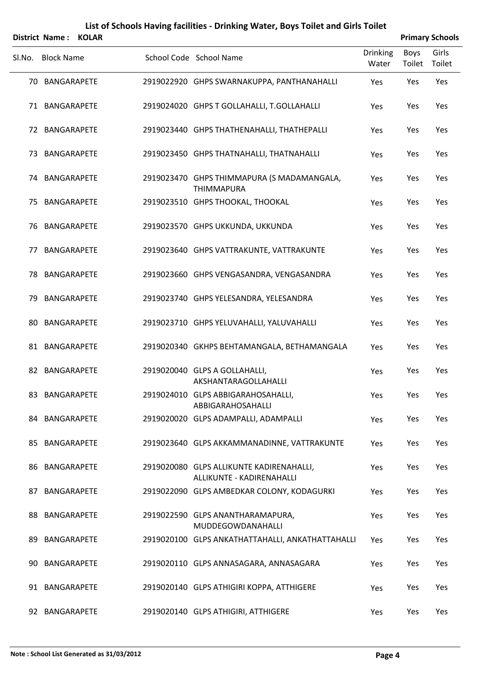|        | District Name: KOLAR |  |                                                                       |                   |                | <b>Primary Schools</b> |
|--------|----------------------|--|-----------------------------------------------------------------------|-------------------|----------------|------------------------|
| SI.No. | <b>Block Name</b>    |  | School Code School Name                                               | Drinking<br>Water | Boys<br>Toilet | Girls<br>Toilet        |
|        | 70 BANGARAPETE       |  | 2919022920 GHPS SWARNAKUPPA, PANTHANAHALLI                            | Yes               | Yes            | Yes                    |
|        | 71 BANGARAPETE       |  | 2919024020 GHPS T GOLLAHALLI, T.GOLLAHALLI                            | Yes               | Yes            | Yes                    |
|        | 72 BANGARAPETE       |  | 2919023440 GHPS THATHENAHALLI, THATHEPALLI                            | Yes               | Yes            | Yes                    |
|        | 73 BANGARAPETE       |  | 2919023450 GHPS THATNAHALLI, THATNAHALLI                              | Yes               | Yes            | Yes                    |
|        | 74 BANGARAPETE       |  | 2919023470 GHPS THIMMAPURA (S MADAMANGALA,<br><b>THIMMAPURA</b>       | Yes               | Yes            | Yes                    |
|        | 75 BANGARAPETE       |  | 2919023510 GHPS THOOKAL, THOOKAL                                      | Yes               | Yes            | Yes                    |
|        | 76 BANGARAPETE       |  | 2919023570 GHPS UKKUNDA, UKKUNDA                                      | Yes               | Yes            | Yes                    |
|        | 77 BANGARAPETE       |  | 2919023640 GHPS VATTRAKUNTE, VATTRAKUNTE                              | Yes               | Yes            | Yes                    |
|        | 78 BANGARAPETE       |  | 2919023660 GHPS VENGASANDRA, VENGASANDRA                              | Yes               | Yes            | Yes                    |
| 79     | BANGARAPETE          |  | 2919023740 GHPS YELESANDRA, YELESANDRA                                | Yes               | Yes            | Yes                    |
| 80     | BANGARAPETE          |  | 2919023710 GHPS YELUVAHALLI, YALUVAHALLI                              | Yes               | Yes            | Yes                    |
|        | 81 BANGARAPETE       |  | 2919020340 GKHPS BEHTAMANGALA, BETHAMANGALA                           | Yes               | Yes            | Yes                    |
|        | 82 BANGARAPETE       |  | 2919020040 GLPS A GOLLAHALLI,<br>AKSHANTARAGOLLAHALLI                 | Yes               | Yes            | Yes                    |
|        | 83 BANGARAPETE       |  | 2919024010 GLPS ABBIGARAHOSAHALLI,<br>ABBIGARAHOSAHALLI               | Yes               | Yes            | Yes                    |
|        | 84 BANGARAPETE       |  | 2919020020 GLPS ADAMPALLI, ADAMPALLI                                  | Yes               | Yes            | Yes                    |
|        | 85 BANGARAPETE       |  | 2919023640 GLPS AKKAMMANADINNE, VATTRAKUNTE                           | Yes               | Yes            | Yes                    |
|        | 86 BANGARAPETE       |  | 2919020080 GLPS ALLIKUNTE KADIRENAHALLI,<br>ALLIKUNTE - KADIRENAHALLI | Yes               | Yes            | Yes                    |
|        | 87 BANGARAPETE       |  | 2919022090 GLPS AMBEDKAR COLONY, KODAGURKI                            | Yes               | Yes            | Yes                    |
|        | 88 BANGARAPETE       |  | 2919022590 GLPS ANANTHARAMAPURA,<br>MUDDEGOWDANAHALLI                 | Yes               | Yes            | Yes                    |
|        | 89 BANGARAPETE       |  | 2919020100 GLPS ANKATHATTAHALLI, ANKATHATTAHALLI                      | Yes               | Yes            | Yes                    |
| 90     | BANGARAPETE          |  | 2919020110 GLPS ANNASAGARA, ANNASAGARA                                | Yes               | Yes            | Yes                    |
|        | 91 BANGARAPETE       |  | 2919020140 GLPS ATHIGIRI KOPPA, ATTHIGERE                             | Yes               | Yes            | Yes                    |
|        | 92 BANGARAPETE       |  | 2919020140 GLPS ATHIGIRI, ATTHIGERE                                   | Yes               | Yes            | Yes                    |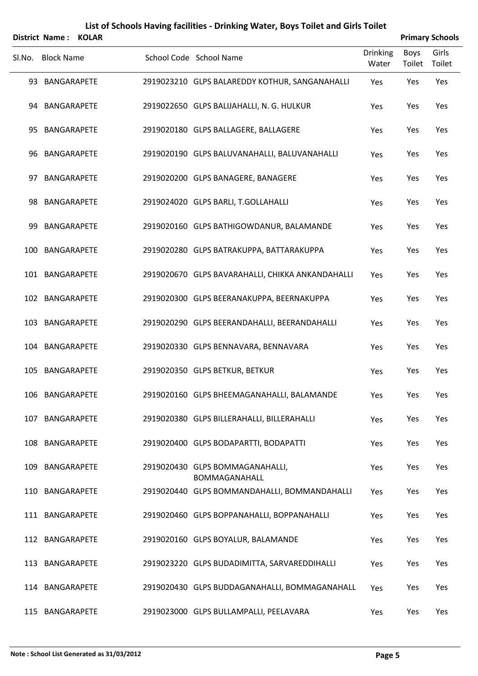|     | District Name:     | <b>KOLAR</b> |                                                  |                          | <b>Primary Schools</b> |                 |
|-----|--------------------|--------------|--------------------------------------------------|--------------------------|------------------------|-----------------|
|     | Sl.No. Block Name  |              | School Code School Name                          | <b>Drinking</b><br>Water | Boys<br>Toilet         | Girls<br>Toilet |
|     | 93 BANGARAPETE     |              | 2919023210 GLPS BALAREDDY KOTHUR, SANGANAHALLI   | Yes                      | Yes                    | Yes             |
|     | 94 BANGARAPETE     |              | 2919022650 GLPS BALIJAHALLI, N. G. HULKUR        | Yes                      | Yes                    | Yes             |
| 95  | <b>BANGARAPETE</b> |              | 2919020180 GLPS BALLAGERE, BALLAGERE             | Yes                      | Yes                    | Yes             |
| 96  | BANGARAPETE        |              | 2919020190 GLPS BALUVANAHALLI, BALUVANAHALLI     | Yes                      | Yes                    | Yes             |
| 97  | BANGARAPETE        |              | 2919020200 GLPS BANAGERE, BANAGERE               | Yes                      | Yes                    | Yes             |
| 98. | BANGARAPETE        |              | 2919024020 GLPS BARLI, T.GOLLAHALLI              | Yes                      | Yes                    | Yes             |
| 99  | BANGARAPETE        |              | 2919020160 GLPS BATHIGOWDANUR, BALAMANDE         | Yes                      | Yes                    | Yes             |
| 100 | BANGARAPETE        |              | 2919020280 GLPS BATRAKUPPA, BATTARAKUPPA         | Yes                      | Yes                    | Yes             |
|     | 101 BANGARAPETE    |              | 2919020670 GLPS BAVARAHALLI, CHIKKA ANKANDAHALLI | Yes                      | Yes                    | Yes             |
|     | 102 BANGARAPETE    |              | 2919020300 GLPS BEERANAKUPPA, BEERNAKUPPA        | Yes                      | Yes                    | Yes             |
|     | 103 BANGARAPETE    |              | 2919020290 GLPS BEERANDAHALLI, BEERANDAHALLI     | Yes                      | Yes                    | Yes             |
|     | 104 BANGARAPETE    |              | 2919020330 GLPS BENNAVARA, BENNAVARA             | Yes                      | Yes                    | Yes             |
| 105 | BANGARAPETE        |              | 2919020350 GLPS BETKUR, BETKUR                   | Yes                      | Yes                    | Yes             |
| 106 | BANGARAPETE        |              | 2919020160 GLPS BHEEMAGANAHALLI, BALAMANDE       | Yes                      | Yes                    | Yes             |
| 107 | BANGARAPETE        |              | 2919020380 GLPS BILLERAHALLI, BILLERAHALLI       | Yes                      | Yes                    | Yes             |
| 108 | BANGARAPETE        |              | 2919020400 GLPS BODAPARTTI, BODAPATTI            | Yes                      | Yes                    | Yes             |
| 109 | BANGARAPETE        |              | 2919020430 GLPS BOMMAGANAHALLI,<br>BOMMAGANAHALL | Yes                      | Yes                    | Yes             |
| 110 | BANGARAPETE        |              | 2919020440 GLPS BOMMANDAHALLI, BOMMANDAHALLI     | Yes                      | Yes                    | Yes             |
|     | 111 BANGARAPETE    |              | 2919020460 GLPS BOPPANAHALLI, BOPPANAHALLI       | Yes                      | Yes                    | Yes             |
|     | 112 BANGARAPETE    |              | 2919020160 GLPS BOYALUR, BALAMANDE               | Yes                      | Yes                    | Yes             |
| 113 | BANGARAPETE        |              | 2919023220 GLPS BUDADIMITTA, SARVAREDDIHALLI     | Yes                      | Yes                    | Yes             |
|     | 114 BANGARAPETE    |              | 2919020430 GLPS BUDDAGANAHALLI, BOMMAGANAHALL    | Yes                      | Yes                    | Yes             |
| 115 | BANGARAPETE        |              | 2919023000 GLPS BULLAMPALLI, PEELAVARA           | Yes                      | Yes                    | Yes             |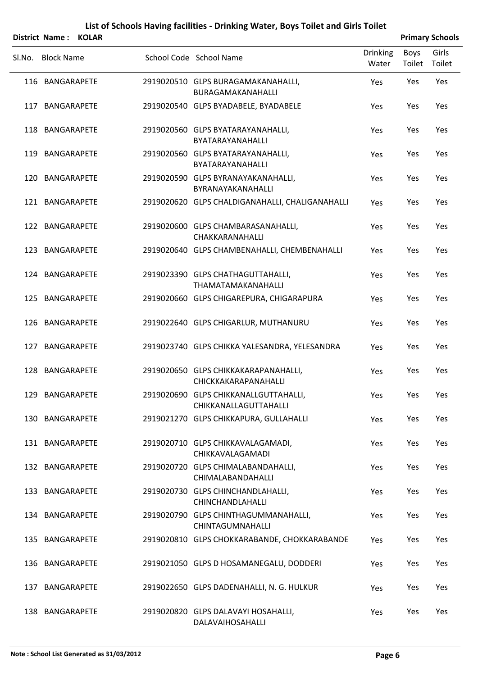| <b>District Name:</b> | <b>KOLAR</b> |  |
|-----------------------|--------------|--|

| Sl.No. | <b>Block Name</b>  | School Code School Name                                        | <b>Drinking</b><br>Water | Boys<br>Toilet | Girls<br>Toilet |
|--------|--------------------|----------------------------------------------------------------|--------------------------|----------------|-----------------|
|        | 116 BANGARAPETE    | 2919020510 GLPS BURAGAMAKANAHALLI,<br>BURAGAMAKANAHALLI        | Yes                      | Yes            | Yes             |
| 117    | BANGARAPETE        | 2919020540 GLPS BYADABELE, BYADABELE                           | Yes                      | Yes            | Yes             |
|        | 118 BANGARAPETE    | 2919020560 GLPS BYATARAYANAHALLI,<br>BYATARAYANAHALLI          | Yes                      | Yes            | Yes             |
| 119    | BANGARAPETE        | 2919020560 GLPS BYATARAYANAHALLI,<br>BYATARAYANAHALLI          | Yes                      | Yes            | Yes             |
| 120 -  | BANGARAPETE        | 2919020590 GLPS BYRANAYAKANAHALLI,<br>BYRANAYAKANAHALLI        | Yes                      | Yes            | Yes             |
|        | 121 BANGARAPETE    | 2919020620 GLPS CHALDIGANAHALLI, CHALIGANAHALLI                | Yes                      | Yes            | Yes             |
|        | 122 BANGARAPETE    | 2919020600 GLPS CHAMBARASANAHALLI,<br>CHAKKARANAHALLI          | Yes                      | Yes            | Yes             |
|        | 123 BANGARAPETE    | 2919020640 GLPS CHAMBENAHALLI, CHEMBENAHALLI                   | Yes                      | Yes            | Yes             |
|        | 124 BANGARAPETE    | 2919023390 GLPS CHATHAGUTTAHALLI,<br>THAMATAMAKANAHALLI        | Yes                      | Yes            | Yes             |
| 125    | <b>BANGARAPETE</b> | 2919020660 GLPS CHIGAREPURA, CHIGARAPURA                       | Yes                      | Yes            | Yes             |
| 126    | BANGARAPETE        | 2919022640 GLPS CHIGARLUR, MUTHANURU                           | Yes                      | Yes            | Yes             |
| 127    | <b>BANGARAPETE</b> | 2919023740 GLPS CHIKKA YALESANDRA, YELESANDRA                  | Yes                      | Yes            | Yes             |
| 128    | BANGARAPETE        | 2919020650 GLPS CHIKKAKARAPANAHALLI,<br>CHICKKAKARAPANAHALLI   | Yes                      | Yes            | Yes             |
| 129    | <b>BANGARAPETE</b> | 2919020690 GLPS CHIKKANALLGUTTAHALLI,<br>CHIKKANALLAGUTTAHALLI | Yes                      | Yes            | Yes             |
|        | 130 BANGARAPETE    | 2919021270 GLPS CHIKKAPURA, GULLAHALLI                         | Yes                      | Yes            | Yes             |
|        | 131 BANGARAPETE    | 2919020710 GLPS CHIKKAVALAGAMADI,<br>CHIKKAVALAGAMADI          | Yes                      | Yes            | Yes             |
|        | 132 BANGARAPETE    | 2919020720 GLPS CHIMALABANDAHALLI,<br>CHIMALABANDAHALLI        | Yes                      | Yes            | Yes             |
|        | 133 BANGARAPETE    | 2919020730 GLPS CHINCHANDLAHALLI,<br>CHINCHANDLAHALLI          | Yes                      | Yes            | Yes             |
| 134    | BANGARAPETE        | 2919020790 GLPS CHINTHAGUMMANAHALLI,<br>CHINTAGUMNAHALLI       | Yes                      | Yes            | Yes             |
| 135    | BANGARAPETE        | 2919020810 GLPS CHOKKARABANDE, CHOKKARABANDE                   | Yes                      | Yes            | Yes             |
| 136    | <b>BANGARAPETE</b> | 2919021050 GLPS D HOSAMANEGALU, DODDERI                        | Yes                      | Yes            | Yes             |
| 137    | BANGARAPETE        | 2919022650 GLPS DADENAHALLI, N. G. HULKUR                      | Yes                      | Yes            | Yes             |
| 138    | BANGARAPETE        | 2919020820 GLPS DALAVAYI HOSAHALLI,<br>DALAVAIHOSAHALLI        | Yes                      | Yes            | Yes             |

**Primary Schools**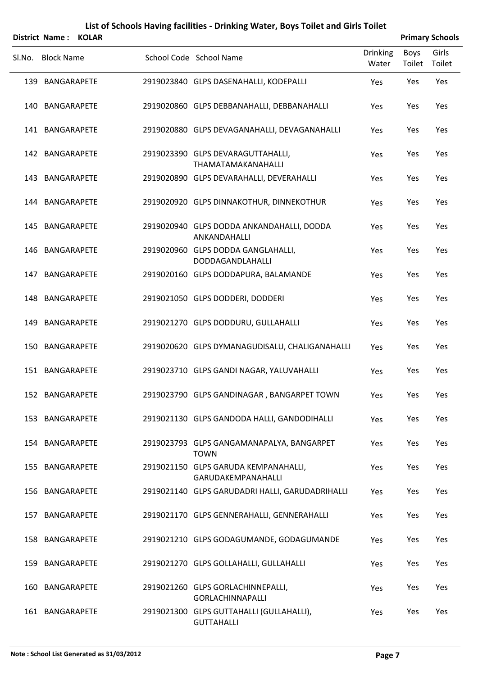|        | District Name: KOLAR |                                                               |                          |                | <b>Primary Schools</b> |
|--------|----------------------|---------------------------------------------------------------|--------------------------|----------------|------------------------|
| SI.No. | <b>Block Name</b>    | School Code School Name                                       | <b>Drinking</b><br>Water | Boys<br>Toilet | Girls<br>Toilet        |
|        | 139 BANGARAPETE      | 2919023840 GLPS DASENAHALLI, KODEPALLI                        | Yes                      | Yes            | Yes                    |
|        | 140 BANGARAPETE      | 2919020860 GLPS DEBBANAHALLI, DEBBANAHALLI                    | Yes                      | Yes            | Yes                    |
|        | 141 BANGARAPETE      | 2919020880 GLPS DEVAGANAHALLI, DEVAGANAHALLI                  | Yes                      | Yes            | Yes                    |
|        | 142 BANGARAPETE      | 2919023390 GLPS DEVARAGUTTAHALLI,<br>THAMATAMAKANAHALLI       | Yes                      | Yes            | Yes                    |
|        | 143 BANGARAPETE      | 2919020890 GLPS DEVARAHALLI, DEVERAHALLI                      | Yes                      | Yes            | Yes                    |
|        | 144 BANGARAPETE      | 2919020920 GLPS DINNAKOTHUR, DINNEKOTHUR                      | Yes                      | Yes            | Yes                    |
|        | 145 BANGARAPETE      | 2919020940 GLPS DODDA ANKANDAHALLI, DODDA<br>ANKANDAHALLI     | Yes                      | Yes            | Yes                    |
|        | 146 BANGARAPETE      | 2919020960 GLPS DODDA GANGLAHALLI,<br>DODDAGANDLAHALLI        | Yes                      | Yes            | Yes                    |
|        | 147 BANGARAPETE      | 2919020160 GLPS DODDAPURA, BALAMANDE                          | Yes                      | Yes            | Yes                    |
|        | 148 BANGARAPETE      | 2919021050 GLPS DODDERI, DODDERI                              | Yes                      | Yes            | Yes                    |
| 149    | BANGARAPETE          | 2919021270 GLPS DODDURU, GULLAHALLI                           | Yes                      | Yes            | Yes                    |
|        | 150 BANGARAPETE      | 2919020620 GLPS DYMANAGUDISALU, CHALIGANAHALLI                | Yes                      | Yes            | Yes                    |
|        | 151 BANGARAPETE      | 2919023710 GLPS GANDI NAGAR, YALUVAHALLI                      | Yes                      | Yes            | Yes                    |
|        | 152 BANGARAPETE      | 2919023790 GLPS GANDINAGAR, BANGARPET TOWN                    | Yes                      | Yes            | Yes                    |
|        | 153 BANGARAPETE      | 2919021130 GLPS GANDODA HALLI, GANDODIHALLI                   | Yes                      | Yes            | Yes                    |
|        | 154 BANGARAPETE      | 2919023793 GLPS GANGAMANAPALYA, BANGARPET<br><b>TOWN</b>      | Yes                      | Yes            | Yes                    |
|        | 155 BANGARAPETE      | 2919021150 GLPS GARUDA KEMPANAHALLI,<br>GARUDAKEMPANAHALLI    | Yes                      | Yes            | Yes                    |
|        | 156 BANGARAPETE      | 2919021140 GLPS GARUDADRI HALLI, GARUDADRIHALLI               | Yes                      | Yes            | Yes                    |
|        | 157 BANGARAPETE      | 2919021170 GLPS GENNERAHALLI, GENNERAHALLI                    | Yes                      | Yes            | Yes                    |
|        | 158 BANGARAPETE      | 2919021210 GLPS GODAGUMANDE, GODAGUMANDE                      | Yes                      | Yes            | Yes                    |
|        | 159 BANGARAPETE      | 2919021270 GLPS GOLLAHALLI, GULLAHALLI                        | Yes                      | Yes            | Yes                    |
|        | 160 BANGARAPETE      | 2919021260 GLPS GORLACHINNEPALLI,<br><b>GORLACHINNAPALLI</b>  | Yes                      | Yes            | Yes                    |
|        | 161 BANGARAPETE      | 2919021300 GLPS GUTTAHALLI (GULLAHALLI),<br><b>GUTTAHALLI</b> | Yes                      | Yes            | Yes                    |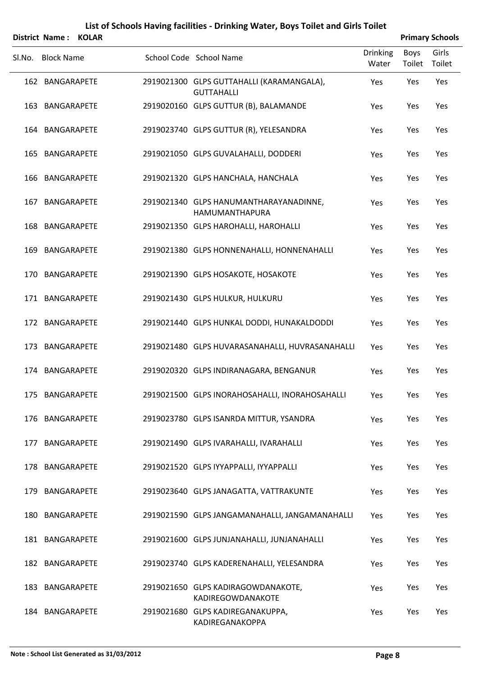|        | District Name: KOLAR |  |                                                                |                   |                | <b>Primary Schools</b> |
|--------|----------------------|--|----------------------------------------------------------------|-------------------|----------------|------------------------|
| Sl.No. | <b>Block Name</b>    |  | School Code School Name                                        | Drinking<br>Water | Boys<br>Toilet | Girls<br>Toilet        |
|        | 162 BANGARAPETE      |  | 2919021300 GLPS GUTTAHALLI (KARAMANGALA),<br><b>GUTTAHALLI</b> | Yes               | Yes            | Yes                    |
|        | 163 BANGARAPETE      |  | 2919020160 GLPS GUTTUR (B), BALAMANDE                          | Yes               | Yes            | Yes                    |
|        | 164 BANGARAPETE      |  | 2919023740 GLPS GUTTUR (R), YELESANDRA                         | Yes               | Yes            | Yes                    |
|        | 165 BANGARAPETE      |  | 2919021050 GLPS GUVALAHALLI, DODDERI                           | Yes               | Yes            | Yes                    |
|        | 166 BANGARAPETE      |  | 2919021320 GLPS HANCHALA, HANCHALA                             | Yes               | Yes            | Yes                    |
|        | 167 BANGARAPETE      |  | 2919021340 GLPS HANUMANTHARAYANADINNE,<br>HAMUMANTHAPURA       | Yes               | Yes            | Yes                    |
|        | 168 BANGARAPETE      |  | 2919021350 GLPS HAROHALLI, HAROHALLI                           | Yes               | Yes            | Yes                    |
|        | 169 BANGARAPETE      |  | 2919021380 GLPS HONNENAHALLI, HONNENAHALLI                     | Yes               | Yes            | Yes                    |
|        | 170 BANGARAPETE      |  | 2919021390 GLPS HOSAKOTE, HOSAKOTE                             | Yes               | Yes            | Yes                    |
|        | 171 BANGARAPETE      |  | 2919021430 GLPS HULKUR, HULKURU                                | Yes               | Yes            | Yes                    |
|        | 172 BANGARAPETE      |  | 2919021440 GLPS HUNKAL DODDI, HUNAKALDODDI                     | Yes               | Yes            | Yes                    |
|        | 173 BANGARAPETE      |  | 2919021480 GLPS HUVARASANAHALLI, HUVRASANAHALLI                | Yes               | Yes            | Yes                    |
|        | 174 BANGARAPETE      |  | 2919020320 GLPS INDIRANAGARA, BENGANUR                         | Yes               | Yes            | Yes                    |
|        | 175 BANGARAPETE      |  | 2919021500 GLPS INORAHOSAHALLI, INORAHOSAHALLI                 | Yes               | Yes            | Yes                    |
|        | 176 BANGARAPETE      |  | 2919023780 GLPS ISANRDA MITTUR, YSANDRA                        | Yes               | Yes            | Yes                    |
|        | 177 BANGARAPETE      |  | 2919021490 GLPS IVARAHALLI, IVARAHALLI                         | Yes               | Yes            | Yes                    |
|        | 178 BANGARAPETE      |  | 2919021520 GLPS IYYAPPALLI, IYYAPPALLI                         | Yes               | Yes            | Yes                    |
|        | 179 BANGARAPETE      |  | 2919023640 GLPS JANAGATTA, VATTRAKUNTE                         | Yes               | Yes            | Yes                    |
|        | 180 BANGARAPETE      |  | 2919021590 GLPS JANGAMANAHALLI, JANGAMANAHALLI                 | Yes               | Yes            | Yes                    |
|        | 181 BANGARAPETE      |  | 2919021600 GLPS JUNJANAHALLI, JUNJANAHALLI                     | Yes               | Yes            | Yes                    |
|        | 182 BANGARAPETE      |  | 2919023740 GLPS KADERENAHALLI, YELESANDRA                      | Yes               | Yes            | Yes                    |
|        | 183 BANGARAPETE      |  | 2919021650 GLPS KADIRAGOWDANAKOTE,<br>KADIREGOWDANAKOTE        | Yes               | Yes            | Yes                    |
|        | 184 BANGARAPETE      |  | 2919021680 GLPS KADIREGANAKUPPA,<br>KADIREGANAKOPPA            | Yes               | Yes            | Yes                    |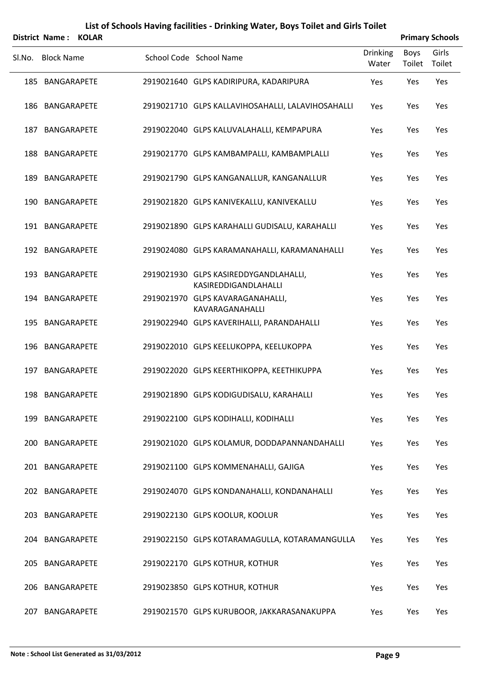| List of Schools Having facilities - Drinking Water, Boys Toilet and Girls Toilet |  |
|----------------------------------------------------------------------------------|--|
|----------------------------------------------------------------------------------|--|

|        | <b>District Name:</b> | <b>KOLAR</b> |                                                               |                          |                       | <b>Primary Schools</b> |
|--------|-----------------------|--------------|---------------------------------------------------------------|--------------------------|-----------------------|------------------------|
| SI.No. | <b>Block Name</b>     |              | School Code School Name                                       | <b>Drinking</b><br>Water | <b>Boys</b><br>Toilet | Girls<br>Toilet        |
|        | 185 BANGARAPETE       |              | 2919021640 GLPS KADIRIPURA, KADARIPURA                        | Yes                      | Yes                   | Yes                    |
| 186    | BANGARAPETE           |              | 2919021710 GLPS KALLAVIHOSAHALLI, LALAVIHOSAHALLI             | Yes                      | Yes                   | Yes                    |
|        | 187 BANGARAPETE       |              | 2919022040 GLPS KALUVALAHALLI, KEMPAPURA                      | Yes                      | Yes                   | Yes                    |
| 188    | BANGARAPETE           |              | 2919021770 GLPS KAMBAMPALLI, KAMBAMPLALLI                     | Yes                      | Yes                   | Yes                    |
| 189    | BANGARAPETE           |              | 2919021790 GLPS KANGANALLUR, KANGANALLUR                      | Yes                      | Yes                   | Yes                    |
|        | 190 BANGARAPETE       |              | 2919021820 GLPS KANIVEKALLU, KANIVEKALLU                      | Yes                      | Yes                   | Yes                    |
|        | 191 BANGARAPETE       |              | 2919021890 GLPS KARAHALLI GUDISALU, KARAHALLI                 | Yes                      | Yes                   | Yes                    |
|        | 192 BANGARAPETE       |              | 2919024080 GLPS KARAMANAHALLI, KARAMANAHALLI                  | Yes                      | Yes                   | Yes                    |
|        | 193 BANGARAPETE       |              | 2919021930 GLPS KASIREDDYGANDLAHALLI,<br>KASIREDDIGANDLAHALLI | Yes                      | Yes                   | Yes                    |
|        | 194 BANGARAPETE       |              | 2919021970 GLPS KAVARAGANAHALLI,<br>KAVARAGANAHALLI           | Yes                      | Yes                   | Yes                    |
|        | 195 BANGARAPETE       |              | 2919022940 GLPS KAVERIHALLI, PARANDAHALLI                     | Yes                      | Yes                   | Yes                    |
|        | 196 BANGARAPETE       |              | 2919022010 GLPS KEELUKOPPA, KEELUKOPPA                        | Yes                      | Yes                   | Yes                    |
|        | 197 BANGARAPETE       |              | 2919022020 GLPS KEERTHIKOPPA, KEETHIKUPPA                     | Yes                      | Yes                   | Yes                    |
|        | 198 BANGARAPETE       |              | 2919021890 GLPS KODIGUDISALU, KARAHALLI                       | Yes                      | Yes                   | Yes                    |
|        | 199 BANGARAPETE       |              | 2919022100 GLPS KODIHALLI, KODIHALLI                          | Yes                      | Yes                   | Yes                    |
|        | 200 BANGARAPETE       |              | 2919021020 GLPS KOLAMUR, DODDAPANNANDAHALLI                   | Yes                      | Yes                   | Yes                    |
|        | 201 BANGARAPETE       |              | 2919021100 GLPS KOMMENAHALLI, GAJIGA                          | Yes                      | Yes                   | Yes                    |
|        | 202 BANGARAPETE       |              | 2919024070 GLPS KONDANAHALLI, KONDANAHALLI                    | Yes                      | Yes                   | Yes                    |
|        | 203 BANGARAPETE       |              | 2919022130 GLPS KOOLUR, KOOLUR                                | Yes                      | Yes                   | Yes                    |
|        | 204 BANGARAPETE       |              | 2919022150 GLPS KOTARAMAGULLA, KOTARAMANGULLA                 | Yes                      | Yes                   | Yes                    |
|        | 205 BANGARAPETE       |              | 2919022170 GLPS KOTHUR, KOTHUR                                | Yes                      | Yes                   | Yes                    |
|        | 206 BANGARAPETE       |              | 2919023850 GLPS KOTHUR, KOTHUR                                | Yes                      | Yes                   | Yes                    |
|        | 207 BANGARAPETE       |              | 2919021570 GLPS KURUBOOR, JAKKARASANAKUPPA                    | Yes                      | Yes                   | Yes                    |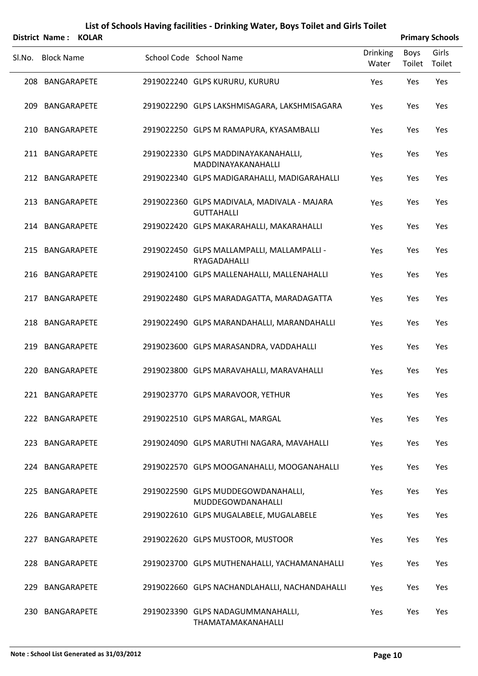|     |                                                                                                                                                                                                                                                                                                                                                                                                                                                                                    |                    |                                                                                                                                                                                                                                                                                                                                                                                                                                                                                                                                                                                                                                                                                                                                                                                                                                                                                                                                                                                                                                               |                | <b>Primary Schools</b> |
|-----|------------------------------------------------------------------------------------------------------------------------------------------------------------------------------------------------------------------------------------------------------------------------------------------------------------------------------------------------------------------------------------------------------------------------------------------------------------------------------------|--------------------|-----------------------------------------------------------------------------------------------------------------------------------------------------------------------------------------------------------------------------------------------------------------------------------------------------------------------------------------------------------------------------------------------------------------------------------------------------------------------------------------------------------------------------------------------------------------------------------------------------------------------------------------------------------------------------------------------------------------------------------------------------------------------------------------------------------------------------------------------------------------------------------------------------------------------------------------------------------------------------------------------------------------------------------------------|----------------|------------------------|
|     |                                                                                                                                                                                                                                                                                                                                                                                                                                                                                    |                    | <b>Drinking</b><br>Water                                                                                                                                                                                                                                                                                                                                                                                                                                                                                                                                                                                                                                                                                                                                                                                                                                                                                                                                                                                                                      | Boys<br>Toilet | Girls<br>Toilet        |
|     |                                                                                                                                                                                                                                                                                                                                                                                                                                                                                    |                    | Yes                                                                                                                                                                                                                                                                                                                                                                                                                                                                                                                                                                                                                                                                                                                                                                                                                                                                                                                                                                                                                                           | Yes            | Yes                    |
| 209 |                                                                                                                                                                                                                                                                                                                                                                                                                                                                                    |                    | Yes                                                                                                                                                                                                                                                                                                                                                                                                                                                                                                                                                                                                                                                                                                                                                                                                                                                                                                                                                                                                                                           | Yes            | Yes                    |
|     |                                                                                                                                                                                                                                                                                                                                                                                                                                                                                    |                    | Yes                                                                                                                                                                                                                                                                                                                                                                                                                                                                                                                                                                                                                                                                                                                                                                                                                                                                                                                                                                                                                                           | Yes            | Yes                    |
|     |                                                                                                                                                                                                                                                                                                                                                                                                                                                                                    | MADDINAYAKANAHALLI | Yes                                                                                                                                                                                                                                                                                                                                                                                                                                                                                                                                                                                                                                                                                                                                                                                                                                                                                                                                                                                                                                           | Yes            | Yes                    |
|     |                                                                                                                                                                                                                                                                                                                                                                                                                                                                                    |                    | Yes                                                                                                                                                                                                                                                                                                                                                                                                                                                                                                                                                                                                                                                                                                                                                                                                                                                                                                                                                                                                                                           | Yes            | Yes                    |
|     |                                                                                                                                                                                                                                                                                                                                                                                                                                                                                    | <b>GUTTAHALLI</b>  | Yes                                                                                                                                                                                                                                                                                                                                                                                                                                                                                                                                                                                                                                                                                                                                                                                                                                                                                                                                                                                                                                           | Yes            | Yes                    |
|     |                                                                                                                                                                                                                                                                                                                                                                                                                                                                                    |                    | Yes                                                                                                                                                                                                                                                                                                                                                                                                                                                                                                                                                                                                                                                                                                                                                                                                                                                                                                                                                                                                                                           | Yes            | Yes                    |
|     |                                                                                                                                                                                                                                                                                                                                                                                                                                                                                    | RYAGADAHALLI       | Yes                                                                                                                                                                                                                                                                                                                                                                                                                                                                                                                                                                                                                                                                                                                                                                                                                                                                                                                                                                                                                                           | Yes            | Yes                    |
|     |                                                                                                                                                                                                                                                                                                                                                                                                                                                                                    |                    | Yes                                                                                                                                                                                                                                                                                                                                                                                                                                                                                                                                                                                                                                                                                                                                                                                                                                                                                                                                                                                                                                           | Yes            | Yes                    |
| 217 |                                                                                                                                                                                                                                                                                                                                                                                                                                                                                    |                    | Yes                                                                                                                                                                                                                                                                                                                                                                                                                                                                                                                                                                                                                                                                                                                                                                                                                                                                                                                                                                                                                                           | Yes            | Yes                    |
|     |                                                                                                                                                                                                                                                                                                                                                                                                                                                                                    |                    | Yes                                                                                                                                                                                                                                                                                                                                                                                                                                                                                                                                                                                                                                                                                                                                                                                                                                                                                                                                                                                                                                           | Yes            | Yes                    |
| 219 |                                                                                                                                                                                                                                                                                                                                                                                                                                                                                    |                    | Yes                                                                                                                                                                                                                                                                                                                                                                                                                                                                                                                                                                                                                                                                                                                                                                                                                                                                                                                                                                                                                                           | Yes            | Yes                    |
|     |                                                                                                                                                                                                                                                                                                                                                                                                                                                                                    |                    | Yes                                                                                                                                                                                                                                                                                                                                                                                                                                                                                                                                                                                                                                                                                                                                                                                                                                                                                                                                                                                                                                           | Yes            | Yes                    |
|     |                                                                                                                                                                                                                                                                                                                                                                                                                                                                                    |                    | Yes                                                                                                                                                                                                                                                                                                                                                                                                                                                                                                                                                                                                                                                                                                                                                                                                                                                                                                                                                                                                                                           | Yes            | Yes                    |
|     |                                                                                                                                                                                                                                                                                                                                                                                                                                                                                    |                    | Yes                                                                                                                                                                                                                                                                                                                                                                                                                                                                                                                                                                                                                                                                                                                                                                                                                                                                                                                                                                                                                                           | Yes            | Yes                    |
|     |                                                                                                                                                                                                                                                                                                                                                                                                                                                                                    |                    | Yes                                                                                                                                                                                                                                                                                                                                                                                                                                                                                                                                                                                                                                                                                                                                                                                                                                                                                                                                                                                                                                           | Yes            | Yes                    |
|     |                                                                                                                                                                                                                                                                                                                                                                                                                                                                                    |                    | Yes                                                                                                                                                                                                                                                                                                                                                                                                                                                                                                                                                                                                                                                                                                                                                                                                                                                                                                                                                                                                                                           | Yes            | Yes                    |
|     |                                                                                                                                                                                                                                                                                                                                                                                                                                                                                    | MUDDEGOWDANAHALLI  | Yes                                                                                                                                                                                                                                                                                                                                                                                                                                                                                                                                                                                                                                                                                                                                                                                                                                                                                                                                                                                                                                           | Yes            | Yes                    |
|     |                                                                                                                                                                                                                                                                                                                                                                                                                                                                                    |                    | Yes                                                                                                                                                                                                                                                                                                                                                                                                                                                                                                                                                                                                                                                                                                                                                                                                                                                                                                                                                                                                                                           | Yes            | Yes                    |
|     |                                                                                                                                                                                                                                                                                                                                                                                                                                                                                    |                    | Yes                                                                                                                                                                                                                                                                                                                                                                                                                                                                                                                                                                                                                                                                                                                                                                                                                                                                                                                                                                                                                                           | Yes            | Yes                    |
|     |                                                                                                                                                                                                                                                                                                                                                                                                                                                                                    |                    | Yes                                                                                                                                                                                                                                                                                                                                                                                                                                                                                                                                                                                                                                                                                                                                                                                                                                                                                                                                                                                                                                           | Yes            | Yes                    |
|     |                                                                                                                                                                                                                                                                                                                                                                                                                                                                                    |                    | Yes                                                                                                                                                                                                                                                                                                                                                                                                                                                                                                                                                                                                                                                                                                                                                                                                                                                                                                                                                                                                                                           | Yes            | Yes                    |
|     |                                                                                                                                                                                                                                                                                                                                                                                                                                                                                    | THAMATAMAKANAHALLI | Yes                                                                                                                                                                                                                                                                                                                                                                                                                                                                                                                                                                                                                                                                                                                                                                                                                                                                                                                                                                                                                                           | Yes            | Yes                    |
|     | District Name: KOLAR<br><b>Block Name</b><br>208 BANGARAPETE<br>BANGARAPETE<br>210 BANGARAPETE<br>211 BANGARAPETE<br>212 BANGARAPETE<br>213 BANGARAPETE<br>214 BANGARAPETE<br>215 BANGARAPETE<br>216 BANGARAPETE<br>BANGARAPETE<br>218 BANGARAPETE<br>BANGARAPETE<br>220 BANGARAPETE<br>221 BANGARAPETE<br>222 BANGARAPETE<br>223 BANGARAPETE<br>224 BANGARAPETE<br>225 BANGARAPETE<br>226 BANGARAPETE<br>227 BANGARAPETE<br>228 BANGARAPETE<br>229 BANGARAPETE<br>230 BANGARAPETE |                    | School Code School Name<br>2919022240 GLPS KURURU, KURURU<br>2919022290 GLPS LAKSHMISAGARA, LAKSHMISAGARA<br>2919022250 GLPS M RAMAPURA, KYASAMBALLI<br>2919022330 GLPS MADDINAYAKANAHALLI,<br>2919022340 GLPS MADIGARAHALLI, MADIGARAHALLI<br>2919022360 GLPS MADIVALA, MADIVALA - MAJARA<br>2919022420 GLPS MAKARAHALLI, MAKARAHALLI<br>2919022450 GLPS MALLAMPALLI, MALLAMPALLI -<br>2919024100 GLPS MALLENAHALLI, MALLENAHALLI<br>2919022480 GLPS MARADAGATTA, MARADAGATTA<br>2919022490 GLPS MARANDAHALLI, MARANDAHALLI<br>2919023600 GLPS MARASANDRA, VADDAHALLI<br>2919023800 GLPS MARAVAHALLI, MARAVAHALLI<br>2919023770 GLPS MARAVOOR, YETHUR<br>2919022510 GLPS MARGAL, MARGAL<br>2919024090 GLPS MARUTHI NAGARA, MAVAHALLI<br>2919022570 GLPS MOOGANAHALLI, MOOGANAHALLI<br>2919022590 GLPS MUDDEGOWDANAHALLI,<br>2919022610 GLPS MUGALABELE, MUGALABELE<br>2919022620 GLPS MUSTOOR, MUSTOOR<br>2919023700 GLPS MUTHENAHALLI, YACHAMANAHALLI<br>2919022660 GLPS NACHANDLAHALLI, NACHANDAHALLI<br>2919023390 GLPS NADAGUMMANAHALLI, |                |                        |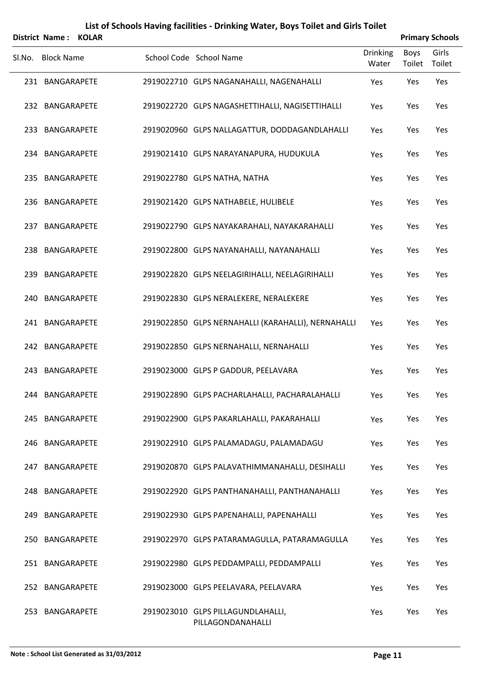|        | District Name: KOLAR |  |                                                        |                          | <b>Primary Schools</b> |                 |
|--------|----------------------|--|--------------------------------------------------------|--------------------------|------------------------|-----------------|
| SI.No. | <b>Block Name</b>    |  | School Code School Name                                | <b>Drinking</b><br>Water | Boys<br>Toilet         | Girls<br>Toilet |
|        | 231 BANGARAPETE      |  | 2919022710 GLPS NAGANAHALLI, NAGENAHALLI               | Yes                      | Yes                    | Yes             |
|        | 232 BANGARAPETE      |  | 2919022720 GLPS NAGASHETTIHALLI, NAGISETTIHALLI        | Yes                      | Yes                    | Yes             |
|        | 233 BANGARAPETE      |  | 2919020960 GLPS NALLAGATTUR, DODDAGANDLAHALLI          | Yes                      | Yes                    | Yes             |
|        | 234 BANGARAPETE      |  | 2919021410 GLPS NARAYANAPURA, HUDUKULA                 | Yes                      | Yes                    | Yes             |
|        | 235 BANGARAPETE      |  | 2919022780 GLPS NATHA, NATHA                           | Yes                      | Yes                    | Yes             |
|        | 236 BANGARAPETE      |  | 2919021420 GLPS NATHABELE, HULIBELE                    | Yes                      | Yes                    | Yes             |
|        | 237 BANGARAPETE      |  | 2919022790 GLPS NAYAKARAHALI, NAYAKARAHALLI            | Yes                      | Yes                    | Yes             |
|        | 238 BANGARAPETE      |  | 2919022800 GLPS NAYANAHALLI, NAYANAHALLI               | Yes                      | Yes                    | Yes             |
|        | 239 BANGARAPETE      |  | 2919022820 GLPS NEELAGIRIHALLI, NEELAGIRIHALLI         | Yes                      | Yes                    | Yes             |
|        | 240 BANGARAPETE      |  | 2919022830 GLPS NERALEKERE, NERALEKERE                 | Yes                      | Yes                    | Yes             |
|        | 241 BANGARAPETE      |  | 2919022850 GLPS NERNAHALLI (KARAHALLI), NERNAHALLI     | Yes                      | Yes                    | Yes             |
|        | 242 BANGARAPETE      |  | 2919022850 GLPS NERNAHALLI, NERNAHALLI                 | Yes                      | Yes                    | Yes             |
|        | 243 BANGARAPETE      |  | 2919023000 GLPS P GADDUR, PEELAVARA                    | Yes                      | Yes                    | Yes             |
|        | 244 BANGARAPETE      |  | 2919022890 GLPS PACHARLAHALLI, PACHARALAHALLI          | Yes                      | Yes                    | Yes             |
|        | 245 BANGARAPETE      |  | 2919022900 GLPS PAKARLAHALLI, PAKARAHALLI              | Yes                      | Yes                    | Yes             |
|        | 246 BANGARAPETE      |  | 2919022910 GLPS PALAMADAGU, PALAMADAGU                 | Yes                      | Yes                    | Yes             |
|        | 247 BANGARAPETE      |  | 2919020870 GLPS PALAVATHIMMANAHALLI, DESIHALLI         | Yes                      | Yes                    | Yes             |
|        | 248 BANGARAPETE      |  | 2919022920 GLPS PANTHANAHALLI, PANTHANAHALLI           | Yes                      | Yes                    | Yes             |
|        | 249 BANGARAPETE      |  | 2919022930 GLPS PAPENAHALLI, PAPENAHALLI               | Yes                      | Yes                    | Yes             |
|        | 250 BANGARAPETE      |  | 2919022970 GLPS PATARAMAGULLA, PATARAMAGULLA           | Yes                      | Yes                    | Yes             |
|        | 251 BANGARAPETE      |  | 2919022980 GLPS PEDDAMPALLI, PEDDAMPALLI               | Yes                      | Yes                    | Yes             |
|        | 252 BANGARAPETE      |  | 2919023000 GLPS PEELAVARA, PEELAVARA                   | Yes                      | Yes                    | Yes             |
|        | 253 BANGARAPETE      |  | 2919023010 GLPS PILLAGUNDLAHALLI,<br>PILLAGONDANAHALLI | Yes                      | Yes                    | Yes             |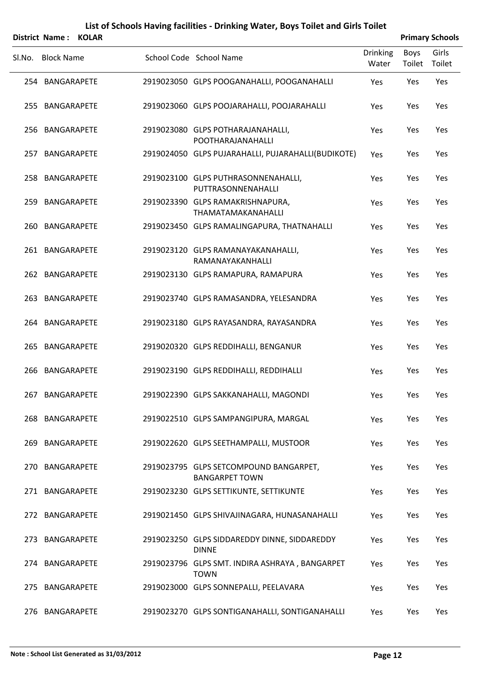|        | District Name: KOLAR |  |                                                                 |                          |                | <b>Primary Schools</b> |
|--------|----------------------|--|-----------------------------------------------------------------|--------------------------|----------------|------------------------|
| SI.No. | <b>Block Name</b>    |  | School Code School Name                                         | <b>Drinking</b><br>Water | Boys<br>Toilet | Girls<br>Toilet        |
|        | 254 BANGARAPETE      |  | 2919023050 GLPS POOGANAHALLI, POOGANAHALLI                      | Yes                      | Yes            | Yes                    |
| 255    | BANGARAPETE          |  | 2919023060 GLPS POOJARAHALLI, POOJARAHALLI                      | Yes                      | Yes            | Yes                    |
|        | 256 BANGARAPETE      |  | 2919023080 GLPS POTHARAJANAHALLI,<br>POOTHARAJANAHALLI          | Yes                      | Yes            | Yes                    |
| 257    | BANGARAPETE          |  | 2919024050 GLPS PUJARAHALLI, PUJARAHALLI(BUDIKOTE)              | Yes                      | Yes            | Yes                    |
|        | 258 BANGARAPETE      |  | 2919023100 GLPS PUTHRASONNENAHALLI,<br>PUTTRASONNENAHALLI       | Yes                      | Yes            | Yes                    |
| 259    | BANGARAPETE          |  | 2919023390 GLPS RAMAKRISHNAPURA,<br>THAMATAMAKANAHALLI          | Yes                      | Yes            | Yes                    |
|        | 260 BANGARAPETE      |  | 2919023450 GLPS RAMALINGAPURA, THATNAHALLI                      | Yes                      | Yes            | Yes                    |
|        | 261 BANGARAPETE      |  | 2919023120 GLPS RAMANAYAKANAHALLI,<br>RAMANAYAKANHALLI          | Yes                      | Yes            | Yes                    |
|        | 262 BANGARAPETE      |  | 2919023130 GLPS RAMAPURA, RAMAPURA                              | Yes                      | Yes            | Yes                    |
| 263    | BANGARAPETE          |  | 2919023740 GLPS RAMASANDRA, YELESANDRA                          | Yes                      | Yes            | Yes                    |
|        | 264 BANGARAPETE      |  | 2919023180 GLPS RAYASANDRA, RAYASANDRA                          | Yes                      | Yes            | Yes                    |
| 265    | BANGARAPETE          |  | 2919020320 GLPS REDDIHALLI, BENGANUR                            | Yes                      | Yes            | Yes                    |
| 266    | BANGARAPETE          |  | 2919023190 GLPS REDDIHALLI, REDDIHALLI                          | Yes                      | Yes            | Yes                    |
|        | 267 BANGARAPETE      |  | 2919022390 GLPS SAKKANAHALLI, MAGONDI                           | Yes                      | Yes            | Yes                    |
|        | 268 BANGARAPETE      |  | 2919022510 GLPS SAMPANGIPURA, MARGAL                            | Yes                      | Yes            | Yes                    |
|        | 269 BANGARAPETE      |  | 2919022620 GLPS SEETHAMPALLI, MUSTOOR                           | Yes                      | Yes            | Yes                    |
|        | 270 BANGARAPETE      |  | 2919023795 GLPS SETCOMPOUND BANGARPET,<br><b>BANGARPET TOWN</b> | Yes                      | Yes            | Yes                    |
|        | 271 BANGARAPETE      |  | 2919023230 GLPS SETTIKUNTE, SETTIKUNTE                          | Yes                      | Yes            | Yes                    |
|        | 272 BANGARAPETE      |  | 2919021450 GLPS SHIVAJINAGARA, HUNASANAHALLI                    | Yes                      | Yes            | Yes                    |
| 273    | BANGARAPETE          |  | 2919023250 GLPS SIDDAREDDY DINNE, SIDDAREDDY<br><b>DINNE</b>    | Yes                      | Yes            | Yes                    |
|        | 274 BANGARAPETE      |  | 2919023796 GLPS SMT. INDIRA ASHRAYA, BANGARPET<br><b>TOWN</b>   | Yes                      | Yes            | Yes                    |
| 275    | BANGARAPETE          |  | 2919023000 GLPS SONNEPALLI, PEELAVARA                           | Yes                      | Yes            | Yes                    |
|        | 276 BANGARAPETE      |  | 2919023270 GLPS SONTIGANAHALLI, SONTIGANAHALLI                  | Yes                      | Yes            | Yes                    |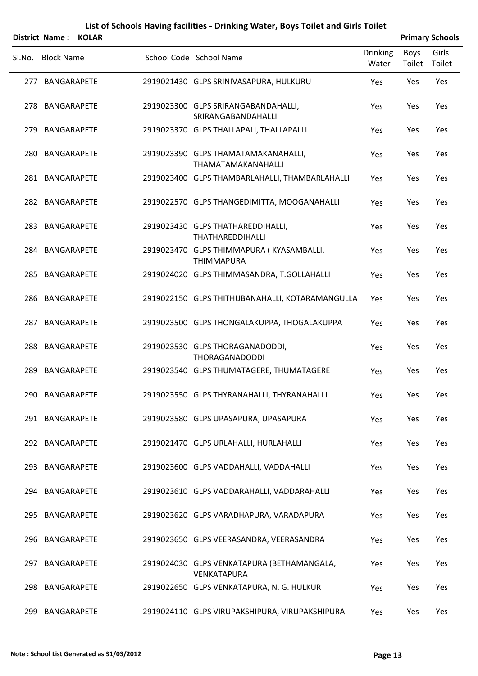|        | District Name: KOLAR |                                                               |                   |                | <b>Primary Schools</b> |
|--------|----------------------|---------------------------------------------------------------|-------------------|----------------|------------------------|
| SI.No. | <b>Block Name</b>    | School Code School Name                                       | Drinking<br>Water | Boys<br>Toilet | Girls<br>Toilet        |
|        | 277 BANGARAPETE      | 2919021430 GLPS SRINIVASAPURA, HULKURU                        | Yes               | Yes            | Yes                    |
| 278    | BANGARAPETE          | 2919023300 GLPS SRIRANGABANDAHALLI,<br>SRIRANGABANDAHALLI     | Yes               | Yes            | Yes                    |
|        | 279 BANGARAPETE      | 2919023370 GLPS THALLAPALI, THALLAPALLI                       | Yes               | Yes            | Yes                    |
| 280    | BANGARAPETE          | 2919023390 GLPS THAMATAMAKANAHALLI,<br>THAMATAMAKANAHALLI     | Yes               | Yes            | Yes                    |
|        | 281 BANGARAPETE      | 2919023400 GLPS THAMBARLAHALLI, THAMBARLAHALLI                | Yes               | Yes            | Yes                    |
|        | 282 BANGARAPETE      | 2919022570 GLPS THANGEDIMITTA, MOOGANAHALLI                   | Yes               | Yes            | Yes                    |
|        | 283 BANGARAPETE      | 2919023430 GLPS THATHAREDDIHALLI,<br><b>THATHAREDDIHALLI</b>  | Yes               | Yes            | Yes                    |
|        | 284 BANGARAPETE      | 2919023470 GLPS THIMMAPURA (KYASAMBALLI,<br><b>THIMMAPURA</b> | Yes               | Yes            | Yes                    |
|        | 285 BANGARAPETE      | 2919024020 GLPS THIMMASANDRA, T.GOLLAHALLI                    | Yes               | Yes            | Yes                    |
| 286    | BANGARAPETE          | 2919022150 GLPS THITHUBANAHALLI, KOTARAMANGULLA               | Yes               | Yes            | Yes                    |
|        | 287 BANGARAPETE      | 2919023500 GLPS THONGALAKUPPA, THOGALAKUPPA                   | Yes               | Yes            | Yes                    |
| 288    | BANGARAPETE          | 2919023530 GLPS THORAGANADODDI,<br><b>THORAGANADODDI</b>      | Yes               | Yes            | Yes                    |
| 289    | <b>BANGARAPETE</b>   | 2919023540 GLPS THUMATAGERE, THUMATAGERE                      | Yes               | Yes            | Yes                    |
|        | 290 BANGARAPETE      | 2919023550 GLPS THYRANAHALLI, THYRANAHALLI                    | Yes               | Yes            | Yes                    |
|        | 291 BANGARAPETE      | 2919023580 GLPS UPASAPURA, UPASAPURA                          | Yes               | Yes            | Yes                    |
|        | 292 BANGARAPETE      | 2919021470 GLPS URLAHALLI, HURLAHALLI                         | Yes               | Yes            | Yes                    |
|        | 293 BANGARAPETE      | 2919023600 GLPS VADDAHALLI, VADDAHALLI                        | Yes               | Yes            | Yes                    |
|        | 294 BANGARAPETE      | 2919023610 GLPS VADDARAHALLI, VADDARAHALLI                    | Yes               | Yes            | Yes                    |
|        | 295 BANGARAPETE      | 2919023620 GLPS VARADHAPURA, VARADAPURA                       | Yes               | Yes            | Yes                    |
|        | 296 BANGARAPETE      | 2919023650 GLPS VEERASANDRA, VEERASANDRA                      | Yes               | Yes            | Yes                    |
|        | 297 BANGARAPETE      | 2919024030 GLPS VENKATAPURA (BETHAMANGALA,<br>VENKATAPURA     | Yes               | Yes            | Yes                    |
|        | 298 BANGARAPETE      | 2919022650 GLPS VENKATAPURA, N. G. HULKUR                     | Yes               | Yes            | Yes                    |
|        | 299 BANGARAPETE      | 2919024110 GLPS VIRUPAKSHIPURA, VIRUPAKSHIPURA                | Yes               | Yes            | Yes                    |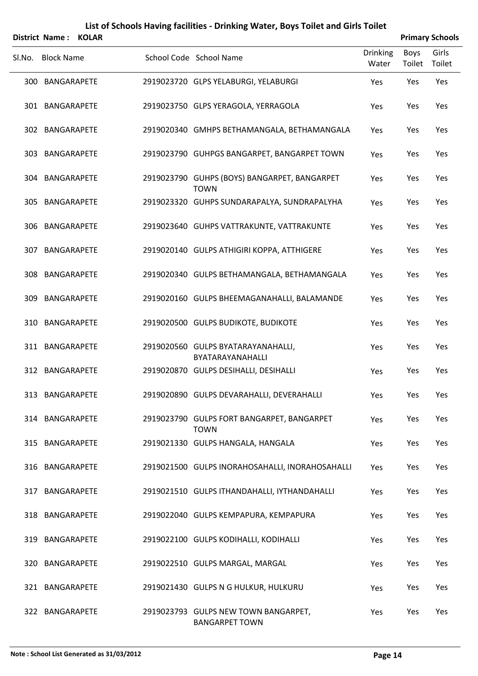|        | District Name: KOLAR |                                                               |                          |                | <b>Primary Schools</b> |
|--------|----------------------|---------------------------------------------------------------|--------------------------|----------------|------------------------|
| SI.No. | <b>Block Name</b>    | School Code School Name                                       | <b>Drinking</b><br>Water | Boys<br>Toilet | Girls<br>Toilet        |
|        | 300 BANGARAPETE      | 2919023720 GLPS YELABURGI, YELABURGI                          | Yes                      | Yes            | Yes                    |
|        | 301 BANGARAPETE      | 2919023750 GLPS YERAGOLA, YERRAGOLA                           | Yes                      | Yes            | Yes                    |
|        | 302 BANGARAPETE      | 2919020340 GMHPS BETHAMANGALA, BETHAMANGALA                   | Yes                      | Yes            | Yes                    |
|        | 303 BANGARAPETE      | 2919023790 GUHPGS BANGARPET, BANGARPET TOWN                   | Yes                      | Yes            | Yes                    |
|        | 304 BANGARAPETE      | 2919023790 GUHPS (BOYS) BANGARPET, BANGARPET<br><b>TOWN</b>   | Yes                      | Yes            | Yes                    |
| 305    | BANGARAPETE          | 2919023320 GUHPS SUNDARAPALYA, SUNDRAPALYHA                   | Yes                      | Yes            | Yes                    |
|        | 306 BANGARAPETE      | 2919023640 GUHPS VATTRAKUNTE, VATTRAKUNTE                     | Yes                      | Yes            | Yes                    |
|        | 307 BANGARAPETE      | 2919020140 GULPS ATHIGIRI KOPPA, ATTHIGERE                    | Yes                      | Yes            | Yes                    |
|        | 308 BANGARAPETE      | 2919020340 GULPS BETHAMANGALA, BETHAMANGALA                   | Yes                      | Yes            | Yes                    |
|        | 309 BANGARAPETE      | 2919020160 GULPS BHEEMAGANAHALLI, BALAMANDE                   | Yes                      | Yes            | Yes                    |
|        | 310 BANGARAPETE      | 2919020500 GULPS BUDIKOTE, BUDIKOTE                           | Yes                      | Yes            | Yes                    |
|        | 311 BANGARAPETE      | 2919020560 GULPS BYATARAYANAHALLI,<br>BYATARAYANAHALLI        | Yes                      | Yes            | Yes                    |
|        | 312 BANGARAPETE      | 2919020870 GULPS DESIHALLI, DESIHALLI                         | Yes                      | Yes            | Yes                    |
|        | 313 BANGARAPETE      | 2919020890 GULPS DEVARAHALLI, DEVERAHALLI                     | Yes                      | Yes            | Yes                    |
|        | 314 BANGARAPETE      | 2919023790 GULPS FORT BANGARPET, BANGARPET<br><b>TOWN</b>     | Yes                      | Yes            | Yes                    |
|        | 315 BANGARAPETE      | 2919021330 GULPS HANGALA, HANGALA                             | Yes                      | Yes            | Yes                    |
|        | 316 BANGARAPETE      | 2919021500 GULPS INORAHOSAHALLI, INORAHOSAHALLI               | Yes                      | Yes            | Yes                    |
|        | 317 BANGARAPETE      | 2919021510 GULPS ITHANDAHALLI, IYTHANDAHALLI                  | Yes                      | Yes            | Yes                    |
|        | 318 BANGARAPETE      | 2919022040 GULPS KEMPAPURA, KEMPAPURA                         | Yes                      | Yes            | Yes                    |
|        | 319 BANGARAPETE      | 2919022100 GULPS KODIHALLI, KODIHALLI                         | Yes                      | Yes            | Yes                    |
|        | 320 BANGARAPETE      | 2919022510 GULPS MARGAL, MARGAL                               | Yes                      | Yes            | Yes                    |
|        | 321 BANGARAPETE      | 2919021430 GULPS N G HULKUR, HULKURU                          | Yes                      | Yes            | Yes                    |
|        | 322 BANGARAPETE      | 2919023793 GULPS NEW TOWN BANGARPET,<br><b>BANGARPET TOWN</b> | Yes                      | Yes            | Yes                    |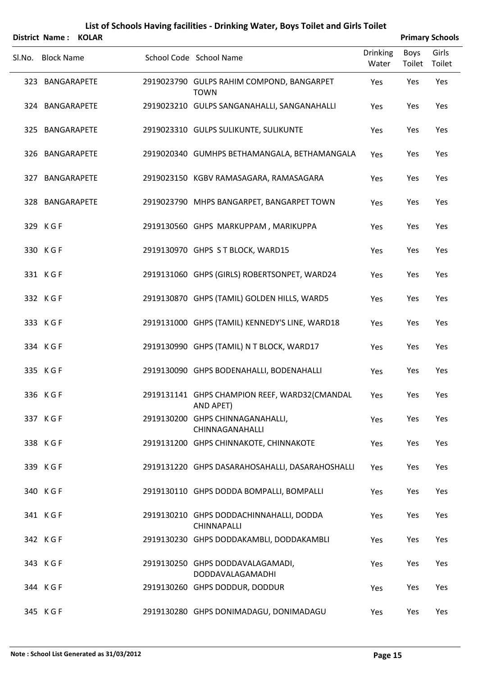|        | District Name:    | <b>KOLAR</b> |                                                            |                          |                | <b>Primary Schools</b> |
|--------|-------------------|--------------|------------------------------------------------------------|--------------------------|----------------|------------------------|
| SI.No. | <b>Block Name</b> |              | School Code School Name                                    | <b>Drinking</b><br>Water | Boys<br>Toilet | Girls<br>Toilet        |
|        | 323 BANGARAPETE   |              | 2919023790 GULPS RAHIM COMPOND, BANGARPET<br><b>TOWN</b>   | Yes                      | Yes            | Yes                    |
|        | 324 BANGARAPETE   |              | 2919023210 GULPS SANGANAHALLI, SANGANAHALLI                | Yes                      | Yes            | Yes                    |
|        | 325 BANGARAPETE   |              | 2919023310 GULPS SULIKUNTE, SULIKUNTE                      | Yes                      | Yes            | Yes                    |
|        | 326 BANGARAPETE   |              | 2919020340 GUMHPS BETHAMANGALA, BETHAMANGALA               | Yes                      | Yes            | Yes                    |
|        | 327 BANGARAPETE   |              | 2919023150 KGBV RAMASAGARA, RAMASAGARA                     | Yes                      | Yes            | Yes                    |
|        | 328 BANGARAPETE   |              | 2919023790 MHPS BANGARPET, BANGARPET TOWN                  | Yes                      | Yes            | Yes                    |
|        | 329 KGF           |              | 2919130560 GHPS MARKUPPAM, MARIKUPPA                       | Yes                      | Yes            | Yes                    |
|        | 330 KGF           |              | 2919130970 GHPS ST BLOCK, WARD15                           | Yes                      | Yes            | Yes                    |
|        | 331 KGF           |              | 2919131060 GHPS (GIRLS) ROBERTSONPET, WARD24               | Yes                      | Yes            | Yes                    |
|        | 332 KGF           |              | 2919130870 GHPS (TAMIL) GOLDEN HILLS, WARD5                | Yes                      | Yes            | Yes                    |
|        | 333 KGF           |              | 2919131000 GHPS (TAMIL) KENNEDY'S LINE, WARD18             | Yes                      | Yes            | Yes                    |
|        | 334 KGF           |              | 2919130990 GHPS (TAMIL) N T BLOCK, WARD17                  | Yes                      | Yes            | Yes                    |
|        | 335 KGF           |              | 2919130090 GHPS BODENAHALLI, BODENAHALLI                   | Yes                      | Yes            | Yes                    |
|        | 336 KGF           |              | 2919131141 GHPS CHAMPION REEF, WARD32(CMANDAL<br>AND APET) | Yes                      | Yes            | Yes                    |
|        | 337 KGF           |              | 2919130200 GHPS CHINNAGANAHALLI,<br>CHINNAGANAHALLI        | Yes                      | Yes            | Yes                    |
|        | 338 KGF           |              | 2919131200 GHPS CHINNAKOTE, CHINNAKOTE                     | Yes                      | Yes            | Yes                    |
|        | 339 KGF           |              | 2919131220 GHPS DASARAHOSAHALLI, DASARAHOSHALLI            | Yes                      | Yes            | Yes                    |
|        | 340 KGF           |              | 2919130110 GHPS DODDA BOMPALLI, BOMPALLI                   | Yes                      | Yes            | Yes                    |
|        | 341 KGF           |              | 2919130210 GHPS DODDACHINNAHALLI, DODDA<br>CHINNAPALLI     | Yes                      | Yes            | Yes                    |
|        | 342 KGF           |              | 2919130230 GHPS DODDAKAMBLI, DODDAKAMBLI                   | Yes                      | Yes            | Yes                    |
|        | 343 KGF           |              | 2919130250 GHPS DODDAVALAGAMADI,<br>DODDAVALAGAMADHI       | Yes                      | Yes            | Yes                    |
|        | 344 KGF           |              | 2919130260 GHPS DODDUR, DODDUR                             | Yes                      | Yes            | Yes                    |
|        | 345 KGF           |              | 2919130280 GHPS DONIMADAGU, DONIMADAGU                     | Yes                      | Yes            | Yes                    |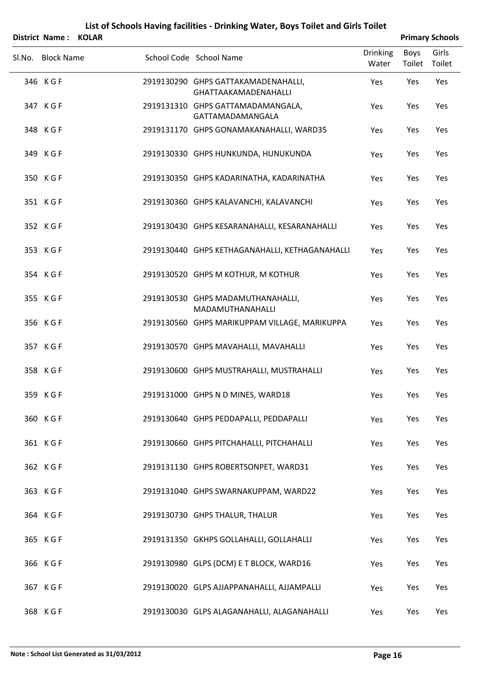### **List of Schools Having facilities ‐ Drinking Water, Boys Toilet and Girls Toilet District Name : KOLAR Primary** Schools

| Sl.No. Block Name | School Code School Name                                     | <b>Drinking</b><br>Water | <b>Boys</b><br>Toilet | Girls<br>Toilet |
|-------------------|-------------------------------------------------------------|--------------------------|-----------------------|-----------------|
| 346 KGF           | 2919130290 GHPS GATTAKAMADENAHALLI,<br>GHATTAAKAMADENAHALLI | Yes                      | Yes                   | Yes             |
| 347 KGF           | 2919131310 GHPS GATTAMADAMANGALA,<br>GATTAMADAMANGALA       | Yes                      | Yes                   | Yes             |
| 348 KGF           | 2919131170 GHPS GONAMAKANAHALLI, WARD35                     | Yes                      | Yes                   | Yes             |
| 349 KGF           | 2919130330 GHPS HUNKUNDA, HUNUKUNDA                         | Yes                      | Yes                   | Yes             |
| 350 KGF           | 2919130350 GHPS KADARINATHA, KADARINATHA                    | Yes                      | Yes                   | Yes             |
| 351 KGF           | 2919130360 GHPS KALAVANCHI, KALAVANCHI                      | Yes                      | Yes                   | Yes             |
| 352 KGF           | 2919130430 GHPS KESARANAHALLI, KESARANAHALLI                | Yes                      | Yes                   | Yes             |
| 353 KGF           | 2919130440 GHPS KETHAGANAHALLI, KETHAGANAHALLI              | Yes                      | Yes                   | Yes             |
| 354 KGF           | 2919130520 GHPS M KOTHUR, M KOTHUR                          | Yes                      | Yes                   | Yes             |
| 355 KGF           | 2919130530 GHPS MADAMUTHANAHALLI,<br>MADAMUTHANAHALLI       | Yes                      | Yes                   | Yes             |
| 356 KGF           | 2919130560 GHPS MARIKUPPAM VILLAGE, MARIKUPPA               | Yes                      | Yes                   | Yes             |
| 357 KGF           | 2919130570 GHPS MAVAHALLI, MAVAHALLI                        | Yes                      | Yes                   | Yes             |
| 358 KGF           | 2919130600 GHPS MUSTRAHALLI, MUSTRAHALLI                    | Yes                      | Yes                   | Yes             |
| 359 KGF           | 2919131000 GHPS N D MINES, WARD18                           | Yes                      | Yes                   | Yes             |
| 360 KGF           | 2919130640 GHPS PEDDAPALLI, PEDDAPALLI                      | Yes                      | Yes                   | Yes             |
| 361 KGF           | 2919130660 GHPS PITCHAHALLI, PITCHAHALLI                    | Yes                      | Yes                   | Yes             |
| 362 KGF           | 2919131130 GHPS ROBERTSONPET, WARD31                        | Yes                      | Yes                   | Yes             |
| 363 KGF           | 2919131040 GHPS SWARNAKUPPAM, WARD22                        | Yes                      | Yes                   | Yes             |
| 364 KGF           | 2919130730 GHPS THALUR, THALUR                              | Yes                      | Yes                   | Yes             |
| 365 KGF           | 2919131350 GKHPS GOLLAHALLI, GOLLAHALLI                     | Yes                      | Yes                   | Yes             |
| 366 KGF           | 2919130980 GLPS (DCM) E T BLOCK, WARD16                     | Yes                      | Yes                   | Yes             |
| 367 KGF           | 2919130020 GLPS AJJAPPANAHALLI, AJJAMPALLI                  | Yes                      | Yes                   | Yes             |
| 368 KGF           | 2919130030 GLPS ALAGANAHALLI, ALAGANAHALLI                  | Yes                      | Yes                   | Yes             |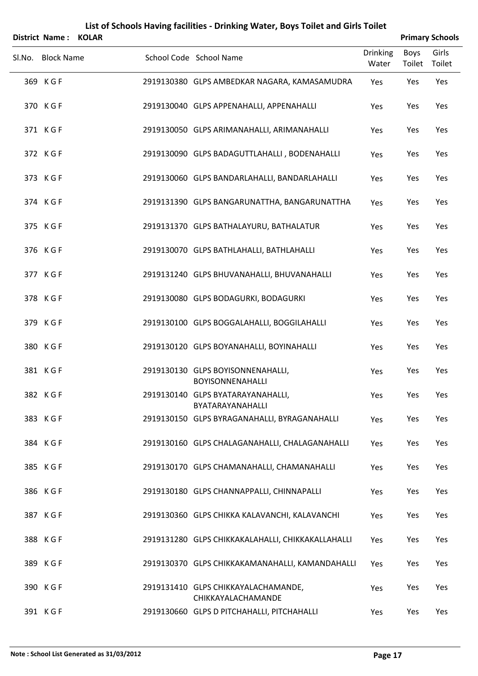| <b>District Name:</b><br><b>KOLAR</b> |                                                              |                   |                | <b>Primary Schools</b> |
|---------------------------------------|--------------------------------------------------------------|-------------------|----------------|------------------------|
| Sl.No. Block Name                     | School Code School Name                                      | Drinking<br>Water | Boys<br>Toilet | Girls<br>Toilet        |
| 369 KGF                               | 2919130380 GLPS AMBEDKAR NAGARA, KAMASAMUDRA                 | Yes               | Yes            | Yes                    |
| 370 KGF                               | 2919130040 GLPS APPENAHALLI, APPENAHALLI                     | Yes               | Yes            | Yes                    |
| 371 KGF                               | 2919130050 GLPS ARIMANAHALLI, ARIMANAHALLI                   | Yes               | Yes            | Yes                    |
| 372 KGF                               | 2919130090 GLPS BADAGUTTLAHALLI, BODENAHALLI                 | Yes               | Yes            | Yes                    |
| 373 KGF                               | 2919130060 GLPS BANDARLAHALLI, BANDARLAHALLI                 | Yes               | Yes            | Yes                    |
| 374 KGF                               | 2919131390 GLPS BANGARUNATTHA, BANGARUNATTHA                 | Yes               | Yes            | Yes                    |
| 375 KGF                               | 2919131370 GLPS BATHALAYURU, BATHALATUR                      | Yes               | Yes            | Yes                    |
| 376 KGF                               | 2919130070 GLPS BATHLAHALLI, BATHLAHALLI                     | Yes               | Yes            | Yes                    |
| 377 KGF                               | 2919131240 GLPS BHUVANAHALLI, BHUVANAHALLI                   | Yes               | Yes            | Yes                    |
| 378 KGF                               | 2919130080 GLPS BODAGURKI, BODAGURKI                         | Yes               | Yes            | Yes                    |
| 379 KGF                               | 2919130100 GLPS BOGGALAHALLI, BOGGILAHALLI                   | Yes               | Yes            | Yes                    |
| 380 KGF                               | 2919130120 GLPS BOYANAHALLI, BOYINAHALLI                     | Yes               | Yes            | Yes                    |
| 381 KGF                               | 2919130130 GLPS BOYISONNENAHALLI,<br><b>BOYISONNENAHALLI</b> | Yes               | Yes            | Yes                    |
| 382 KGF                               | 2919130140 GLPS BYATARAYANAHALLI,<br>BYATARAYANAHALLI        | Yes               | Yes            | Yes                    |
| 383 KGF                               | 2919130150 GLPS BYRAGANAHALLI, BYRAGANAHALLI                 | Yes               | Yes            | Yes                    |
| 384 KGF                               | 2919130160 GLPS CHALAGANAHALLI, CHALAGANAHALLI               | Yes               | Yes            | Yes                    |
| 385 KGF                               | 2919130170 GLPS CHAMANAHALLI, CHAMANAHALLI                   | Yes               | Yes            | Yes                    |
| 386 KGF                               | 2919130180 GLPS CHANNAPPALLI, CHINNAPALLI                    | Yes               | Yes            | Yes                    |
| 387 KGF                               | 2919130360 GLPS CHIKKA KALAVANCHI, KALAVANCHI                | Yes               | Yes            | Yes                    |
| 388 KGF                               | 2919131280 GLPS CHIKKAKALAHALLI, CHIKKAKALLAHALLI            | Yes               | Yes            | Yes                    |
| 389 KGF                               | 2919130370 GLPS CHIKKAKAMANAHALLI, KAMANDAHALLI              | Yes               | Yes            | Yes                    |
| 390 KGF                               | 2919131410 GLPS CHIKKAYALACHAMANDE,<br>CHIKKAYALACHAMANDE    | Yes               | Yes            | Yes                    |
| 391 KGF                               | 2919130660 GLPS D PITCHAHALLI, PITCHAHALLI                   | Yes               | Yes            | Yes                    |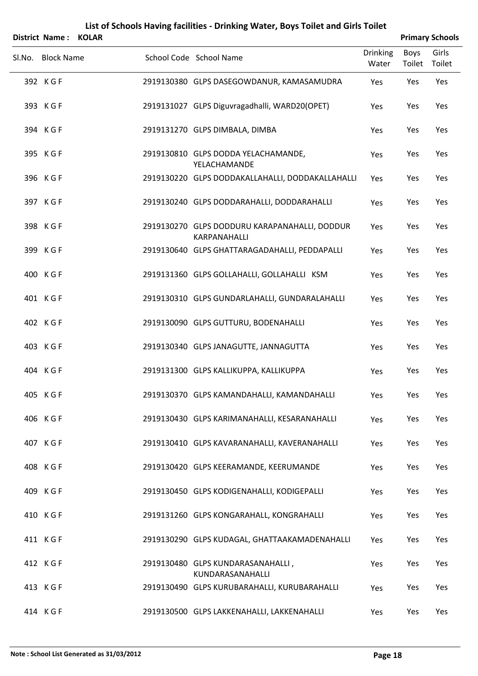| District Name: KOLAR |  |                                                               |                          |                | <b>Primary Schools</b> |
|----------------------|--|---------------------------------------------------------------|--------------------------|----------------|------------------------|
| Sl.No. Block Name    |  | School Code School Name                                       | <b>Drinking</b><br>Water | Boys<br>Toilet | Girls<br>Toilet        |
| 392 KGF              |  | 2919130380 GLPS DASEGOWDANUR, KAMASAMUDRA                     | Yes                      | Yes            | Yes                    |
| 393 KGF              |  | 2919131027 GLPS Diguvragadhalli, WARD20(OPET)                 | Yes                      | Yes            | Yes                    |
| 394 KGF              |  | 2919131270 GLPS DIMBALA, DIMBA                                | Yes                      | Yes            | Yes                    |
| 395 KGF              |  | 2919130810 GLPS DODDA YELACHAMANDE,<br>YELACHAMANDE           | Yes                      | Yes            | Yes                    |
| 396 KGF              |  | 2919130220 GLPS DODDAKALLAHALLI, DODDAKALLAHALLI              | Yes                      | Yes            | Yes                    |
| 397 KGF              |  | 2919130240 GLPS DODDARAHALLI, DODDARAHALLI                    | Yes                      | Yes            | Yes                    |
| 398 KGF              |  | 2919130270 GLPS DODDURU KARAPANAHALLI, DODDUR<br>KARPANAHALLI | Yes                      | Yes            | Yes                    |
| 399 KGF              |  | 2919130640 GLPS GHATTARAGADAHALLI, PEDDAPALLI                 | Yes                      | Yes            | Yes                    |
| 400 KGF              |  | 2919131360 GLPS GOLLAHALLI, GOLLAHALLI KSM                    | Yes                      | Yes            | Yes                    |
| 401 KGF              |  | 2919130310 GLPS GUNDARLAHALLI, GUNDARALAHALLI                 | Yes                      | Yes            | Yes                    |
| 402 KGF              |  | 2919130090 GLPS GUTTURU, BODENAHALLI                          | Yes                      | Yes            | Yes                    |
| 403 KGF              |  | 2919130340 GLPS JANAGUTTE, JANNAGUTTA                         | Yes                      | Yes            | Yes                    |
| 404 KGF              |  | 2919131300 GLPS KALLIKUPPA, KALLIKUPPA                        | Yes                      | Yes            | Yes                    |
| 405 KGF              |  | 2919130370 GLPS KAMANDAHALLI, KAMANDAHALLI                    | Yes                      | Yes            | Yes                    |
| 406 KGF              |  | 2919130430 GLPS KARIMANAHALLI, KESARANAHALLI                  | Yes                      | Yes            | Yes                    |
| 407 KGF              |  | 2919130410 GLPS KAVARANAHALLI, KAVERANAHALLI                  | Yes                      | Yes            | Yes                    |
| 408 KGF              |  | 2919130420 GLPS KEERAMANDE, KEERUMANDE                        | Yes                      | Yes            | Yes                    |
| 409 KGF              |  | 2919130450 GLPS KODIGENAHALLI, KODIGEPALLI                    | Yes                      | Yes            | Yes                    |
| 410 KGF              |  | 2919131260 GLPS KONGARAHALL, KONGRAHALLI                      | Yes                      | Yes            | Yes                    |
| 411 KGF              |  | 2919130290 GLPS KUDAGAL, GHATTAAKAMADENAHALLI                 | Yes                      | Yes            | Yes                    |
| 412 KGF              |  | 2919130480 GLPS KUNDARASANAHALLI,<br>KUNDARASANAHALLI         | Yes                      | Yes            | Yes                    |
| 413 KGF              |  | 2919130490 GLPS KURUBARAHALLI, KURUBARAHALLI                  | Yes                      | Yes            | Yes                    |
| 414 KGF              |  | 2919130500 GLPS LAKKENAHALLI, LAKKENAHALLI                    | Yes                      | Yes            | Yes                    |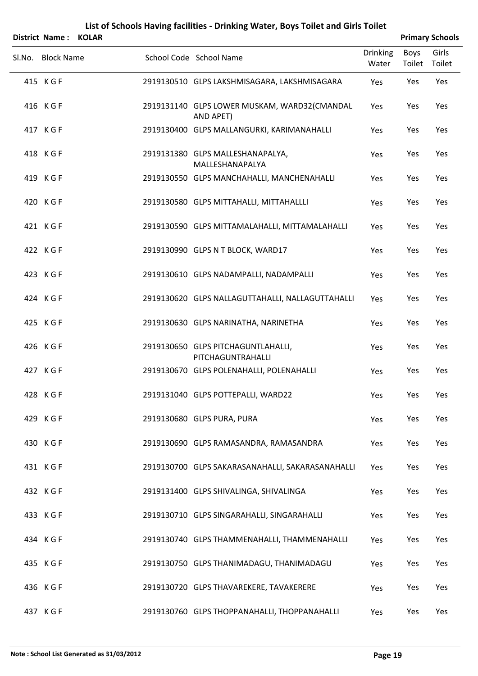| District Name: KOLAR |  |                                                           |                          |                | <b>Primary Schools</b> |
|----------------------|--|-----------------------------------------------------------|--------------------------|----------------|------------------------|
| Sl.No. Block Name    |  | School Code School Name                                   | <b>Drinking</b><br>Water | Boys<br>Toilet | Girls<br>Toilet        |
| 415 KGF              |  | 2919130510 GLPS LAKSHMISAGARA, LAKSHMISAGARA              | Yes                      | Yes            | Yes                    |
| 416 KGF              |  | 2919131140 GLPS LOWER MUSKAM, WARD32(CMANDAL<br>AND APET) | Yes                      | Yes            | Yes                    |
| 417 KGF              |  | 2919130400 GLPS MALLANGURKI, KARIMANAHALLI                | Yes                      | Yes            | Yes                    |
| 418 KGF              |  | 2919131380 GLPS MALLESHANAPALYA,<br>MALLESHANAPALYA       | Yes                      | Yes            | Yes                    |
| 419 KGF              |  | 2919130550 GLPS MANCHAHALLI, MANCHENAHALLI                | Yes                      | Yes            | Yes                    |
| 420 KGF              |  | 2919130580 GLPS MITTAHALLI, MITTAHALLLI                   | Yes                      | Yes            | Yes                    |
| 421 KGF              |  | 2919130590 GLPS MITTAMALAHALLI, MITTAMALAHALLI            | Yes                      | Yes            | Yes                    |
| 422 KGF              |  | 2919130990 GLPS N T BLOCK, WARD17                         | Yes                      | Yes            | Yes                    |
| 423 KGF              |  | 2919130610 GLPS NADAMPALLI, NADAMPALLI                    | Yes                      | Yes            | Yes                    |
| 424 KGF              |  | 2919130620 GLPS NALLAGUTTAHALLI, NALLAGUTTAHALLI          | Yes                      | Yes            | Yes                    |
| 425 KGF              |  | 2919130630 GLPS NARINATHA, NARINETHA                      | Yes                      | Yes            | Yes                    |
| 426 KGF              |  | 2919130650 GLPS PITCHAGUNTLAHALLI,<br>PITCHAGUNTRAHALLI   | Yes                      | Yes            | Yes                    |
| 427 KGF              |  | 2919130670 GLPS POLENAHALLI, POLENAHALLI                  | Yes                      | Yes            | Yes                    |
| 428 KGF              |  | 2919131040 GLPS POTTEPALLI, WARD22                        | Yes                      | Yes            | Yes                    |
| 429 KGF              |  | 2919130680 GLPS PURA, PURA                                | Yes                      | Yes            | Yes                    |
| 430 KGF              |  | 2919130690 GLPS RAMASANDRA, RAMASANDRA                    | Yes                      | Yes            | Yes                    |
| 431 KGF              |  | 2919130700 GLPS SAKARASANAHALLI, SAKARASANAHALLI          | Yes                      | Yes            | Yes                    |
| 432 KGF              |  | 2919131400 GLPS SHIVALINGA, SHIVALINGA                    | Yes                      | Yes            | Yes                    |
| 433 KGF              |  | 2919130710 GLPS SINGARAHALLI, SINGARAHALLI                | Yes                      | Yes            | Yes                    |
| 434 KGF              |  | 2919130740 GLPS THAMMENAHALLI, THAMMENAHALLI              | Yes                      | Yes            | Yes                    |
| 435 KGF              |  | 2919130750 GLPS THANIMADAGU, THANIMADAGU                  | Yes                      | Yes            | Yes                    |
| 436 KGF              |  | 2919130720 GLPS THAVAREKERE, TAVAKERERE                   | Yes                      | Yes            | Yes                    |
| 437 KGF              |  | 2919130760 GLPS THOPPANAHALLI, THOPPANAHALLI              | Yes                      | Yes            | Yes                    |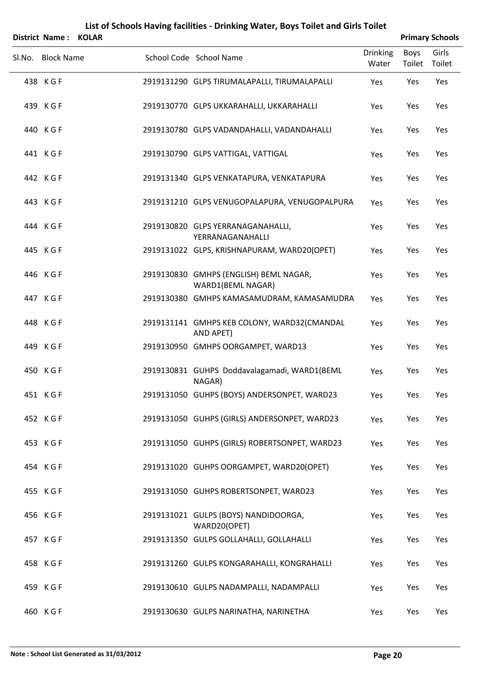| <b>District Name:</b> | <b>KOLAR</b> |                                                             |                          |                | <b>Primary Schools</b> |
|-----------------------|--------------|-------------------------------------------------------------|--------------------------|----------------|------------------------|
| Sl.No. Block Name     |              | School Code School Name                                     | <b>Drinking</b><br>Water | Boys<br>Toilet | Girls<br>Toilet        |
| 438 KGF               |              | 2919131290 GLPS TIRUMALAPALLI, TIRUMALAPALLI                | Yes                      | Yes            | Yes                    |
| 439 KGF               |              | 2919130770 GLPS UKKARAHALLI, UKKARAHALLI                    | Yes                      | Yes            | Yes                    |
| 440 KGF               |              | 2919130780 GLPS VADANDAHALLI, VADANDAHALLI                  | Yes                      | Yes            | Yes                    |
| 441 KGF               |              | 2919130790 GLPS VATTIGAL, VATTIGAL                          | Yes                      | Yes            | Yes                    |
| 442 KGF               |              | 2919131340 GLPS VENKATAPURA, VENKATAPURA                    | Yes                      | Yes            | Yes                    |
| 443 KGF               |              | 2919131210 GLPS VENUGOPALAPURA, VENUGOPALPURA               | Yes                      | Yes            | Yes                    |
| 444 KGF               |              | 2919130820 GLPS YERRANAGANAHALLI,<br>YERRANAGANAHALLI       | Yes                      | Yes            | Yes                    |
| 445 KGF               |              | 2919131022 GLPS, KRISHNAPURAM, WARD20(OPET)                 | Yes                      | Yes            | Yes                    |
| 446 KGF               |              | 2919130830 GMHPS (ENGLISH) BEML NAGAR,<br>WARD1(BEML NAGAR) | Yes                      | Yes            | Yes                    |
| 447 KGF               |              | 2919130380 GMHPS KAMASAMUDRAM, KAMASAMUDRA                  | Yes                      | Yes            | Yes                    |
| 448 KGF               |              | 2919131141 GMHPS KEB COLONY, WARD32(CMANDAL<br>AND APET)    | Yes                      | Yes            | Yes                    |
| 449 KGF               |              | 2919130950 GMHPS OORGAMPET, WARD13                          | Yes                      | Yes            | Yes                    |
| 450 KGF               |              | 2919130831 GUHPS Doddavalagamadi, WARD1(BEML<br>NAGAR)      | Yes                      | Yes            | Yes                    |
| 451 KGF               |              | 2919131050 GUHPS (BOYS) ANDERSONPET, WARD23                 | Yes                      | Yes            | Yes                    |
| 452 KGF               |              | 2919131050 GUHPS (GIRLS) ANDERSONPET, WARD23                | Yes                      | Yes            | Yes                    |
| 453 KGF               |              | 2919131050 GUHPS (GIRLS) ROBERTSONPET, WARD23               | Yes                      | Yes            | Yes                    |
| 454 KGF               |              | 2919131020 GUHPS OORGAMPET, WARD20(OPET)                    | Yes                      | Yes            | Yes                    |
| 455 KGF               |              | 2919131050 GUHPS ROBERTSONPET, WARD23                       | Yes                      | Yes            | Yes                    |
| 456 KGF               |              | 2919131021 GULPS (BOYS) NANDIDOORGA,<br>WARD20(OPET)        | Yes                      | Yes            | Yes                    |
| 457 KGF               |              | 2919131350 GULPS GOLLAHALLI, GOLLAHALLI                     | Yes                      | Yes            | Yes                    |
| 458 KGF               |              | 2919131260 GULPS KONGARAHALLI, KONGRAHALLI                  | Yes                      | Yes            | Yes                    |
| 459 KGF               |              | 2919130610 GULPS NADAMPALLI, NADAMPALLI                     | Yes                      | Yes            | Yes                    |
| 460 KGF               |              | 2919130630 GULPS NARINATHA, NARINETHA                       | Yes                      | Yes            | Yes                    |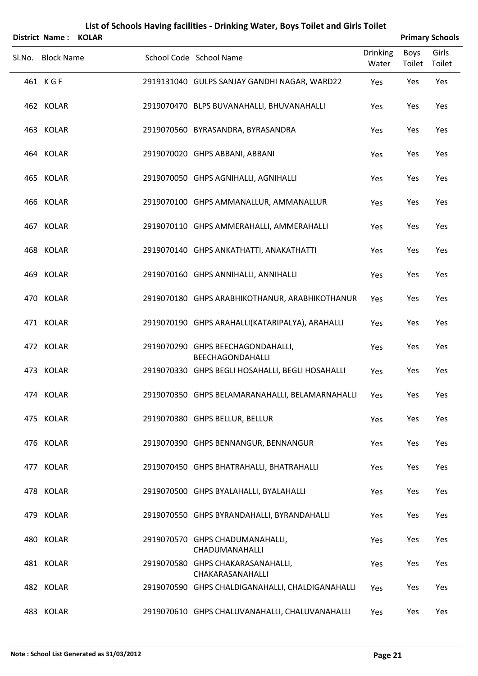| <b>District Name:</b> | <b>KOLAR</b> |                                                       |                          |                | <b>Primary Schools</b> |
|-----------------------|--------------|-------------------------------------------------------|--------------------------|----------------|------------------------|
| Sl.No. Block Name     |              | School Code School Name                               | <b>Drinking</b><br>Water | Boys<br>Toilet | Girls<br>Toilet        |
| 461 KGF               |              | 2919131040 GULPS SANJAY GANDHI NAGAR, WARD22          | Yes                      | Yes            | Yes                    |
| 462 KOLAR             |              | 2919070470 BLPS BUVANAHALLI, BHUVANAHALLI             | Yes                      | Yes            | Yes                    |
| 463 KOLAR             |              | 2919070560 BYRASANDRA, BYRASANDRA                     | Yes                      | Yes            | Yes                    |
| 464 KOLAR             |              | 2919070020 GHPS ABBANI, ABBANI                        | Yes                      | Yes            | Yes                    |
| 465 KOLAR             |              | 2919070050 GHPS AGNIHALLI, AGNIHALLI                  | Yes                      | Yes            | Yes                    |
| 466 KOLAR             |              | 2919070100 GHPS AMMANALLUR, AMMANALLUR                | Yes                      | Yes            | Yes                    |
| 467 KOLAR             |              | 2919070110 GHPS AMMERAHALLI, AMMERAHALLI              | Yes                      | Yes            | Yes                    |
| 468 KOLAR             |              | 2919070140 GHPS ANKATHATTI, ANAKATHATTI               | Yes                      | Yes            | Yes                    |
| 469 KOLAR             |              | 2919070160 GHPS ANNIHALLI, ANNIHALLI                  | Yes                      | Yes            | Yes                    |
| 470 KOLAR             |              | 2919070180 GHPS ARABHIKOTHANUR, ARABHIKOTHANUR        | Yes                      | Yes            | Yes                    |
| 471 KOLAR             |              | 2919070190 GHPS ARAHALLI(KATARIPALYA), ARAHALLI       | Yes                      | Yes            | Yes                    |
| 472 KOLAR             |              | 2919070290 GHPS BEECHAGONDAHALLI,<br>BEECHAGONDAHALLI | Yes                      | Yes            | Yes                    |
| 473 KOLAR             |              | 2919070330 GHPS BEGLI HOSAHALLI, BEGLI HOSAHALLI      | Yes                      | Yes            | Yes                    |
| 474 KOLAR             |              | 2919070350 GHPS BELAMARANAHALLI, BELAMARNAHALLI       | Yes                      | Yes            | Yes                    |
| 475 KOLAR             |              | 2919070380 GHPS BELLUR, BELLUR                        | Yes                      | Yes            | Yes                    |
| 476 KOLAR             |              | 2919070390 GHPS BENNANGUR, BENNANGUR                  | Yes                      | Yes            | Yes                    |
| 477 KOLAR             |              | 2919070450 GHPS BHATRAHALLI, BHATRAHALLI              | Yes                      | Yes            | Yes                    |
| 478 KOLAR             |              | 2919070500 GHPS BYALAHALLI, BYALAHALLI                | Yes                      | Yes            | Yes                    |
| 479 KOLAR             |              | 2919070550 GHPS BYRANDAHALLI, BYRANDAHALLI            | Yes                      | Yes            | Yes                    |
| 480 KOLAR             |              | 2919070570 GHPS CHADUMANAHALLI,<br>CHADUMANAHALLI     | Yes                      | Yes            | Yes                    |
| 481 KOLAR             |              | 2919070580 GHPS CHAKARASANAHALLI,<br>CHAKARASANAHALLI | Yes                      | Yes            | Yes                    |
| 482 KOLAR             |              | 2919070590 GHPS CHALDIGANAHALLI, CHALDIGANAHALLI      | Yes                      | Yes            | Yes                    |
| 483 KOLAR             |              | 2919070610 GHPS CHALUVANAHALLI, CHALUVANAHALLI        | Yes                      | Yes            | Yes                    |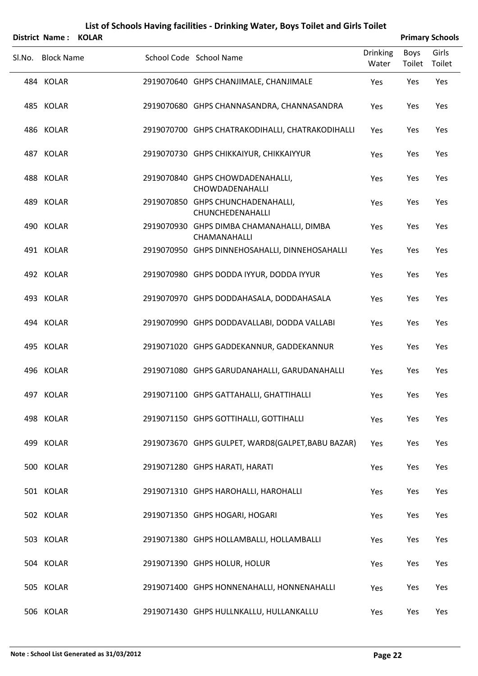|        | District Name:    | <b>KOLAR</b> |                                                           |                          | <b>Primary Schools</b> |                 |
|--------|-------------------|--------------|-----------------------------------------------------------|--------------------------|------------------------|-----------------|
| Sl.No. | <b>Block Name</b> |              | School Code School Name                                   | <b>Drinking</b><br>Water | Boys<br>Toilet         | Girls<br>Toilet |
|        | 484 KOLAR         |              | 2919070640 GHPS CHANJIMALE, CHANJIMALE                    | Yes                      | Yes                    | Yes             |
|        | 485 KOLAR         |              | 2919070680 GHPS CHANNASANDRA, CHANNASANDRA                | Yes                      | Yes                    | Yes             |
|        | 486 KOLAR         |              | 2919070700 GHPS CHATRAKODIHALLI, CHATRAKODIHALLI          | Yes                      | Yes                    | Yes             |
|        | 487 KOLAR         |              | 2919070730 GHPS CHIKKAIYUR, CHIKKAIYYUR                   | Yes                      | Yes                    | Yes             |
|        | 488 KOLAR         |              | 2919070840 GHPS CHOWDADENAHALLI,<br>CHOWDADENAHALLI       | Yes                      | Yes                    | Yes             |
|        | 489 KOLAR         |              | 2919070850 GHPS CHUNCHADENAHALLI,<br>CHUNCHEDENAHALLI     | Yes                      | Yes                    | Yes             |
|        | 490 KOLAR         |              | 2919070930 GHPS DIMBA CHAMANAHALLI, DIMBA<br>CHAMANAHALLI | Yes                      | Yes                    | Yes             |
|        | 491 KOLAR         |              | 2919070950 GHPS DINNEHOSAHALLI, DINNEHOSAHALLI            | Yes                      | Yes                    | Yes             |
|        | 492 KOLAR         |              | 2919070980 GHPS DODDA IYYUR, DODDA IYYUR                  | Yes                      | Yes                    | Yes             |
|        | 493 KOLAR         |              | 2919070970 GHPS DODDAHASALA, DODDAHASALA                  | Yes                      | Yes                    | Yes             |
|        | 494 KOLAR         |              | 2919070990 GHPS DODDAVALLABI, DODDA VALLABI               | Yes                      | Yes                    | Yes             |
|        | 495 KOLAR         |              | 2919071020 GHPS GADDEKANNUR, GADDEKANNUR                  | Yes                      | Yes                    | Yes             |
|        | 496 KOLAR         |              | 2919071080 GHPS GARUDANAHALLI, GARUDANAHALLI              | Yes                      | Yes                    | Yes             |
|        | 497 KOLAR         |              | 2919071100 GHPS GATTAHALLI, GHATTIHALLI                   | Yes                      | Yes                    | Yes             |
|        | 498 KOLAR         |              | 2919071150 GHPS GOTTIHALLI, GOTTIHALLI                    | Yes                      | Yes                    | Yes             |
|        | 499 KOLAR         |              | 2919073670 GHPS GULPET, WARD8(GALPET, BABU BAZAR)         | Yes                      | Yes                    | Yes             |
|        | 500 KOLAR         |              | 2919071280 GHPS HARATI, HARATI                            | Yes                      | Yes                    | Yes             |
|        | 501 KOLAR         |              | 2919071310 GHPS HAROHALLI, HAROHALLI                      | Yes                      | Yes                    | Yes             |
|        | 502 KOLAR         |              | 2919071350 GHPS HOGARI, HOGARI                            | Yes                      | Yes                    | Yes             |
|        | 503 KOLAR         |              | 2919071380 GHPS HOLLAMBALLI, HOLLAMBALLI                  | Yes                      | Yes                    | Yes             |
|        | 504 KOLAR         |              | 2919071390 GHPS HOLUR, HOLUR                              | Yes                      | Yes                    | Yes             |
|        | 505 KOLAR         |              | 2919071400 GHPS HONNENAHALLI, HONNENAHALLI                | Yes                      | Yes                    | Yes             |

KOLAR 2919071430 GHPS HULLNKALLU, HULLANKALLU Yes Yes Yes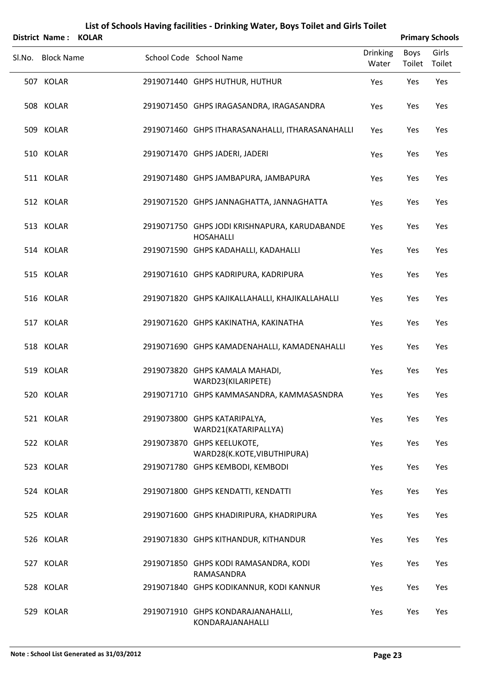|        | <b>District Name:</b> | <b>KOLAR</b> |                                                                   |                          |                | <b>Primary Schools</b> |
|--------|-----------------------|--------------|-------------------------------------------------------------------|--------------------------|----------------|------------------------|
| SI.No. | <b>Block Name</b>     |              | School Code School Name                                           | <b>Drinking</b><br>Water | Boys<br>Toilet | Girls<br>Toilet        |
|        | 507 KOLAR             |              | 2919071440 GHPS HUTHUR, HUTHUR                                    | Yes                      | Yes            | Yes                    |
|        | 508 KOLAR             |              | 2919071450 GHPS IRAGASANDRA, IRAGASANDRA                          | Yes                      | Yes            | Yes                    |
|        | 509 KOLAR             |              | 2919071460 GHPS ITHARASANAHALLI, ITHARASANAHALLI                  | Yes                      | Yes            | Yes                    |
|        | 510 KOLAR             |              | 2919071470 GHPS JADERI, JADERI                                    | Yes                      | Yes            | Yes                    |
|        | 511 KOLAR             |              | 2919071480 GHPS JAMBAPURA, JAMBAPURA                              | Yes                      | Yes            | Yes                    |
|        | 512 KOLAR             |              | 2919071520 GHPS JANNAGHATTA, JANNAGHATTA                          | Yes                      | Yes            | Yes                    |
|        | 513 KOLAR             |              | 2919071750 GHPS JODI KRISHNAPURA, KARUDABANDE<br><b>HOSAHALLI</b> | Yes                      | Yes            | Yes                    |
|        | 514 KOLAR             |              | 2919071590 GHPS KADAHALLI, KADAHALLI                              | Yes                      | Yes            | Yes                    |
|        | 515 KOLAR             |              | 2919071610 GHPS KADRIPURA, KADRIPURA                              | Yes                      | Yes            | Yes                    |
|        | 516 KOLAR             |              | 2919071820 GHPS KAJIKALLAHALLI, KHAJIKALLAHALLI                   | Yes                      | Yes            | Yes                    |
|        | 517 KOLAR             |              | 2919071620 GHPS KAKINATHA, KAKINATHA                              | Yes                      | Yes            | Yes                    |
|        | 518 KOLAR             |              | 2919071690 GHPS KAMADENAHALLI, KAMADENAHALLI                      | Yes                      | Yes            | Yes                    |
|        | 519 KOLAR             |              | 2919073820 GHPS KAMALA MAHADI,<br>WARD23(KILARIPETE)              | Yes                      | Yes            | Yes                    |
|        | 520 KOLAR             |              | 2919071710 GHPS KAMMASANDRA, KAMMASASNDRA                         | Yes                      | Yes            | Yes                    |
|        | 521 KOLAR             |              | 2919073800 GHPS KATARIPALYA,<br>WARD21(KATARIPALLYA)              | Yes                      | Yes            | Yes                    |
|        | 522 KOLAR             |              | 2919073870 GHPS KEELUKOTE,<br>WARD28(K.KOTE, VIBUTHIPURA)         | Yes                      | Yes            | Yes                    |
|        | 523 KOLAR             |              | 2919071780 GHPS KEMBODI, KEMBODI                                  | Yes                      | Yes            | Yes                    |
|        | 524 KOLAR             |              | 2919071800 GHPS KENDATTI, KENDATTI                                | Yes                      | Yes            | Yes                    |
|        | 525 KOLAR             |              | 2919071600 GHPS KHADIRIPURA, KHADRIPURA                           | Yes                      | Yes            | Yes                    |
|        | 526 KOLAR             |              | 2919071830 GHPS KITHANDUR, KITHANDUR                              | Yes                      | Yes            | Yes                    |
|        | 527 KOLAR             |              | 2919071850 GHPS KODI RAMASANDRA, KODI<br>RAMASANDRA               | Yes                      | Yes            | Yes                    |
|        | 528 KOLAR             |              | 2919071840 GHPS KODIKANNUR, KODI KANNUR                           | Yes                      | Yes            | Yes                    |
|        | 529 KOLAR             |              | 2919071910 GHPS KONDARAJANAHALLI,<br>KONDARAJANAHALLI             | Yes                      | Yes            | Yes                    |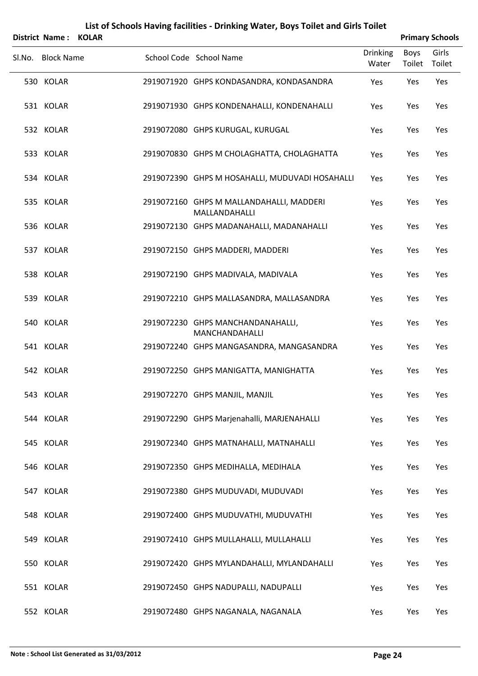| <b>District Name:</b> | List of Schools Having facilities - Drinking Water, Boys Toilet and Girls Toilet<br><b>KOLAR</b> | <b>Primary Schools</b>                                    |                          |                |                 |
|-----------------------|--------------------------------------------------------------------------------------------------|-----------------------------------------------------------|--------------------------|----------------|-----------------|
| Sl.No. Block Name     |                                                                                                  | School Code School Name                                   | <b>Drinking</b><br>Water | Boys<br>Toilet | Girls<br>Toilet |
| 530 KOLAR             |                                                                                                  | 2919071920 GHPS KONDASANDRA, KONDASANDRA                  | Yes                      | Yes            | Yes             |
| 531 KOLAR             |                                                                                                  | 2919071930 GHPS KONDENAHALLI, KONDENAHALLI                | Yes                      | Yes            | Yes             |
| 532 KOLAR             |                                                                                                  | 2919072080 GHPS KURUGAL, KURUGAL                          | Yes                      | Yes            | Yes             |
| 533 KOLAR             |                                                                                                  | 2919070830 GHPS M CHOLAGHATTA, CHOLAGHATTA                | Yes                      | Yes            | Yes             |
| 534 KOLAR             |                                                                                                  | 2919072390 GHPS M HOSAHALLI, MUDUVADI HOSAHALLI           | Yes                      | Yes            | Yes             |
| 535 KOLAR             |                                                                                                  | 2919072160 GHPS M MALLANDAHALLI, MADDERI<br>MALLANDAHALLI | Yes                      | Yes            | Yes             |
| 536 KOLAR             |                                                                                                  | 2919072130 GHPS MADANAHALLI, MADANAHALLI                  | Yes                      | Yes            | Yes             |
| 537 KOLAR             |                                                                                                  | 2919072150 GHPS MADDERI, MADDERI                          | Yes                      | Yes            | Yes             |
| 538 KOLAR             |                                                                                                  | 2919072190 GHPS MADIVALA, MADIVALA                        | Yes                      | Yes            | Yes             |
| 539 KOLAR             |                                                                                                  | 2919072210 GHPS MALLASANDRA, MALLASANDRA                  | Yes                      | Yes            | Yes             |
| 540 KOLAR             |                                                                                                  | 2919072230 GHPS MANCHANDANAHALLI,<br>MANCHANDAHALLI       | Yes                      | Yes            | Yes             |
| 541 KOLAR             |                                                                                                  | 2919072240 GHPS MANGASANDRA, MANGASANDRA                  | Yes                      | Yes            | Yes             |
| 542 KOLAR             |                                                                                                  | 2919072250 GHPS MANIGATTA, MANIGHATTA                     | Yes                      | Yes            | Yes             |
| 543 KOLAR             |                                                                                                  | 2919072270 GHPS MANJIL, MANJIL                            | Yes                      | Yes            | Yes             |
| 544 KOLAR             |                                                                                                  | 2919072290 GHPS Marjenahalli, MARJENAHALLI                | Yes                      | Yes            | Yes             |
| 545 KOLAR             |                                                                                                  | 2919072340 GHPS MATNAHALLI, MATNAHALLI                    | Yes                      | Yes            | Yes             |
| 546 KOLAR             |                                                                                                  | 2919072350 GHPS MEDIHALLA, MEDIHALA                       | Yes                      | Yes            | Yes             |
| 547 KOLAR             |                                                                                                  | 2919072380 GHPS MUDUVADI, MUDUVADI                        | Yes                      | Yes            | Yes             |
| 548 KOLAR             |                                                                                                  | 2919072400 GHPS MUDUVATHI, MUDUVATHI                      | Yes                      | Yes            | Yes             |
| 549 KOLAR             |                                                                                                  | 2919072410 GHPS MULLAHALLI, MULLAHALLI                    | Yes                      | Yes            | Yes             |
| 550 KOLAR             |                                                                                                  | 2919072420 GHPS MYLANDAHALLI, MYLANDAHALLI                | Yes                      | Yes            | Yes             |
| 551 KOLAR             |                                                                                                  | 2919072450 GHPS NADUPALLI, NADUPALLI                      | Yes                      | Yes            | Yes             |
| 552 KOLAR             |                                                                                                  | 2919072480 GHPS NAGANALA, NAGANALA                        | Yes                      | Yes            | Yes             |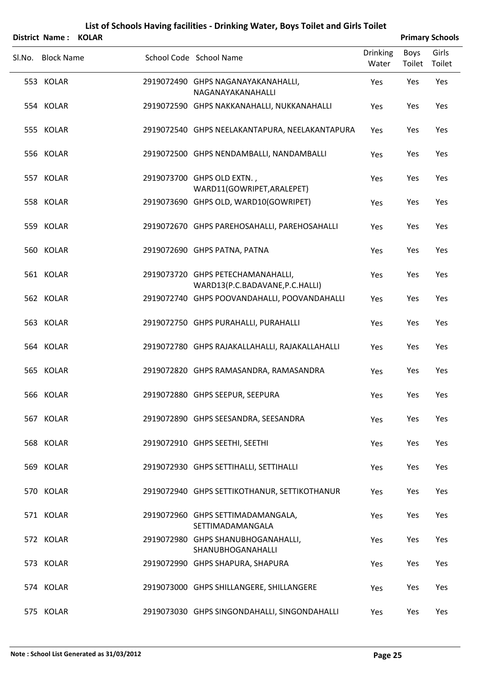| District Name:    | <b>KOLAR</b> |                                                                     |                          |                | <b>Primary Schools</b> |
|-------------------|--------------|---------------------------------------------------------------------|--------------------------|----------------|------------------------|
| Sl.No. Block Name |              | School Code School Name                                             | <b>Drinking</b><br>Water | Boys<br>Toilet | Girls<br>Toilet        |
| 553 KOLAR         |              | 2919072490 GHPS NAGANAYAKANAHALLI,<br>NAGANAYAKANAHALLI             | Yes                      | Yes            | Yes                    |
| 554 KOLAR         |              | 2919072590 GHPS NAKKANAHALLI, NUKKANAHALLI                          | Yes                      | Yes            | Yes                    |
| 555 KOLAR         |              | 2919072540 GHPS NEELAKANTAPURA, NEELAKANTAPURA                      | Yes                      | Yes            | Yes                    |
| 556 KOLAR         |              | 2919072500 GHPS NENDAMBALLI, NANDAMBALLI                            | Yes                      | Yes            | Yes                    |
| 557 KOLAR         |              | 2919073700 GHPS OLD EXTN.,<br>WARD11(GOWRIPET, ARALEPET)            | Yes                      | Yes            | Yes                    |
| 558 KOLAR         |              | 2919073690 GHPS OLD, WARD10(GOWRIPET)                               | Yes                      | Yes            | Yes                    |
| 559 KOLAR         |              | 2919072670 GHPS PAREHOSAHALLI, PAREHOSAHALLI                        | Yes                      | Yes            | Yes                    |
| 560 KOLAR         |              | 2919072690 GHPS PATNA, PATNA                                        | Yes                      | Yes            | Yes                    |
| 561 KOLAR         |              | 2919073720 GHPS PETECHAMANAHALLI,<br>WARD13(P.C.BADAVANE,P.C.HALLI) | Yes                      | Yes            | Yes                    |
| 562 KOLAR         |              | 2919072740 GHPS POOVANDAHALLI, POOVANDAHALLI                        | Yes                      | Yes            | Yes                    |
| 563 KOLAR         |              | 2919072750 GHPS PURAHALLI, PURAHALLI                                | Yes                      | Yes            | Yes                    |
| 564 KOLAR         |              | 2919072780 GHPS RAJAKALLAHALLI, RAJAKALLAHALLI                      | Yes                      | Yes            | Yes                    |
| 565 KOLAR         |              | 2919072820 GHPS RAMASANDRA, RAMASANDRA                              | Yes                      | Yes            | Yes                    |
| 566 KOLAR         |              | 2919072880 GHPS SEEPUR, SEEPURA                                     | Yes                      | Yes            | Yes                    |
| 567 KOLAR         |              | 2919072890 GHPS SEESANDRA, SEESANDRA                                | Yes                      | Yes            | Yes                    |
| 568 KOLAR         |              | 2919072910 GHPS SEETHI, SEETHI                                      | Yes                      | Yes            | Yes                    |
| 569 KOLAR         |              | 2919072930 GHPS SETTIHALLI, SETTIHALLI                              | Yes                      | Yes            | Yes                    |
| 570 KOLAR         |              | 2919072940 GHPS SETTIKOTHANUR, SETTIKOTHANUR                        | Yes                      | Yes            | Yes                    |
| 571 KOLAR         |              | 2919072960 GHPS SETTIMADAMANGALA,<br>SETTIMADAMANGALA               | Yes                      | Yes            | Yes                    |
| 572 KOLAR         |              | 2919072980 GHPS SHANUBHOGANAHALLI,<br>SHANUBHOGANAHALLI             | Yes                      | Yes            | Yes                    |
| 573 KOLAR         |              | 2919072990 GHPS SHAPURA, SHAPURA                                    | Yes                      | Yes            | Yes                    |

574 KOLAR 2919073000 GHPS SHILLANGERE, SHILLANGERE Yes Yes Yes

575 KOLAR 2919073030 GHPS SINGONDAHALLI, SINGONDAHALLI Yes Yes Yes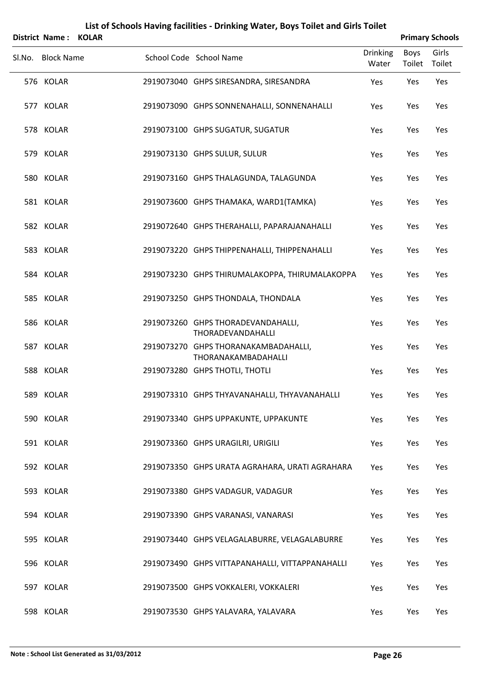| List of Schools Having facilities - Drinking Water, Boys Toilet and Girls Toilet<br><b>Primary Schools</b><br><b>District Name:</b><br><b>KOLAR</b> |                   |  |                                                                |                          |                       |                 |  |  |
|-----------------------------------------------------------------------------------------------------------------------------------------------------|-------------------|--|----------------------------------------------------------------|--------------------------|-----------------------|-----------------|--|--|
|                                                                                                                                                     | Sl.No. Block Name |  | School Code School Name                                        | <b>Drinking</b><br>Water | <b>Boys</b><br>Toilet | Girls<br>Toilet |  |  |
|                                                                                                                                                     | 576 KOLAR         |  | 2919073040 GHPS SIRESANDRA, SIRESANDRA                         | Yes                      | Yes                   | Yes             |  |  |
|                                                                                                                                                     | 577 KOLAR         |  | 2919073090 GHPS SONNENAHALLI, SONNENAHALLI                     | Yes                      | Yes                   | Yes             |  |  |
|                                                                                                                                                     | 578 KOLAR         |  | 2919073100 GHPS SUGATUR, SUGATUR                               | Yes                      | Yes                   | Yes             |  |  |
|                                                                                                                                                     | 579 KOLAR         |  | 2919073130 GHPS SULUR, SULUR                                   | Yes                      | Yes                   | Yes             |  |  |
|                                                                                                                                                     | 580 KOLAR         |  | 2919073160 GHPS THALAGUNDA, TALAGUNDA                          | Yes                      | Yes                   | Yes             |  |  |
|                                                                                                                                                     | 581 KOLAR         |  | 2919073600 GHPS THAMAKA, WARD1(TAMKA)                          | Yes                      | Yes                   | Yes             |  |  |
|                                                                                                                                                     | 582 KOLAR         |  | 2919072640 GHPS THERAHALLI, PAPARAJANAHALLI                    | Yes                      | Yes                   | Yes             |  |  |
|                                                                                                                                                     | 583 KOLAR         |  | 2919073220 GHPS THIPPENAHALLI, THIPPENAHALLI                   | Yes                      | Yes                   | Yes             |  |  |
|                                                                                                                                                     | 584 KOLAR         |  | 2919073230 GHPS THIRUMALAKOPPA, THIRUMALAKOPPA                 | Yes                      | Yes                   | Yes             |  |  |
|                                                                                                                                                     | 585 KOLAR         |  | 2919073250 GHPS THONDALA, THONDALA                             | Yes                      | Yes                   | Yes             |  |  |
|                                                                                                                                                     | 586 KOLAR         |  | 2919073260 GHPS THORADEVANDAHALLI,<br><b>THORADEVANDAHALLI</b> | Yes                      | Yes                   | Yes             |  |  |
|                                                                                                                                                     | 587 KOLAR         |  | 2919073270 GHPS THORANAKAMBADAHALLI,<br>THORANAKAMBADAHALLI    | Yes                      | Yes                   | Yes             |  |  |
|                                                                                                                                                     | 588 KOLAR         |  | 2919073280 GHPS THOTLI, THOTLI                                 | Yes                      | Yes                   | Yes             |  |  |
|                                                                                                                                                     | 589 KOLAR         |  | 2919073310 GHPS THYAVANAHALLI, THYAVANAHALLI                   | Yes                      | Yes                   | Yes             |  |  |
|                                                                                                                                                     | 590 KOLAR         |  | 2919073340 GHPS UPPAKUNTE, UPPAKUNTE                           | Yes                      | Yes                   | Yes             |  |  |
|                                                                                                                                                     | 591 KOLAR         |  | 2919073360 GHPS URAGILRI, URIGILI                              | Yes                      | Yes                   | Yes             |  |  |
|                                                                                                                                                     | 592 KOLAR         |  | 2919073350 GHPS URATA AGRAHARA, URATI AGRAHARA                 | Yes                      | Yes                   | Yes             |  |  |
|                                                                                                                                                     | 593 KOLAR         |  | 2919073380 GHPS VADAGUR, VADAGUR                               | Yes                      | Yes                   | Yes             |  |  |
|                                                                                                                                                     | 594 KOLAR         |  | 2919073390 GHPS VARANASI, VANARASI                             | Yes                      | Yes                   | Yes             |  |  |
|                                                                                                                                                     | 595 KOLAR         |  | 2919073440 GHPS VELAGALABURRE, VELAGALABURRE                   | Yes                      | Yes                   | Yes             |  |  |
|                                                                                                                                                     | 596 KOLAR         |  | 2919073490 GHPS VITTAPANAHALLI, VITTAPPANAHALLI                | Yes                      | Yes                   | Yes             |  |  |
|                                                                                                                                                     | 597 KOLAR         |  | 2919073500 GHPS VOKKALERI, VOKKALERI                           | Yes                      | Yes                   | Yes             |  |  |
|                                                                                                                                                     | 598 KOLAR         |  | 2919073530 GHPS YALAVARA, YALAVARA                             | Yes                      | Yes                   | Yes             |  |  |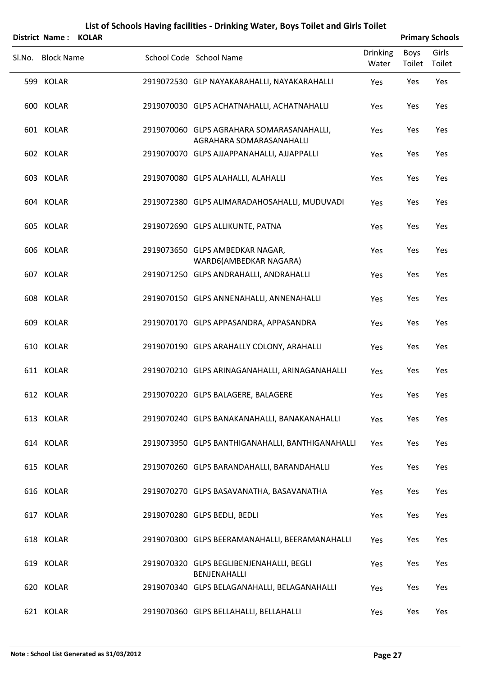|        | District Name:    | <b>KOLAR</b> |                                                                       |                          |                | <b>Primary Schools</b> |
|--------|-------------------|--------------|-----------------------------------------------------------------------|--------------------------|----------------|------------------------|
| SI.No. | <b>Block Name</b> |              | School Code School Name                                               | <b>Drinking</b><br>Water | Boys<br>Toilet | Girls<br>Toilet        |
|        | 599 KOLAR         |              | 2919072530 GLP NAYAKARAHALLI, NAYAKARAHALLI                           | Yes                      | Yes            | Yes                    |
|        | 600 KOLAR         |              | 2919070030 GLPS ACHATNAHALLI, ACHATNAHALLI                            | Yes                      | Yes            | Yes                    |
|        | 601 KOLAR         |              | 2919070060 GLPS AGRAHARA SOMARASANAHALLI,<br>AGRAHARA SOMARASANAHALLI | Yes                      | Yes            | Yes                    |
|        | 602 KOLAR         |              | 2919070070 GLPS AJJAPPANAHALLI, AJJAPPALLI                            | Yes                      | Yes            | Yes                    |
|        | 603 KOLAR         |              | 2919070080 GLPS ALAHALLI, ALAHALLI                                    | Yes                      | Yes            | Yes                    |
|        | 604 KOLAR         |              | 2919072380 GLPS ALIMARADAHOSAHALLI, MUDUVADI                          | Yes                      | Yes            | Yes                    |
|        | 605 KOLAR         |              | 2919072690 GLPS ALLIKUNTE, PATNA                                      | Yes                      | Yes            | Yes                    |
|        | 606 KOLAR         |              | 2919073650 GLPS AMBEDKAR NAGAR,<br>WARD6(AMBEDKAR NAGARA)             | Yes                      | Yes            | Yes                    |
|        | 607 KOLAR         |              | 2919071250 GLPS ANDRAHALLI, ANDRAHALLI                                | Yes                      | Yes            | Yes                    |
|        | 608 KOLAR         |              | 2919070150 GLPS ANNENAHALLI, ANNENAHALLI                              | Yes                      | Yes            | Yes                    |
|        | 609 KOLAR         |              | 2919070170 GLPS APPASANDRA, APPASANDRA                                | Yes                      | Yes            | Yes                    |
|        | 610 KOLAR         |              | 2919070190 GLPS ARAHALLY COLONY, ARAHALLI                             | Yes                      | Yes            | Yes                    |
|        | 611 KOLAR         |              | 2919070210 GLPS ARINAGANAHALLI, ARINAGANAHALLI                        | Yes                      | Yes            | Yes                    |
|        | 612 KOLAR         |              | 2919070220 GLPS BALAGERE, BALAGERE                                    | Yes                      | Yes            | Yes                    |
|        | 613 KOLAR         |              | 2919070240 GLPS BANAKANAHALLI, BANAKANAHALLI                          | Yes                      | Yes            | Yes                    |
|        | 614 KOLAR         |              | 2919073950 GLPS BANTHIGANAHALLI, BANTHIGANAHALLI                      | Yes                      | Yes            | Yes                    |
|        | 615 KOLAR         |              | 2919070260 GLPS BARANDAHALLI, BARANDAHALLI                            | Yes                      | Yes            | Yes                    |
|        | 616 KOLAR         |              | 2919070270 GLPS BASAVANATHA, BASAVANATHA                              | Yes                      | Yes            | Yes                    |
|        | 617 KOLAR         |              | 2919070280 GLPS BEDLI, BEDLI                                          | Yes                      | Yes            | Yes                    |
|        | 618 KOLAR         |              | 2919070300 GLPS BEERAMANAHALLI, BEERAMANAHALLI                        | Yes                      | Yes            | Yes                    |
|        | 619 KOLAR         |              | 2919070320 GLPS BEGLIBENJENAHALLI, BEGLI<br>BENJENAHALLI              | Yes                      | Yes            | Yes                    |
|        | 620 KOLAR         |              | 2919070340 GLPS BELAGANAHALLI, BELAGANAHALLI                          | Yes                      | Yes            | Yes                    |
|        | 621 KOLAR         |              | 2919070360 GLPS BELLAHALLI, BELLAHALLI                                | Yes                      | Yes            | Yes                    |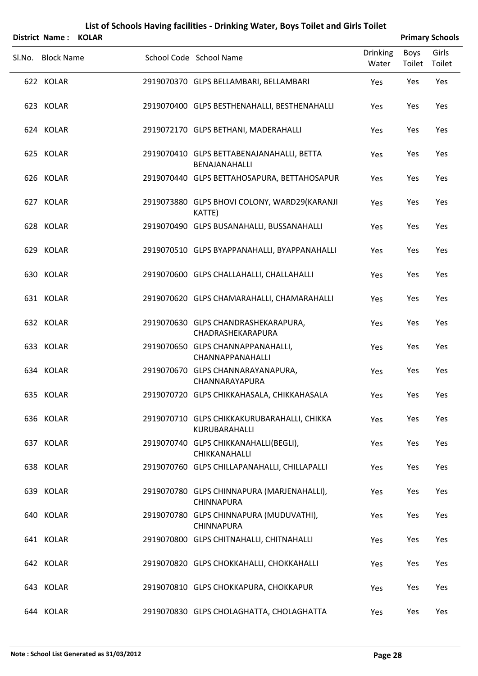|        | <b>District Name:</b> | <b>KOLAR</b> |                                                                   |                          |                | <b>Primary Schools</b> |
|--------|-----------------------|--------------|-------------------------------------------------------------------|--------------------------|----------------|------------------------|
| Sl.No. | <b>Block Name</b>     |              | School Code School Name                                           | <b>Drinking</b><br>Water | Boys<br>Toilet | Girls<br>Toilet        |
|        | 622 KOLAR             |              | 2919070370 GLPS BELLAMBARI, BELLAMBARI                            | Yes                      | Yes            | Yes                    |
|        | 623 KOLAR             |              | 2919070400 GLPS BESTHENAHALLI, BESTHENAHALLI                      | Yes                      | Yes            | Yes                    |
|        | 624 KOLAR             |              | 2919072170 GLPS BETHANI, MADERAHALLI                              | Yes                      | Yes            | Yes                    |
|        | 625 KOLAR             |              | 2919070410 GLPS BETTABENAJANAHALLI, BETTA<br><b>BENAJANAHALLI</b> | Yes                      | Yes            | Yes                    |
|        | 626 KOLAR             |              | 2919070440 GLPS BETTAHOSAPURA, BETTAHOSAPUR                       | Yes                      | Yes            | Yes                    |
|        | 627 KOLAR             |              | 2919073880 GLPS BHOVI COLONY, WARD29(KARANJI<br>KATTE)            | Yes                      | Yes            | Yes                    |
|        | 628 KOLAR             |              | 2919070490 GLPS BUSANAHALLI, BUSSANAHALLI                         | Yes                      | Yes            | Yes                    |
|        | 629 KOLAR             |              | 2919070510 GLPS BYAPPANAHALLI, BYAPPANAHALLI                      | Yes                      | Yes            | Yes                    |
|        | 630 KOLAR             |              | 2919070600 GLPS CHALLAHALLI, CHALLAHALLI                          | Yes                      | Yes            | Yes                    |
|        | 631 KOLAR             |              | 2919070620 GLPS CHAMARAHALLI, CHAMARAHALLI                        | Yes                      | Yes            | Yes                    |
|        | 632 KOLAR             |              | 2919070630 GLPS CHANDRASHEKARAPURA,<br>CHADRASHEKARAPURA          | Yes                      | Yes            | Yes                    |
|        | 633 KOLAR             |              | 2919070650 GLPS CHANNAPPANAHALLI,<br>CHANNAPPANAHALLI             | Yes                      | Yes            | Yes                    |
|        | 634 KOLAR             |              | 2919070670 GLPS CHANNARAYANAPURA,<br>CHANNARAYAPURA               | Yes                      | Yes            | Yes                    |
|        | 635 KOLAR             |              | 2919070720 GLPS CHIKKAHASALA, CHIKKAHASALA                        | Yes                      | Yes            | Yes                    |
|        | 636 KOLAR             |              | 2919070710 GLPS CHIKKAKURUBARAHALLI, CHIKKA<br>KURUBARAHALLI      | Yes                      | Yes            | Yes                    |
|        | 637 KOLAR             |              | 2919070740 GLPS CHIKKANAHALLI(BEGLI),<br>CHIKKANAHALLI            | Yes                      | Yes            | Yes                    |
|        | 638 KOLAR             |              | 2919070760 GLPS CHILLAPANAHALLI, CHILLAPALLI                      | Yes                      | Yes            | Yes                    |
|        | 639 KOLAR             |              | 2919070780 GLPS CHINNAPURA (MARJENAHALLI),<br>CHINNAPURA          | Yes                      | Yes            | Yes                    |
|        | 640 KOLAR             |              | 2919070780 GLPS CHINNAPURA (MUDUVATHI),<br><b>CHINNAPURA</b>      | Yes                      | Yes            | Yes                    |
|        | 641 KOLAR             |              | 2919070800 GLPS CHITNAHALLI, CHITNAHALLI                          | Yes                      | Yes            | Yes                    |
|        | 642 KOLAR             |              | 2919070820 GLPS CHOKKAHALLI, CHOKKAHALLI                          | Yes                      | Yes            | Yes                    |
|        | 643 KOLAR             |              | 2919070810 GLPS CHOKKAPURA, CHOKKAPUR                             | Yes                      | Yes            | Yes                    |
|        | 644 KOLAR             |              | 2919070830 GLPS CHOLAGHATTA, CHOLAGHATTA                          | Yes                      | Yes            | Yes                    |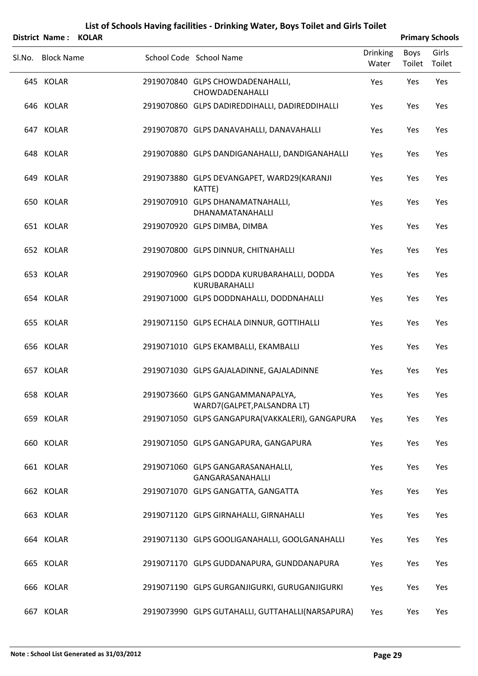|        | District Name: KOLAR |                                                                 |                          |                | <b>Primary Schools</b> |
|--------|----------------------|-----------------------------------------------------------------|--------------------------|----------------|------------------------|
| SI.No. | <b>Block Name</b>    | School Code School Name                                         | <b>Drinking</b><br>Water | Boys<br>Toilet | Girls<br>Toilet        |
|        | 645 KOLAR            | 2919070840 GLPS CHOWDADENAHALLI,<br><b>CHOWDADENAHALLI</b>      | Yes                      | Yes            | Yes                    |
|        | 646 KOLAR            | 2919070860 GLPS DADIREDDIHALLI, DADIREDDIHALLI                  | Yes                      | Yes            | Yes                    |
|        | 647 KOLAR            | 2919070870 GLPS DANAVAHALLI, DANAVAHALLI                        | Yes                      | Yes            | Yes                    |
|        | 648 KOLAR            | 2919070880 GLPS DANDIGANAHALLI, DANDIGANAHALLI                  | Yes                      | Yes            | Yes                    |
|        | 649 KOLAR            | 2919073880 GLPS DEVANGAPET, WARD29(KARANJI<br>KATTE)            | Yes                      | Yes            | Yes                    |
|        | 650 KOLAR            | 2919070910 GLPS DHANAMATNAHALLI,<br>DHANAMATANAHALLI            | Yes                      | Yes            | Yes                    |
|        | 651 KOLAR            | 2919070920 GLPS DIMBA, DIMBA                                    | Yes                      | Yes            | Yes                    |
|        | 652 KOLAR            | 2919070800 GLPS DINNUR, CHITNAHALLI                             | Yes                      | Yes            | Yes                    |
|        | 653 KOLAR            | 2919070960 GLPS DODDA KURUBARAHALLI, DODDA<br>KURUBARAHALLI     | Yes                      | Yes            | Yes                    |
|        | 654 KOLAR            | 2919071000 GLPS DODDNAHALLI, DODDNAHALLI                        | Yes                      | Yes            | Yes                    |
|        | 655 KOLAR            | 2919071150 GLPS ECHALA DINNUR, GOTTIHALLI                       | Yes                      | Yes            | Yes                    |
|        | 656 KOLAR            | 2919071010 GLPS EKAMBALLI, EKAMBALLI                            | Yes                      | Yes            | Yes                    |
|        | 657 KOLAR            | 2919071030 GLPS GAJALADINNE, GAJALADINNE                        | Yes                      | Yes            | Yes                    |
|        | 658 KOLAR            | 2919073660 GLPS GANGAMMANAPALYA,<br>WARD7(GALPET, PALSANDRA LT) | Yes                      | Yes            | Yes                    |
|        | 659 KOLAR            | 2919071050 GLPS GANGAPURA(VAKKALERI), GANGAPURA                 | Yes                      | Yes            | Yes                    |
|        | 660 KOLAR            | 2919071050 GLPS GANGAPURA, GANGAPURA                            | Yes                      | Yes            | Yes                    |
|        | 661 KOLAR            | 2919071060 GLPS GANGARASANAHALLI,<br>GANGARASANAHALLI           | Yes                      | Yes            | Yes                    |
|        | 662 KOLAR            | 2919071070 GLPS GANGATTA, GANGATTA                              | Yes                      | Yes            | Yes                    |
|        | 663 KOLAR            | 2919071120 GLPS GIRNAHALLI, GIRNAHALLI                          | Yes                      | Yes            | Yes                    |
|        | 664 KOLAR            | 2919071130 GLPS GOOLIGANAHALLI, GOOLGANAHALLI                   | Yes                      | Yes            | Yes                    |
|        | 665 KOLAR            | 2919071170 GLPS GUDDANAPURA, GUNDDANAPURA                       | Yes                      | Yes            | Yes                    |
|        | 666 KOLAR            | 2919071190 GLPS GURGANJIGURKI, GURUGANJIGURKI                   | Yes                      | Yes            | Yes                    |
|        | 667 KOLAR            | 2919073990 GLPS GUTAHALLI, GUTTAHALLI(NARSAPURA)                | Yes                      | Yes            | Yes                    |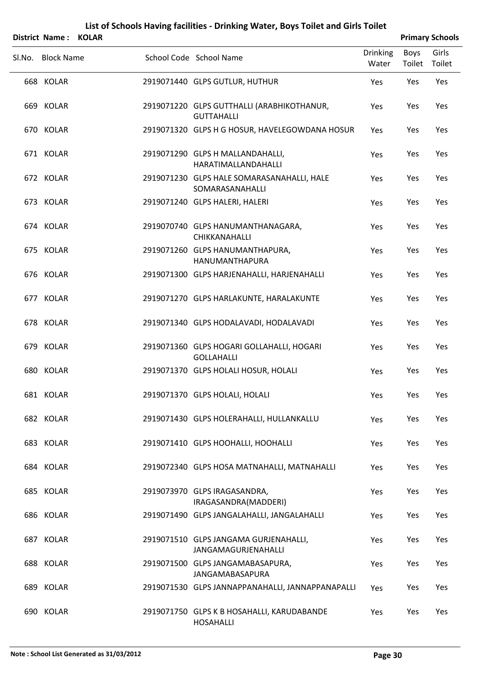| District Name: KOLAR |                                                                     |                          |                | <b>Primary Schools</b> |
|----------------------|---------------------------------------------------------------------|--------------------------|----------------|------------------------|
| SI.No. Block Name    | School Code School Name                                             | <b>Drinking</b><br>Water | Boys<br>Toilet | Girls<br>Toilet        |
| 668 KOLAR            | 2919071440 GLPS GUTLUR, HUTHUR                                      | Yes                      | Yes            | Yes                    |
| 669 KOLAR            | 2919071220 GLPS GUTTHALLI (ARABHIKOTHANUR,<br><b>GUTTAHALLI</b>     | Yes                      | Yes            | Yes                    |
| 670 KOLAR            | 2919071320 GLPS H G HOSUR, HAVELEGOWDANA HOSUR                      | Yes                      | Yes            | Yes                    |
| 671 KOLAR            | 2919071290 GLPS H MALLANDAHALLI,<br>HARATIMALLANDAHALLI             | Yes                      | Yes            | Yes                    |
| 672 KOLAR            | 2919071230 GLPS HALE SOMARASANAHALLI, HALE<br>SOMARASANAHALLI       | Yes                      | Yes            | Yes                    |
| 673 KOLAR            | 2919071240 GLPS HALERI, HALERI                                      | Yes                      | Yes            | Yes                    |
| 674 KOLAR            | 2919070740 GLPS HANUMANTHANAGARA,<br>CHIKKANAHALLI                  | Yes                      | Yes            | Yes                    |
| 675 KOLAR            | 2919071260 GLPS HANUMANTHAPURA,<br>HANUMANTHAPURA                   | Yes                      | Yes            | Yes                    |
| 676 KOLAR            | 2919071300 GLPS HARJENAHALLI, HARJENAHALLI                          | Yes                      | Yes            | Yes                    |
| 677 KOLAR            | 2919071270 GLPS HARLAKUNTE, HARALAKUNTE                             | Yes                      | Yes            | Yes                    |
| 678 KOLAR            | 2919071340 GLPS HODALAVADI, HODALAVADI                              | Yes                      | Yes            | Yes                    |
| 679 KOLAR            | 2919071360 GLPS HOGARI GOLLAHALLI, HOGARI<br><b>GOLLAHALLI</b>      | Yes                      | Yes            | Yes                    |
| 680 KOLAR            | 2919071370 GLPS HOLALI HOSUR, HOLALI                                | Yes                      | Yes            | Yes                    |
| 681 KOLAR            | 2919071370 GLPS HOLALI, HOLALI                                      | Yes                      | Yes            | Yes                    |
| 682 KOLAR            | 2919071430 GLPS HOLERAHALLI, HULLANKALLU                            | Yes                      | Yes            | Yes                    |
| 683 KOLAR            | 2919071410 GLPS HOOHALLI, HOOHALLI                                  | Yes                      | Yes            | Yes                    |
| 684 KOLAR            | 2919072340 GLPS HOSA MATNAHALLI, MATNAHALLI                         | Yes                      | Yes            | Yes                    |
| 685 KOLAR            | 2919073970 GLPS IRAGASANDRA,<br>IRAGASANDRA(MADDERI)                | Yes                      | Yes            | Yes                    |
| 686 KOLAR            | 2919071490 GLPS JANGALAHALLI, JANGALAHALLI                          | Yes                      | Yes            | Yes                    |
| 687 KOLAR            | 2919071510 GLPS JANGAMA GURJENAHALLI,<br><b>JANGAMAGURJENAHALLI</b> | Yes                      | Yes            | Yes                    |
| 688 KOLAR            | 2919071500 GLPS JANGAMABASAPURA,<br>JANGAMABASAPURA                 | Yes                      | Yes            | Yes                    |
| 689 KOLAR            | 2919071530 GLPS JANNAPPANAHALLI, JANNAPPANAPALLI                    | Yes                      | Yes            | Yes                    |
| 690 KOLAR            | 2919071750 GLPS K B HOSAHALLI, KARUDABANDE<br><b>HOSAHALLI</b>      | Yes                      | Yes            | Yes                    |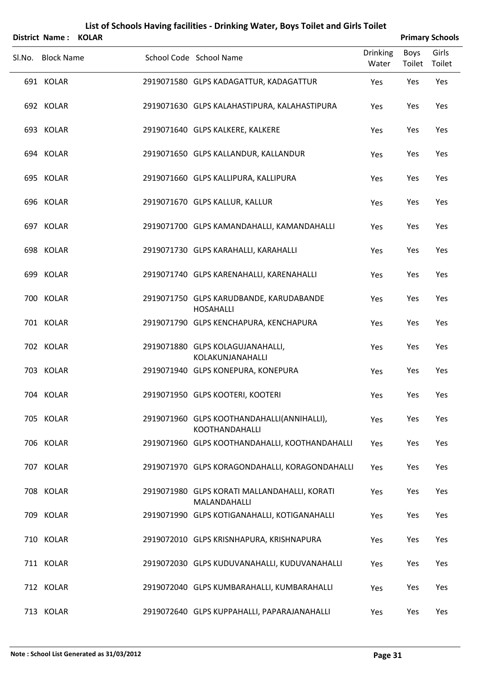| List of Schools Having facilities - Drinking Water, Boys Toilet and Girls Toilet<br><b>Primary Schools</b><br><b>District Name:</b><br><b>KOLAR</b> |                   |  |                                                                     |                          |                       |                 |  |
|-----------------------------------------------------------------------------------------------------------------------------------------------------|-------------------|--|---------------------------------------------------------------------|--------------------------|-----------------------|-----------------|--|
|                                                                                                                                                     | Sl.No. Block Name |  | School Code School Name                                             | <b>Drinking</b><br>Water | <b>Boys</b><br>Toilet | Girls<br>Toilet |  |
|                                                                                                                                                     | 691 KOLAR         |  | 2919071580 GLPS KADAGATTUR, KADAGATTUR                              | Yes                      | Yes                   | Yes             |  |
|                                                                                                                                                     | 692 KOLAR         |  | 2919071630 GLPS KALAHASTIPURA, KALAHASTIPURA                        | Yes                      | Yes                   | Yes             |  |
|                                                                                                                                                     | 693 KOLAR         |  | 2919071640 GLPS KALKERE, KALKERE                                    | Yes                      | Yes                   | Yes             |  |
|                                                                                                                                                     | 694 KOLAR         |  | 2919071650 GLPS KALLANDUR, KALLANDUR                                | Yes                      | Yes                   | Yes             |  |
|                                                                                                                                                     | 695 KOLAR         |  | 2919071660 GLPS KALLIPURA, KALLIPURA                                | Yes                      | Yes                   | Yes             |  |
|                                                                                                                                                     | 696 KOLAR         |  | 2919071670 GLPS KALLUR, KALLUR                                      | Yes                      | Yes                   | Yes             |  |
|                                                                                                                                                     | 697 KOLAR         |  | 2919071700 GLPS KAMANDAHALLI, KAMANDAHALLI                          | Yes                      | Yes                   | Yes             |  |
|                                                                                                                                                     | 698 KOLAR         |  | 2919071730 GLPS KARAHALLI, KARAHALLI                                | Yes                      | Yes                   | Yes             |  |
|                                                                                                                                                     | 699 KOLAR         |  | 2919071740 GLPS KARENAHALLI, KARENAHALLI                            | Yes                      | Yes                   | Yes             |  |
|                                                                                                                                                     | 700 KOLAR         |  | 2919071750 GLPS KARUDBANDE, KARUDABANDE<br><b>HOSAHALLI</b>         | Yes                      | Yes                   | Yes             |  |
|                                                                                                                                                     | 701 KOLAR         |  | 2919071790 GLPS KENCHAPURA, KENCHAPURA                              | Yes                      | Yes                   | Yes             |  |
|                                                                                                                                                     | 702 KOLAR         |  | 2919071880 GLPS KOLAGUJANAHALLI,<br>KOLAKUNJANAHALLI                | Yes                      | Yes                   | Yes             |  |
|                                                                                                                                                     | 703 KOLAR         |  | 2919071940 GLPS KONEPURA, KONEPURA                                  | Yes                      | Yes                   | Yes             |  |
|                                                                                                                                                     | 704 KOLAR         |  | 2919071950 GLPS KOOTERI, KOOTERI                                    | Yes                      | Yes                   | Yes             |  |
|                                                                                                                                                     | 705 KOLAR         |  | 2919071960 GLPS KOOTHANDAHALLI(ANNIHALLI),<br><b>KOOTHANDAHALLI</b> | Yes                      | Yes                   | Yes             |  |
|                                                                                                                                                     | 706 KOLAR         |  | 2919071960 GLPS KOOTHANDAHALLI, KOOTHANDAHALLI                      | Yes                      | Yes                   | Yes             |  |
|                                                                                                                                                     | 707 KOLAR         |  | 2919071970 GLPS KORAGONDAHALLI, KORAGONDAHALLI                      | Yes                      | Yes                   | Yes             |  |
|                                                                                                                                                     | 708 KOLAR         |  | 2919071980 GLPS KORATI MALLANDAHALLI, KORATI<br>MALANDAHALLI        | Yes                      | Yes                   | Yes             |  |
|                                                                                                                                                     | 709 KOLAR         |  | 2919071990 GLPS KOTIGANAHALLI, KOTIGANAHALLI                        | Yes                      | Yes                   | Yes             |  |
|                                                                                                                                                     | 710 KOLAR         |  | 2919072010 GLPS KRISNHAPURA, KRISHNAPURA                            | Yes                      | Yes                   | Yes             |  |
|                                                                                                                                                     | 711 KOLAR         |  | 2919072030 GLPS KUDUVANAHALLI, KUDUVANAHALLI                        | Yes                      | Yes                   | Yes             |  |
|                                                                                                                                                     | 712 KOLAR         |  | 2919072040 GLPS KUMBARAHALLI, KUMBARAHALLI                          | Yes                      | Yes                   | Yes             |  |
|                                                                                                                                                     | 713 KOLAR         |  | 2919072640 GLPS KUPPAHALLI, PAPARAJANAHALLI                         | Yes                      | Yes                   | Yes             |  |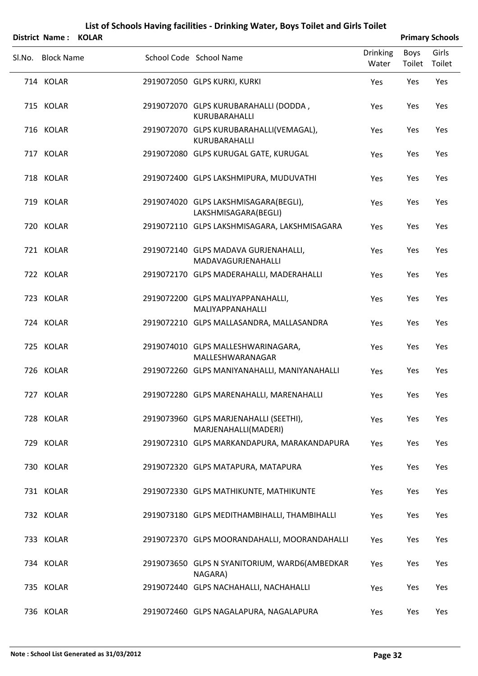| District Name: KOLAR |  |                                                                |                          |                       | <b>Primary Schools</b> |
|----------------------|--|----------------------------------------------------------------|--------------------------|-----------------------|------------------------|
| Sl.No. Block Name    |  | School Code School Name                                        | <b>Drinking</b><br>Water | <b>Boys</b><br>Toilet | Girls<br>Toilet        |
| 714 KOLAR            |  | 2919072050 GLPS KURKI, KURKI                                   | Yes                      | Yes                   | Yes                    |
| 715 KOLAR            |  | 2919072070 GLPS KURUBARAHALLI (DODDA,<br>KURUBARAHALLI         | Yes                      | Yes                   | Yes                    |
| 716 KOLAR            |  | 2919072070 GLPS KURUBARAHALLI(VEMAGAL),<br>KURUBARAHALLI       | Yes                      | Yes                   | Yes                    |
| 717 KOLAR            |  | 2919072080 GLPS KURUGAL GATE, KURUGAL                          | Yes                      | Yes                   | Yes                    |
| 718 KOLAR            |  | 2919072400 GLPS LAKSHMIPURA, MUDUVATHI                         | Yes                      | Yes                   | Yes                    |
| 719 KOLAR            |  | 2919074020 GLPS LAKSHMISAGARA(BEGLI),<br>LAKSHMISAGARA(BEGLI)  | Yes                      | Yes                   | Yes                    |
| 720 KOLAR            |  | 2919072110 GLPS LAKSHMISAGARA, LAKSHMISAGARA                   | Yes                      | Yes                   | Yes                    |
| 721 KOLAR            |  | 2919072140 GLPS MADAVA GURJENAHALLI,<br>MADAVAGURJENAHALLI     | Yes                      | Yes                   | Yes                    |
| 722 KOLAR            |  | 2919072170 GLPS MADERAHALLI, MADERAHALLI                       | Yes                      | Yes                   | Yes                    |
| 723 KOLAR            |  | 2919072200 GLPS MALIYAPPANAHALLI,<br>MALIYAPPANAHALLI          | Yes                      | Yes                   | Yes                    |
| 724 KOLAR            |  | 2919072210 GLPS MALLASANDRA, MALLASANDRA                       | Yes                      | Yes                   | Yes                    |
| 725 KOLAR            |  | 2919074010 GLPS MALLESHWARINAGARA,<br>MALLESHWARANAGAR         | Yes                      | Yes                   | Yes                    |
| 726 KOLAR            |  | 2919072260 GLPS MANIYANAHALLI, MANIYANAHALLI                   | Yes                      | Yes                   | Yes                    |
| 727 KOLAR            |  | 2919072280 GLPS MARENAHALLI, MARENAHALLI                       | Yes                      | Yes                   | Yes                    |
| 728 KOLAR            |  | 2919073960 GLPS MARJENAHALLI (SEETHI),<br>MARJENAHALLI(MADERI) | Yes                      | Yes                   | Yes                    |
| 729 KOLAR            |  | 2919072310 GLPS MARKANDAPURA, MARAKANDAPURA                    | Yes                      | Yes                   | Yes                    |
| 730 KOLAR            |  | 2919072320 GLPS MATAPURA, MATAPURA                             | Yes                      | Yes                   | Yes                    |
| 731 KOLAR            |  | 2919072330 GLPS MATHIKUNTE, MATHIKUNTE                         | Yes                      | Yes                   | Yes                    |
| 732 KOLAR            |  | 2919073180 GLPS MEDITHAMBIHALLI, THAMBIHALLI                   | Yes                      | Yes                   | Yes                    |
| 733 KOLAR            |  | 2919072370 GLPS MOORANDAHALLI, MOORANDAHALLI                   | Yes                      | Yes                   | Yes                    |
| 734 KOLAR            |  | 2919073650 GLPS N SYANITORIUM, WARD6(AMBEDKAR<br>NAGARA)       | Yes                      | Yes                   | Yes                    |
| 735 KOLAR            |  | 2919072440 GLPS NACHAHALLI, NACHAHALLI                         | Yes                      | Yes                   | Yes                    |
| 736 KOLAR            |  | 2919072460 GLPS NAGALAPURA, NAGALAPURA                         | Yes                      | Yes                   | Yes                    |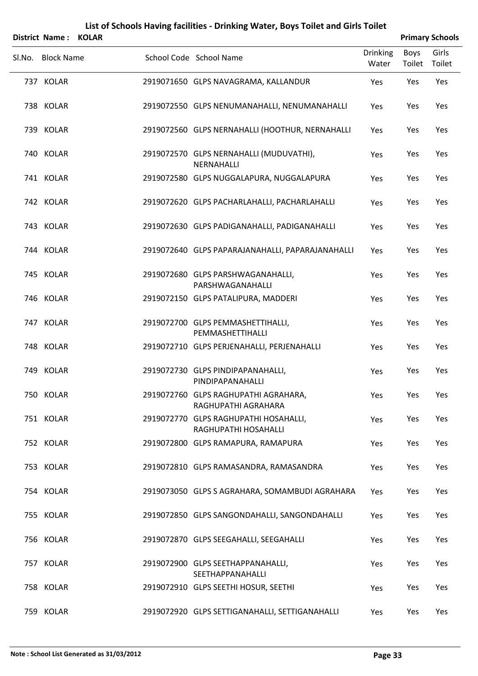| <b>District Name:</b> | <b>KOLAR</b> |                                                               |                          |                | <b>Primary Schools</b> |
|-----------------------|--------------|---------------------------------------------------------------|--------------------------|----------------|------------------------|
| Sl.No. Block Name     |              | School Code School Name                                       | <b>Drinking</b><br>Water | Boys<br>Toilet | Girls<br>Toilet        |
| 737 KOLAR             |              | 2919071650 GLPS NAVAGRAMA, KALLANDUR                          | Yes                      | Yes            | Yes                    |
| 738 KOLAR             |              | 2919072550 GLPS NENUMANAHALLI, NENUMANAHALLI                  | Yes                      | Yes            | Yes                    |
| 739 KOLAR             |              | 2919072560 GLPS NERNAHALLI (HOOTHUR, NERNAHALLI               | Yes                      | Yes            | Yes                    |
| 740 KOLAR             |              | 2919072570 GLPS NERNAHALLI (MUDUVATHI),<br>NERNAHALLI         | Yes                      | Yes            | Yes                    |
| 741 KOLAR             |              | 2919072580 GLPS NUGGALAPURA, NUGGALAPURA                      | Yes                      | Yes            | Yes                    |
| 742 KOLAR             |              | 2919072620 GLPS PACHARLAHALLI, PACHARLAHALLI                  | Yes                      | Yes            | Yes                    |
| 743 KOLAR             |              | 2919072630 GLPS PADIGANAHALLI, PADIGANAHALLI                  | Yes                      | Yes            | Yes                    |
| 744 KOLAR             |              | 2919072640 GLPS PAPARAJANAHALLI, PAPARAJANAHALLI              | Yes                      | Yes            | Yes                    |
| 745 KOLAR             |              | 2919072680 GLPS PARSHWAGANAHALLI,<br>PARSHWAGANAHALLI         | Yes                      | Yes            | Yes                    |
| 746 KOLAR             |              | 2919072150 GLPS PATALIPURA, MADDERI                           | Yes                      | Yes            | Yes                    |
| 747 KOLAR             |              | 2919072700 GLPS PEMMASHETTIHALLI,<br>PEMMASHETTIHALLI         | Yes                      | Yes            | Yes                    |
| 748 KOLAR             |              | 2919072710 GLPS PERJENAHALLI, PERJENAHALLI                    | Yes                      | Yes            | Yes                    |
| 749 KOLAR             |              | 2919072730 GLPS PINDIPAPANAHALLI,<br>PINDIPAPANAHALLI         | Yes                      | Yes            | Yes                    |
| 750 KOLAR             |              | 2919072760 GLPS RAGHUPATHI AGRAHARA,<br>RAGHUPATHI AGRAHARA   | Yes                      | Yes            | Yes                    |
| 751 KOLAR             |              | 2919072770 GLPS RAGHUPATHI HOSAHALLI,<br>RAGHUPATHI HOSAHALLI | Yes                      | Yes            | Yes                    |
| 752 KOLAR             |              | 2919072800 GLPS RAMAPURA, RAMAPURA                            | Yes                      | Yes            | Yes                    |
| 753 KOLAR             |              | 2919072810 GLPS RAMASANDRA, RAMASANDRA                        | Yes                      | Yes            | Yes                    |
| 754 KOLAR             |              | 2919073050 GLPS S AGRAHARA, SOMAMBUDI AGRAHARA                | Yes                      | Yes            | Yes                    |
| 755 KOLAR             |              | 2919072850 GLPS SANGONDAHALLI, SANGONDAHALLI                  | Yes                      | Yes            | Yes                    |
| 756 KOLAR             |              | 2919072870 GLPS SEEGAHALLI, SEEGAHALLI                        | Yes                      | Yes            | Yes                    |
| 757 KOLAR             |              | 2919072900 GLPS SEETHAPPANAHALLI,<br>SEETHAPPANAHALLI         | Yes                      | Yes            | Yes                    |
| 758 KOLAR             |              | 2919072910 GLPS SEETHI HOSUR, SEETHI                          | Yes                      | Yes            | Yes                    |
| 759 KOLAR             |              | 2919072920 GLPS SETTIGANAHALLI, SETTIGANAHALLI                | Yes                      | Yes            | Yes                    |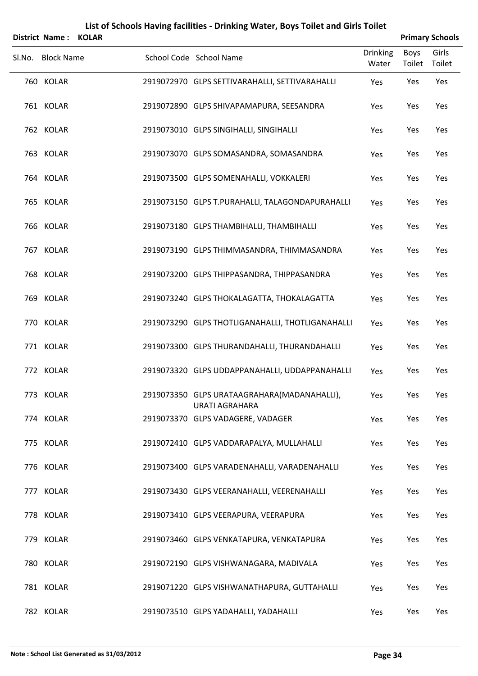|        | <b>District Name:</b> | <b>KOLAR</b> |                                                                      |                          |                       | <b>Primary Schools</b> |
|--------|-----------------------|--------------|----------------------------------------------------------------------|--------------------------|-----------------------|------------------------|
| Sl.No. | <b>Block Name</b>     |              | School Code School Name                                              | <b>Drinking</b><br>Water | <b>Boys</b><br>Toilet | Girls<br>Toilet        |
|        | 760 KOLAR             |              | 2919072970 GLPS SETTIVARAHALLI, SETTIVARAHALLI                       | Yes                      | Yes                   | Yes                    |
|        | 761 KOLAR             |              | 2919072890 GLPS SHIVAPAMAPURA, SEESANDRA                             | Yes                      | Yes                   | Yes                    |
|        | 762 KOLAR             |              | 2919073010 GLPS SINGIHALLI, SINGIHALLI                               | Yes                      | Yes                   | Yes                    |
|        | 763 KOLAR             |              | 2919073070 GLPS SOMASANDRA, SOMASANDRA                               | Yes                      | Yes                   | Yes                    |
|        | 764 KOLAR             |              | 2919073500 GLPS SOMENAHALLI, VOKKALERI                               | Yes                      | Yes                   | Yes                    |
|        | 765 KOLAR             |              | 2919073150 GLPS T.PURAHALLI, TALAGONDAPURAHALLI                      | Yes                      | Yes                   | Yes                    |
|        | 766 KOLAR             |              | 2919073180 GLPS THAMBIHALLI, THAMBIHALLI                             | Yes                      | Yes                   | Yes                    |
|        | 767 KOLAR             |              | 2919073190 GLPS THIMMASANDRA, THIMMASANDRA                           | Yes                      | Yes                   | Yes                    |
|        | 768 KOLAR             |              | 2919073200 GLPS THIPPASANDRA, THIPPASANDRA                           | Yes                      | Yes                   | Yes                    |
|        | 769 KOLAR             |              | 2919073240 GLPS THOKALAGATTA, THOKALAGATTA                           | Yes                      | Yes                   | Yes                    |
|        | 770 KOLAR             |              | 2919073290 GLPS THOTLIGANAHALLI, THOTLIGANAHALLI                     | Yes                      | Yes                   | Yes                    |
|        | 771 KOLAR             |              | 2919073300 GLPS THURANDAHALLI, THURANDAHALLI                         | Yes                      | Yes                   | Yes                    |
|        | 772 KOLAR             |              | 2919073320 GLPS UDDAPPANAHALLI, UDDAPPANAHALLI                       | Yes                      | Yes                   | Yes                    |
|        | 773 KOLAR             |              | 2919073350 GLPS URATAAGRAHARA(MADANAHALLI),<br><b>URATI AGRAHARA</b> | Yes                      | Yes                   | Yes                    |
|        | 774 KOLAR             |              | 2919073370 GLPS VADAGERE, VADAGER                                    | Yes                      | Yes                   | Yes                    |
|        | 775 KOLAR             |              | 2919072410 GLPS VADDARAPALYA, MULLAHALLI                             | Yes                      | Yes                   | Yes                    |
|        | 776 KOLAR             |              | 2919073400 GLPS VARADENAHALLI, VARADENAHALLI                         | Yes                      | Yes                   | Yes                    |
|        | 777 KOLAR             |              | 2919073430 GLPS VEERANAHALLI, VEERENAHALLI                           | Yes                      | Yes                   | Yes                    |
|        | 778 KOLAR             |              | 2919073410 GLPS VEERAPURA, VEERAPURA                                 | Yes                      | Yes                   | Yes                    |
|        | 779 KOLAR             |              | 2919073460 GLPS VENKATAPURA, VENKATAPURA                             | Yes                      | Yes                   | Yes                    |
|        | 780 KOLAR             |              | 2919072190 GLPS VISHWANAGARA, MADIVALA                               | Yes                      | Yes                   | Yes                    |
|        | 781 KOLAR             |              | 2919071220 GLPS VISHWANATHAPURA, GUTTAHALLI                          | Yes                      | Yes                   | Yes                    |
|        | 782 KOLAR             |              | 2919073510 GLPS YADAHALLI, YADAHALLI                                 | Yes                      | Yes                   | Yes                    |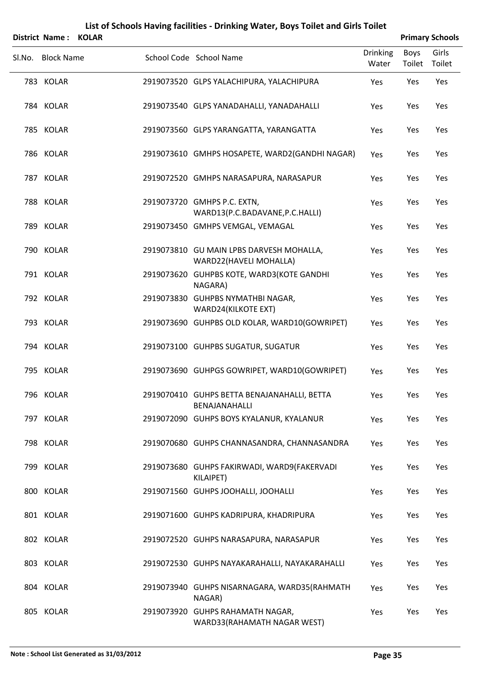|        | <b>District Name: KOLAR</b> |                                                                    |                          |                | <b>Primary Schools</b> |
|--------|-----------------------------|--------------------------------------------------------------------|--------------------------|----------------|------------------------|
| Sl.No. | <b>Block Name</b>           | School Code School Name                                            | <b>Drinking</b><br>Water | Boys<br>Toilet | Girls<br>Toilet        |
|        | 783 KOLAR                   | 2919073520 GLPS YALACHIPURA, YALACHIPURA                           | Yes                      | Yes            | Yes                    |
|        | 784 KOLAR                   | 2919073540 GLPS YANADAHALLI, YANADAHALLI                           | Yes                      | Yes            | Yes                    |
|        | 785 KOLAR                   | 2919073560 GLPS YARANGATTA, YARANGATTA                             | Yes                      | Yes            | Yes                    |
|        | 786 KOLAR                   | 2919073610 GMHPS HOSAPETE, WARD2(GANDHI NAGAR)                     | Yes                      | Yes            | Yes                    |
|        | 787 KOLAR                   | 2919072520 GMHPS NARASAPURA, NARASAPUR                             | Yes                      | Yes            | Yes                    |
|        | 788 KOLAR                   | 2919073720 GMHPS P.C. EXTN,<br>WARD13(P.C.BADAVANE,P.C.HALLI)      | Yes                      | Yes            | Yes                    |
|        | 789 KOLAR                   | 2919073450 GMHPS VEMGAL, VEMAGAL                                   | Yes                      | Yes            | Yes                    |
|        | 790 KOLAR                   | 2919073810 GU MAIN LPBS DARVESH MOHALLA,<br>WARD22(HAVELI MOHALLA) | Yes                      | Yes            | Yes                    |
|        | 791 KOLAR                   | 2919073620 GUHPBS KOTE, WARD3(KOTE GANDHI<br>NAGARA)               | Yes                      | Yes            | Yes                    |
|        | 792 KOLAR                   | 2919073830 GUHPBS NYMATHBI NAGAR,<br><b>WARD24(KILKOTE EXT)</b>    | Yes                      | Yes            | Yes                    |
|        | 793 KOLAR                   | 2919073690 GUHPBS OLD KOLAR, WARD10(GOWRIPET)                      | Yes                      | Yes            | Yes                    |
|        | 794 KOLAR                   | 2919073100 GUHPBS SUGATUR, SUGATUR                                 | Yes                      | Yes            | Yes                    |
|        | 795 KOLAR                   | 2919073690 GUHPGS GOWRIPET, WARD10(GOWRIPET)                       | Yes                      | Yes            | Yes                    |
|        | 796 KOLAR                   | 2919070410 GUHPS BETTA BENAJANAHALLI, BETTA<br>BENAJANAHALLI       | Yes                      | Yes            | Yes                    |
|        | 797 KOLAR                   | 2919072090 GUHPS BOYS KYALANUR, KYALANUR                           | Yes                      | Yes            | Yes                    |
|        | 798 KOLAR                   | 2919070680 GUHPS CHANNASANDRA, CHANNASANDRA                        | Yes                      | Yes            | Yes                    |
|        | 799 KOLAR                   | 2919073680 GUHPS FAKIRWADI, WARD9(FAKERVADI<br>KILAIPET)           | Yes                      | Yes            | Yes                    |
|        | 800 KOLAR                   | 2919071560 GUHPS JOOHALLI, JOOHALLI                                | Yes                      | Yes            | Yes                    |
|        | 801 KOLAR                   | 2919071600 GUHPS KADRIPURA, KHADRIPURA                             | Yes                      | Yes            | Yes                    |
|        | 802 KOLAR                   | 2919072520 GUHPS NARASAPURA, NARASAPUR                             | Yes                      | Yes            | Yes                    |
|        | 803 KOLAR                   | 2919072530 GUHPS NAYAKARAHALLI, NAYAKARAHALLI                      | Yes                      | Yes            | Yes                    |
|        | 804 KOLAR                   | 2919073940 GUHPS NISARNAGARA, WARD35(RAHMATH<br>NAGAR)             | Yes                      | Yes            | Yes                    |
|        | 805 KOLAR                   | 2919073920 GUHPS RAHAMATH NAGAR,<br>WARD33(RAHAMATH NAGAR WEST)    | Yes                      | Yes            | Yes                    |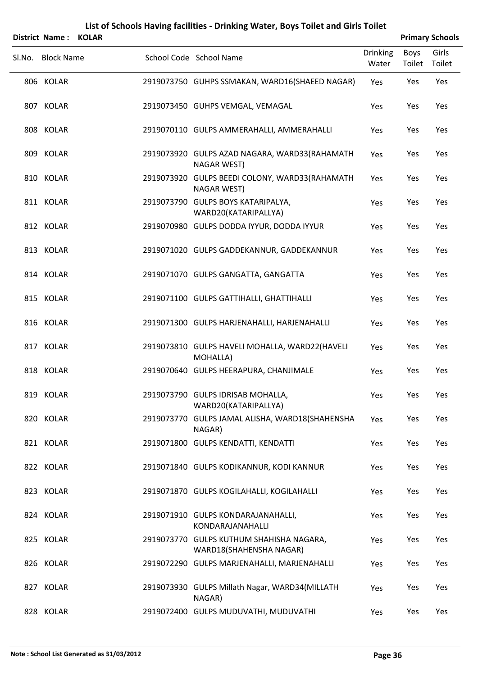| List of Schools Having facilities - Drinking Water, Boys Toilet and Girls Toilet |  |  |
|----------------------------------------------------------------------------------|--|--|
|----------------------------------------------------------------------------------|--|--|

| District Name:<br><b>KOLAR</b> |                                                                                 |                          | <b>Primary Schools</b> |                 |
|--------------------------------|---------------------------------------------------------------------------------|--------------------------|------------------------|-----------------|
| Sl.No. Block Name              | School Code School Name                                                         | <b>Drinking</b><br>Water | Boys<br>Toilet         | Girls<br>Toilet |
| 806 KOLAR                      | 2919073750 GUHPS SSMAKAN, WARD16(SHAEED NAGAR)                                  | Yes                      | Yes                    | Yes             |
| 807 KOLAR                      | 2919073450 GUHPS VEMGAL, VEMAGAL                                                | Yes                      | Yes                    | Yes             |
| 808 KOLAR                      | 2919070110 GULPS AMMERAHALLI, AMMERAHALLI                                       | Yes                      | Yes                    | Yes             |
| 809 KOLAR                      | 2919073920 GULPS AZAD NAGARA, WARD33(RAHAMATH<br><b>NAGAR WEST)</b>             | Yes                      | Yes                    | Yes             |
| 810 KOLAR                      | 2919073920 GULPS BEEDI COLONY, WARD33(RAHAMATH<br>NAGAR WEST)                   | Yes                      | Yes                    | Yes             |
| 811 KOLAR                      | 2919073790 GULPS BOYS KATARIPALYA,<br>WARD20(KATARIPALLYA)                      | Yes                      | Yes                    | Yes             |
| 812 KOLAR                      | 2919070980 GULPS DODDA IYYUR, DODDA IYYUR                                       | Yes                      | Yes                    | Yes             |
| 813 KOLAR                      | 2919071020 GULPS GADDEKANNUR, GADDEKANNUR                                       | Yes                      | Yes                    | Yes             |
| 814 KOLAR                      | 2919071070 GULPS GANGATTA, GANGATTA                                             | Yes                      | Yes                    | Yes             |
| 815 KOLAR                      | 2919071100 GULPS GATTIHALLI, GHATTIHALLI                                        | Yes                      | Yes                    | Yes             |
| 816 KOLAR                      | 2919071300 GULPS HARJENAHALLI, HARJENAHALLI                                     | Yes                      | Yes                    | Yes             |
| 817 KOLAR                      | 2919073810 GULPS HAVELI MOHALLA, WARD22(HAVELI<br>MOHALLA)                      | Yes                      | Yes                    | Yes             |
| 818 KOLAR                      | 2919070640 GULPS HEERAPURA, CHANJIMALE                                          | Yes                      | Yes                    | Yes             |
| 819 KOLAR                      | 2919073790 GULPS IDRISAB MOHALLA,<br>WARD20(KATARIPALLYA)                       | Yes                      | Yes                    | Yes             |
| 820 KOLAR<br>821 KOLAR         | 2919073770 GULPS JAMAL ALISHA, WARD18(SHAHENSHA<br>NAGAR)                       | Yes                      | Yes                    | Yes             |
| 822 KOLAR                      | 2919071800 GULPS KENDATTI, KENDATTI<br>2919071840 GULPS KODIKANNUR, KODI KANNUR | Yes<br>Yes               | Yes<br>Yes             | Yes<br>Yes      |
| 823 KOLAR                      | 2919071870 GULPS KOGILAHALLI, KOGILAHALLI                                       | Yes                      | Yes                    | Yes             |
| 824 KOLAR                      | 2919071910 GULPS KONDARAJANAHALLI,                                              | Yes                      | Yes                    | Yes             |
| 825 KOLAR                      | KONDARAJANAHALLI<br>2919073770 GULPS KUTHUM SHAHISHA NAGARA,                    | Yes                      | Yes                    | Yes             |
| 826 KOLAR                      | WARD18(SHAHENSHA NAGAR)<br>2919072290 GULPS MARJENAHALLI, MARJENAHALLI          | Yes                      | Yes                    | Yes             |
| 827 KOLAR                      | 2919073930 GULPS Millath Nagar, WARD34(MILLATH                                  | Yes                      | Yes                    | Yes             |
| 828 KOLAR                      | NAGAR)<br>2919072400 GULPS MUDUVATHI, MUDUVATHI                                 | Yes                      | Yes                    | Yes             |
|                                |                                                                                 |                          |                        |                 |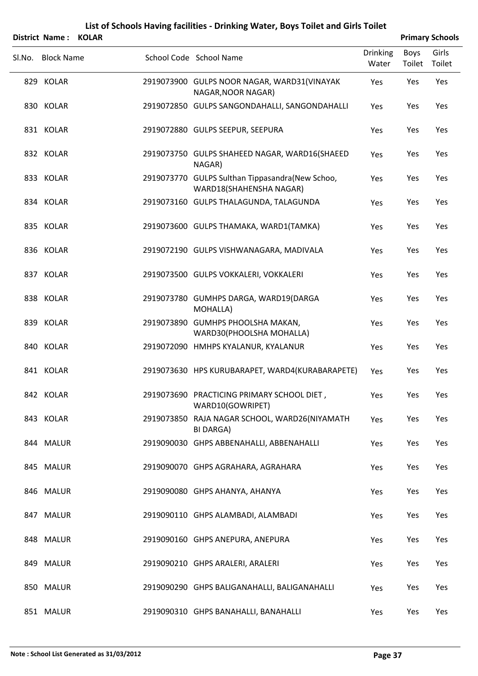|        | <b>District Name:</b> | <b>KOLAR</b> |                                                                            |                          |                       | <b>Primary Schools</b> |
|--------|-----------------------|--------------|----------------------------------------------------------------------------|--------------------------|-----------------------|------------------------|
| SI.No. | <b>Block Name</b>     |              | School Code School Name                                                    | <b>Drinking</b><br>Water | <b>Boys</b><br>Toilet | Girls<br>Toilet        |
|        | 829 KOLAR             |              | 2919073900 GULPS NOOR NAGAR, WARD31(VINAYAK<br>NAGAR, NOOR NAGAR)          | Yes                      | Yes                   | Yes                    |
|        | 830 KOLAR             |              | 2919072850 GULPS SANGONDAHALLI, SANGONDAHALLI                              | Yes                      | Yes                   | Yes                    |
|        | 831 KOLAR             |              | 2919072880 GULPS SEEPUR, SEEPURA                                           | Yes                      | Yes                   | Yes                    |
|        | 832 KOLAR             |              | 2919073750 GULPS SHAHEED NAGAR, WARD16(SHAEED<br>NAGAR)                    | Yes                      | Yes                   | Yes                    |
|        | 833 KOLAR             |              | 2919073770 GULPS Sulthan Tippasandra(New Schoo,<br>WARD18(SHAHENSHA NAGAR) | Yes                      | Yes                   | Yes                    |
|        | 834 KOLAR             |              | 2919073160 GULPS THALAGUNDA, TALAGUNDA                                     | Yes                      | Yes                   | Yes                    |
|        | 835 KOLAR             |              | 2919073600 GULPS THAMAKA, WARD1(TAMKA)                                     | Yes                      | Yes                   | Yes                    |
|        | 836 KOLAR             |              | 2919072190 GULPS VISHWANAGARA, MADIVALA                                    | Yes                      | Yes                   | Yes                    |
|        | 837 KOLAR             |              | 2919073500 GULPS VOKKALERI, VOKKALERI                                      | Yes                      | Yes                   | Yes                    |
|        | 838 KOLAR             |              | 2919073780 GUMHPS DARGA, WARD19(DARGA<br>MOHALLA)                          | Yes                      | Yes                   | Yes                    |
|        | 839 KOLAR             |              | 2919073890 GUMHPS PHOOLSHA MAKAN,<br>WARD30(PHOOLSHA MOHALLA)              | Yes                      | Yes                   | Yes                    |
|        | 840 KOLAR             |              | 2919072090 HMHPS KYALANUR, KYALANUR                                        | Yes                      | Yes                   | Yes                    |
|        | 841 KOLAR             |              | 2919073630 HPS KURUBARAPET, WARD4(KURABARAPETE)                            | Yes                      | Yes                   | Yes                    |
|        | 842 KOLAR             |              | 2919073690 PRACTICING PRIMARY SCHOOL DIET,<br>WARD10(GOWRIPET)             | Yes                      | Yes                   | Yes                    |
|        | 843 KOLAR             |              | 2919073850 RAJA NAGAR SCHOOL, WARD26(NIYAMATH<br>BI DARGA)                 | Yes                      | Yes                   | Yes                    |
|        | 844 MALUR             |              | 2919090030 GHPS ABBENAHALLI, ABBENAHALLI                                   | Yes                      | Yes                   | Yes                    |
|        | 845 MALUR             |              | 2919090070 GHPS AGRAHARA, AGRAHARA                                         | Yes                      | Yes                   | Yes                    |
|        | 846 MALUR             |              | 2919090080 GHPS AHANYA, AHANYA                                             | Yes                      | Yes                   | Yes                    |
|        | 847 MALUR             |              | 2919090110 GHPS ALAMBADI, ALAMBADI                                         | Yes                      | Yes                   | Yes                    |
|        | 848 MALUR             |              | 2919090160 GHPS ANEPURA, ANEPURA                                           | Yes                      | Yes                   | Yes                    |
|        | 849 MALUR             |              | 2919090210 GHPS ARALERI, ARALERI                                           | Yes                      | Yes                   | Yes                    |
|        | 850 MALUR             |              | 2919090290 GHPS BALIGANAHALLI, BALIGANAHALLI                               | Yes                      | Yes                   | Yes                    |
|        | 851 MALUR             |              | 2919090310 GHPS BANAHALLI, BANAHALLI                                       | Yes                      | Yes                   | Yes                    |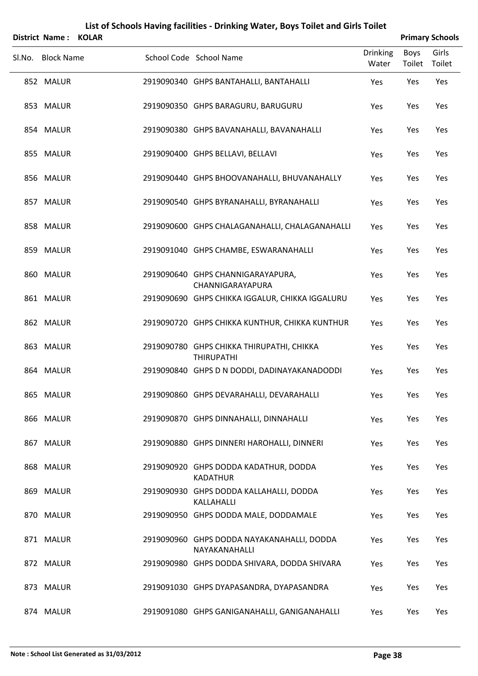|        | District Name:    | <b>KOLAR</b> |                                                                |                          |                       | <b>Primary Schools</b> |
|--------|-------------------|--------------|----------------------------------------------------------------|--------------------------|-----------------------|------------------------|
| Sl.No. | <b>Block Name</b> |              | School Code School Name                                        | <b>Drinking</b><br>Water | <b>Boys</b><br>Toilet | Girls<br>Toilet        |
|        | 852 MALUR         |              | 2919090340 GHPS BANTAHALLI, BANTAHALLI                         | Yes                      | Yes                   | Yes                    |
|        | 853 MALUR         |              | 2919090350 GHPS BARAGURU, BARUGURU                             | Yes                      | Yes                   | Yes                    |
|        | 854 MALUR         |              | 2919090380 GHPS BAVANAHALLI, BAVANAHALLI                       | Yes                      | Yes                   | Yes                    |
|        | 855 MALUR         |              | 2919090400 GHPS BELLAVI, BELLAVI                               | Yes                      | Yes                   | Yes                    |
|        | 856 MALUR         |              | 2919090440 GHPS BHOOVANAHALLI, BHUVANAHALLY                    | Yes                      | Yes                   | Yes                    |
|        | 857 MALUR         |              | 2919090540 GHPS BYRANAHALLI, BYRANAHALLI                       | Yes                      | Yes                   | Yes                    |
|        | 858 MALUR         |              | 2919090600 GHPS CHALAGANAHALLI, CHALAGANAHALLI                 | Yes                      | Yes                   | Yes                    |
|        | 859 MALUR         |              | 2919091040 GHPS CHAMBE, ESWARANAHALLI                          | Yes                      | Yes                   | Yes                    |
|        | 860 MALUR         |              | 2919090640 GHPS CHANNIGARAYAPURA,<br>CHANNIGARAYAPURA          | Yes                      | Yes                   | Yes                    |
|        | 861 MALUR         |              | 2919090690 GHPS CHIKKA IGGALUR, CHIKKA IGGALURU                | Yes                      | Yes                   | Yes                    |
|        | 862 MALUR         |              | 2919090720 GHPS CHIKKA KUNTHUR, CHIKKA KUNTHUR                 | Yes                      | Yes                   | Yes                    |
|        | 863 MALUR         |              | 2919090780 GHPS CHIKKA THIRUPATHI, CHIKKA<br><b>THIRUPATHI</b> | Yes                      | Yes                   | Yes                    |
|        | 864 MALUR         |              | 2919090840 GHPS D N DODDI, DADINAYAKANADODDI                   | Yes                      | Yes                   | Yes                    |
|        | 865 MALUR         |              | 2919090860 GHPS DEVARAHALLI, DEVARAHALLI                       | Yes                      | Yes                   | Yes                    |
|        | 866 MALUR         |              | 2919090870 GHPS DINNAHALLI, DINNAHALLI                         | Yes                      | Yes                   | Yes                    |
|        | 867 MALUR         |              | 2919090880 GHPS DINNERI HAROHALLI, DINNERI                     | Yes                      | Yes                   | Yes                    |
|        | 868 MALUR         |              | 2919090920 GHPS DODDA KADATHUR, DODDA<br><b>KADATHUR</b>       | Yes                      | Yes                   | Yes                    |
|        | 869 MALUR         |              | 2919090930 GHPS DODDA KALLAHALLI, DODDA<br>KALLAHALLI          | Yes                      | Yes                   | Yes                    |
|        | 870 MALUR         |              | 2919090950 GHPS DODDA MALE, DODDAMALE                          | Yes                      | Yes                   | Yes                    |
|        | 871 MALUR         |              | 2919090960 GHPS DODDA NAYAKANAHALLI, DODDA<br>NAYAKANAHALLI    | Yes                      | Yes                   | Yes                    |
|        | 872 MALUR         |              | 2919090980 GHPS DODDA SHIVARA, DODDA SHIVARA                   | Yes                      | Yes                   | Yes                    |
|        | 873 MALUR         |              | 2919091030 GHPS DYAPASANDRA, DYAPASANDRA                       | Yes                      | Yes                   | Yes                    |
|        | 874 MALUR         |              | 2919091080 GHPS GANIGANAHALLI, GANIGANAHALLI                   | Yes                      | Yes                   | Yes                    |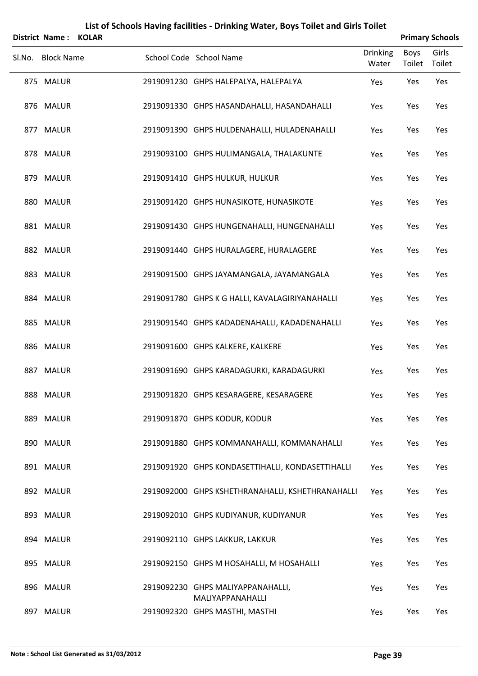| <b>District Name:</b> | <b>KOLAR</b> |                                                       |                          |                | <b>Primary Schools</b> |
|-----------------------|--------------|-------------------------------------------------------|--------------------------|----------------|------------------------|
| Sl.No. Block Name     |              | School Code School Name                               | <b>Drinking</b><br>Water | Boys<br>Toilet | Girls<br>Toilet        |
| 875 MALUR             |              | 2919091230 GHPS HALEPALYA, HALEPALYA                  | Yes                      | Yes            | Yes                    |
| 876 MALUR             |              | 2919091330 GHPS HASANDAHALLI, HASANDAHALLI            | Yes                      | Yes            | Yes                    |
| 877 MALUR             |              | 2919091390 GHPS HULDENAHALLI, HULADENAHALLI           | Yes                      | Yes            | Yes                    |
| 878 MALUR             |              | 2919093100 GHPS HULIMANGALA, THALAKUNTE               | Yes                      | Yes            | Yes                    |
| 879 MALUR             |              | 2919091410 GHPS HULKUR, HULKUR                        | Yes                      | Yes            | Yes                    |
| 880 MALUR             |              | 2919091420 GHPS HUNASIKOTE, HUNASIKOTE                | Yes                      | Yes            | Yes                    |
| 881 MALUR             |              | 2919091430 GHPS HUNGENAHALLI, HUNGENAHALLI            | Yes                      | Yes            | Yes                    |
| 882 MALUR             |              | 2919091440 GHPS HURALAGERE, HURALAGERE                | Yes                      | Yes            | Yes                    |
| 883 MALUR             |              | 2919091500 GHPS JAYAMANGALA, JAYAMANGALA              | Yes                      | Yes            | Yes                    |
| 884 MALUR             |              | 2919091780 GHPS K G HALLI, KAVALAGIRIYANAHALLI        | Yes                      | Yes            | Yes                    |
| 885 MALUR             |              | 2919091540 GHPS KADADENAHALLI, KADADENAHALLI          | Yes                      | Yes            | Yes                    |
| 886 MALUR             |              | 2919091600 GHPS KALKERE, KALKERE                      | Yes                      | Yes            | Yes                    |
| 887 MALUR             |              | 2919091690 GHPS KARADAGURKI, KARADAGURKI              | Yes                      | Yes            | Yes                    |
| 888 MALUR             |              | 2919091820 GHPS KESARAGERE, KESARAGERE                | Yes                      | Yes            | Yes                    |
| 889 MALUR             |              | 2919091870 GHPS KODUR, KODUR                          | Yes                      | Yes            | Yes                    |
| 890 MALUR             |              | 2919091880 GHPS KOMMANAHALLI, KOMMANAHALLI            | Yes                      | Yes            | Yes                    |
| 891 MALUR             |              | 2919091920 GHPS KONDASETTIHALLI, KONDASETTIHALLI      | Yes                      | Yes            | Yes                    |
| 892 MALUR             |              | 2919092000 GHPS KSHETHRANAHALLI, KSHETHRANAHALLI      | Yes                      | Yes            | Yes                    |
| 893 MALUR             |              | 2919092010 GHPS KUDIYANUR, KUDIYANUR                  | Yes                      | Yes            | Yes                    |
| 894 MALUR             |              | 2919092110 GHPS LAKKUR, LAKKUR                        | Yes                      | Yes            | Yes                    |
| 895 MALUR             |              | 2919092150 GHPS M HOSAHALLI, M HOSAHALLI              | Yes                      | Yes            | Yes                    |
| 896 MALUR             |              | 2919092230 GHPS MALIYAPPANAHALLI,<br>MALIYAPPANAHALLI | Yes                      | Yes            | Yes                    |
| 897 MALUR             |              | 2919092320 GHPS MASTHI, MASTHI                        | Yes                      | Yes            | Yes                    |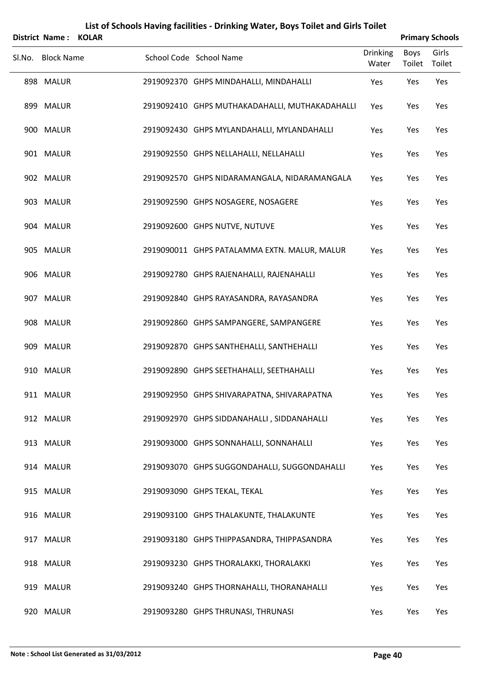|        | <b>District Name:</b> | <b>KOLAR</b> |                                                |                          |                       | <b>Primary Schools</b> |
|--------|-----------------------|--------------|------------------------------------------------|--------------------------|-----------------------|------------------------|
| SI.No. | <b>Block Name</b>     |              | School Code School Name                        | <b>Drinking</b><br>Water | <b>Boys</b><br>Toilet | Girls<br>Toilet        |
|        | 898 MALUR             |              | 2919092370 GHPS MINDAHALLI, MINDAHALLI         | Yes                      | Yes                   | Yes                    |
|        | 899 MALUR             |              | 2919092410 GHPS MUTHAKADAHALLI, MUTHAKADAHALLI | Yes                      | Yes                   | Yes                    |
|        | 900 MALUR             |              | 2919092430 GHPS MYLANDAHALLI, MYLANDAHALLI     | Yes                      | Yes                   | Yes                    |
|        | 901 MALUR             |              | 2919092550 GHPS NELLAHALLI, NELLAHALLI         | Yes                      | Yes                   | Yes                    |
|        | 902 MALUR             |              | 2919092570 GHPS NIDARAMANGALA, NIDARAMANGALA   | Yes                      | Yes                   | Yes                    |
|        | 903 MALUR             |              | 2919092590 GHPS NOSAGERE, NOSAGERE             | Yes                      | Yes                   | Yes                    |
|        | 904 MALUR             |              | 2919092600 GHPS NUTVE, NUTUVE                  | Yes                      | Yes                   | Yes                    |
|        | 905 MALUR             |              | 2919090011 GHPS PATALAMMA EXTN. MALUR, MALUR   | Yes                      | Yes                   | Yes                    |
|        | 906 MALUR             |              | 2919092780 GHPS RAJENAHALLI, RAJENAHALLI       | Yes                      | Yes                   | Yes                    |
|        | 907 MALUR             |              | 2919092840 GHPS RAYASANDRA, RAYASANDRA         | Yes                      | Yes                   | Yes                    |
|        | 908 MALUR             |              | 2919092860 GHPS SAMPANGERE, SAMPANGERE         | Yes                      | Yes                   | Yes                    |
|        | 909 MALUR             |              | 2919092870 GHPS SANTHEHALLI, SANTHEHALLI       | Yes                      | Yes                   | Yes                    |
|        | 910 MALUR             |              | 2919092890 GHPS SEETHAHALLI, SEETHAHALLI       | Yes                      | Yes                   | Yes                    |
|        | 911 MALUR             |              | 2919092950 GHPS SHIVARAPATNA, SHIVARAPATNA     | Yes                      | Yes                   | Yes                    |
|        | 912 MALUR             |              | 2919092970 GHPS SIDDANAHALLI, SIDDANAHALLI     | Yes                      | Yes                   | Yes                    |
|        | 913 MALUR             |              | 2919093000 GHPS SONNAHALLI, SONNAHALLI         | Yes                      | Yes                   | Yes                    |
|        | 914 MALUR             |              | 2919093070 GHPS SUGGONDAHALLI, SUGGONDAHALLI   | Yes                      | Yes                   | Yes                    |
|        | 915 MALUR             |              | 2919093090 GHPS TEKAL, TEKAL                   | Yes                      | Yes                   | Yes                    |
|        | 916 MALUR             |              | 2919093100 GHPS THALAKUNTE, THALAKUNTE         | Yes                      | Yes                   | Yes                    |
|        | 917 MALUR             |              | 2919093180 GHPS THIPPASANDRA, THIPPASANDRA     | Yes                      | Yes                   | Yes                    |
|        | 918 MALUR             |              | 2919093230 GHPS THORALAKKI, THORALAKKI         | Yes                      | Yes                   | Yes                    |
|        | 919 MALUR             |              | 2919093240 GHPS THORNAHALLI, THORANAHALLI      | Yes                      | Yes                   | Yes                    |
|        | 920 MALUR             |              | 2919093280 GHPS THRUNASI, THRUNASI             | Yes                      | Yes                   | Yes                    |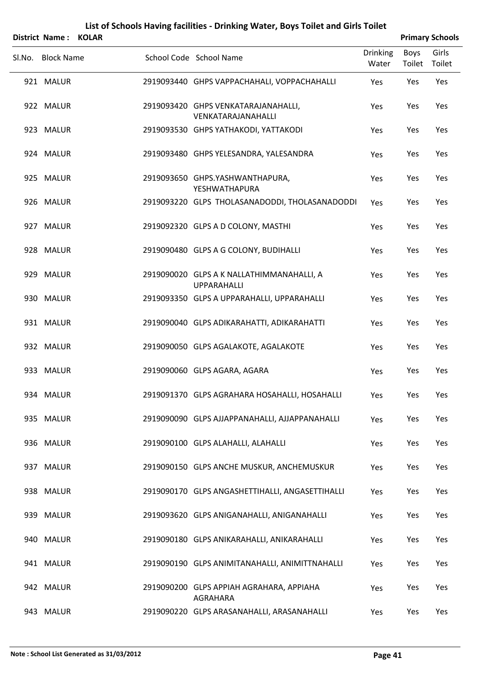| District Name: KOLAR |  |                                                                 |                          | <b>Primary Schools</b> |                 |
|----------------------|--|-----------------------------------------------------------------|--------------------------|------------------------|-----------------|
| Sl.No. Block Name    |  | School Code School Name                                         | <b>Drinking</b><br>Water | Boys<br>Toilet         | Girls<br>Toilet |
| 921 MALUR            |  | 2919093440 GHPS VAPPACHAHALI, VOPPACHAHALLI                     | Yes                      | Yes                    | Yes             |
| 922 MALUR            |  | 2919093420 GHPS VENKATARAJANAHALLI,<br>VENKATARAJANAHALLI       | Yes                      | Yes                    | Yes             |
| 923 MALUR            |  | 2919093530 GHPS YATHAKODI, YATTAKODI                            | Yes                      | Yes                    | Yes             |
| 924 MALUR            |  | 2919093480 GHPS YELESANDRA, YALESANDRA                          | Yes                      | Yes                    | Yes             |
| 925 MALUR            |  | 2919093650 GHPS.YASHWANTHAPURA,<br>YESHWATHAPURA                | Yes                      | Yes                    | Yes             |
| 926 MALUR            |  | 2919093220 GLPS THOLASANADODDI, THOLASANADODDI                  | Yes                      | Yes                    | Yes             |
| 927 MALUR            |  | 2919092320 GLPS A D COLONY, MASTHI                              | Yes                      | Yes                    | Yes             |
| 928 MALUR            |  | 2919090480 GLPS A G COLONY, BUDIHALLI                           | Yes                      | Yes                    | Yes             |
| 929 MALUR            |  | 2919090020 GLPS A K NALLATHIMMANAHALLI, A<br><b>UPPARAHALLI</b> | Yes                      | Yes                    | Yes             |
| 930 MALUR            |  | 2919093350 GLPS A UPPARAHALLI, UPPARAHALLI                      | Yes                      | Yes                    | Yes             |
| 931 MALUR            |  | 2919090040 GLPS ADIKARAHATTI, ADIKARAHATTI                      | Yes                      | Yes                    | Yes             |
| 932 MALUR            |  | 2919090050 GLPS AGALAKOTE, AGALAKOTE                            | Yes                      | Yes                    | Yes             |
| 933 MALUR            |  | 2919090060 GLPS AGARA, AGARA                                    | Yes                      | Yes                    | Yes             |
| 934 MALUR            |  | 2919091370 GLPS AGRAHARA HOSAHALLI, HOSAHALLI                   | Yes                      | Yes                    | Yes             |
| 935 MALUR            |  | 2919090090 GLPS AJJAPPANAHALLI, AJJAPPANAHALLI                  | Yes                      | Yes                    | Yes             |
| 936 MALUR            |  | 2919090100 GLPS ALAHALLI, ALAHALLI                              | Yes                      | Yes                    | Yes             |
| 937 MALUR            |  | 2919090150 GLPS ANCHE MUSKUR, ANCHEMUSKUR                       | Yes                      | Yes                    | Yes             |
| 938 MALUR            |  | 2919090170 GLPS ANGASHETTIHALLI, ANGASETTIHALLI                 | Yes                      | Yes                    | Yes             |
| 939 MALUR            |  | 2919093620 GLPS ANIGANAHALLI, ANIGANAHALLI                      | Yes                      | Yes                    | Yes             |
| 940 MALUR            |  | 2919090180 GLPS ANIKARAHALLI, ANIKARAHALLI                      | Yes                      | Yes                    | Yes             |
| 941 MALUR            |  | 2919090190 GLPS ANIMITANAHALLI, ANIMITTNAHALLI                  | Yes                      | Yes                    | Yes             |
| 942 MALUR            |  | 2919090200 GLPS APPIAH AGRAHARA, APPIAHA<br>AGRAHARA            | Yes                      | Yes                    | Yes             |

943 MALUR 2919090220 GLPS ARASANAHALLI, ARASANAHALLI Yes Yes Yes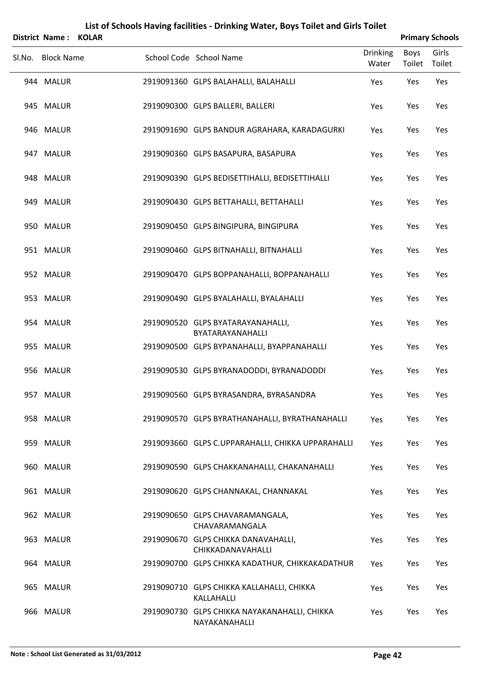| List of Schools Having facilities - Drinking Water, Boys Toilet and Girls Toilet<br><b>Primary Schools</b><br><b>District Name:</b><br><b>KOLAR</b> |                   |  |                                                               |                          |                |                 |  |  |
|-----------------------------------------------------------------------------------------------------------------------------------------------------|-------------------|--|---------------------------------------------------------------|--------------------------|----------------|-----------------|--|--|
| SI.No.                                                                                                                                              | <b>Block Name</b> |  | School Code School Name                                       | <b>Drinking</b><br>Water | Boys<br>Toilet | Girls<br>Toilet |  |  |
|                                                                                                                                                     | 944 MALUR         |  | 2919091360 GLPS BALAHALLI, BALAHALLI                          | Yes                      | Yes            | Yes             |  |  |
|                                                                                                                                                     | 945 MALUR         |  | 2919090300 GLPS BALLERI, BALLERI                              | Yes                      | Yes            | Yes             |  |  |
|                                                                                                                                                     | 946 MALUR         |  | 2919091690 GLPS BANDUR AGRAHARA, KARADAGURKI                  | Yes                      | Yes            | Yes             |  |  |
|                                                                                                                                                     | 947 MALUR         |  | 2919090360 GLPS BASAPURA, BASAPURA                            | Yes                      | Yes            | Yes             |  |  |
|                                                                                                                                                     | 948 MALUR         |  | 2919090390 GLPS BEDISETTIHALLI, BEDISETTIHALLI                | Yes                      | Yes            | Yes             |  |  |
|                                                                                                                                                     | 949 MALUR         |  | 2919090430 GLPS BETTAHALLI, BETTAHALLI                        | Yes                      | Yes            | Yes             |  |  |
|                                                                                                                                                     | 950 MALUR         |  | 2919090450 GLPS BINGIPURA, BINGIPURA                          | Yes                      | Yes            | Yes             |  |  |
|                                                                                                                                                     | 951 MALUR         |  | 2919090460 GLPS BITNAHALLI, BITNAHALLI                        | Yes                      | Yes            | Yes             |  |  |
|                                                                                                                                                     | 952 MALUR         |  | 2919090470 GLPS BOPPANAHALLI, BOPPANAHALLI                    | Yes                      | Yes            | Yes             |  |  |
|                                                                                                                                                     | 953 MALUR         |  | 2919090490 GLPS BYALAHALLI, BYALAHALLI                        | Yes                      | Yes            | Yes             |  |  |
|                                                                                                                                                     | 954 MALUR         |  | 2919090520 GLPS BYATARAYANAHALLI,<br>BYATARAYANAHALLI         | Yes                      | Yes            | Yes             |  |  |
|                                                                                                                                                     | 955 MALUR         |  | 2919090500 GLPS BYPANAHALLI, BYAPPANAHALLI                    | Yes                      | Yes            | Yes             |  |  |
|                                                                                                                                                     | 956 MALUR         |  | 2919090530 GLPS BYRANADODDI, BYRANADODDI                      | Yes                      | Yes            | Yes             |  |  |
|                                                                                                                                                     | 957 MALUR         |  | 2919090560 GLPS BYRASANDRA, BYRASANDRA                        | Yes                      | Yes            | Yes             |  |  |
|                                                                                                                                                     | 958 MALUR         |  | 2919090570 GLPS BYRATHANAHALLI, BYRATHANAHALLI                | Yes                      | Yes            | Yes             |  |  |
|                                                                                                                                                     | 959 MALUR         |  | 2919093660 GLPS C.UPPARAHALLI, CHIKKA UPPARAHALLI             | Yes                      | Yes            | Yes             |  |  |
|                                                                                                                                                     | 960 MALUR         |  | 2919090590 GLPS CHAKKANAHALLI, CHAKANAHALLI                   | Yes                      | Yes            | Yes             |  |  |
|                                                                                                                                                     | 961 MALUR         |  | 2919090620 GLPS CHANNAKAL, CHANNAKAL                          | Yes                      | Yes            | Yes             |  |  |
|                                                                                                                                                     | 962 MALUR         |  | 2919090650 GLPS CHAVARAMANGALA,<br>CHAVARAMANGALA             | <b>Yes</b>               | Yes            | Yes             |  |  |
|                                                                                                                                                     | 963 MALUR         |  | 2919090670 GLPS CHIKKA DANAVAHALLI,<br>CHIKKADANAVAHALLI      | Yes                      | Yes            | Yes             |  |  |
|                                                                                                                                                     | 964 MALUR         |  | 2919090700 GLPS CHIKKA KADATHUR, CHIKKAKADATHUR               | Yes                      | Yes            | Yes             |  |  |
|                                                                                                                                                     | 965 MALUR         |  | 2919090710 GLPS CHIKKA KALLAHALLI, CHIKKA<br>KALLAHALLI       | Yes                      | Yes            | Yes             |  |  |
|                                                                                                                                                     | 966 MALUR         |  | 2919090730 GLPS CHIKKA NAYAKANAHALLI, CHIKKA<br>NAYAKANAHALLI | Yes                      | Yes            | Yes             |  |  |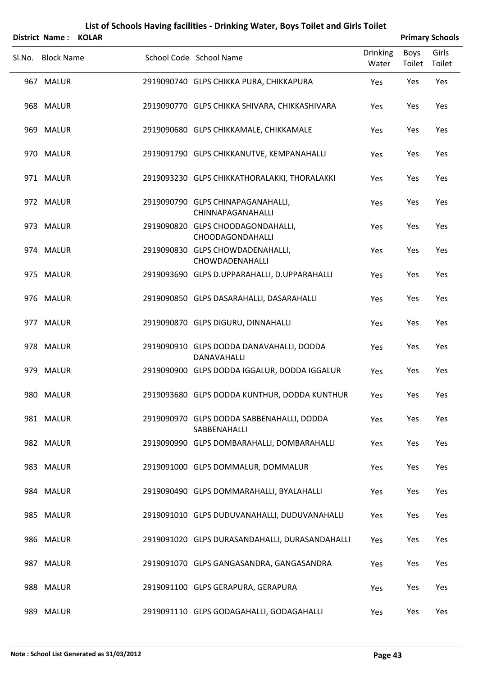|  | List of Schools Having facilities - Drinking Water, Boys Toilet and Girls Toilet |  |
|--|----------------------------------------------------------------------------------|--|
|--|----------------------------------------------------------------------------------|--|

|        | District Name:    | <b>KOLAR</b> |                                                           |                          |                | <b>Primary Schools</b> |
|--------|-------------------|--------------|-----------------------------------------------------------|--------------------------|----------------|------------------------|
| Sl.No. | <b>Block Name</b> |              | School Code School Name                                   | <b>Drinking</b><br>Water | Boys<br>Toilet | Girls<br>Toilet        |
|        | 967 MALUR         |              | 2919090740 GLPS CHIKKA PURA, CHIKKAPURA                   | Yes                      | Yes            | Yes                    |
|        | 968 MALUR         |              | 2919090770 GLPS CHIKKA SHIVARA, CHIKKASHIVARA             | Yes                      | Yes            | Yes                    |
|        | 969 MALUR         |              | 2919090680 GLPS CHIKKAMALE, CHIKKAMALE                    | Yes                      | Yes            | Yes                    |
|        | 970 MALUR         |              | 2919091790 GLPS CHIKKANUTVE, KEMPANAHALLI                 | Yes                      | Yes            | Yes                    |
|        | 971 MALUR         |              | 2919093230 GLPS CHIKKATHORALAKKI, THORALAKKI              | Yes                      | Yes            | Yes                    |
|        | 972 MALUR         |              | 2919090790 GLPS CHINAPAGANAHALLI,<br>CHINNAPAGANAHALLI    | Yes                      | Yes            | Yes                    |
|        | 973 MALUR         |              | 2919090820 GLPS CHOODAGONDAHALLI,<br>CHOODAGONDAHALLI     | Yes                      | Yes            | Yes                    |
|        | 974 MALUR         |              | 2919090830 GLPS CHOWDADENAHALLI,<br>CHOWDADENAHALLI       | Yes                      | Yes            | Yes                    |
|        | 975 MALUR         |              | 2919093690 GLPS D.UPPARAHALLI, D.UPPARAHALLI              | Yes                      | Yes            | Yes                    |
|        | 976 MALUR         |              | 2919090850 GLPS DASARAHALLI, DASARAHALLI                  | Yes                      | Yes            | Yes                    |
|        | 977 MALUR         |              | 2919090870 GLPS DIGURU, DINNAHALLI                        | Yes                      | Yes            | Yes                    |
|        | 978 MALUR         |              | 2919090910 GLPS DODDA DANAVAHALLI, DODDA<br>DANAVAHALLI   | Yes                      | Yes            | Yes                    |
|        | 979 MALUR         |              | 2919090900 GLPS DODDA IGGALUR, DODDA IGGALUR              | Yes                      | Yes            | Yes                    |
|        | 980 MALUR         |              | 2919093680 GLPS DODDA KUNTHUR, DODDA KUNTHUR              | Yes                      | Yes            | Yes                    |
|        | 981 MALUR         |              | 2919090970 GLPS DODDA SABBENAHALLI, DODDA<br>SABBENAHALLI | Yes                      | Yes            | Yes                    |
|        | 982 MALUR         |              | 2919090990 GLPS DOMBARAHALLI, DOMBARAHALLI                | Yes                      | Yes            | Yes                    |
|        | 983 MALUR         |              | 2919091000 GLPS DOMMALUR, DOMMALUR                        | Yes                      | Yes            | Yes                    |
|        | 984 MALUR         |              | 2919090490 GLPS DOMMARAHALLI, BYALAHALLI                  | Yes                      | Yes            | Yes                    |
|        | 985 MALUR         |              | 2919091010 GLPS DUDUVANAHALLI, DUDUVANAHALLI              | Yes                      | Yes            | Yes                    |
|        | 986 MALUR         |              | 2919091020 GLPS DURASANDAHALLI, DURASANDAHALLI            | Yes                      | Yes            | Yes                    |
|        | 987 MALUR         |              | 2919091070 GLPS GANGASANDRA, GANGASANDRA                  | Yes                      | Yes            | Yes                    |
|        | 988 MALUR         |              | 2919091100 GLPS GERAPURA, GERAPURA                        | Yes                      | Yes            | Yes                    |
|        | 989 MALUR         |              | 2919091110 GLPS GODAGAHALLI, GODAGAHALLI                  | Yes                      | Yes            | Yes                    |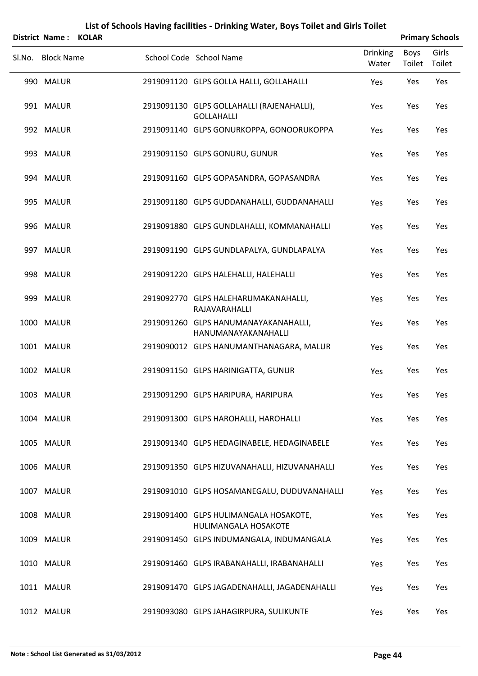|        | District Name: KOLAR |  |                                                                |                          |                       | <b>Primary Schools</b> |
|--------|----------------------|--|----------------------------------------------------------------|--------------------------|-----------------------|------------------------|
| Sl.No. | <b>Block Name</b>    |  | School Code School Name                                        | <b>Drinking</b><br>Water | <b>Boys</b><br>Toilet | Girls<br>Toilet        |
|        | 990 MALUR            |  | 2919091120 GLPS GOLLA HALLI, GOLLAHALLI                        | Yes                      | Yes                   | Yes                    |
|        | 991 MALUR            |  | 2919091130 GLPS GOLLAHALLI (RAJENAHALLI),<br><b>GOLLAHALLI</b> | Yes                      | Yes                   | Yes                    |
|        | 992 MALUR            |  | 2919091140 GLPS GONURKOPPA, GONOORUKOPPA                       | Yes                      | Yes                   | Yes                    |
|        | 993 MALUR            |  | 2919091150 GLPS GONURU, GUNUR                                  | Yes                      | Yes                   | Yes                    |
|        | 994 MALUR            |  | 2919091160 GLPS GOPASANDRA, GOPASANDRA                         | Yes                      | Yes                   | Yes                    |
|        | 995 MALUR            |  | 2919091180 GLPS GUDDANAHALLI, GUDDANAHALLI                     | Yes                      | Yes                   | Yes                    |
|        | 996 MALUR            |  | 2919091880 GLPS GUNDLAHALLI, KOMMANAHALLI                      | Yes                      | Yes                   | Yes                    |
|        | 997 MALUR            |  | 2919091190 GLPS GUNDLAPALYA, GUNDLAPALYA                       | Yes                      | Yes                   | Yes                    |
|        | 998 MALUR            |  | 2919091220 GLPS HALEHALLI, HALEHALLI                           | Yes                      | Yes                   | Yes                    |
|        | 999 MALUR            |  | 2919092770 GLPS HALEHARUMAKANAHALLI,<br>RAJAVARAHALLI          | Yes                      | Yes                   | Yes                    |
|        | 1000 MALUR           |  | 2919091260 GLPS HANUMANAYAKANAHALLI,<br>HANUMANAYAKANAHALLI    | Yes                      | Yes                   | Yes                    |
|        | 1001 MALUR           |  | 2919090012 GLPS HANUMANTHANAGARA, MALUR                        | Yes                      | Yes                   | Yes                    |
|        | 1002 MALUR           |  | 2919091150 GLPS HARINIGATTA, GUNUR                             | Yes                      | Yes                   | Yes                    |
|        | 1003 MALUR           |  | 2919091290 GLPS HARIPURA, HARIPURA                             | Yes                      | Yes                   | Yes                    |
|        | 1004 MALUR           |  | 2919091300 GLPS HAROHALLI, HAROHALLI                           | Yes                      | Yes                   | Yes                    |
|        | 1005 MALUR           |  | 2919091340 GLPS HEDAGINABELE, HEDAGINABELE                     | Yes                      | Yes                   | Yes                    |
|        | 1006 MALUR           |  | 2919091350 GLPS HIZUVANAHALLI, HIZUVANAHALLI                   | Yes                      | Yes                   | Yes                    |
|        | 1007 MALUR           |  | 2919091010 GLPS HOSAMANEGALU, DUDUVANAHALLI                    | Yes                      | Yes                   | Yes                    |
|        | 1008 MALUR           |  | 2919091400 GLPS HULIMANGALA HOSAKOTE,<br>HULIMANGALA HOSAKOTE  | Yes                      | Yes                   | Yes                    |
|        | 1009 MALUR           |  | 2919091450 GLPS INDUMANGALA, INDUMANGALA                       | Yes                      | Yes                   | Yes                    |
|        | 1010 MALUR           |  | 2919091460 GLPS IRABANAHALLI, IRABANAHALLI                     | Yes                      | Yes                   | Yes                    |
|        | 1011 MALUR           |  | 2919091470 GLPS JAGADENAHALLI, JAGADENAHALLI                   | Yes                      | Yes                   | Yes                    |
|        | 1012 MALUR           |  | 2919093080 GLPS JAHAGIRPURA, SULIKUNTE                         | Yes                      | Yes                   | Yes                    |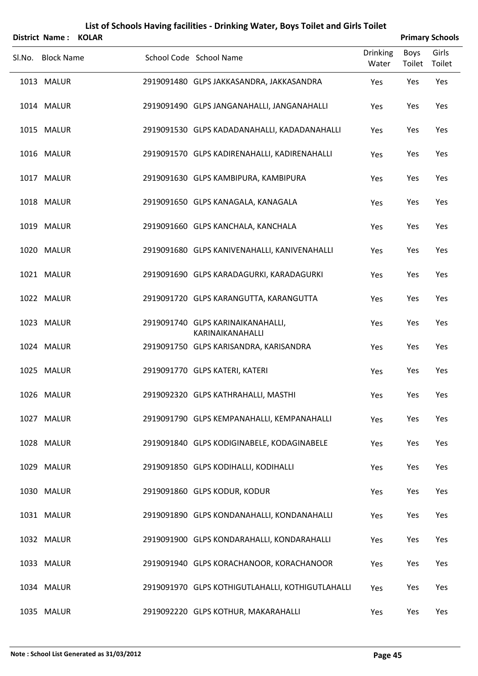|        | <b>District Name:</b> | <b>KOLAR</b> |                                                       |                          |                | <b>Primary Schools</b> |
|--------|-----------------------|--------------|-------------------------------------------------------|--------------------------|----------------|------------------------|
| Sl.No. | <b>Block Name</b>     |              | School Code School Name                               | <b>Drinking</b><br>Water | Boys<br>Toilet | Girls<br>Toilet        |
|        | 1013 MALUR            |              | 2919091480 GLPS JAKKASANDRA, JAKKASANDRA              | Yes                      | Yes            | Yes                    |
|        | 1014 MALUR            |              | 2919091490 GLPS JANGANAHALLI, JANGANAHALLI            | Yes                      | Yes            | Yes                    |
|        | 1015 MALUR            |              | 2919091530 GLPS KADADANAHALLI, KADADANAHALLI          | Yes                      | Yes            | Yes                    |
|        | 1016 MALUR            |              | 2919091570 GLPS KADIRENAHALLI, KADIRENAHALLI          | Yes                      | Yes            | Yes                    |
|        | 1017 MALUR            |              | 2919091630 GLPS KAMBIPURA, KAMBIPURA                  | Yes                      | Yes            | Yes                    |
|        | 1018 MALUR            |              | 2919091650 GLPS KANAGALA, KANAGALA                    | Yes                      | Yes            | Yes                    |
|        | 1019 MALUR            |              | 2919091660 GLPS KANCHALA, KANCHALA                    | Yes                      | Yes            | Yes                    |
|        | 1020 MALUR            |              | 2919091680 GLPS KANIVENAHALLI, KANIVENAHALLI          | Yes                      | Yes            | Yes                    |
|        | 1021 MALUR            |              | 2919091690 GLPS KARADAGURKI, KARADAGURKI              | Yes                      | Yes            | Yes                    |
|        | 1022 MALUR            |              | 2919091720 GLPS KARANGUTTA, KARANGUTTA                | Yes                      | Yes            | Yes                    |
|        | 1023 MALUR            |              | 2919091740 GLPS KARINAIKANAHALLI,<br>KARINAIKANAHALLI | Yes                      | Yes            | Yes                    |
|        | 1024 MALUR            |              | 2919091750 GLPS KARISANDRA, KARISANDRA                | Yes                      | Yes            | Yes                    |
|        | 1025 MALUR            |              | 2919091770 GLPS KATERI, KATERI                        | Yes                      | Yes            | Yes                    |
|        | 1026 MALUR            |              | 2919092320 GLPS KATHRAHALLI, MASTHI                   | Yes                      | Yes            | Yes                    |
|        | 1027 MALUR            |              | 2919091790 GLPS KEMPANAHALLI, KEMPANAHALLI            | Yes                      | Yes            | Yes                    |
|        | 1028 MALUR            |              | 2919091840 GLPS KODIGINABELE, KODAGINABELE            | Yes                      | Yes            | Yes                    |
|        | 1029 MALUR            |              | 2919091850 GLPS KODIHALLI, KODIHALLI                  | Yes                      | Yes            | Yes                    |
|        | 1030 MALUR            |              | 2919091860 GLPS KODUR, KODUR                          | Yes                      | Yes            | Yes                    |
|        | 1031 MALUR            |              | 2919091890 GLPS KONDANAHALLI, KONDANAHALLI            | Yes                      | Yes            | Yes                    |
|        | 1032 MALUR            |              | 2919091900 GLPS KONDARAHALLI, KONDARAHALLI            | Yes                      | Yes            | Yes                    |
|        | 1033 MALUR            |              | 2919091940 GLPS KORACHANOOR, KORACHANOOR              | Yes                      | Yes            | Yes                    |
|        | 1034 MALUR            |              | 2919091970 GLPS KOTHIGUTLAHALLI, KOTHIGUTLAHALLI      | Yes                      | Yes            | Yes                    |
|        | 1035 MALUR            |              | 2919092220 GLPS KOTHUR, MAKARAHALLI                   | Yes                      | Yes            | Yes                    |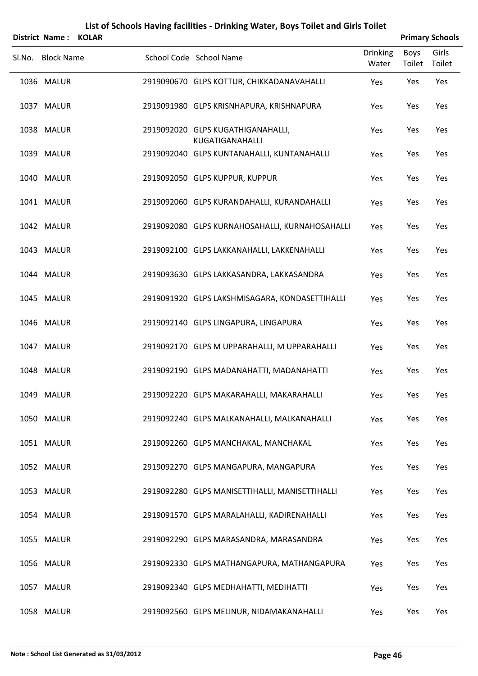| <b>District Name:</b> | <b>KOLAR</b> |                                                      |                          |                | <b>Primary Schools</b> |
|-----------------------|--------------|------------------------------------------------------|--------------------------|----------------|------------------------|
| Sl.No. Block Name     |              | School Code School Name                              | <b>Drinking</b><br>Water | Boys<br>Toilet | Girls<br>Toilet        |
| 1036 MALUR            |              | 2919090670 GLPS KOTTUR, CHIKKADANAVAHALLI            | Yes                      | Yes            | Yes                    |
| 1037 MALUR            |              | 2919091980 GLPS KRISNHAPURA, KRISHNAPURA             | Yes                      | Yes            | Yes                    |
| 1038 MALUR            |              | 2919092020 GLPS KUGATHIGANAHALLI,<br>KUGATIGANAHALLI | Yes                      | Yes            | Yes                    |
| 1039 MALUR            |              | 2919092040 GLPS KUNTANAHALLI, KUNTANAHALLI           | Yes                      | Yes            | Yes                    |
| 1040 MALUR            |              | 2919092050 GLPS KUPPUR, KUPPUR                       | Yes                      | Yes            | Yes                    |
| 1041 MALUR            |              | 2919092060 GLPS KURANDAHALLI, KURANDAHALLI           | Yes                      | Yes            | Yes                    |
| 1042 MALUR            |              | 2919092080 GLPS KURNAHOSAHALLI, KURNAHOSAHALLI       | Yes                      | Yes            | Yes                    |
| 1043 MALUR            |              | 2919092100 GLPS LAKKANAHALLI, LAKKENAHALLI           | Yes                      | Yes            | Yes                    |
| 1044 MALUR            |              | 2919093630 GLPS LAKKASANDRA, LAKKASANDRA             | Yes                      | Yes            | Yes                    |
| 1045 MALUR            |              | 2919091920 GLPS LAKSHMISAGARA, KONDASETTIHALLI       | Yes                      | Yes            | Yes                    |
| 1046 MALUR            |              | 2919092140 GLPS LINGAPURA, LINGAPURA                 | Yes                      | Yes            | Yes                    |
| 1047 MALUR            |              | 2919092170 GLPS M UPPARAHALLI, M UPPARAHALLI         | Yes                      | Yes            | Yes                    |
| 1048 MALUR            |              | 2919092190 GLPS MADANAHATTI, MADANAHATTI             | Yes                      | Yes            | Yes                    |
| 1049 MALUR            |              | 2919092220 GLPS MAKARAHALLI, MAKARAHALLI             | Yes                      | Yes            | Yes                    |
| 1050 MALUR            |              | 2919092240 GLPS MALKANAHALLI, MALKANAHALLI           | Yes                      | Yes            | Yes                    |
| 1051 MALUR            |              | 2919092260 GLPS MANCHAKAL, MANCHAKAL                 | Yes                      | Yes            | Yes                    |
| 1052 MALUR            |              | 2919092270 GLPS MANGAPURA, MANGAPURA                 | Yes                      | Yes            | Yes                    |
| 1053 MALUR            |              | 2919092280 GLPS MANISETTIHALLI, MANISETTIHALLI       | Yes                      | Yes            | Yes                    |
| 1054 MALUR            |              | 2919091570 GLPS MARALAHALLI, KADIRENAHALLI           | Yes                      | Yes            | Yes                    |
| 1055 MALUR            |              | 2919092290 GLPS MARASANDRA, MARASANDRA               | Yes                      | Yes            | Yes                    |
| 1056 MALUR            |              | 2919092330 GLPS MATHANGAPURA, MATHANGAPURA           | Yes                      | Yes            | Yes                    |
| 1057 MALUR            |              | 2919092340 GLPS MEDHAHATTI, MEDIHATTI                | Yes                      | Yes            | Yes                    |
| 1058 MALUR            |              | 2919092560 GLPS MELINUR, NIDAMAKANAHALLI             | Yes                      | Yes            | Yes                    |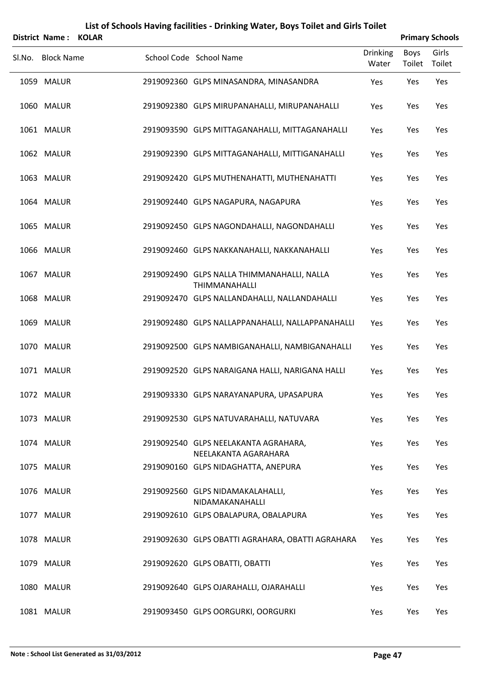|        | District Name:    | <b>KOLAR</b> |                                                                    |                          |                       | <b>Primary Schools</b> |
|--------|-------------------|--------------|--------------------------------------------------------------------|--------------------------|-----------------------|------------------------|
| SI.No. | <b>Block Name</b> |              | School Code School Name                                            | <b>Drinking</b><br>Water | <b>Boys</b><br>Toilet | Girls<br>Toilet        |
|        | 1059 MALUR        |              | 2919092360 GLPS MINASANDRA, MINASANDRA                             | Yes                      | Yes                   | Yes                    |
|        | 1060 MALUR        |              | 2919092380 GLPS MIRUPANAHALLI, MIRUPANAHALLI                       | Yes                      | Yes                   | Yes                    |
|        | 1061 MALUR        |              | 2919093590 GLPS MITTAGANAHALLI, MITTAGANAHALLI                     | Yes                      | Yes                   | Yes                    |
|        | 1062 MALUR        |              | 2919092390 GLPS MITTAGANAHALLI, MITTIGANAHALLI                     | Yes                      | Yes                   | Yes                    |
|        | 1063 MALUR        |              | 2919092420 GLPS MUTHENAHATTI, MUTHENAHATTI                         | Yes                      | Yes                   | Yes                    |
|        | 1064 MALUR        |              | 2919092440 GLPS NAGAPURA, NAGAPURA                                 | Yes                      | Yes                   | Yes                    |
|        | 1065 MALUR        |              | 2919092450 GLPS NAGONDAHALLI, NAGONDAHALLI                         | Yes                      | Yes                   | Yes                    |
|        | 1066 MALUR        |              | 2919092460 GLPS NAKKANAHALLI, NAKKANAHALLI                         | Yes                      | Yes                   | Yes                    |
|        | 1067 MALUR        |              | 2919092490 GLPS NALLA THIMMANAHALLI, NALLA<br><b>THIMMANAHALLI</b> | Yes                      | Yes                   | Yes                    |
|        | 1068 MALUR        |              | 2919092470 GLPS NALLANDAHALLI, NALLANDAHALLI                       | Yes                      | Yes                   | Yes                    |
|        | 1069 MALUR        |              | 2919092480 GLPS NALLAPPANAHALLI, NALLAPPANAHALLI                   | Yes                      | Yes                   | Yes                    |
|        | 1070 MALUR        |              | 2919092500 GLPS NAMBIGANAHALLI, NAMBIGANAHALLI                     | Yes                      | Yes                   | Yes                    |
|        | 1071 MALUR        |              | 2919092520 GLPS NARAIGANA HALLI, NARIGANA HALLI                    | Yes                      | Yes                   | Yes                    |
|        | 1072 MALUR        |              | 2919093330 GLPS NARAYANAPURA, UPASAPURA                            | Yes                      | Yes                   | Yes                    |
|        | 1073 MALUR        |              | 2919092530 GLPS NATUVARAHALLI, NATUVARA                            | Yes                      | Yes                   | Yes                    |
|        | 1074 MALUR        |              | 2919092540 GLPS NEELAKANTA AGRAHARA,<br>NEELAKANTA AGARAHARA       | Yes                      | Yes                   | Yes                    |
|        | 1075 MALUR        |              | 2919090160 GLPS NIDAGHATTA, ANEPURA                                | Yes                      | Yes                   | Yes                    |
|        | 1076 MALUR        |              | 2919092560 GLPS NIDAMAKALAHALLI,<br>NIDAMAKANAHALLI                | Yes                      | Yes                   | Yes                    |
|        | 1077 MALUR        |              | 2919092610 GLPS OBALAPURA, OBALAPURA                               | Yes                      | Yes                   | Yes                    |
|        | 1078 MALUR        |              | 2919092630 GLPS OBATTI AGRAHARA, OBATTI AGRAHARA                   | Yes                      | Yes                   | Yes                    |
|        | 1079 MALUR        |              | 2919092620 GLPS OBATTI, OBATTI                                     | Yes                      | Yes                   | Yes                    |
|        | 1080 MALUR        |              | 2919092640 GLPS OJARAHALLI, OJARAHALLI                             | Yes                      | Yes                   | Yes                    |
|        | 1081 MALUR        |              | 2919093450 GLPS OORGURKI, OORGURKI                                 | Yes                      | Yes                   | Yes                    |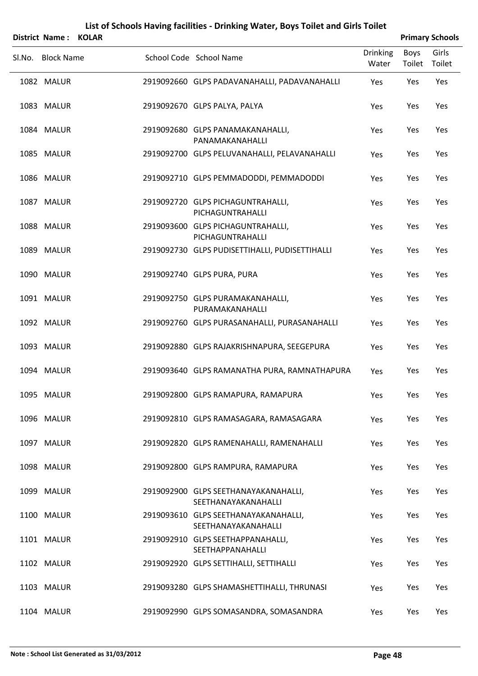|        | District Name: KOLAR |  |                                                             |                          |                | <b>Primary Schools</b> |
|--------|----------------------|--|-------------------------------------------------------------|--------------------------|----------------|------------------------|
| Sl.No. | <b>Block Name</b>    |  | School Code School Name                                     | <b>Drinking</b><br>Water | Boys<br>Toilet | Girls<br>Toilet        |
|        | 1082 MALUR           |  | 2919092660 GLPS PADAVANAHALLI, PADAVANAHALLI                | Yes                      | Yes            | Yes                    |
|        | 1083 MALUR           |  | 2919092670 GLPS PALYA, PALYA                                | Yes                      | Yes            | Yes                    |
|        | 1084 MALUR           |  | 2919092680 GLPS PANAMAKANAHALLI,<br>PANAMAKANAHALLI         | Yes                      | Yes            | Yes                    |
|        | 1085 MALUR           |  | 2919092700 GLPS PELUVANAHALLI, PELAVANAHALLI                | Yes                      | Yes            | Yes                    |
|        | 1086 MALUR           |  | 2919092710 GLPS PEMMADODDI, PEMMADODDI                      | Yes                      | Yes            | Yes                    |
|        | 1087 MALUR           |  | 2919092720 GLPS PICHAGUNTRAHALLI,<br>PICHAGUNTRAHALLI       | Yes                      | Yes            | Yes                    |
|        | 1088 MALUR           |  | 2919093600 GLPS PICHAGUNTRAHALLI,<br>PICHAGUNTRAHALLI       | Yes                      | Yes            | Yes                    |
|        | 1089 MALUR           |  | 2919092730 GLPS PUDISETTIHALLI, PUDISETTIHALLI              | Yes                      | Yes            | Yes                    |
|        | 1090 MALUR           |  | 2919092740 GLPS PURA, PURA                                  | Yes                      | Yes            | Yes                    |
|        | 1091 MALUR           |  | 2919092750 GLPS PURAMAKANAHALLI,<br>PURAMAKANAHALLI         | Yes                      | Yes            | Yes                    |
|        | 1092 MALUR           |  | 2919092760 GLPS PURASANAHALLI, PURASANAHALLI                | Yes                      | Yes            | Yes                    |
|        | 1093 MALUR           |  | 2919092880 GLPS RAJAKRISHNAPURA, SEEGEPURA                  | Yes                      | Yes            | Yes                    |
|        | 1094 MALUR           |  | 2919093640 GLPS RAMANATHA PURA, RAMNATHAPURA                | Yes                      | Yes            | Yes                    |
|        | 1095 MALUR           |  | 2919092800 GLPS RAMAPURA, RAMAPURA                          | Yes                      | Yes            | Yes                    |
|        | 1096 MALUR           |  | 2919092810 GLPS RAMASAGARA, RAMASAGARA                      | Yes                      | Yes            | Yes                    |
|        | 1097 MALUR           |  | 2919092820 GLPS RAMENAHALLI, RAMENAHALLI                    | Yes                      | Yes            | Yes                    |
|        | 1098 MALUR           |  | 2919092800 GLPS RAMPURA, RAMAPURA                           | Yes                      | Yes            | Yes                    |
|        | 1099 MALUR           |  | 2919092900 GLPS SEETHANAYAKANAHALLI,<br>SEETHANAYAKANAHALLI | Yes                      | Yes            | Yes                    |
|        | 1100 MALUR           |  | 2919093610 GLPS SEETHANAYAKANAHALLI,<br>SEETHANAYAKANAHALLI | Yes                      | Yes            | Yes                    |
|        | 1101 MALUR           |  | 2919092910 GLPS SEETHAPPANAHALLI,<br>SEETHAPPANAHALLI       | Yes                      | Yes            | Yes                    |
|        | 1102 MALUR           |  | 2919092920 GLPS SETTIHALLI, SETTIHALLI                      | Yes                      | Yes            | Yes                    |
|        | 1103 MALUR           |  | 2919093280 GLPS SHAMASHETTIHALLI, THRUNASI                  | Yes                      | Yes            | Yes                    |
|        | 1104 MALUR           |  | 2919092990 GLPS SOMASANDRA, SOMASANDRA                      | Yes                      | Yes            | Yes                    |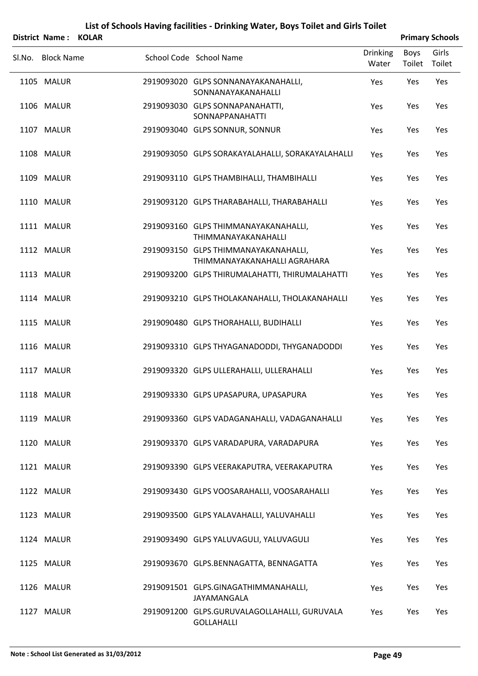|        | District Name: KOLAR |                                                                      |                          |                | <b>Primary Schools</b> |
|--------|----------------------|----------------------------------------------------------------------|--------------------------|----------------|------------------------|
| SI.No. | <b>Block Name</b>    | School Code School Name                                              | <b>Drinking</b><br>Water | Boys<br>Toilet | Girls<br>Toilet        |
|        | 1105 MALUR           | 2919093020 GLPS SONNANAYAKANAHALLI,<br>SONNANAYAKANAHALLI            | Yes                      | Yes            | Yes                    |
|        | 1106 MALUR           | 2919093030 GLPS SONNAPANAHATTI,<br>SONNAPPANAHATTI                   | Yes                      | Yes            | Yes                    |
|        | 1107 MALUR           | 2919093040 GLPS SONNUR, SONNUR                                       | Yes                      | Yes            | Yes                    |
|        | 1108 MALUR           | 2919093050 GLPS SORAKAYALAHALLI, SORAKAYALAHALLI                     | Yes                      | Yes            | Yes                    |
|        | 1109 MALUR           | 2919093110 GLPS THAMBIHALLI, THAMBIHALLI                             | Yes                      | Yes            | Yes                    |
|        | 1110 MALUR           | 2919093120 GLPS THARABAHALLI, THARABAHALLI                           | Yes                      | Yes            | Yes                    |
|        | 1111 MALUR           | 2919093160 GLPS THIMMANAYAKANAHALLI,<br><b>THIMMANAYAKANAHALLI</b>   | Yes                      | Yes            | Yes                    |
|        | 1112 MALUR           | 2919093150 GLPS THIMMANAYAKANAHALLI,<br>THIMMANAYAKANAHALLI AGRAHARA | Yes                      | Yes            | Yes                    |
|        | 1113 MALUR           | 2919093200 GLPS THIRUMALAHATTI, THIRUMALAHATTI                       | Yes                      | Yes            | Yes                    |
|        | 1114 MALUR           | 2919093210 GLPS THOLAKANAHALLI, THOLAKANAHALLI                       | Yes                      | Yes            | Yes                    |
|        | 1115 MALUR           | 2919090480 GLPS THORAHALLI, BUDIHALLI                                | Yes                      | Yes            | Yes                    |
|        | 1116 MALUR           | 2919093310 GLPS THYAGANADODDI, THYGANADODDI                          | Yes                      | Yes            | Yes                    |
|        | 1117 MALUR           | 2919093320 GLPS ULLERAHALLI, ULLERAHALLI                             | Yes                      | Yes            | Yes                    |
|        | 1118 MALUR           | 2919093330 GLPS UPASAPURA, UPASAPURA                                 | Yes                      | Yes            | Yes                    |
|        | 1119 MALUR           | 2919093360 GLPS VADAGANAHALLI, VADAGANAHALLI                         | Yes                      | Yes            | Yes                    |
|        | 1120 MALUR           | 2919093370 GLPS VARADAPURA, VARADAPURA                               | Yes                      | Yes            | Yes                    |
|        | 1121 MALUR           | 2919093390 GLPS VEERAKAPUTRA, VEERAKAPUTRA                           | Yes                      | Yes            | Yes                    |
|        | 1122 MALUR           | 2919093430 GLPS VOOSARAHALLI, VOOSARAHALLI                           | Yes                      | Yes            | Yes                    |
|        | 1123 MALUR           | 2919093500 GLPS YALAVAHALLI, YALUVAHALLI                             | Yes                      | Yes            | Yes                    |
|        | 1124 MALUR           | 2919093490 GLPS YALUVAGULI, YALUVAGULI                               | Yes                      | Yes            | Yes                    |
|        | 1125 MALUR           | 2919093670 GLPS.BENNAGATTA, BENNAGATTA                               | Yes                      | Yes            | Yes                    |
|        | 1126 MALUR           | 2919091501 GLPS.GINAGATHIMMANAHALLI,<br>JAYAMANGALA                  | Yes                      | Yes            | Yes                    |
|        | 1127 MALUR           | 2919091200 GLPS.GURUVALAGOLLAHALLI, GURUVALA<br><b>GOLLAHALLI</b>    | Yes                      | Yes            | Yes                    |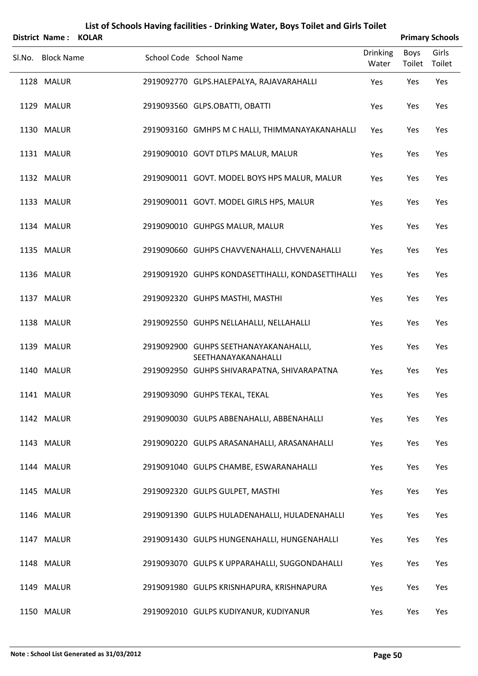|        | <b>District Name:</b> | <b>KOLAR</b> |                                                              |                          |                | <b>Primary Schools</b> |
|--------|-----------------------|--------------|--------------------------------------------------------------|--------------------------|----------------|------------------------|
| Sl.No. | <b>Block Name</b>     |              | School Code School Name                                      | <b>Drinking</b><br>Water | Boys<br>Toilet | Girls<br>Toilet        |
|        | 1128 MALUR            |              | 2919092770 GLPS.HALEPALYA, RAJAVARAHALLI                     | Yes                      | Yes            | Yes                    |
|        | 1129 MALUR            |              | 2919093560 GLPS.OBATTI, OBATTI                               | Yes                      | Yes            | Yes                    |
|        | 1130 MALUR            |              | 2919093160 GMHPS M C HALLI, THIMMANAYAKANAHALLI              | Yes                      | Yes            | Yes                    |
|        | 1131 MALUR            |              | 2919090010 GOVT DTLPS MALUR, MALUR                           | Yes                      | Yes            | Yes                    |
|        | 1132 MALUR            |              | 2919090011 GOVT. MODEL BOYS HPS MALUR, MALUR                 | Yes                      | Yes            | Yes                    |
|        | 1133 MALUR            |              | 2919090011 GOVT. MODEL GIRLS HPS, MALUR                      | Yes                      | Yes            | Yes                    |
|        | 1134 MALUR            |              | 2919090010 GUHPGS MALUR, MALUR                               | Yes                      | Yes            | Yes                    |
|        | 1135 MALUR            |              | 2919090660 GUHPS CHAVVENAHALLI, CHVVENAHALLI                 | Yes                      | Yes            | Yes                    |
|        | 1136 MALUR            |              | 2919091920 GUHPS KONDASETTIHALLI, KONDASETTIHALLI            | Yes                      | Yes            | Yes                    |
|        | 1137 MALUR            |              | 2919092320 GUHPS MASTHI, MASTHI                              | Yes                      | Yes            | Yes                    |
|        | 1138 MALUR            |              | 2919092550 GUHPS NELLAHALLI, NELLAHALLI                      | Yes                      | Yes            | Yes                    |
|        | 1139 MALUR            |              | 2919092900 GUHPS SEETHANAYAKANAHALLI,<br>SEETHANAYAKANAHALLI | Yes                      | Yes            | Yes                    |
|        | 1140 MALUR            |              | 2919092950 GUHPS SHIVARAPATNA, SHIVARAPATNA                  | Yes                      | Yes            | Yes                    |
|        | 1141 MALUR            |              | 2919093090 GUHPS TEKAL, TEKAL                                | Yes                      | Yes            | Yes                    |
|        | 1142 MALUR            |              | 2919090030 GULPS ABBENAHALLI, ABBENAHALLI                    | Yes                      | Yes            | Yes                    |
|        | 1143 MALUR            |              | 2919090220 GULPS ARASANAHALLI, ARASANAHALLI                  | Yes                      | Yes            | Yes                    |
|        | 1144 MALUR            |              | 2919091040 GULPS CHAMBE, ESWARANAHALLI                       | Yes                      | Yes            | Yes                    |
|        | 1145 MALUR            |              | 2919092320 GULPS GULPET, MASTHI                              | Yes                      | Yes            | Yes                    |
|        | 1146 MALUR            |              | 2919091390 GULPS HULADENAHALLI, HULADENAHALLI                | Yes                      | Yes            | Yes                    |
|        | 1147 MALUR            |              | 2919091430 GULPS HUNGENAHALLI, HUNGENAHALLI                  | Yes                      | Yes            | Yes                    |
|        | 1148 MALUR            |              | 2919093070 GULPS K UPPARAHALLI, SUGGONDAHALLI                | Yes                      | Yes            | Yes                    |
|        | 1149 MALUR            |              | 2919091980 GULPS KRISNHAPURA, KRISHNAPURA                    | Yes                      | Yes            | Yes                    |
|        | 1150 MALUR            |              | 2919092010 GULPS KUDIYANUR, KUDIYANUR                        | Yes                      | Yes            | Yes                    |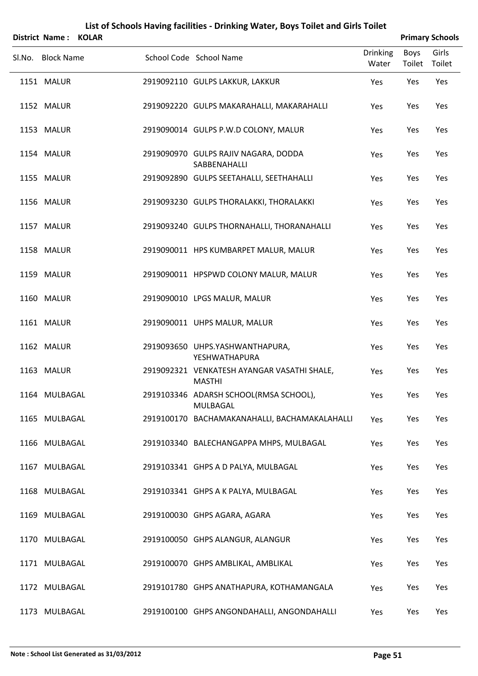| District Name: KOLAR |  |                                                              |                          |                | <b>Primary Schools</b> |
|----------------------|--|--------------------------------------------------------------|--------------------------|----------------|------------------------|
| Sl.No. Block Name    |  | School Code School Name                                      | <b>Drinking</b><br>Water | Boys<br>Toilet | Girls<br>Toilet        |
| 1151 MALUR           |  | 2919092110 GULPS LAKKUR, LAKKUR                              | Yes                      | Yes            | Yes                    |
| 1152 MALUR           |  | 2919092220 GULPS MAKARAHALLI, MAKARAHALLI                    | Yes                      | Yes            | Yes                    |
| 1153 MALUR           |  | 2919090014 GULPS P.W.D COLONY, MALUR                         | Yes                      | Yes            | Yes                    |
| 1154 MALUR           |  | 2919090970 GULPS RAJIV NAGARA, DODDA<br>SABBENAHALLI         | Yes                      | Yes            | Yes                    |
| 1155 MALUR           |  | 2919092890 GULPS SEETAHALLI, SEETHAHALLI                     | Yes                      | Yes            | Yes                    |
| 1156 MALUR           |  | 2919093230 GULPS THORALAKKI, THORALAKKI                      | Yes                      | Yes            | Yes                    |
| 1157 MALUR           |  | 2919093240 GULPS THORNAHALLI, THORANAHALLI                   | Yes                      | Yes            | Yes                    |
| 1158 MALUR           |  | 2919090011 HPS KUMBARPET MALUR, MALUR                        | Yes                      | Yes            | Yes                    |
| 1159 MALUR           |  | 2919090011 HPSPWD COLONY MALUR, MALUR                        | Yes                      | Yes            | Yes                    |
| 1160 MALUR           |  | 2919090010 LPGS MALUR, MALUR                                 | Yes                      | Yes            | Yes                    |
| 1161 MALUR           |  | 2919090011 UHPS MALUR, MALUR                                 | Yes                      | Yes            | Yes                    |
| 1162 MALUR           |  | 2919093650 UHPS.YASHWANTHAPURA,<br>YESHWATHAPURA             | Yes                      | Yes            | Yes                    |
| 1163 MALUR           |  | 2919092321 VENKATESH AYANGAR VASATHI SHALE,<br><b>MASTHI</b> | Yes                      | Yes            | Yes                    |
| 1164 MULBAGAL        |  | 2919103346 ADARSH SCHOOL(RMSA SCHOOL),<br>MULBAGAL           | Yes                      | Yes            | Yes                    |
| 1165 MULBAGAL        |  | 2919100170 BACHAMAKANAHALLI, BACHAMAKALAHALLI                | Yes                      | Yes            | Yes                    |
| 1166 MULBAGAL        |  | 2919103340 BALECHANGAPPA MHPS, MULBAGAL                      | Yes                      | Yes            | Yes                    |
| 1167 MULBAGAL        |  | 2919103341 GHPS A D PALYA, MULBAGAL                          | Yes                      | Yes            | Yes                    |
| 1168 MULBAGAL        |  | 2919103341 GHPS A K PALYA, MULBAGAL                          | Yes                      | Yes            | Yes                    |
| 1169 MULBAGAL        |  | 2919100030 GHPS AGARA, AGARA                                 | Yes                      | Yes            | Yes                    |
| 1170 MULBAGAL        |  | 2919100050 GHPS ALANGUR, ALANGUR                             | Yes                      | Yes            | Yes                    |
| 1171 MULBAGAL        |  | 2919100070 GHPS AMBLIKAL, AMBLIKAL                           | Yes                      | Yes            | Yes                    |
| 1172 MULBAGAL        |  | 2919101780 GHPS ANATHAPURA, KOTHAMANGALA                     | Yes                      | Yes            | Yes                    |
| 1173 MULBAGAL        |  | 2919100100 GHPS ANGONDAHALLI, ANGONDAHALLI                   | Yes                      | Yes            | Yes                    |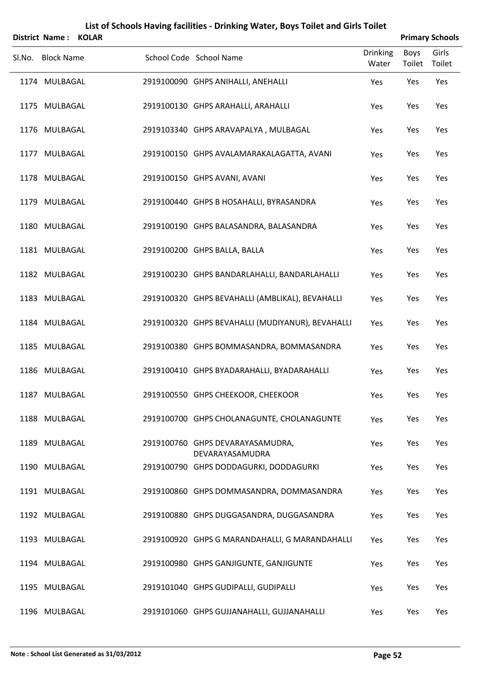| District Name: KOLAR |  |                                                     |                          |                       | <b>Primary Schools</b> |
|----------------------|--|-----------------------------------------------------|--------------------------|-----------------------|------------------------|
| Sl.No. Block Name    |  | School Code School Name                             | <b>Drinking</b><br>Water | <b>Boys</b><br>Toilet | Girls<br>Toilet        |
| 1174 MULBAGAL        |  | 2919100090 GHPS ANIHALLI, ANEHALLI                  | Yes                      | Yes                   | Yes                    |
| 1175 MULBAGAL        |  | 2919100130 GHPS ARAHALLI, ARAHALLI                  | Yes                      | Yes                   | Yes                    |
| 1176 MULBAGAL        |  | 2919103340 GHPS ARAVAPALYA, MULBAGAL                | Yes                      | Yes                   | Yes                    |
| 1177 MULBAGAL        |  | 2919100150 GHPS AVALAMARAKALAGATTA, AVANI           | Yes                      | Yes                   | Yes                    |
| 1178 MULBAGAL        |  | 2919100150 GHPS AVANI, AVANI                        | Yes                      | Yes                   | Yes                    |
| 1179 MULBAGAL        |  | 2919100440 GHPS B HOSAHALLI, BYRASANDRA             | Yes                      | Yes                   | Yes                    |
| 1180 MULBAGAL        |  | 2919100190 GHPS BALASANDRA, BALASANDRA              | Yes                      | Yes                   | Yes                    |
| 1181 MULBAGAL        |  | 2919100200 GHPS BALLA, BALLA                        | Yes                      | Yes                   | Yes                    |
| 1182 MULBAGAL        |  | 2919100230 GHPS BANDARLAHALLI, BANDARLAHALLI        | Yes                      | Yes                   | Yes                    |
| 1183 MULBAGAL        |  | 2919100320 GHPS BEVAHALLI (AMBLIKAL), BEVAHALLI     | Yes                      | Yes                   | Yes                    |
| 1184 MULBAGAL        |  | 2919100320 GHPS BEVAHALLI (MUDIYANUR), BEVAHALLI    | Yes                      | Yes                   | Yes                    |
| 1185 MULBAGAL        |  | 2919100380 GHPS BOMMASANDRA, BOMMASANDRA            | Yes                      | Yes                   | Yes                    |
| 1186 MULBAGAL        |  | 2919100410 GHPS BYADARAHALLI, BYADARAHALLI          | Yes                      | Yes                   | Yes                    |
| 1187 MULBAGAL        |  | 2919100550 GHPS CHEEKOOR, CHEEKOOR                  | Yes                      | Yes                   | Yes                    |
| 1188 MULBAGAL        |  | 2919100700 GHPS CHOLANAGUNTE, CHOLANAGUNTE          | Yes                      | Yes                   | Yes                    |
| 1189 MULBAGAL        |  | 2919100760 GHPS DEVARAYASAMUDRA,<br>DEVARAYASAMUDRA | Yes                      | Yes                   | Yes                    |
| 1190 MULBAGAL        |  | 2919100790 GHPS DODDAGURKI, DODDAGURKI              | Yes                      | Yes                   | Yes                    |
| 1191 MULBAGAL        |  | 2919100860 GHPS DOMMASANDRA, DOMMASANDRA            | Yes                      | Yes                   | Yes                    |
| 1192 MULBAGAL        |  | 2919100880 GHPS DUGGASANDRA, DUGGASANDRA            | Yes                      | Yes                   | Yes                    |
| 1193 MULBAGAL        |  | 2919100920 GHPS G MARANDAHALLI, G MARANDAHALLI      | Yes                      | Yes                   | Yes                    |
| 1194 MULBAGAL        |  | 2919100980 GHPS GANJIGUNTE, GANJIGUNTE              | Yes                      | Yes                   | Yes                    |
| 1195 MULBAGAL        |  | 2919101040 GHPS GUDIPALLI, GUDIPALLI                | Yes                      | Yes                   | Yes                    |
| 1196 MULBAGAL        |  | 2919101060 GHPS GUJJANAHALLI, GUJJANAHALLI          | Yes                      | Yes                   | Yes                    |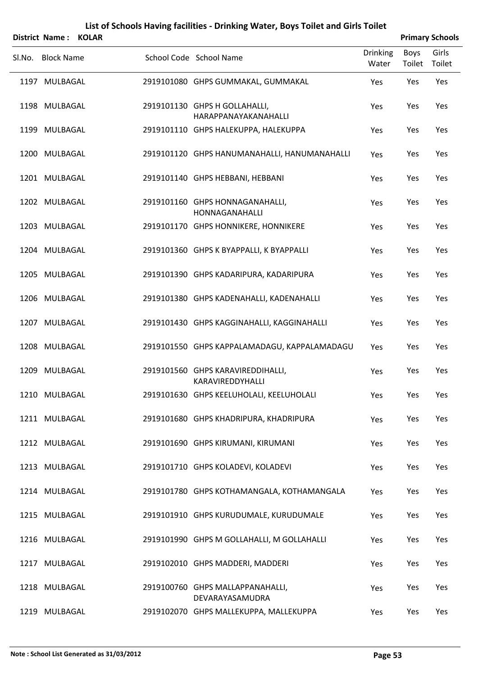|        | <b>District Name: KOLAR</b> |  |                                                       |                          |                | <b>Primary Schools</b> |
|--------|-----------------------------|--|-------------------------------------------------------|--------------------------|----------------|------------------------|
| Sl.No. | <b>Block Name</b>           |  | School Code School Name                               | <b>Drinking</b><br>Water | Boys<br>Toilet | Girls<br>Toilet        |
|        | 1197 MULBAGAL               |  | 2919101080 GHPS GUMMAKAL, GUMMAKAL                    | Yes                      | Yes            | Yes                    |
|        | 1198 MULBAGAL               |  | 2919101130 GHPS H GOLLAHALLI,<br>HARAPPANAYAKANAHALLI | Yes                      | Yes            | Yes                    |
|        | 1199 MULBAGAL               |  | 2919101110 GHPS HALEKUPPA, HALEKUPPA                  | Yes                      | Yes            | Yes                    |
|        | 1200 MULBAGAL               |  | 2919101120 GHPS HANUMANAHALLI, HANUMANAHALLI          | Yes                      | Yes            | Yes                    |
|        | 1201 MULBAGAL               |  | 2919101140 GHPS HEBBANI, HEBBANI                      | Yes                      | Yes            | Yes                    |
|        | 1202 MULBAGAL               |  | 2919101160 GHPS HONNAGANAHALLI,<br>HONNAGANAHALLI     | Yes                      | Yes            | Yes                    |
|        | 1203 MULBAGAL               |  | 2919101170 GHPS HONNIKERE, HONNIKERE                  | Yes                      | Yes            | Yes                    |
|        | 1204 MULBAGAL               |  | 2919101360 GHPS K BYAPPALLI, K BYAPPALLI              | Yes                      | Yes            | Yes                    |
|        | 1205 MULBAGAL               |  | 2919101390 GHPS KADARIPURA, KADARIPURA                | Yes                      | Yes            | Yes                    |
|        | 1206 MULBAGAL               |  | 2919101380 GHPS KADENAHALLI, KADENAHALLI              | Yes                      | Yes            | Yes                    |
|        | 1207 MULBAGAL               |  | 2919101430 GHPS KAGGINAHALLI, KAGGINAHALLI            | Yes                      | Yes            | Yes                    |
|        | 1208 MULBAGAL               |  | 2919101550 GHPS KAPPALAMADAGU, KAPPALAMADAGU          | Yes                      | Yes            | Yes                    |
|        | 1209 MULBAGAL               |  | 2919101560 GHPS KARAVIREDDIHALLI,<br>KARAVIREDDYHALLI | Yes                      | Yes            | Yes                    |
|        | 1210 MULBAGAL               |  | 2919101630 GHPS KEELUHOLALI, KEELUHOLALI              | Yes                      | Yes            | Yes                    |
|        | 1211 MULBAGAL               |  | 2919101680 GHPS KHADRIPURA, KHADRIPURA                | Yes                      | Yes            | Yes                    |
|        | 1212 MULBAGAL               |  | 2919101690 GHPS KIRUMANI, KIRUMANI                    | Yes                      | Yes            | Yes                    |
|        | 1213 MULBAGAL               |  | 2919101710 GHPS KOLADEVI, KOLADEVI                    | Yes                      | Yes            | Yes                    |
|        | 1214 MULBAGAL               |  | 2919101780 GHPS KOTHAMANGALA, KOTHAMANGALA            | Yes                      | Yes            | Yes                    |
|        | 1215 MULBAGAL               |  | 2919101910 GHPS KURUDUMALE, KURUDUMALE                | Yes                      | Yes            | Yes                    |
|        | 1216 MULBAGAL               |  | 2919101990 GHPS M GOLLAHALLI, M GOLLAHALLI            | Yes                      | Yes            | Yes                    |
|        | 1217 MULBAGAL               |  | 2919102010 GHPS MADDERI, MADDERI                      | Yes                      | Yes            | Yes                    |
|        | 1218 MULBAGAL               |  | 2919100760 GHPS MALLAPPANAHALLI,<br>DEVARAYASAMUDRA   | Yes                      | Yes            | Yes                    |
|        | 1219 MULBAGAL               |  | 2919102070 GHPS MALLEKUPPA, MALLEKUPPA                | Yes                      | Yes            | Yes                    |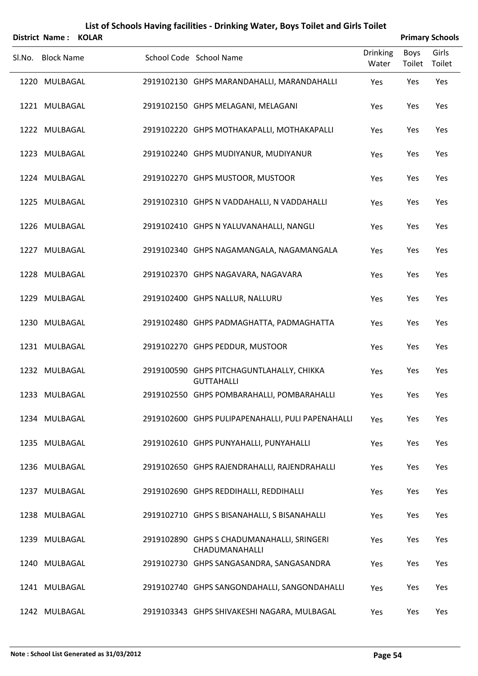|        | <b>District Name:</b> | <b>KOLAR</b> |                                                                |                          |                | <b>Primary Schools</b> |
|--------|-----------------------|--------------|----------------------------------------------------------------|--------------------------|----------------|------------------------|
| Sl.No. | <b>Block Name</b>     |              | School Code School Name                                        | <b>Drinking</b><br>Water | Boys<br>Toilet | Girls<br>Toilet        |
|        | 1220 MULBAGAL         |              | 2919102130 GHPS MARANDAHALLI, MARANDAHALLI                     | Yes                      | Yes            | Yes                    |
|        | 1221 MULBAGAL         |              | 2919102150 GHPS MELAGANI, MELAGANI                             | Yes                      | Yes            | Yes                    |
|        | 1222 MULBAGAL         |              | 2919102220 GHPS MOTHAKAPALLI, MOTHAKAPALLI                     | Yes                      | Yes            | Yes                    |
|        | 1223 MULBAGAL         |              | 2919102240 GHPS MUDIYANUR, MUDIYANUR                           | Yes                      | Yes            | Yes                    |
|        | 1224 MULBAGAL         |              | 2919102270 GHPS MUSTOOR, MUSTOOR                               | Yes                      | Yes            | Yes                    |
|        | 1225 MULBAGAL         |              | 2919102310 GHPS N VADDAHALLI, N VADDAHALLI                     | Yes                      | Yes            | Yes                    |
|        | 1226 MULBAGAL         |              | 2919102410 GHPS N YALUVANAHALLI, NANGLI                        | Yes                      | Yes            | Yes                    |
|        | 1227 MULBAGAL         |              | 2919102340 GHPS NAGAMANGALA, NAGAMANGALA                       | Yes                      | Yes            | Yes                    |
|        | 1228 MULBAGAL         |              | 2919102370 GHPS NAGAVARA, NAGAVARA                             | Yes                      | Yes            | Yes                    |
|        | 1229 MULBAGAL         |              | 2919102400 GHPS NALLUR, NALLURU                                | Yes                      | Yes            | Yes                    |
|        | 1230 MULBAGAL         |              | 2919102480 GHPS PADMAGHATTA, PADMAGHATTA                       | Yes                      | Yes            | Yes                    |
|        | 1231 MULBAGAL         |              | 2919102270 GHPS PEDDUR, MUSTOOR                                | Yes                      | Yes            | Yes                    |
|        | 1232 MULBAGAL         |              | 2919100590 GHPS PITCHAGUNTLAHALLY, CHIKKA<br><b>GUTTAHALLI</b> | Yes                      | Yes            | Yes                    |
|        | 1233 MULBAGAL         |              | 2919102550 GHPS POMBARAHALLI, POMBARAHALLI                     | Yes                      | Yes            | Yes                    |
|        | 1234 MULBAGAL         |              | 2919102600 GHPS PULIPAPENAHALLI, PULI PAPENAHALLI              | Yes                      | Yes            | Yes                    |
|        | 1235 MULBAGAL         |              | 2919102610 GHPS PUNYAHALLI, PUNYAHALLI                         | Yes                      | Yes            | Yes                    |
|        | 1236 MULBAGAL         |              | 2919102650 GHPS RAJENDRAHALLI, RAJENDRAHALLI                   | Yes                      | Yes            | Yes                    |
|        | 1237 MULBAGAL         |              | 2919102690 GHPS REDDIHALLI, REDDIHALLI                         | Yes                      | Yes            | Yes                    |
|        | 1238 MULBAGAL         |              | 2919102710 GHPS S BISANAHALLI, S BISANAHALLI                   | Yes                      | Yes            | Yes                    |
|        | 1239 MULBAGAL         |              | 2919102890 GHPS S CHADUMANAHALLI, SRINGERI<br>CHADUMANAHALLI   | Yes                      | Yes            | Yes                    |
|        | 1240 MULBAGAL         |              | 2919102730 GHPS SANGASANDRA, SANGASANDRA                       | Yes                      | Yes            | Yes                    |
|        | 1241 MULBAGAL         |              | 2919102740 GHPS SANGONDAHALLI, SANGONDAHALLI                   | Yes                      | Yes            | Yes                    |
|        | 1242 MULBAGAL         |              | 2919103343 GHPS SHIVAKESHI NAGARA, MULBAGAL                    | Yes                      | Yes            | Yes                    |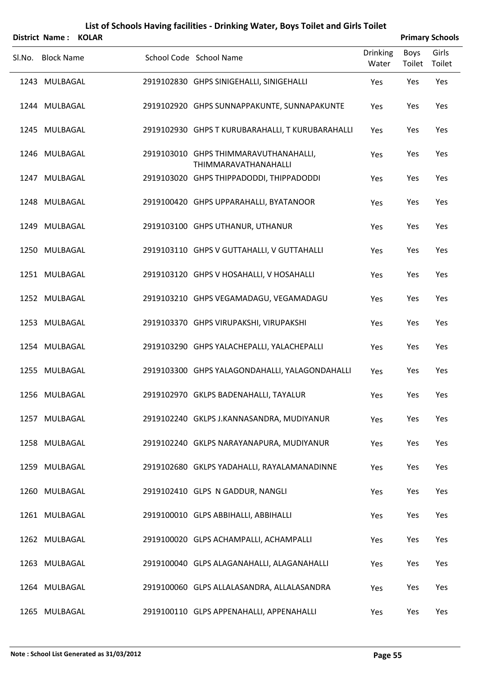|        | <b>District Name:</b> | <b>KOLAR</b> |                                                               |                          |                | <b>Primary Schools</b> |
|--------|-----------------------|--------------|---------------------------------------------------------------|--------------------------|----------------|------------------------|
| Sl.No. | <b>Block Name</b>     |              | School Code School Name                                       | <b>Drinking</b><br>Water | Boys<br>Toilet | Girls<br>Toilet        |
|        | 1243 MULBAGAL         |              | 2919102830 GHPS SINIGEHALLI, SINIGEHALLI                      | Yes                      | Yes            | Yes                    |
|        | 1244 MULBAGAL         |              | 2919102920 GHPS SUNNAPPAKUNTE, SUNNAPAKUNTE                   | Yes                      | Yes            | Yes                    |
|        | 1245 MULBAGAL         |              | 2919102930 GHPS T KURUBARAHALLI, T KURUBARAHALLI              | Yes                      | Yes            | Yes                    |
|        | 1246 MULBAGAL         |              | 2919103010 GHPS THIMMARAVUTHANAHALLI,<br>THIMMARAVATHANAHALLI | Yes                      | Yes            | Yes                    |
|        | 1247 MULBAGAL         |              | 2919103020 GHPS THIPPADODDI, THIPPADODDI                      | Yes                      | Yes            | Yes                    |
|        | 1248 MULBAGAL         |              | 2919100420 GHPS UPPARAHALLI, BYATANOOR                        | Yes                      | Yes            | Yes                    |
|        | 1249 MULBAGAL         |              | 2919103100 GHPS UTHANUR, UTHANUR                              | Yes                      | Yes            | Yes                    |
|        | 1250 MULBAGAL         |              | 2919103110 GHPS V GUTTAHALLI, V GUTTAHALLI                    | Yes                      | Yes            | Yes                    |
|        | 1251 MULBAGAL         |              | 2919103120 GHPS V HOSAHALLI, V HOSAHALLI                      | Yes                      | Yes            | Yes                    |
|        | 1252 MULBAGAL         |              | 2919103210 GHPS VEGAMADAGU, VEGAMADAGU                        | Yes                      | Yes            | Yes                    |
|        | 1253 MULBAGAL         |              | 2919103370 GHPS VIRUPAKSHI, VIRUPAKSHI                        | Yes                      | Yes            | Yes                    |
|        | 1254 MULBAGAL         |              | 2919103290 GHPS YALACHEPALLI, YALACHEPALLI                    | Yes                      | Yes            | Yes                    |
|        | 1255 MULBAGAL         |              | 2919103300 GHPS YALAGONDAHALLI, YALAGONDAHALLI                | Yes                      | Yes            | Yes                    |
|        | 1256 MULBAGAL         |              | 2919102970 GKLPS BADENAHALLI, TAYALUR                         | Yes                      | Yes            | Yes                    |
|        | 1257 MULBAGAL         |              | 2919102240 GKLPS J.KANNASANDRA, MUDIYANUR                     | Yes                      | Yes            | Yes                    |
|        | 1258 MULBAGAL         |              | 2919102240 GKLPS NARAYANAPURA, MUDIYANUR                      | Yes                      | Yes            | Yes                    |
|        | 1259 MULBAGAL         |              | 2919102680 GKLPS YADAHALLI, RAYALAMANADINNE                   | Yes                      | Yes            | Yes                    |
|        | 1260 MULBAGAL         |              | 2919102410 GLPS N GADDUR, NANGLI                              | Yes                      | Yes            | Yes                    |
|        | 1261 MULBAGAL         |              | 2919100010 GLPS ABBIHALLI, ABBIHALLI                          | Yes                      | Yes            | Yes                    |
|        | 1262 MULBAGAL         |              | 2919100020 GLPS ACHAMPALLI, ACHAMPALLI                        | Yes                      | Yes            | Yes                    |
|        | 1263 MULBAGAL         |              | 2919100040 GLPS ALAGANAHALLI, ALAGANAHALLI                    | Yes                      | Yes            | Yes                    |
|        | 1264 MULBAGAL         |              | 2919100060 GLPS ALLALASANDRA, ALLALASANDRA                    | Yes                      | Yes            | Yes                    |
|        | 1265 MULBAGAL         |              | 2919100110 GLPS APPENAHALLI, APPENAHALLI                      | Yes                      | Yes            | Yes                    |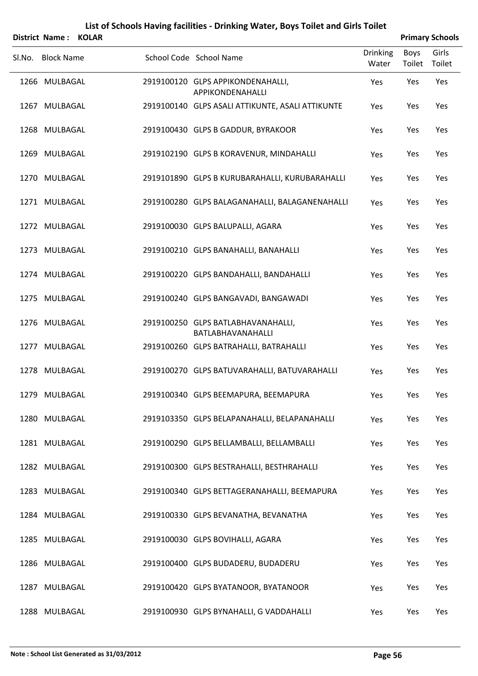|        | <b>District Name:</b> | <b>KOLAR</b> |                                                         |                          |                | <b>Primary Schools</b> |
|--------|-----------------------|--------------|---------------------------------------------------------|--------------------------|----------------|------------------------|
| Sl.No. | <b>Block Name</b>     |              | School Code School Name                                 | <b>Drinking</b><br>Water | Boys<br>Toilet | Girls<br>Toilet        |
|        | 1266 MULBAGAL         |              | 2919100120 GLPS APPIKONDENAHALLI,<br>APPIKONDENAHALLI   | Yes                      | Yes            | Yes                    |
|        | 1267 MULBAGAL         |              | 2919100140 GLPS ASALI ATTIKUNTE, ASALI ATTIKUNTE        | Yes                      | Yes            | Yes                    |
|        | 1268 MULBAGAL         |              | 2919100430 GLPS B GADDUR, BYRAKOOR                      | Yes                      | Yes            | Yes                    |
|        | 1269 MULBAGAL         |              | 2919102190 GLPS B KORAVENUR, MINDAHALLI                 | Yes                      | Yes            | Yes                    |
|        | 1270 MULBAGAL         |              | 2919101890 GLPS B KURUBARAHALLI, KURUBARAHALLI          | Yes                      | Yes            | Yes                    |
|        | 1271 MULBAGAL         |              | 2919100280 GLPS BALAGANAHALLI, BALAGANENAHALLI          | Yes                      | Yes            | Yes                    |
|        | 1272 MULBAGAL         |              | 2919100030 GLPS BALUPALLI, AGARA                        | Yes                      | Yes            | Yes                    |
|        | 1273 MULBAGAL         |              | 2919100210 GLPS BANAHALLI, BANAHALLI                    | Yes                      | Yes            | Yes                    |
|        | 1274 MULBAGAL         |              | 2919100220 GLPS BANDAHALLI, BANDAHALLI                  | Yes                      | Yes            | Yes                    |
|        | 1275 MULBAGAL         |              | 2919100240 GLPS BANGAVADI, BANGAWADI                    | Yes                      | Yes            | Yes                    |
|        | 1276 MULBAGAL         |              | 2919100250 GLPS BATLABHAVANAHALLI,<br>BATLABHAVANAHALLI | Yes                      | Yes            | Yes                    |
|        | 1277 MULBAGAL         |              | 2919100260 GLPS BATRAHALLI, BATRAHALLI                  | Yes                      | Yes            | Yes                    |
|        | 1278 MULBAGAL         |              | 2919100270 GLPS BATUVARAHALLI, BATUVARAHALLI            | Yes                      | Yes            | Yes                    |
|        | 1279 MULBAGAL         |              | 2919100340 GLPS BEEMAPURA, BEEMAPURA                    | Yes                      | Yes            | Yes                    |
|        | 1280 MULBAGAL         |              | 2919103350 GLPS BELAPANAHALLI, BELAPANAHALLI            | Yes                      | Yes            | Yes                    |
|        | 1281 MULBAGAL         |              | 2919100290 GLPS BELLAMBALLI, BELLAMBALLI                | Yes                      | Yes            | Yes                    |
|        | 1282 MULBAGAL         |              | 2919100300 GLPS BESTRAHALLI, BESTHRAHALLI               | Yes                      | Yes            | Yes                    |
|        | 1283 MULBAGAL         |              | 2919100340 GLPS BETTAGERANAHALLI, BEEMAPURA             | Yes                      | Yes            | Yes                    |
|        | 1284 MULBAGAL         |              | 2919100330 GLPS BEVANATHA, BEVANATHA                    | Yes                      | Yes            | Yes                    |
|        | 1285 MULBAGAL         |              | 2919100030 GLPS BOVIHALLI, AGARA                        | Yes                      | Yes            | Yes                    |
|        | 1286 MULBAGAL         |              | 2919100400 GLPS BUDADERU, BUDADERU                      | Yes                      | Yes            | Yes                    |
|        | 1287 MULBAGAL         |              | 2919100420 GLPS BYATANOOR, BYATANOOR                    | Yes                      | Yes            | Yes                    |
|        | 1288 MULBAGAL         |              | 2919100930 GLPS BYNAHALLI, G VADDAHALLI                 | Yes                      | Yes            | Yes                    |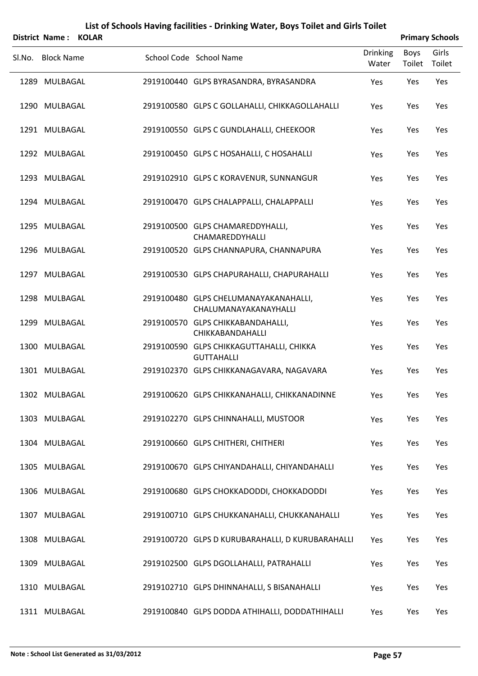|      | District Name:    | <b>KOLAR</b> |                                                                |                          | <b>Primary Schools</b> |                 |
|------|-------------------|--------------|----------------------------------------------------------------|--------------------------|------------------------|-----------------|
|      | Sl.No. Block Name |              | School Code School Name                                        | <b>Drinking</b><br>Water | <b>Boys</b><br>Toilet  | Girls<br>Toilet |
| 1289 | MULBAGAL          |              | 2919100440 GLPS BYRASANDRA, BYRASANDRA                         | Yes                      | Yes                    | Yes             |
|      | 1290 MULBAGAL     |              | 2919100580 GLPS C GOLLAHALLI, CHIKKAGOLLAHALLI                 | Yes                      | Yes                    | Yes             |
|      | 1291 MULBAGAL     |              | 2919100550 GLPS C GUNDLAHALLI, CHEEKOOR                        | Yes                      | Yes                    | Yes             |
|      | 1292 MULBAGAL     |              | 2919100450 GLPS C HOSAHALLI, C HOSAHALLI                       | Yes                      | Yes                    | Yes             |
|      | 1293 MULBAGAL     |              | 2919102910 GLPS C KORAVENUR, SUNNANGUR                         | Yes                      | Yes                    | Yes             |
|      | 1294 MULBAGAL     |              | 2919100470 GLPS CHALAPPALLI, CHALAPPALLI                       | Yes                      | Yes                    | Yes             |
|      | 1295 MULBAGAL     |              | 2919100500 GLPS CHAMAREDDYHALLI,<br>CHAMAREDDYHALLI            | Yes                      | Yes                    | Yes             |
|      | 1296 MULBAGAL     |              | 2919100520 GLPS CHANNAPURA, CHANNAPURA                         | Yes                      | Yes                    | Yes             |
|      | 1297 MULBAGAL     |              | 2919100530 GLPS CHAPURAHALLI, CHAPURAHALLI                     | Yes                      | Yes                    | Yes             |
|      | 1298 MULBAGAL     |              | 2919100480 GLPS CHELUMANAYAKANAHALLI,<br>CHALUMANAYAKANAYHALLI | Yes                      | Yes                    | Yes             |
|      | 1299 MULBAGAL     |              | 2919100570 GLPS CHIKKABANDAHALLI,<br>CHIKKABANDAHALLI          | Yes                      | Yes                    | Yes             |
|      | 1300 MULBAGAL     |              | 2919100590 GLPS CHIKKAGUTTAHALLI, CHIKKA<br><b>GUTTAHALLI</b>  | Yes                      | Yes                    | Yes             |
|      | 1301 MULBAGAL     |              | 2919102370 GLPS CHIKKANAGAVARA, NAGAVARA                       | Yes                      | Yes                    | Yes             |
|      | 1302 MULBAGAL     |              | 2919100620 GLPS CHIKKANAHALLI, CHIKKANADINNE                   | Yes                      | Yes                    | Yes             |
|      | 1303 MULBAGAL     |              | 2919102270 GLPS CHINNAHALLI, MUSTOOR                           | Yes                      | Yes                    | Yes             |
|      | 1304 MULBAGAL     |              | 2919100660 GLPS CHITHERI, CHITHERI                             | Yes                      | Yes                    | Yes             |
|      | 1305 MULBAGAL     |              | 2919100670 GLPS CHIYANDAHALLI, CHIYANDAHALLI                   | Yes                      | Yes                    | Yes             |
|      | 1306 MULBAGAL     |              | 2919100680 GLPS CHOKKADODDI, CHOKKADODDI                       | Yes                      | Yes                    | Yes             |
|      | 1307 MULBAGAL     |              | 2919100710 GLPS CHUKKANAHALLI, CHUKKANAHALLI                   | Yes                      | Yes                    | Yes             |
|      | 1308 MULBAGAL     |              | 2919100720 GLPS D KURUBARAHALLI, D KURUBARAHALLI               | Yes                      | Yes                    | Yes             |
|      | 1309 MULBAGAL     |              | 2919102500 GLPS DGOLLAHALLI, PATRAHALLI                        | Yes                      | Yes                    | Yes             |
| 1310 | MULBAGAL          |              | 2919102710 GLPS DHINNAHALLI, S BISANAHALLI                     | Yes                      | Yes                    | Yes             |
|      | 1311 MULBAGAL     |              | 2919100840 GLPS DODDA ATHIHALLI, DODDATHIHALLI                 | Yes                      | Yes                    | Yes             |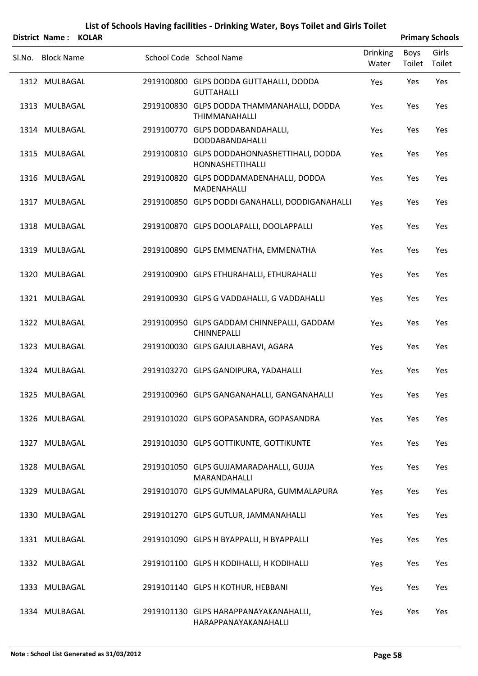|        | District Name: KOLAR |  |                                                                        |                          |                | <b>Primary Schools</b> |
|--------|----------------------|--|------------------------------------------------------------------------|--------------------------|----------------|------------------------|
| Sl.No. | <b>Block Name</b>    |  | School Code School Name                                                | <b>Drinking</b><br>Water | Boys<br>Toilet | Girls<br>Toilet        |
|        | 1312 MULBAGAL        |  | 2919100800 GLPS DODDA GUTTAHALLI, DODDA<br><b>GUTTAHALLI</b>           | Yes                      | Yes            | Yes                    |
|        | 1313 MULBAGAL        |  | 2919100830 GLPS DODDA THAMMANAHALLI, DODDA<br>THIMMANAHALLI            | Yes                      | Yes            | Yes                    |
|        | 1314 MULBAGAL        |  | 2919100770 GLPS DODDABANDAHALLI,<br>DODDABANDAHALLI                    | Yes                      | Yes            | Yes                    |
|        | 1315 MULBAGAL        |  | 2919100810 GLPS DODDAHONNASHETTIHALI, DODDA<br><b>HONNASHETTIHALLI</b> | Yes                      | Yes            | Yes                    |
|        | 1316 MULBAGAL        |  | 2919100820 GLPS DODDAMADENAHALLI, DODDA<br>MADENAHALLI                 | Yes                      | Yes            | Yes                    |
|        | 1317 MULBAGAL        |  | 2919100850 GLPS DODDI GANAHALLI, DODDIGANAHALLI                        | Yes                      | Yes            | Yes                    |
|        | 1318 MULBAGAL        |  | 2919100870 GLPS DOOLAPALLI, DOOLAPPALLI                                | Yes                      | Yes            | Yes                    |
|        | 1319 MULBAGAL        |  | 2919100890 GLPS EMMENATHA, EMMENATHA                                   | Yes                      | Yes            | Yes                    |
|        | 1320 MULBAGAL        |  | 2919100900 GLPS ETHURAHALLI, ETHURAHALLI                               | Yes                      | Yes            | Yes                    |
|        | 1321 MULBAGAL        |  | 2919100930 GLPS G VADDAHALLI, G VADDAHALLI                             | Yes                      | Yes            | Yes                    |
|        | 1322 MULBAGAL        |  | 2919100950 GLPS GADDAM CHINNEPALLI, GADDAM<br><b>CHINNEPALLI</b>       | Yes                      | Yes            | Yes                    |
|        | 1323 MULBAGAL        |  | 2919100030 GLPS GAJULABHAVI, AGARA                                     | Yes                      | Yes            | Yes                    |
|        | 1324 MULBAGAL        |  | 2919103270 GLPS GANDIPURA, YADAHALLI                                   | Yes                      | Yes            | Yes                    |
|        | 1325 MULBAGAL        |  | 2919100960 GLPS GANGANAHALLI, GANGANAHALLI                             | Yes                      | Yes            | Yes                    |
|        | 1326 MULBAGAL        |  | 2919101020 GLPS GOPASANDRA, GOPASANDRA                                 | Yes                      | Yes            | Yes                    |
|        | 1327 MULBAGAL        |  | 2919101030 GLPS GOTTIKUNTE, GOTTIKUNTE                                 | Yes                      | Yes            | Yes                    |
|        | 1328 MULBAGAL        |  | 2919101050 GLPS GUJJAMARADAHALLI, GUJJA<br>MARANDAHALLI                | Yes                      | Yes            | Yes                    |
|        | 1329 MULBAGAL        |  | 2919101070 GLPS GUMMALAPURA, GUMMALAPURA                               | Yes                      | Yes            | Yes                    |
|        | 1330 MULBAGAL        |  | 2919101270 GLPS GUTLUR, JAMMANAHALLI                                   | Yes                      | Yes            | Yes                    |
|        | 1331 MULBAGAL        |  | 2919101090 GLPS H BYAPPALLI, H BYAPPALLI                               | Yes                      | Yes            | Yes                    |
|        | 1332 MULBAGAL        |  | 2919101100 GLPS H KODIHALLI, H KODIHALLI                               | Yes                      | Yes            | Yes                    |
|        | 1333 MULBAGAL        |  | 2919101140 GLPS H KOTHUR, HEBBANI                                      | Yes                      | Yes            | Yes                    |
|        | 1334 MULBAGAL        |  | 2919101130 GLPS HARAPPANAYAKANAHALLI,<br>HARAPPANAYAKANAHALLI          | Yes                      | Yes            | Yes                    |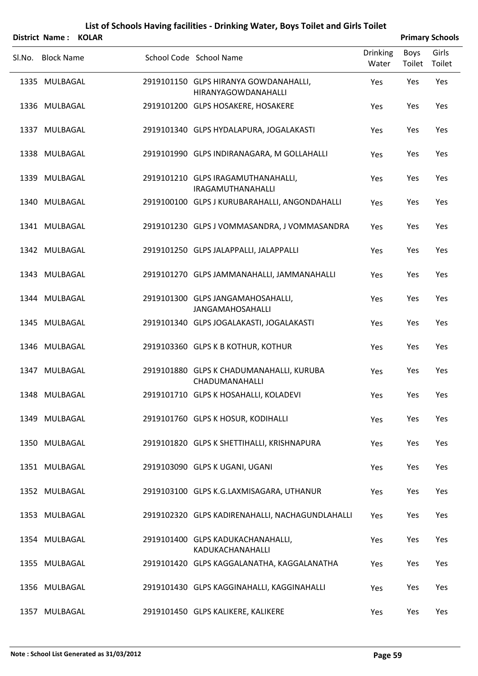|        | District Name: KOLAR |                                                                     |                          |                       | <b>Primary Schools</b> |
|--------|----------------------|---------------------------------------------------------------------|--------------------------|-----------------------|------------------------|
| Sl.No. | <b>Block Name</b>    | School Code School Name                                             | <b>Drinking</b><br>Water | <b>Boys</b><br>Toilet | Girls<br>Toilet        |
|        | 1335 MULBAGAL        | 2919101150 GLPS HIRANYA GOWDANAHALLI,<br><b>HIRANYAGOWDANAHALLI</b> | <b>Yes</b>               | <b>Yes</b>            | Yes                    |
| 1336   | MULBAGAL             | 2919101200 GLPS HOSAKERE, HOSAKERE                                  | Yes                      | <b>Yes</b>            | <b>Yes</b>             |
| 1337   | MULBAGAL             | 2919101340 GLPS HYDALAPURA, JOGALAKASTI                             | <b>Yes</b>               | <b>Yes</b>            | Yes                    |
|        | 1338 MULBAGAL        | 2919101990 GLPS INDIRANAGARA, M GOLLAHALLI                          | <b>Yes</b>               | Yes                   | <b>Yes</b>             |
| 1339   | MULBAGAL             | 2919101210 GLPS IRAGAMUTHANAHALLI,<br><b>IRAGAMUTHANAHALLI</b>      | Yes                      | Yes                   | <b>Yes</b>             |
|        | $10.10 \pm 1.000$    |                                                                     |                          | $\mathbf{v}$ .        |                        |

|      | 1340 MULBAGAL | 2919100100 GLPS J KURUBARAHALLI, ANGONDAHALLI                | Yes | Yes | Yes |
|------|---------------|--------------------------------------------------------------|-----|-----|-----|
|      | 1341 MULBAGAL | 2919101230 GLPS J VOMMASANDRA, J VOMMASANDRA                 | Yes | Yes | Yes |
|      | 1342 MULBAGAL | 2919101250 GLPS JALAPPALLI, JALAPPALLI                       | Yes | Yes | Yes |
|      | 1343 MULBAGAL | 2919101270 GLPS JAMMANAHALLI, JAMMANAHALLI                   | Yes | Yes | Yes |
|      | 1344 MULBAGAL | 2919101300 GLPS JANGAMAHOSAHALLI,<br><b>JANGAMAHOSAHALLI</b> | Yes | Yes | Yes |
|      | 1345 MULBAGAL | 2919101340 GLPS JOGALAKASTI, JOGALAKASTI                     | Yes | Yes | Yes |
|      | 1346 MULBAGAL | 2919103360 GLPS K B KOTHUR, KOTHUR                           | Yes | Yes | Yes |
|      | 1347 MULBAGAL | 2919101880 GLPS K CHADUMANAHALLI, KURUBA<br>CHADUMANAHALLI   | Yes | Yes | Yes |
|      | 1348 MULBAGAL | 2919101710 GLPS K HOSAHALLI, KOLADEVI                        | Yes | Yes | Yes |
|      | 1349 MULBAGAL | 2919101760 GLPS K HOSUR, KODIHALLI                           | Yes | Yes | Yes |
|      | 1350 MULBAGAL | 2919101820 GLPS K SHETTIHALLI, KRISHNAPURA                   | Yes | Yes | Yes |
|      | 1351 MULBAGAL | 2919103090 GLPS K UGANI, UGANI                               | Yes | Yes | Yes |
|      | 1352 MULBAGAL | 2919103100 GLPS K.G.LAXMISAGARA, UTHANUR                     | Yes | Yes | Yes |
|      | 1353 MULBAGAL | 2919102320 GLPS KADIRENAHALLI, NACHAGUNDLAHALLI              | Yes | Yes | Yes |
|      | 1354 MULBAGAL | 2919101400 GLPS KADUKACHANAHALLI,<br>KADUKACHANAHALLI        | Yes | Yes | Yes |
|      | 1355 MULBAGAL | 2919101420 GLPS KAGGALANATHA, KAGGALANATHA                   | Yes | Yes | Yes |
| 1356 | MULBAGAL      | 2919101430 GLPS KAGGINAHALLI, KAGGINAHALLI                   | Yes | Yes | Yes |
| 1357 | MULBAGAL      | 2919101450 GLPS KALIKERE, KALIKERE                           | Yes | Yes | Yes |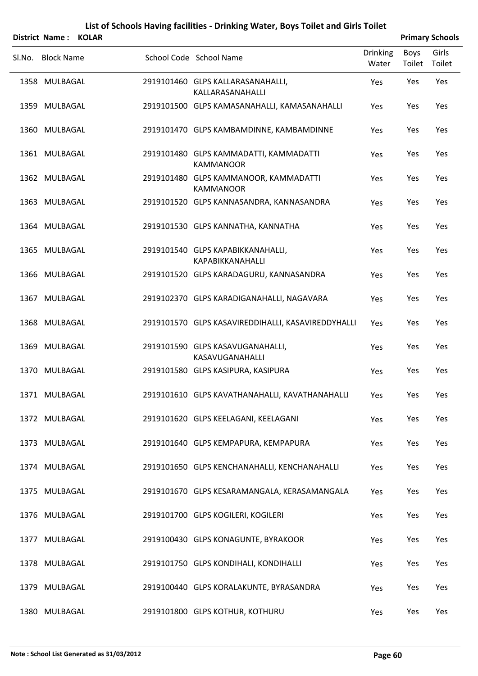|        | District Name:    | <b>KOLAR</b> |                                                            |                          |                | <b>Primary Schools</b> |
|--------|-------------------|--------------|------------------------------------------------------------|--------------------------|----------------|------------------------|
| Sl.No. | <b>Block Name</b> |              | School Code School Name                                    | <b>Drinking</b><br>Water | Boys<br>Toilet | Girls<br>Toilet        |
|        | 1358 MULBAGAL     |              | 2919101460 GLPS KALLARASANAHALLI,<br>KALLARASANAHALLI      | Yes                      | Yes            | Yes                    |
|        | 1359 MULBAGAL     |              | 2919101500 GLPS KAMASANAHALLI, KAMASANAHALLI               | Yes                      | Yes            | Yes                    |
|        | 1360 MULBAGAL     |              | 2919101470 GLPS KAMBAMDINNE, KAMBAMDINNE                   | Yes                      | Yes            | Yes                    |
|        | 1361 MULBAGAL     |              | 2919101480 GLPS KAMMADATTI, KAMMADATTI<br><b>KAMMANOOR</b> | Yes                      | Yes            | Yes                    |
|        | 1362 MULBAGAL     |              | 2919101480 GLPS KAMMANOOR, KAMMADATTI<br><b>KAMMANOOR</b>  | Yes                      | Yes            | Yes                    |
|        | 1363 MULBAGAL     |              | 2919101520 GLPS KANNASANDRA, KANNASANDRA                   | Yes                      | Yes            | Yes                    |
|        | 1364 MULBAGAL     |              | 2919101530 GLPS KANNATHA, KANNATHA                         | Yes                      | Yes            | Yes                    |
|        | 1365 MULBAGAL     |              | 2919101540 GLPS KAPABIKKANAHALLI,<br>KAPABIKKANAHALLI      | Yes                      | Yes            | Yes                    |
|        | 1366 MULBAGAL     |              | 2919101520 GLPS KARADAGURU, KANNASANDRA                    | Yes                      | Yes            | Yes                    |
|        | 1367 MULBAGAL     |              | 2919102370 GLPS KARADIGANAHALLI, NAGAVARA                  | Yes                      | Yes            | Yes                    |
|        | 1368 MULBAGAL     |              | 2919101570 GLPS KASAVIREDDIHALLI, KASAVIREDDYHALLI         | Yes                      | Yes            | Yes                    |
|        | 1369 MULBAGAL     |              | 2919101590 GLPS KASAVUGANAHALLI,<br><b>KASAVUGANAHALLI</b> | Yes                      | Yes            | Yes                    |
|        | 1370 MULBAGAL     |              | 2919101580 GLPS KASIPURA, KASIPURA                         | Yes                      | Yes            | Yes                    |
|        | 1371 MULBAGAL     |              | 2919101610 GLPS KAVATHANAHALLI, KAVATHANAHALLI             | Yes                      | Yes            | Yes                    |
|        | 1372 MULBAGAL     |              | 2919101620 GLPS KEELAGANI, KEELAGANI                       | Yes                      | Yes            | Yes                    |
|        | 1373 MULBAGAL     |              | 2919101640 GLPS KEMPAPURA, KEMPAPURA                       | Yes                      | Yes            | Yes                    |
|        | 1374 MULBAGAL     |              | 2919101650 GLPS KENCHANAHALLI, KENCHANAHALLI               | Yes                      | Yes            | Yes                    |
|        | 1375 MULBAGAL     |              | 2919101670 GLPS KESARAMANGALA, KERASAMANGALA               | Yes                      | Yes            | Yes                    |
|        | 1376 MULBAGAL     |              | 2919101700 GLPS KOGILERI, KOGILERI                         | Yes                      | Yes            | Yes                    |
|        | 1377 MULBAGAL     |              | 2919100430 GLPS KONAGUNTE, BYRAKOOR                        | Yes                      | Yes            | Yes                    |
|        | 1378 MULBAGAL     |              | 2919101750 GLPS KONDIHALI, KONDIHALLI                      | Yes                      | Yes            | Yes                    |
|        | 1379 MULBAGAL     |              | 2919100440 GLPS KORALAKUNTE, BYRASANDRA                    | Yes                      | Yes            | Yes                    |
|        | 1380 MULBAGAL     |              | 2919101800 GLPS KOTHUR, KOTHURU                            | Yes                      | Yes            | Yes                    |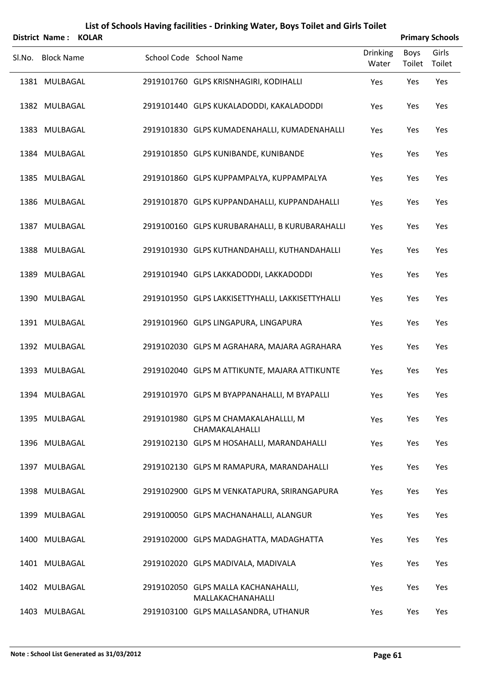|        | <b>District Name:</b> | <b>KOLAR</b> |                                                          |                          |                | <b>Primary Schools</b> |
|--------|-----------------------|--------------|----------------------------------------------------------|--------------------------|----------------|------------------------|
| Sl.No. | <b>Block Name</b>     |              | School Code School Name                                  | <b>Drinking</b><br>Water | Boys<br>Toilet | Girls<br>Toilet        |
|        | 1381 MULBAGAL         |              | 2919101760 GLPS KRISNHAGIRI, KODIHALLI                   | Yes                      | Yes            | Yes                    |
|        | 1382 MULBAGAL         |              | 2919101440 GLPS KUKALADODDI, KAKALADODDI                 | Yes                      | Yes            | Yes                    |
|        | 1383 MULBAGAL         |              | 2919101830 GLPS KUMADENAHALLI, KUMADENAHALLI             | Yes                      | Yes            | Yes                    |
|        | 1384 MULBAGAL         |              | 2919101850 GLPS KUNIBANDE, KUNIBANDE                     | Yes                      | Yes            | Yes                    |
|        | 1385 MULBAGAL         |              | 2919101860 GLPS KUPPAMPALYA, KUPPAMPALYA                 | Yes                      | Yes            | Yes                    |
|        | 1386 MULBAGAL         |              | 2919101870 GLPS KUPPANDAHALLI, KUPPANDAHALLI             | Yes                      | Yes            | Yes                    |
|        | 1387 MULBAGAL         |              | 2919100160 GLPS KURUBARAHALLI, B KURUBARAHALLI           | Yes                      | Yes            | Yes                    |
|        | 1388 MULBAGAL         |              | 2919101930 GLPS KUTHANDAHALLI, KUTHANDAHALLI             | Yes                      | Yes            | Yes                    |
|        | 1389 MULBAGAL         |              | 2919101940 GLPS LAKKADODDI, LAKKADODDI                   | Yes                      | Yes            | Yes                    |
|        | 1390 MULBAGAL         |              | 2919101950 GLPS LAKKISETTYHALLI, LAKKISETTYHALLI         | Yes                      | Yes            | Yes                    |
|        | 1391 MULBAGAL         |              | 2919101960 GLPS LINGAPURA, LINGAPURA                     | Yes                      | Yes            | Yes                    |
|        | 1392 MULBAGAL         |              | 2919102030 GLPS M AGRAHARA, MAJARA AGRAHARA              | Yes                      | Yes            | Yes                    |
|        | 1393 MULBAGAL         |              | 2919102040 GLPS M ATTIKUNTE, MAJARA ATTIKUNTE            | Yes                      | Yes            | Yes                    |
|        | 1394 MULBAGAL         |              | 2919101970 GLPS M BYAPPANAHALLI, M BYAPALLI              | Yes                      | Yes            | Yes                    |
|        | 1395 MULBAGAL         |              | 2919101980 GLPS M CHAMAKALAHALLLI, M<br>CHAMAKALAHALLI   | Yes                      | Yes            | Yes                    |
|        | 1396 MULBAGAL         |              | 2919102130 GLPS M HOSAHALLI, MARANDAHALLI                | Yes                      | Yes            | Yes                    |
|        | 1397 MULBAGAL         |              | 2919102130 GLPS M RAMAPURA, MARANDAHALLI                 | Yes                      | Yes            | Yes                    |
|        | 1398 MULBAGAL         |              | 2919102900 GLPS M VENKATAPURA, SRIRANGAPURA              | Yes                      | Yes            | Yes                    |
|        | 1399 MULBAGAL         |              | 2919100050 GLPS MACHANAHALLI, ALANGUR                    | Yes                      | Yes            | Yes                    |
|        | 1400 MULBAGAL         |              | 2919102000 GLPS MADAGHATTA, MADAGHATTA                   | Yes                      | Yes            | Yes                    |
|        | 1401 MULBAGAL         |              | 2919102020 GLPS MADIVALA, MADIVALA                       | Yes                      | Yes            | Yes                    |
|        | 1402 MULBAGAL         |              | 2919102050 GLPS MALLA KACHANAHALLI,<br>MALLAKACHANAHALLI | Yes                      | Yes            | Yes                    |
|        | 1403 MULBAGAL         |              | 2919103100 GLPS MALLASANDRA, UTHANUR                     | Yes                      | Yes            | Yes                    |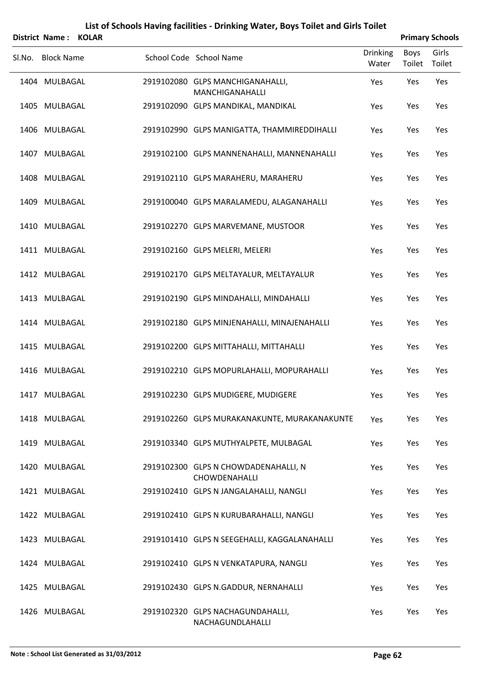|        | <b>District Name:</b> | <b>KOLAR</b> |                                                            |                          |                | <b>Primary Schools</b> |
|--------|-----------------------|--------------|------------------------------------------------------------|--------------------------|----------------|------------------------|
| SI.No. | <b>Block Name</b>     |              | School Code School Name                                    | <b>Drinking</b><br>Water | Boys<br>Toilet | Girls<br>Toilet        |
|        | 1404 MULBAGAL         |              | 2919102080 GLPS MANCHIGANAHALLI,<br><b>MANCHIGANAHALLI</b> | Yes                      | Yes            | Yes                    |
|        | 1405 MULBAGAL         |              | 2919102090 GLPS MANDIKAL, MANDIKAL                         | Yes                      | Yes            | Yes                    |
|        | 1406 MULBAGAL         |              | 2919102990 GLPS MANIGATTA, THAMMIREDDIHALLI                | Yes                      | Yes            | Yes                    |
|        | 1407 MULBAGAL         |              | 2919102100 GLPS MANNENAHALLI, MANNENAHALLI                 | Yes                      | Yes            | Yes                    |
|        | 1408 MULBAGAL         |              | 2919102110 GLPS MARAHERU, MARAHERU                         | Yes                      | Yes            | Yes                    |
|        | 1409 MULBAGAL         |              | 2919100040 GLPS MARALAMEDU, ALAGANAHALLI                   | Yes                      | Yes            | Yes                    |
|        | 1410 MULBAGAL         |              | 2919102270 GLPS MARVEMANE, MUSTOOR                         | Yes                      | Yes            | Yes                    |
|        | 1411 MULBAGAL         |              | 2919102160 GLPS MELERI, MELERI                             | Yes                      | Yes            | Yes                    |
|        | 1412 MULBAGAL         |              | 2919102170 GLPS MELTAYALUR, MELTAYALUR                     | Yes                      | Yes            | Yes                    |
|        | 1413 MULBAGAL         |              | 2919102190 GLPS MINDAHALLI, MINDAHALLI                     | Yes                      | Yes            | Yes                    |
|        | 1414 MULBAGAL         |              | 2919102180 GLPS MINJENAHALLI, MINAJENAHALLI                | Yes                      | Yes            | Yes                    |
|        | 1415 MULBAGAL         |              | 2919102200 GLPS MITTAHALLI, MITTAHALLI                     | Yes                      | Yes            | Yes                    |
|        | 1416 MULBAGAL         |              | 2919102210 GLPS MOPURLAHALLI, MOPURAHALLI                  | Yes                      | Yes            | Yes                    |
|        | 1417 MULBAGAL         |              | 2919102230 GLPS MUDIGERE, MUDIGERE                         | Yes                      | Yes            | Yes                    |
|        | 1418 MULBAGAL         |              | 2919102260 GLPS MURAKANAKUNTE, MURAKANAKUNTE               | Yes                      | Yes            | Yes                    |
|        | 1419 MULBAGAL         |              | 2919103340 GLPS MUTHYALPETE, MULBAGAL                      | Yes                      | Yes            | Yes                    |
|        | 1420 MULBAGAL         |              | 2919102300 GLPS N CHOWDADENAHALLI, N<br>CHOWDENAHALLI      | Yes                      | Yes            | Yes                    |
|        | 1421 MULBAGAL         |              | 2919102410 GLPS N JANGALAHALLI, NANGLI                     | Yes                      | Yes            | Yes                    |
|        | 1422 MULBAGAL         |              | 2919102410 GLPS N KURUBARAHALLI, NANGLI                    | Yes                      | Yes            | Yes                    |
|        | 1423 MULBAGAL         |              | 2919101410 GLPS N SEEGEHALLI, KAGGALANAHALLI               | Yes                      | Yes            | Yes                    |
|        | 1424 MULBAGAL         |              | 2919102410 GLPS N VENKATAPURA, NANGLI                      | Yes                      | Yes            | Yes                    |
|        | 1425 MULBAGAL         |              | 2919102430 GLPS N.GADDUR, NERNAHALLI                       | Yes                      | Yes            | Yes                    |
|        | 1426 MULBAGAL         |              | 2919102320 GLPS NACHAGUNDAHALLI,<br>NACHAGUNDLAHALLI       | Yes                      | Yes            | Yes                    |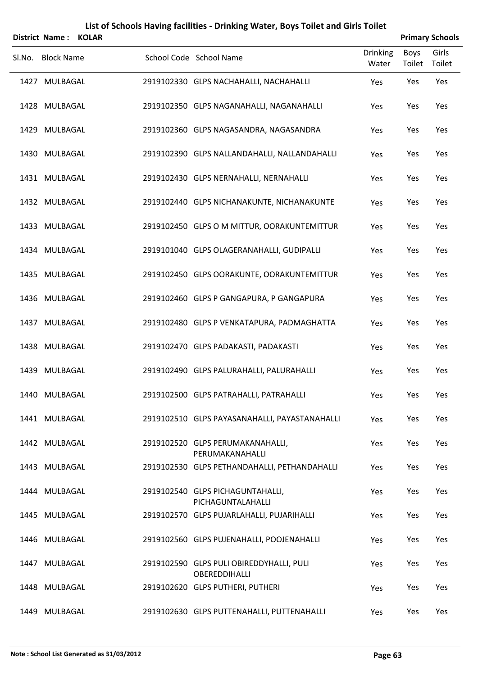|        | <b>District Name:</b> | <b>KOLAR</b> |                                                                  |                          |                       | <b>Primary Schools</b> |
|--------|-----------------------|--------------|------------------------------------------------------------------|--------------------------|-----------------------|------------------------|
| Sl.No. | <b>Block Name</b>     |              | School Code School Name                                          | <b>Drinking</b><br>Water | <b>Boys</b><br>Toilet | Girls<br>Toilet        |
|        | 1427 MULBAGAL         |              | 2919102330 GLPS NACHAHALLI, NACHAHALLI                           | Yes                      | Yes                   | Yes                    |
|        | 1428 MULBAGAL         |              | 2919102350 GLPS NAGANAHALLI, NAGANAHALLI                         | Yes                      | Yes                   | Yes                    |
|        | 1429 MULBAGAL         |              | 2919102360 GLPS NAGASANDRA, NAGASANDRA                           | Yes                      | Yes                   | Yes                    |
|        | 1430 MULBAGAL         |              | 2919102390 GLPS NALLANDAHALLI, NALLANDAHALLI                     | Yes                      | Yes                   | Yes                    |
|        | 1431 MULBAGAL         |              | 2919102430 GLPS NERNAHALLI, NERNAHALLI                           | Yes                      | Yes                   | Yes                    |
|        | 1432 MULBAGAL         |              | 2919102440 GLPS NICHANAKUNTE, NICHANAKUNTE                       | Yes                      | Yes                   | Yes                    |
|        | 1433 MULBAGAL         |              | 2919102450 GLPS O M MITTUR, OORAKUNTEMITTUR                      | Yes                      | Yes                   | Yes                    |
|        | 1434 MULBAGAL         |              | 2919101040 GLPS OLAGERANAHALLI, GUDIPALLI                        | Yes                      | Yes                   | Yes                    |
|        | 1435 MULBAGAL         |              | 2919102450 GLPS OORAKUNTE, OORAKUNTEMITTUR                       | Yes                      | Yes                   | Yes                    |
|        | 1436 MULBAGAL         |              | 2919102460 GLPS P GANGAPURA, P GANGAPURA                         | Yes                      | Yes                   | Yes                    |
|        | 1437 MULBAGAL         |              | 2919102480 GLPS P VENKATAPURA, PADMAGHATTA                       | Yes                      | Yes                   | Yes                    |
|        | 1438 MULBAGAL         |              | 2919102470 GLPS PADAKASTI, PADAKASTI                             | Yes                      | Yes                   | Yes                    |
| 1439   | MULBAGAL              |              | 2919102490 GLPS PALURAHALLI, PALURAHALLI                         | Yes                      | Yes                   | Yes                    |
|        | 1440 MULBAGAL         |              | 2919102500 GLPS PATRAHALLI, PATRAHALLI                           | Yes                      | Yes                   | Yes                    |
|        | 1441 MULBAGAL         |              | 2919102510 GLPS PAYASANAHALLI, PAYASTANAHALLI                    | Yes                      | Yes                   | Yes                    |
|        | 1442 MULBAGAL         |              | 2919102520 GLPS PERUMAKANAHALLI,<br>PERUMAKANAHALLI              | Yes                      | Yes                   | Yes                    |
|        | 1443 MULBAGAL         |              | 2919102530 GLPS PETHANDAHALLI, PETHANDAHALLI                     | Yes                      | Yes                   | Yes                    |
|        | 1444 MULBAGAL         |              | 2919102540 GLPS PICHAGUNTAHALLI,<br>PICHAGUNTALAHALLI            | Yes                      | Yes                   | Yes                    |
|        | 1445 MULBAGAL         |              | 2919102570 GLPS PUJARLAHALLI, PUJARIHALLI                        | Yes                      | Yes                   | Yes                    |
|        | 1446 MULBAGAL         |              | 2919102560 GLPS PUJENAHALLI, POOJENAHALLI                        | Yes                      | Yes                   | Yes                    |
|        | 1447 MULBAGAL         |              | 2919102590 GLPS PULI OBIREDDYHALLI, PULI<br><b>OBEREDDIHALLI</b> | Yes                      | Yes                   | Yes                    |
|        | 1448 MULBAGAL         |              | 2919102620 GLPS PUTHERI, PUTHERI                                 | Yes                      | Yes                   | Yes                    |
|        | 1449 MULBAGAL         |              | 2919102630 GLPS PUTTENAHALLI, PUTTENAHALLI                       | Yes                      | Yes                   | Yes                    |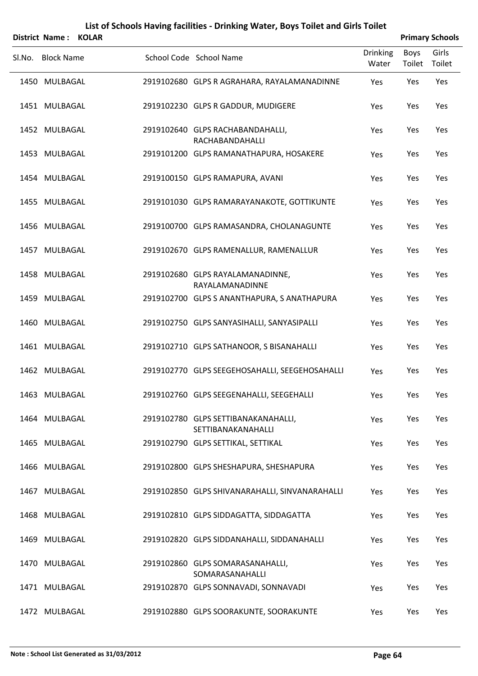|      | District Name: KOLAR |  |                                                            |                          |                | <b>Primary Schools</b> |
|------|----------------------|--|------------------------------------------------------------|--------------------------|----------------|------------------------|
|      | Sl.No. Block Name    |  | School Code School Name                                    | <b>Drinking</b><br>Water | Boys<br>Toilet | Girls<br>Toilet        |
|      | 1450 MULBAGAL        |  | 2919102680 GLPS R AGRAHARA, RAYALAMANADINNE                | Yes                      | Yes            | Yes                    |
|      | 1451 MULBAGAL        |  | 2919102230 GLPS R GADDUR, MUDIGERE                         | Yes                      | Yes            | Yes                    |
|      | 1452 MULBAGAL        |  | 2919102640 GLPS RACHABANDAHALLI,<br><b>RACHABANDAHALLI</b> | Yes                      | Yes            | Yes                    |
|      | 1453 MULBAGAL        |  | 2919101200 GLPS RAMANATHAPURA, HOSAKERE                    | Yes                      | Yes            | Yes                    |
|      | 1454 MULBAGAL        |  | 2919100150 GLPS RAMAPURA, AVANI                            | Yes                      | Yes            | Yes                    |
|      | 1455 MULBAGAL        |  | 2919101030 GLPS RAMARAYANAKOTE, GOTTIKUNTE                 | Yes                      | Yes            | Yes                    |
|      | 1456 MULBAGAL        |  | 2919100700 GLPS RAMASANDRA, CHOLANAGUNTE                   | Yes                      | Yes            | Yes                    |
|      | 1457 MULBAGAL        |  | 2919102670 GLPS RAMENALLUR, RAMENALLUR                     | Yes                      | Yes            | Yes                    |
|      | 1458 MULBAGAL        |  | 2919102680 GLPS RAYALAMANADINNE,<br>RAYALAMANADINNE        | Yes                      | Yes            | Yes                    |
|      | 1459 MULBAGAL        |  | 2919102700 GLPS S ANANTHAPURA, S ANATHAPURA                | Yes                      | Yes            | Yes                    |
| 1460 | MULBAGAL             |  | 2919102750 GLPS SANYASIHALLI, SANYASIPALLI                 | Yes                      | Yes            | Yes                    |
|      | 1461 MULBAGAL        |  | 2919102710 GLPS SATHANOOR, S BISANAHALLI                   | Yes                      | Yes            | Yes                    |
|      | 1462 MULBAGAL        |  | 2919102770 GLPS SEEGEHOSAHALLI, SEEGEHOSAHALLI             | Yes                      | Yes            | Yes                    |
|      | 1463 MULBAGAL        |  | 2919102760 GLPS SEEGENAHALLI, SEEGEHALLI                   | Yes                      | Yes            | Yes                    |
|      | 1464 MULBAGAL        |  | 2919102780 GLPS SETTIBANAKANAHALLI,<br>SETTIBANAKANAHALLI  | Yes                      | Yes            | Yes                    |
|      | 1465 MULBAGAL        |  | 2919102790 GLPS SETTIKAL, SETTIKAL                         | Yes                      | Yes            | Yes                    |
|      | 1466 MULBAGAL        |  | 2919102800 GLPS SHESHAPURA, SHESHAPURA                     | Yes                      | Yes            | Yes                    |
|      | 1467 MULBAGAL        |  | 2919102850 GLPS SHIVANARAHALLI, SINVANARAHALLI             | Yes                      | Yes            | Yes                    |
|      | 1468 MULBAGAL        |  | 2919102810 GLPS SIDDAGATTA, SIDDAGATTA                     | Yes                      | Yes            | Yes                    |
|      | 1469 MULBAGAL        |  | 2919102820 GLPS SIDDANAHALLI, SIDDANAHALLI                 | Yes                      | Yes            | Yes                    |
|      | 1470 MULBAGAL        |  | 2919102860 GLPS SOMARASANAHALLI,<br>SOMARASANAHALLI        | Yes                      | Yes            | Yes                    |
|      | 1471 MULBAGAL        |  | 2919102870 GLPS SONNAVADI, SONNAVADI                       | Yes                      | Yes            | Yes                    |
|      | 1472 MULBAGAL        |  | 2919102880 GLPS SOORAKUNTE, SOORAKUNTE                     | Yes                      | Yes            | Yes                    |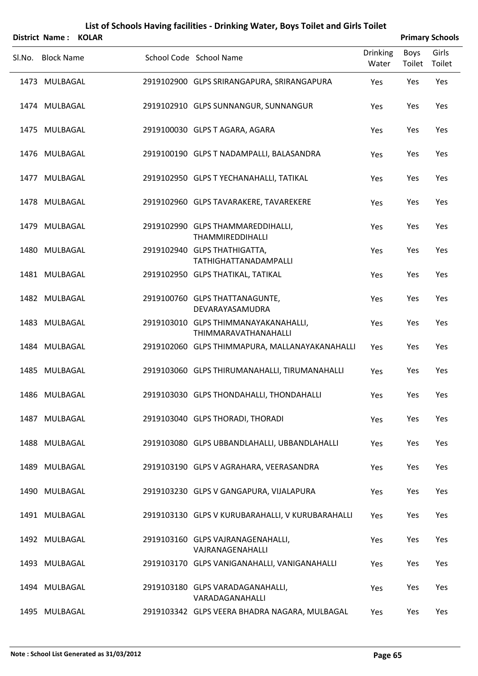| District Name:    | <b>KOLAR</b> | List of Schools Having facilities - Drinking Water, Boys Toilet and Girls Toilet |                 |        | <b>Primary Schools</b> |
|-------------------|--------------|----------------------------------------------------------------------------------|-----------------|--------|------------------------|
|                   |              |                                                                                  | <b>Drinking</b> | Boys   | Girls                  |
| Sl.No. Block Name |              | School Code School Name                                                          | Water           | Toilet | Toilet                 |
| 1473 MULBAGAL     |              | 2919102900 GLPS SRIRANGAPURA, SRIRANGAPURA                                       | Yes             | Yes    | Yes                    |
| 1474 MULBAGAL     |              | 2919102910 GLPS SUNNANGUR, SUNNANGUR                                             | Yes             | Yes    | Yes                    |
| 1475 MULBAGAL     |              | 2919100030 GLPS T AGARA, AGARA                                                   | Yes             | Yes    | Yes                    |
| 1476 MULBAGAL     |              | 2919100190 GLPS T NADAMPALLI, BALASANDRA                                         | Yes             | Yes    | Yes                    |
| 1477 MULBAGAL     |              | 2919102950 GLPS T YECHANAHALLI, TATIKAL                                          | Yes             | Yes    | Yes                    |
| 1478 MULBAGAL     |              | 2919102960 GLPS TAVARAKERE, TAVAREKERE                                           | Yes             | Yes    | Yes                    |
| 1479 MULBAGAL     |              | 2919102990 GLPS THAMMAREDDIHALLI,<br>THAMMIREDDIHALLI                            | Yes             | Yes    | Yes                    |
| 1480 MULBAGAL     |              | 2919102940 GLPS THATHIGATTA,<br><b>TATHIGHATTANADAMPALLI</b>                     | Yes             | Yes    | Yes                    |
| 1481 MULBAGAL     |              | 2919102950 GLPS THATIKAL, TATIKAL                                                | Yes             | Yes    | Yes                    |
| 1482 MULBAGAL     |              | 2919100760 GLPS THATTANAGUNTE,<br>DEVARAYASAMUDRA                                | Yes             | Yes    | Yes                    |
| 1483 MULBAGAL     |              | 2919103010 GLPS THIMMANAYAKANAHALLI,<br>THIMMARAVATHANAHALLI                     | Yes             | Yes    | Yes                    |
| 1484 MULBAGAL     |              | 2919102060 GLPS THIMMAPURA, MALLANAYAKANAHALLI                                   | Yes             | Yes    | Yes                    |
| 1485 MULBAGAL     |              | 2919103060 GLPS THIRUMANAHALLI, TIRUMANAHALLI                                    | Yes             | Yes    | Yes                    |
| 1486 MULBAGAL     |              | 2919103030 GLPS THONDAHALLI, THONDAHALLI                                         | Yes             | Yes    | Yes                    |
| 1487 MULBAGAL     |              | 2919103040 GLPS THORADI, THORADI                                                 | Yes             | Yes    | Yes                    |
| 1488 MULBAGAL     |              | 2919103080 GLPS UBBANDLAHALLI, UBBANDLAHALLI                                     | Yes             | Yes    | Yes                    |
| 1489 MULBAGAL     |              | 2919103190 GLPS V AGRAHARA, VEERASANDRA                                          | Yes             | Yes    | Yes                    |
| 1490 MULBAGAL     |              | 2919103230 GLPS V GANGAPURA, VIJALAPURA                                          | Yes             | Yes    | Yes                    |
| 1491 MULBAGAL     |              | 2919103130 GLPS V KURUBARAHALLI, V KURUBARAHALLI                                 | Yes             | Yes    | Yes                    |
| 1492 MULBAGAL     |              | 2919103160 GLPS VAJRANAGENAHALLI,<br>VAJRANAGENAHALLI                            | Yes             | Yes    | Yes                    |
| 1493 MULBAGAL     |              | 2919103170 GLPS VANIGANAHALLI, VANIGANAHALLI                                     | Yes             | Yes    | Yes                    |
| 1494 MULBAGAL     |              | 2919103180 GLPS VARADAGANAHALLI,<br>VARADAGANAHALLI                              | Yes             | Yes    | Yes                    |
| 1495 MULBAGAL     |              | 2919103342 GLPS VEERA BHADRA NAGARA, MULBAGAL                                    | Yes             | Yes    | Yes                    |

# **Note : School List Generated as 31/03/2012 Page 65**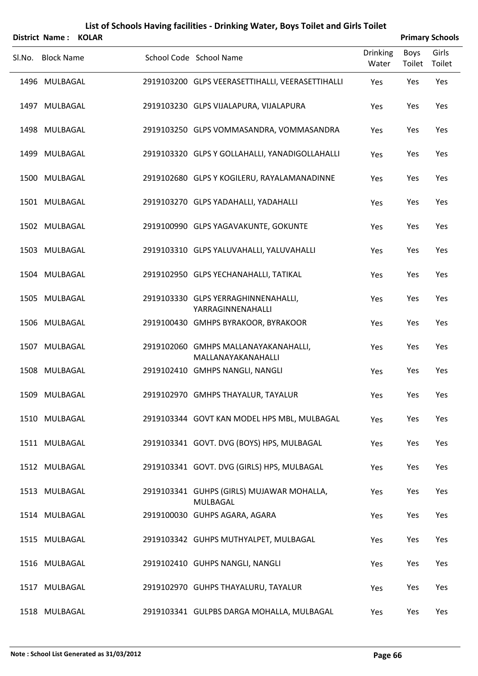|        |                       |              | List of Schools Having facilities - Drinking Water, Boys Toilet and Girls Toilet |                   |                       |                        |
|--------|-----------------------|--------------|----------------------------------------------------------------------------------|-------------------|-----------------------|------------------------|
|        | <b>District Name:</b> | <b>KOLAR</b> |                                                                                  |                   |                       | <b>Primary Schools</b> |
| SI.No. | <b>Block Name</b>     |              | School Code School Name                                                          | Drinking<br>Water | <b>Boys</b><br>Toilet | Girls<br>Toilet        |
|        | 1496 MULBAGAL         |              | 2919103200 GLPS VEERASETTIHALLI, VEERASETTIHALLI                                 | Yes               | Yes                   | Yes                    |
|        | 1497 MULBAGAL         |              | 2919103230 GLPS VIJALAPURA, VIJALAPURA                                           | Yes               | Yes                   | Yes                    |
|        | 1498 MULBAGAL         |              | 2919103250 GLPS VOMMASANDRA, VOMMASANDRA                                         | Yes               | Yes                   | Yes                    |
|        | 1499 MULBAGAL         |              | 2919103320 GLPS Y GOLLAHALLI, YANADIGOLLAHALLI                                   | Yes               | Yes                   | Yes                    |
|        | 1500 MULBAGAL         |              | 2919102680 GLPS Y KOGILERU, RAYALAMANADINNE                                      | Yes               | Yes                   | Yes                    |
|        | 1501 MULBAGAL         |              | 2919103270 GLPS YADAHALLI, YADAHALLI                                             | Yes               | Yes                   | Yes                    |
|        | 1502 MULBAGAL         |              | 2919100990 GLPS YAGAVAKUNTE, GOKUNTE                                             | Yes               | Yes                   | Yes                    |
|        | 1503 MULBAGAL         |              | 2919103310 GLPS YALUVAHALLI, YALUVAHALLI                                         | Yes               | Yes                   | Yes                    |
|        | 1504 MULBAGAL         |              | 2919102950 GLPS YECHANAHALLI, TATIKAL                                            | Yes               | Yes                   | Yes                    |
|        | 1505 MULBAGAL         |              | 2919103330 GLPS YERRAGHINNENAHALLI,<br>YARRAGINNENAHALLI                         | Yes               | Yes                   | Yes                    |
|        | 1506 MULBAGAL         |              | 2919100430 GMHPS BYRAKOOR, BYRAKOOR                                              | Yes               | Yes                   | Yes                    |
|        | 1507 MULBAGAL         |              | 2919102060 GMHPS MALLANAYAKANAHALLI,<br>MALLANAYAKANAHALLI                       | Yes               | Yes                   | Yes                    |
|        | 1508 MULBAGAL         |              | 2919102410 GMHPS NANGLI, NANGLI                                                  | Yes               | Yes                   | Yes                    |
|        | 1509 MULBAGAL         |              | 2919102970 GMHPS THAYALUR, TAYALUR                                               | Yes               | Yes                   | Yes                    |
|        | 1510 MULBAGAL         |              | 2919103344 GOVT KAN MODEL HPS MBL, MULBAGAL                                      | Yes               | Yes                   | Yes                    |
|        | 1511 MULBAGAL         |              | 2919103341 GOVT. DVG (BOYS) HPS, MULBAGAL                                        | Yes               | Yes                   | Yes                    |
|        | 1512 MULBAGAL         |              | 2919103341 GOVT. DVG (GIRLS) HPS, MULBAGAL                                       | Yes               | Yes                   | Yes                    |
|        | 1513 MULBAGAL         |              | 2919103341 GUHPS (GIRLS) MUJAWAR MOHALLA,<br>MULBAGAL                            | Yes               | Yes                   | Yes                    |
|        | 1514 MULBAGAL         |              | 2919100030 GUHPS AGARA, AGARA                                                    | Yes               | Yes                   | Yes                    |
|        | 1515 MULBAGAL         |              | 2919103342 GUHPS MUTHYALPET, MULBAGAL                                            | Yes               | Yes                   | Yes                    |
|        | 1516 MULBAGAL         |              | 2919102410 GUHPS NANGLI, NANGLI                                                  | Yes               | Yes                   | Yes                    |
|        | 1517 MULBAGAL         |              | 2919102970 GUHPS THAYALURU, TAYALUR                                              | Yes               | Yes                   | Yes                    |
|        | 1518 MULBAGAL         |              | 2919103341 GULPBS DARGA MOHALLA, MULBAGAL                                        | Yes               | Yes                   | Yes                    |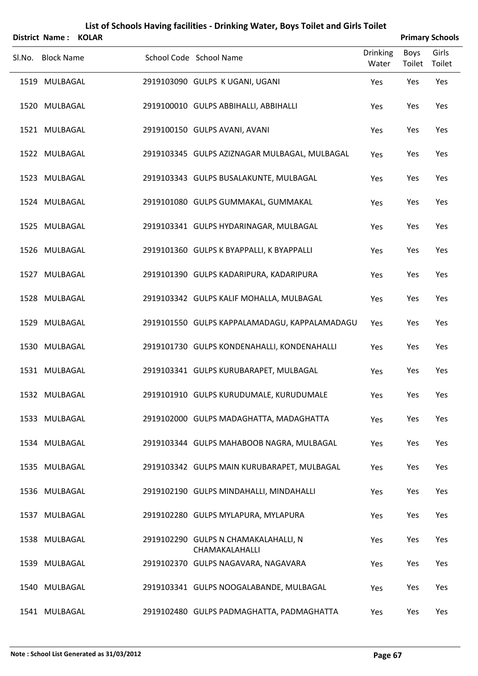|        | <b>District Name:</b> | <b>KOLAR</b> |                                                        |                          |                | <b>Primary Schools</b> |
|--------|-----------------------|--------------|--------------------------------------------------------|--------------------------|----------------|------------------------|
| SI.No. | <b>Block Name</b>     |              | School Code School Name                                | <b>Drinking</b><br>Water | Boys<br>Toilet | Girls<br>Toilet        |
|        | 1519 MULBAGAL         |              | 2919103090 GULPS K UGANI, UGANI                        | Yes                      | Yes            | Yes                    |
|        | 1520 MULBAGAL         |              | 2919100010 GULPS ABBIHALLI, ABBIHALLI                  | Yes                      | Yes            | Yes                    |
|        | 1521 MULBAGAL         |              | 2919100150 GULPS AVANI, AVANI                          | Yes                      | Yes            | Yes                    |
|        | 1522 MULBAGAL         |              | 2919103345 GULPS AZIZNAGAR MULBAGAL, MULBAGAL          | Yes                      | Yes            | Yes                    |
|        | 1523 MULBAGAL         |              | 2919103343 GULPS BUSALAKUNTE, MULBAGAL                 | Yes                      | Yes            | Yes                    |
|        | 1524 MULBAGAL         |              | 2919101080 GULPS GUMMAKAL, GUMMAKAL                    | Yes                      | Yes            | Yes                    |
|        | 1525 MULBAGAL         |              | 2919103341 GULPS HYDARINAGAR, MULBAGAL                 | Yes                      | Yes            | Yes                    |
|        | 1526 MULBAGAL         |              | 2919101360 GULPS K BYAPPALLI, K BYAPPALLI              | Yes                      | Yes            | Yes                    |
|        | 1527 MULBAGAL         |              | 2919101390 GULPS KADARIPURA, KADARIPURA                | Yes                      | Yes            | Yes                    |
|        | 1528 MULBAGAL         |              | 2919103342 GULPS KALIF MOHALLA, MULBAGAL               | Yes                      | Yes            | Yes                    |
|        | 1529 MULBAGAL         |              | 2919101550 GULPS KAPPALAMADAGU, KAPPALAMADAGU          | Yes                      | Yes            | Yes                    |
|        | 1530 MULBAGAL         |              | 2919101730 GULPS KONDENAHALLI, KONDENAHALLI            | Yes                      | Yes            | Yes                    |
|        | 1531 MULBAGAL         |              | 2919103341 GULPS KURUBARAPET, MULBAGAL                 | Yes                      | Yes            | Yes                    |
|        | 1532 MULBAGAL         |              | 2919101910 GULPS KURUDUMALE, KURUDUMALE                | Yes                      | Yes            | Yes                    |
|        | 1533 MULBAGAL         |              | 2919102000 GULPS MADAGHATTA, MADAGHATTA                | Yes                      | Yes            | Yes                    |
|        | 1534 MULBAGAL         |              | 2919103344 GULPS MAHABOOB NAGRA, MULBAGAL              | Yes                      | Yes            | Yes                    |
|        | 1535 MULBAGAL         |              | 2919103342 GULPS MAIN KURUBARAPET, MULBAGAL            | Yes                      | Yes            | Yes                    |
|        | 1536 MULBAGAL         |              | 2919102190 GULPS MINDAHALLI, MINDAHALLI                | Yes                      | Yes            | Yes                    |
|        | 1537 MULBAGAL         |              | 2919102280 GULPS MYLAPURA, MYLAPURA                    | Yes                      | Yes            | Yes                    |
|        | 1538 MULBAGAL         |              | 2919102290 GULPS N CHAMAKALAHALLI, N<br>CHAMAKALAHALLI | Yes                      | Yes            | Yes                    |
|        | 1539 MULBAGAL         |              | 2919102370 GULPS NAGAVARA, NAGAVARA                    | Yes                      | Yes            | Yes                    |
|        | 1540 MULBAGAL         |              | 2919103341 GULPS NOOGALABANDE, MULBAGAL                | Yes                      | Yes            | Yes                    |
|        | 1541 MULBAGAL         |              | 2919102480 GULPS PADMAGHATTA, PADMAGHATTA              | Yes                      | Yes            | Yes                    |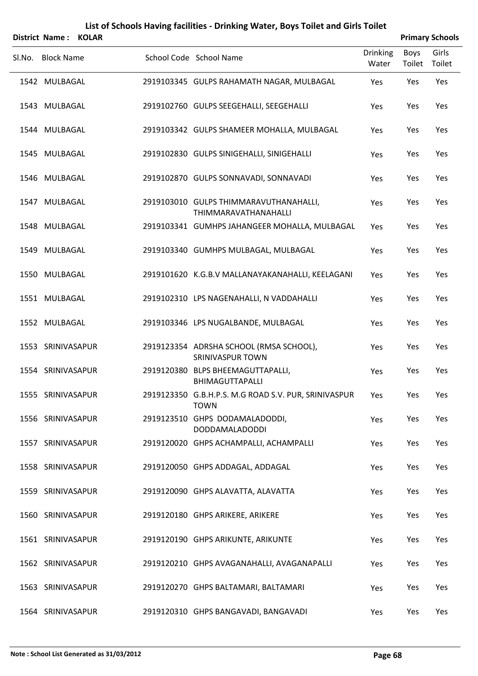|        | District Name: KOLAR |  |                                                                     |                          |                | <b>Primary Schools</b> |
|--------|----------------------|--|---------------------------------------------------------------------|--------------------------|----------------|------------------------|
| Sl.No. | <b>Block Name</b>    |  | School Code School Name                                             | <b>Drinking</b><br>Water | Boys<br>Toilet | Girls<br>Toilet        |
|        | 1542 MULBAGAL        |  | 2919103345 GULPS RAHAMATH NAGAR, MULBAGAL                           | Yes                      | Yes            | Yes                    |
|        | 1543 MULBAGAL        |  | 2919102760 GULPS SEEGEHALLI, SEEGEHALLI                             | Yes                      | Yes            | Yes                    |
|        | 1544 MULBAGAL        |  | 2919103342 GULPS SHAMEER MOHALLA, MULBAGAL                          | Yes                      | Yes            | Yes                    |
|        | 1545 MULBAGAL        |  | 2919102830 GULPS SINIGEHALLI, SINIGEHALLI                           | Yes                      | Yes            | Yes                    |
|        | 1546 MULBAGAL        |  | 2919102870 GULPS SONNAVADI, SONNAVADI                               | Yes                      | Yes            | Yes                    |
|        | 1547 MULBAGAL        |  | 2919103010 GULPS THIMMARAVUTHANAHALLI,<br>THIMMARAVATHANAHALLI      | Yes                      | Yes            | Yes                    |
|        | 1548 MULBAGAL        |  | 2919103341 GUMHPS JAHANGEER MOHALLA, MULBAGAL                       | Yes                      | Yes            | Yes                    |
|        | 1549 MULBAGAL        |  | 2919103340 GUMHPS MULBAGAL, MULBAGAL                                | Yes                      | Yes            | Yes                    |
|        | 1550 MULBAGAL        |  | 2919101620 K.G.B.V MALLANAYAKANAHALLI, KEELAGANI                    | Yes                      | Yes            | Yes                    |
|        | 1551 MULBAGAL        |  | 2919102310 LPS NAGENAHALLI, N VADDAHALLI                            | Yes                      | Yes            | Yes                    |
|        | 1552 MULBAGAL        |  | 2919103346 LPS NUGALBANDE, MULBAGAL                                 | Yes                      | Yes            | Yes                    |
|        | 1553 SRINIVASAPUR    |  | 2919123354 ADRSHA SCHOOL (RMSA SCHOOL),<br><b>SRINIVASPUR TOWN</b>  | Yes                      | Yes            | Yes                    |
|        | 1554 SRINIVASAPUR    |  | 2919120380 BLPS BHEEMAGUTTAPALLI,<br>BHIMAGUTTAPALLI                | Yes                      | Yes            | Yes                    |
|        | 1555 SRINIVASAPUR    |  | 2919123350 G.B.H.P.S. M.G ROAD S.V. PUR, SRINIVASPUR<br><b>TOWN</b> | Yes                      | Yes            | Yes                    |
|        | 1556 SRINIVASAPUR    |  | 2919123510 GHPS DODAMALADODDI,<br><b>DODDAMALADODDI</b>             | Yes                      | Yes            | Yes                    |
|        | 1557 SRINIVASAPUR    |  | 2919120020 GHPS ACHAMPALLI, ACHAMPALLI                              | Yes                      | Yes            | Yes                    |
|        | 1558 SRINIVASAPUR    |  | 2919120050 GHPS ADDAGAL, ADDAGAL                                    | Yes                      | Yes            | Yes                    |
|        | 1559 SRINIVASAPUR    |  | 2919120090 GHPS ALAVATTA, ALAVATTA                                  | Yes                      | Yes            | Yes                    |
|        | 1560 SRINIVASAPUR    |  | 2919120180 GHPS ARIKERE, ARIKERE                                    | Yes                      | Yes            | Yes                    |
|        | 1561 SRINIVASAPUR    |  | 2919120190 GHPS ARIKUNTE, ARIKUNTE                                  | Yes                      | Yes            | Yes                    |
|        | 1562 SRINIVASAPUR    |  | 2919120210 GHPS AVAGANAHALLI, AVAGANAPALLI                          | Yes                      | Yes            | Yes                    |
|        | 1563 SRINIVASAPUR    |  | 2919120270 GHPS BALTAMARI, BALTAMARI                                | Yes                      | Yes            | Yes                    |

1564 SRINIVASAPUR 2919120310 GHPS BANGAVADI, BANGAVADI Yes Yes Yes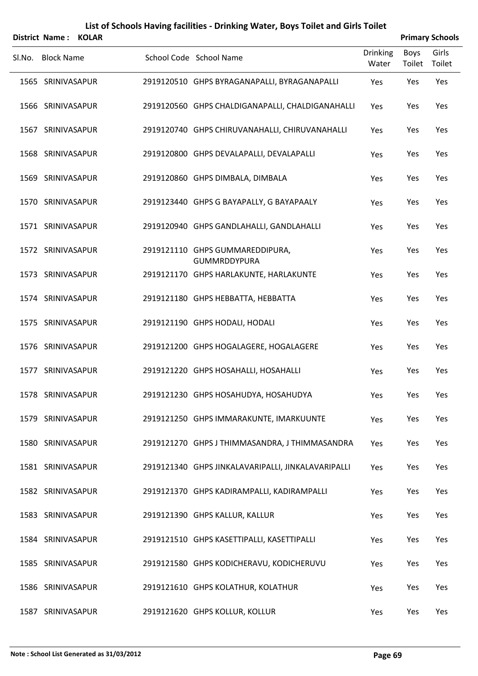| District Name: KOLAR |                                                        |                          |                | <b>Primary Schools</b> |
|----------------------|--------------------------------------------------------|--------------------------|----------------|------------------------|
| Sl.No. Block Name    | School Code School Name                                | <b>Drinking</b><br>Water | Boys<br>Toilet | Girls<br>Toilet        |
| 1565 SRINIVASAPUR    | 2919120510 GHPS BYRAGANAPALLI, BYRAGANAPALLI           | Yes                      | Yes            | Yes                    |
| 1566 SRINIVASAPUR    | 2919120560 GHPS CHALDIGANAPALLI, CHALDIGANAHALLI       | Yes                      | Yes            | Yes                    |
| 1567 SRINIVASAPUR    | 2919120740 GHPS CHIRUVANAHALLI, CHIRUVANAHALLI         | Yes                      | Yes            | Yes                    |
| 1568 SRINIVASAPUR    | 2919120800 GHPS DEVALAPALLI, DEVALAPALLI               | Yes                      | Yes            | Yes                    |
| 1569 SRINIVASAPUR    | 2919120860 GHPS DIMBALA, DIMBALA                       | Yes                      | Yes            | Yes                    |
| 1570 SRINIVASAPUR    | 2919123440 GHPS G BAYAPALLY, G BAYAPAALY               | Yes                      | Yes            | Yes                    |
| 1571 SRINIVASAPUR    | 2919120940 GHPS GANDLAHALLI, GANDLAHALLI               | Yes                      | Yes            | Yes                    |
| 1572 SRINIVASAPUR    | 2919121110 GHPS GUMMAREDDIPURA,<br><b>GUMMRDDYPURA</b> | Yes                      | Yes            | Yes                    |
| 1573 SRINIVASAPUR    | 2919121170 GHPS HARLAKUNTE, HARLAKUNTE                 | Yes                      | Yes            | Yes                    |
| 1574 SRINIVASAPUR    | 2919121180 GHPS HEBBATTA, HEBBATTA                     | Yes                      | Yes            | Yes                    |
| 1575 SRINIVASAPUR    | 2919121190 GHPS HODALI, HODALI                         | Yes                      | Yes            | Yes                    |
| 1576 SRINIVASAPUR    | 2919121200 GHPS HOGALAGERE, HOGALAGERE                 | Yes                      | Yes            | Yes                    |
| 1577 SRINIVASAPUR    | 2919121220 GHPS HOSAHALLI, HOSAHALLI                   | Yes                      | Yes            | Yes                    |
| 1578 SRINIVASAPUR    | 2919121230 GHPS HOSAHUDYA, HOSAHUDYA                   | Yes                      | Yes            | Yes                    |
| 1579 SRINIVASAPUR    | 2919121250 GHPS IMMARAKUNTE, IMARKUUNTE                | Yes                      | Yes            | Yes                    |
| 1580 SRINIVASAPUR    | 2919121270 GHPS J THIMMASANDRA, J THIMMASANDRA         | Yes                      | Yes            | Yes                    |
| 1581 SRINIVASAPUR    | 2919121340 GHPS JINKALAVARIPALLI, JINKALAVARIPALLI     | Yes                      | Yes            | Yes                    |
| 1582 SRINIVASAPUR    | 2919121370 GHPS KADIRAMPALLI, KADIRAMPALLI             | Yes                      | Yes            | Yes                    |
| 1583 SRINIVASAPUR    | 2919121390 GHPS KALLUR, KALLUR                         | Yes                      | Yes            | Yes                    |
| 1584 SRINIVASAPUR    | 2919121510 GHPS KASETTIPALLI, KASETTIPALLI             | Yes                      | Yes            | Yes                    |
| 1585 SRINIVASAPUR    | 2919121580 GHPS KODICHERAVU, KODICHERUVU               | Yes                      | Yes            | Yes                    |
| 1586 SRINIVASAPUR    | 2919121610 GHPS KOLATHUR, KOLATHUR                     | Yes                      | Yes            | Yes                    |
| 1587 SRINIVASAPUR    | 2919121620 GHPS KOLLUR, KOLLUR                         | Yes                      | Yes            | Yes                    |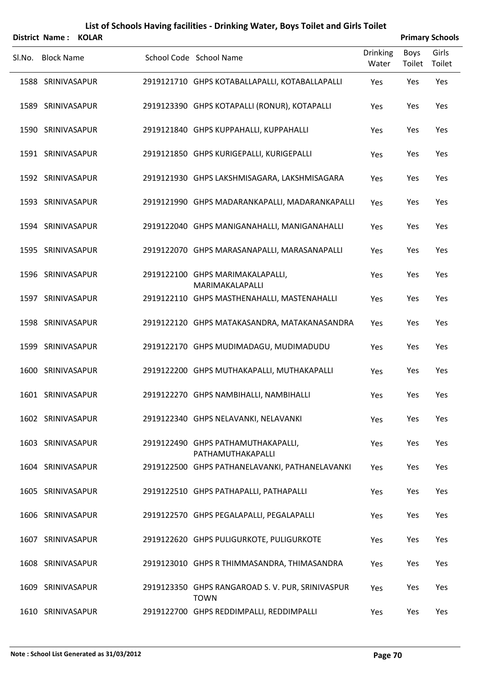|        | District Name: KOLAR |  |                                                                 |                          |                | <b>Primary Schools</b> |
|--------|----------------------|--|-----------------------------------------------------------------|--------------------------|----------------|------------------------|
| Sl.No. | <b>Block Name</b>    |  | School Code School Name                                         | <b>Drinking</b><br>Water | Boys<br>Toilet | Girls<br>Toilet        |
|        | 1588 SRINIVASAPUR    |  | 2919121710 GHPS KOTABALLAPALLI, KOTABALLAPALLI                  | Yes                      | Yes            | Yes                    |
|        | 1589 SRINIVASAPUR    |  | 2919123390 GHPS KOTAPALLI (RONUR), KOTAPALLI                    | Yes                      | Yes            | Yes                    |
|        | 1590 SRINIVASAPUR    |  | 2919121840 GHPS KUPPAHALLI, KUPPAHALLI                          | Yes                      | Yes            | Yes                    |
|        | 1591 SRINIVASAPUR    |  | 2919121850 GHPS KURIGEPALLI, KURIGEPALLI                        | Yes                      | Yes            | Yes                    |
|        | 1592 SRINIVASAPUR    |  | 2919121930 GHPS LAKSHMISAGARA, LAKSHMISAGARA                    | Yes                      | Yes            | Yes                    |
|        | 1593 SRINIVASAPUR    |  | 2919121990 GHPS MADARANKAPALLI, MADARANKAPALLI                  | Yes                      | Yes            | Yes                    |
|        | 1594 SRINIVASAPUR    |  | 2919122040 GHPS MANIGANAHALLI, MANIGANAHALLI                    | Yes                      | Yes            | Yes                    |
|        | 1595 SRINIVASAPUR    |  | 2919122070 GHPS MARASANAPALLI, MARASANAPALLI                    | Yes                      | Yes            | Yes                    |
|        | 1596 SRINIVASAPUR    |  | 2919122100 GHPS MARIMAKALAPALLI,<br>MARIMAKALAPALLI             | Yes                      | Yes            | Yes                    |
|        | 1597 SRINIVASAPUR    |  | 2919122110 GHPS MASTHENAHALLI, MASTENAHALLI                     | Yes                      | Yes            | Yes                    |
|        | 1598 SRINIVASAPUR    |  | 2919122120 GHPS MATAKASANDRA, MATAKANASANDRA                    | Yes                      | Yes            | Yes                    |
|        | 1599 SRINIVASAPUR    |  | 2919122170 GHPS MUDIMADAGU, MUDIMADUDU                          | Yes                      | Yes            | Yes                    |
|        | 1600 SRINIVASAPUR    |  | 2919122200 GHPS MUTHAKAPALLI, MUTHAKAPALLI                      | Yes                      | Yes            | Yes                    |
|        | 1601 SRINIVASAPUR    |  | 2919122270 GHPS NAMBIHALLI, NAMBIHALLI                          | Yes                      | Yes            | Yes                    |
|        | 1602 SRINIVASAPUR    |  | 2919122340 GHPS NELAVANKI, NELAVANKI                            | Yes                      | Yes            | Yes                    |
|        | 1603 SRINIVASAPUR    |  | 2919122490 GHPS PATHAMUTHAKAPALLI,<br>PATHAMUTHAKAPALLI         | Yes                      | Yes            | Yes                    |
|        | 1604 SRINIVASAPUR    |  | 2919122500 GHPS PATHANELAVANKI, PATHANELAVANKI                  | Yes                      | Yes            | Yes                    |
|        | 1605 SRINIVASAPUR    |  | 2919122510 GHPS PATHAPALLI, PATHAPALLI                          | Yes                      | Yes            | Yes                    |
|        | 1606 SRINIVASAPUR    |  | 2919122570 GHPS PEGALAPALLI, PEGALAPALLI                        | Yes                      | Yes            | Yes                    |
|        | 1607 SRINIVASAPUR    |  | 2919122620 GHPS PULIGURKOTE, PULIGURKOTE                        | Yes                      | Yes            | Yes                    |
|        | 1608 SRINIVASAPUR    |  | 2919123010 GHPS R THIMMASANDRA, THIMASANDRA                     | Yes                      | Yes            | Yes                    |
|        | 1609 SRINIVASAPUR    |  | 2919123350 GHPS RANGAROAD S. V. PUR, SRINIVASPUR<br><b>TOWN</b> | Yes                      | Yes            | Yes                    |
|        | 1610 SRINIVASAPUR    |  | 2919122700 GHPS REDDIMPALLI, REDDIMPALLI                        | Yes                      | Yes            | Yes                    |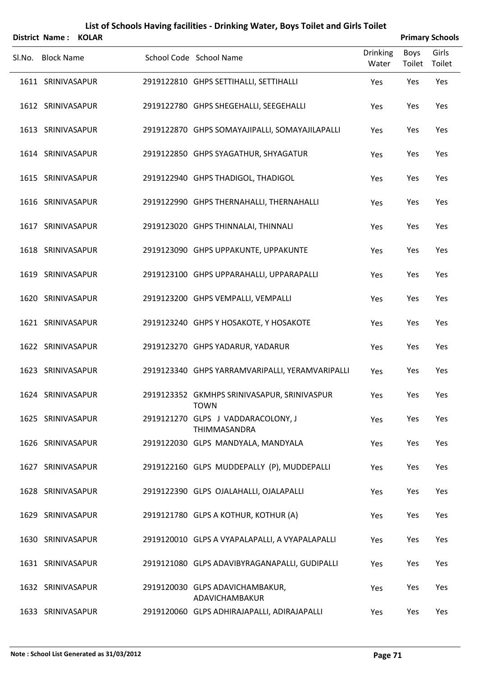| District Name: KOLAR |  |                                                            |                          |                | <b>Primary Schools</b> |
|----------------------|--|------------------------------------------------------------|--------------------------|----------------|------------------------|
| Sl.No. Block Name    |  | School Code School Name                                    | <b>Drinking</b><br>Water | Boys<br>Toilet | Girls<br>Toilet        |
| 1611 SRINIVASAPUR    |  | 2919122810 GHPS SETTIHALLI, SETTIHALLI                     | Yes                      | Yes            | Yes                    |
| 1612 SRINIVASAPUR    |  | 2919122780 GHPS SHEGEHALLI, SEEGEHALLI                     | Yes                      | Yes            | Yes                    |
| 1613 SRINIVASAPUR    |  | 2919122870 GHPS SOMAYAJIPALLI, SOMAYAJILAPALLI             | Yes                      | Yes            | Yes                    |
| 1614 SRINIVASAPUR    |  | 2919122850 GHPS SYAGATHUR, SHYAGATUR                       | Yes                      | Yes            | Yes                    |
| 1615 SRINIVASAPUR    |  | 2919122940 GHPS THADIGOL, THADIGOL                         | Yes                      | Yes            | Yes                    |
| 1616 SRINIVASAPUR    |  | 2919122990 GHPS THERNAHALLI, THERNAHALLI                   | Yes                      | Yes            | Yes                    |
| 1617 SRINIVASAPUR    |  | 2919123020 GHPS THINNALAI, THINNALI                        | Yes                      | Yes            | Yes                    |
| 1618 SRINIVASAPUR    |  | 2919123090 GHPS UPPAKUNTE, UPPAKUNTE                       | Yes                      | Yes            | Yes                    |
| 1619 SRINIVASAPUR    |  | 2919123100 GHPS UPPARAHALLI, UPPARAPALLI                   | Yes                      | Yes            | Yes                    |
| 1620 SRINIVASAPUR    |  | 2919123200 GHPS VEMPALLI, VEMPALLI                         | Yes                      | Yes            | Yes                    |
| 1621 SRINIVASAPUR    |  | 2919123240 GHPS Y HOSAKOTE, Y HOSAKOTE                     | Yes                      | Yes            | Yes                    |
| 1622 SRINIVASAPUR    |  | 2919123270 GHPS YADARUR, YADARUR                           | Yes                      | Yes            | Yes                    |
| 1623 SRINIVASAPUR    |  | 2919123340 GHPS YARRAMVARIPALLI, YERAMVARIPALLI            | Yes                      | Yes            | Yes                    |
| 1624 SRINIVASAPUR    |  | 2919123352 GKMHPS SRINIVASAPUR, SRINIVASPUR<br><b>TOWN</b> | Yes                      | Yes            | Yes                    |
| 1625 SRINIVASAPUR    |  | 2919121270 GLPS J VADDARACOLONY, J<br>THIMMASANDRA         | Yes                      | Yes            | Yes                    |
| 1626 SRINIVASAPUR    |  | 2919122030 GLPS MANDYALA, MANDYALA                         | Yes                      | Yes            | Yes                    |
| 1627 SRINIVASAPUR    |  | 2919122160 GLPS MUDDEPALLY (P), MUDDEPALLI                 | Yes                      | Yes            | Yes                    |
| 1628 SRINIVASAPUR    |  | 2919122390 GLPS OJALAHALLI, OJALAPALLI                     | Yes                      | Yes            | Yes                    |
| 1629 SRINIVASAPUR    |  | 2919121780 GLPS A KOTHUR, KOTHUR (A)                       | Yes                      | Yes            | Yes                    |
| 1630 SRINIVASAPUR    |  | 2919120010 GLPS A VYAPALAPALLI, A VYAPALAPALLI             | Yes                      | Yes            | Yes                    |
| 1631 SRINIVASAPUR    |  | 2919121080 GLPS ADAVIBYRAGANAPALLI, GUDIPALLI              | Yes                      | Yes            | Yes                    |
| 1632 SRINIVASAPUR    |  | 2919120030 GLPS ADAVICHAMBAKUR,<br>ADAVICHAMBAKUR          | Yes                      | Yes            | Yes                    |
| 1633 SRINIVASAPUR    |  | 2919120060 GLPS ADHIRAJAPALLI, ADIRAJAPALLI                | Yes                      | Yes            | Yes                    |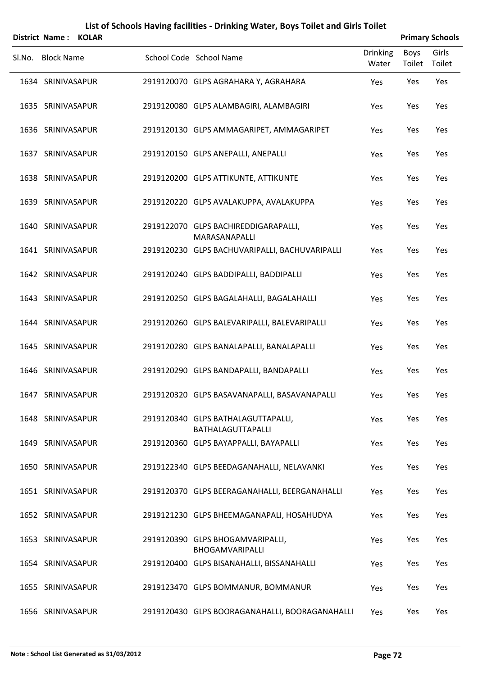|        | District Name: KOLAR |  |                                                                |                          |                | <b>Primary Schools</b> |
|--------|----------------------|--|----------------------------------------------------------------|--------------------------|----------------|------------------------|
| SI.No. | <b>Block Name</b>    |  | School Code School Name                                        | <b>Drinking</b><br>Water | Boys<br>Toilet | Girls<br>Toilet        |
|        | 1634 SRINIVASAPUR    |  | 2919120070 GLPS AGRAHARA Y, AGRAHARA                           | Yes                      | Yes            | Yes                    |
|        | 1635 SRINIVASAPUR    |  | 2919120080 GLPS ALAMBAGIRI, ALAMBAGIRI                         | Yes                      | Yes            | Yes                    |
|        | 1636 SRINIVASAPUR    |  | 2919120130 GLPS AMMAGARIPET, AMMAGARIPET                       | Yes                      | Yes            | Yes                    |
|        | 1637 SRINIVASAPUR    |  | 2919120150 GLPS ANEPALLI, ANEPALLI                             | Yes                      | Yes            | Yes                    |
|        | 1638 SRINIVASAPUR    |  | 2919120200 GLPS ATTIKUNTE, ATTIKUNTE                           | Yes                      | Yes            | Yes                    |
|        | 1639 SRINIVASAPUR    |  | 2919120220 GLPS AVALAKUPPA, AVALAKUPPA                         | Yes                      | Yes            | Yes                    |
|        | 1640 SRINIVASAPUR    |  | 2919122070 GLPS BACHIREDDIGARAPALLI,<br>MARASANAPALLI          | Yes                      | Yes            | Yes                    |
|        | 1641 SRINIVASAPUR    |  | 2919120230 GLPS BACHUVARIPALLI, BACHUVARIPALLI                 | Yes                      | Yes            | Yes                    |
|        | 1642 SRINIVASAPUR    |  | 2919120240 GLPS BADDIPALLI, BADDIPALLI                         | Yes                      | Yes            | Yes                    |
|        | 1643 SRINIVASAPUR    |  | 2919120250 GLPS BAGALAHALLI, BAGALAHALLI                       | Yes                      | Yes            | Yes                    |
|        | 1644 SRINIVASAPUR    |  | 2919120260 GLPS BALEVARIPALLI, BALEVARIPALLI                   | Yes                      | Yes            | Yes                    |
|        | 1645 SRINIVASAPUR    |  | 2919120280 GLPS BANALAPALLI, BANALAPALLI                       | Yes                      | Yes            | Yes                    |
|        | 1646 SRINIVASAPUR    |  | 2919120290 GLPS BANDAPALLI, BANDAPALLI                         | Yes                      | Yes            | Yes                    |
|        | 1647 SRINIVASAPUR    |  | 2919120320 GLPS BASAVANAPALLI, BASAVANAPALLI                   | Yes                      | Yes            | Yes                    |
|        | 1648 SRINIVASAPUR    |  | 2919120340 GLPS BATHALAGUTTAPALLI,<br><b>BATHALAGUTTAPALLI</b> | Yes                      | Yes            | Yes                    |
|        | 1649 SRINIVASAPUR    |  | 2919120360 GLPS BAYAPPALLI, BAYAPALLI                          | Yes                      | Yes            | Yes                    |
|        | 1650 SRINIVASAPUR    |  | 2919122340 GLPS BEEDAGANAHALLI, NELAVANKI                      | Yes                      | Yes            | Yes                    |
|        | 1651 SRINIVASAPUR    |  | 2919120370 GLPS BEERAGANAHALLI, BEERGANAHALLI                  | Yes                      | Yes            | Yes                    |
|        | 1652 SRINIVASAPUR    |  | 2919121230 GLPS BHEEMAGANAPALI, HOSAHUDYA                      | Yes                      | Yes            | Yes                    |
|        | 1653 SRINIVASAPUR    |  | 2919120390 GLPS BHOGAMVARIPALLI,<br>BHOGAMVARIPALLI            | Yes                      | Yes            | Yes                    |
|        | 1654 SRINIVASAPUR    |  | 2919120400 GLPS BISANAHALLI, BISSANAHALLI                      | Yes                      | Yes            | Yes                    |
|        | 1655 SRINIVASAPUR    |  | 2919123470 GLPS BOMMANUR, BOMMANUR                             | Yes                      | Yes            | Yes                    |
|        | 1656 SRINIVASAPUR    |  | 2919120430 GLPS BOORAGANAHALLI, BOORAGANAHALLI                 | Yes                      | Yes            | Yes                    |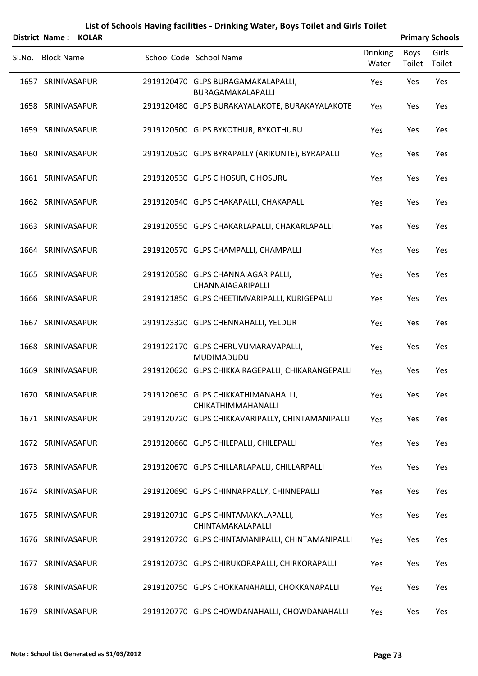|        | District Name: KOLAR |  |                                                           |                          |                | <b>Primary Schools</b> |
|--------|----------------------|--|-----------------------------------------------------------|--------------------------|----------------|------------------------|
| SI.No. | <b>Block Name</b>    |  | School Code School Name                                   | <b>Drinking</b><br>Water | Boys<br>Toilet | Girls<br>Toilet        |
|        | 1657 SRINIVASAPUR    |  | 2919120470 GLPS BURAGAMAKALAPALLI,<br>BURAGAMAKALAPALLI   | Yes                      | Yes            | Yes                    |
|        | 1658 SRINIVASAPUR    |  | 2919120480 GLPS BURAKAYALAKOTE, BURAKAYALAKOTE            | Yes                      | Yes            | Yes                    |
|        | 1659 SRINIVASAPUR    |  | 2919120500 GLPS BYKOTHUR, BYKOTHURU                       | Yes                      | Yes            | Yes                    |
|        | 1660 SRINIVASAPUR    |  | 2919120520 GLPS BYRAPALLY (ARIKUNTE), BYRAPALLI           | Yes                      | Yes            | Yes                    |
|        | 1661 SRINIVASAPUR    |  | 2919120530 GLPS C HOSUR, C HOSURU                         | Yes                      | Yes            | Yes                    |
|        | 1662 SRINIVASAPUR    |  | 2919120540 GLPS CHAKAPALLI, CHAKAPALLI                    | Yes                      | Yes            | Yes                    |
|        | 1663 SRINIVASAPUR    |  | 2919120550 GLPS CHAKARLAPALLI, CHAKARLAPALLI              | Yes                      | Yes            | Yes                    |
|        | 1664 SRINIVASAPUR    |  | 2919120570 GLPS CHAMPALLI, CHAMPALLI                      | Yes                      | Yes            | Yes                    |
|        | 1665 SRINIVASAPUR    |  | 2919120580 GLPS CHANNAIAGARIPALLI,<br>CHANNAIAGARIPALLI   | Yes                      | Yes            | Yes                    |
|        | 1666 SRINIVASAPUR    |  | 2919121850 GLPS CHEETIMVARIPALLI, KURIGEPALLI             | Yes                      | Yes            | Yes                    |
|        | 1667 SRINIVASAPUR    |  | 2919123320 GLPS CHENNAHALLI, YELDUR                       | Yes                      | Yes            | Yes                    |
|        | 1668 SRINIVASAPUR    |  | 2919122170 GLPS CHERUVUMARAVAPALLI,<br>MUDIMADUDU         | Yes                      | Yes            | Yes                    |
|        | 1669 SRINIVASAPUR    |  | 2919120620 GLPS CHIKKA RAGEPALLI, CHIKARANGEPALLI         | Yes                      | Yes            | Yes                    |
|        | 1670 SRINIVASAPUR    |  | 2919120630 GLPS CHIKKATHIMANAHALLI,<br>CHIKATHIMMAHANALLI | Yes                      | Yes            | Yes                    |
|        | 1671 SRINIVASAPUR    |  | 2919120720 GLPS CHIKKAVARIPALLY, CHINTAMANIPALLI          | Yes                      | Yes            | Yes                    |
|        | 1672 SRINIVASAPUR    |  | 2919120660 GLPS CHILEPALLI, CHILEPALLI                    | Yes                      | Yes            | Yes                    |
|        | 1673 SRINIVASAPUR    |  | 2919120670 GLPS CHILLARLAPALLI, CHILLARPALLI              | Yes                      | Yes            | Yes                    |
|        | 1674 SRINIVASAPUR    |  | 2919120690 GLPS CHINNAPPALLY, CHINNEPALLI                 | Yes                      | Yes            | Yes                    |
|        | 1675 SRINIVASAPUR    |  | 2919120710 GLPS CHINTAMAKALAPALLI,<br>CHINTAMAKALAPALLI   | Yes                      | Yes            | Yes                    |
|        | 1676 SRINIVASAPUR    |  | 2919120720 GLPS CHINTAMANIPALLI, CHINTAMANIPALLI          | Yes                      | Yes            | Yes                    |
|        | 1677 SRINIVASAPUR    |  | 2919120730 GLPS CHIRUKORAPALLI, CHIRKORAPALLI             | Yes                      | Yes            | Yes                    |
|        | 1678 SRINIVASAPUR    |  | 2919120750 GLPS CHOKKANAHALLI, CHOKKANAPALLI              | Yes                      | Yes            | Yes                    |
|        | 1679 SRINIVASAPUR    |  | 2919120770 GLPS CHOWDANAHALLI, CHOWDANAHALLI              | Yes                      | Yes            | Yes                    |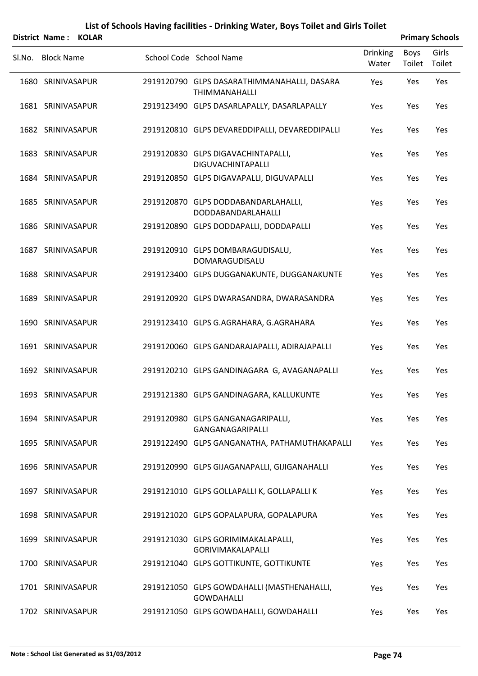| <b>District Name:</b> | <b>KOLAR</b> |
|-----------------------|--------------|

|        | District Name: KOLAR |  |                                                                 |                          |                | <b>Primary Schools</b> |
|--------|----------------------|--|-----------------------------------------------------------------|--------------------------|----------------|------------------------|
| SI.No. | <b>Block Name</b>    |  | School Code School Name                                         | <b>Drinking</b><br>Water | Boys<br>Toilet | Girls<br>Toilet        |
|        | 1680 SRINIVASAPUR    |  | 2919120790 GLPS DASARATHIMMANAHALLI, DASARA<br>THIMMANAHALLI    | Yes                      | Yes            | Yes                    |
|        | 1681 SRINIVASAPUR    |  | 2919123490 GLPS DASARLAPALLY, DASARLAPALLY                      | Yes                      | Yes            | Yes                    |
|        | 1682 SRINIVASAPUR    |  | 2919120810 GLPS DEVAREDDIPALLI, DEVAREDDIPALLI                  | Yes                      | Yes            | Yes                    |
|        | 1683 SRINIVASAPUR    |  | 2919120830 GLPS DIGAVACHINTAPALLI,<br>DIGUVACHINTAPALLI         | Yes                      | Yes            | Yes                    |
|        | 1684 SRINIVASAPUR    |  | 2919120850 GLPS DIGAVAPALLI, DIGUVAPALLI                        | Yes                      | Yes            | Yes                    |
|        | 1685 SRINIVASAPUR    |  | 2919120870 GLPS DODDABANDARLAHALLI,<br>DODDABANDARLAHALLI       | Yes                      | Yes            | Yes                    |
|        | 1686 SRINIVASAPUR    |  | 2919120890 GLPS DODDAPALLI, DODDAPALLI                          | Yes                      | Yes            | Yes                    |
|        | 1687 SRINIVASAPUR    |  | 2919120910 GLPS DOMBARAGUDISALU,<br>DOMARAGUDISALU              | Yes                      | Yes            | Yes                    |
|        | 1688 SRINIVASAPUR    |  | 2919123400 GLPS DUGGANAKUNTE, DUGGANAKUNTE                      | Yes                      | Yes            | Yes                    |
|        | 1689 SRINIVASAPUR    |  | 2919120920 GLPS DWARASANDRA, DWARASANDRA                        | Yes                      | Yes            | Yes                    |
|        | 1690 SRINIVASAPUR    |  | 2919123410 GLPS G.AGRAHARA, G.AGRAHARA                          | Yes                      | Yes            | Yes                    |
|        | 1691 SRINIVASAPUR    |  | 2919120060 GLPS GANDARAJAPALLI, ADIRAJAPALLI                    | Yes                      | Yes            | Yes                    |
|        | 1692 SRINIVASAPUR    |  | 2919120210 GLPS GANDINAGARA G, AVAGANAPALLI                     | Yes                      | Yes            | Yes                    |
|        | 1693 SRINIVASAPUR    |  | 2919121380 GLPS GANDINAGARA, KALLUKUNTE                         | Yes                      | Yes            | Yes                    |
|        | 1694 SRINIVASAPUR    |  | 2919120980 GLPS GANGANAGARIPALLI,<br><b>GANGANAGARIPALLI</b>    | Yes                      | Yes            | Yes                    |
|        | 1695 SRINIVASAPUR    |  | 2919122490 GLPS GANGANATHA, PATHAMUTHAKAPALLI                   | Yes                      | Yes            | Yes                    |
|        | 1696 SRINIVASAPUR    |  | 2919120990 GLPS GIJAGANAPALLI, GIJIGANAHALLI                    | Yes                      | Yes            | Yes                    |
|        | 1697 SRINIVASAPUR    |  | 2919121010 GLPS GOLLAPALLI K, GOLLAPALLI K                      | Yes                      | Yes            | Yes                    |
|        | 1698 SRINIVASAPUR    |  | 2919121020 GLPS GOPALAPURA, GOPALAPURA                          | Yes                      | Yes            | Yes                    |
|        | 1699 SRINIVASAPUR    |  | 2919121030 GLPS GORIMIMAKALAPALLI,<br><b>GORIVIMAKALAPALLI</b>  | Yes                      | Yes            | Yes                    |
|        | 1700 SRINIVASAPUR    |  | 2919121040 GLPS GOTTIKUNTE, GOTTIKUNTE                          | Yes                      | Yes            | Yes                    |
|        | 1701 SRINIVASAPUR    |  | 2919121050 GLPS GOWDAHALLI (MASTHENAHALLI,<br><b>GOWDAHALLI</b> | Yes                      | Yes            | Yes                    |
|        | 1702 SRINIVASAPUR    |  | 2919121050 GLPS GOWDAHALLI, GOWDAHALLI                          | Yes                      | Yes            | Yes                    |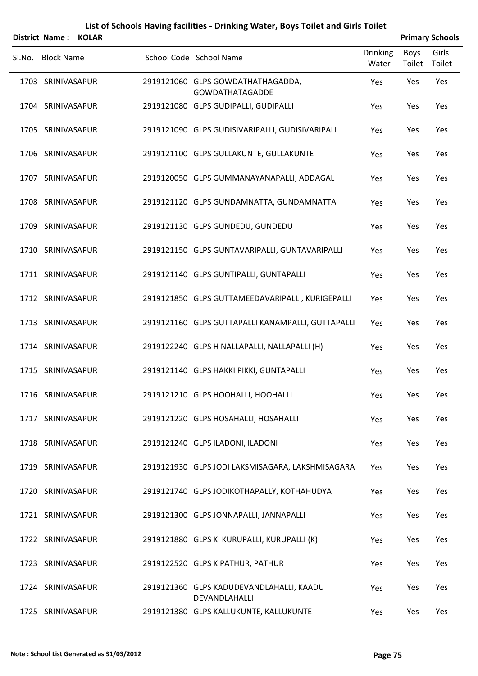|        | District Name: KOLAR |                                                             |                          |                | <b>Primary Schools</b> |
|--------|----------------------|-------------------------------------------------------------|--------------------------|----------------|------------------------|
| SI.No. | <b>Block Name</b>    | School Code School Name                                     | <b>Drinking</b><br>Water | Boys<br>Toilet | Girls<br>Toilet        |
|        | 1703 SRINIVASAPUR    | 2919121060 GLPS GOWDATHATHAGADDA,<br><b>GOWDATHATAGADDE</b> | Yes                      | Yes            | Yes                    |
|        | 1704 SRINIVASAPUR    | 2919121080 GLPS GUDIPALLI, GUDIPALLI                        | Yes                      | Yes            | Yes                    |
|        | 1705 SRINIVASAPUR    | 2919121090 GLPS GUDISIVARIPALLI, GUDISIVARIPALI             | Yes                      | Yes            | Yes                    |
|        | 1706 SRINIVASAPUR    | 2919121100 GLPS GULLAKUNTE, GULLAKUNTE                      | Yes                      | Yes            | Yes                    |
|        | 1707 SRINIVASAPUR    | 2919120050 GLPS GUMMANAYANAPALLI, ADDAGAL                   | Yes                      | Yes            | Yes                    |
|        | 1708 SRINIVASAPUR    | 2919121120 GLPS GUNDAMNATTA, GUNDAMNATTA                    | Yes                      | Yes            | Yes                    |
|        | 1709 SRINIVASAPUR    | 2919121130 GLPS GUNDEDU, GUNDEDU                            | Yes                      | Yes            | Yes                    |
|        | 1710 SRINIVASAPUR    | 2919121150 GLPS GUNTAVARIPALLI, GUNTAVARIPALLI              | Yes                      | Yes            | Yes                    |
|        | 1711 SRINIVASAPUR    | 2919121140 GLPS GUNTIPALLI, GUNTAPALLI                      | Yes                      | Yes            | Yes                    |
|        | 1712 SRINIVASAPUR    | 2919121850 GLPS GUTTAMEEDAVARIPALLI, KURIGEPALLI            | Yes                      | Yes            | Yes                    |
|        | 1713 SRINIVASAPUR    | 2919121160 GLPS GUTTAPALLI KANAMPALLI, GUTTAPALLI           | Yes                      | Yes            | Yes                    |
|        | 1714 SRINIVASAPUR    | 2919122240 GLPS H NALLAPALLI, NALLAPALLI (H)                | Yes                      | Yes            | Yes                    |
|        | 1715 SRINIVASAPUR    | 2919121140 GLPS HAKKI PIKKI, GUNTAPALLI                     | Yes                      | Yes            | Yes                    |
|        | 1716 SRINIVASAPUR    | 2919121210 GLPS HOOHALLI, HOOHALLI                          | Yes                      | Yes            | Yes                    |
|        | 1717 SRINIVASAPUR    | 2919121220 GLPS HOSAHALLI, HOSAHALLI                        | Yes                      | Yes            | Yes                    |
|        | 1718 SRINIVASAPUR    | 2919121240 GLPS ILADONI, ILADONI                            | Yes                      | Yes            | Yes                    |
|        | 1719 SRINIVASAPUR    | 2919121930 GLPS JODI LAKSMISAGARA, LAKSHMISAGARA            | Yes                      | Yes            | Yes                    |
|        | 1720 SRINIVASAPUR    | 2919121740 GLPS JODIKOTHAPALLY, KOTHAHUDYA                  | Yes                      | Yes            | Yes                    |
|        | 1721 SRINIVASAPUR    | 2919121300 GLPS JONNAPALLI, JANNAPALLI                      | Yes                      | Yes            | Yes                    |
|        | 1722 SRINIVASAPUR    | 2919121880 GLPS K KURUPALLI, KURUPALLI (K)                  | Yes                      | Yes            | Yes                    |
|        | 1723 SRINIVASAPUR    | 2919122520 GLPS K PATHUR, PATHUR                            | Yes                      | Yes            | Yes                    |
|        | 1724 SRINIVASAPUR    | 2919121360 GLPS KADUDEVANDLAHALLI, KAADU<br>DEVANDLAHALLI   | Yes                      | Yes            | Yes                    |
|        | 1725 SRINIVASAPUR    | 2919121380 GLPS KALLUKUNTE, KALLUKUNTE                      | Yes                      | Yes            | Yes                    |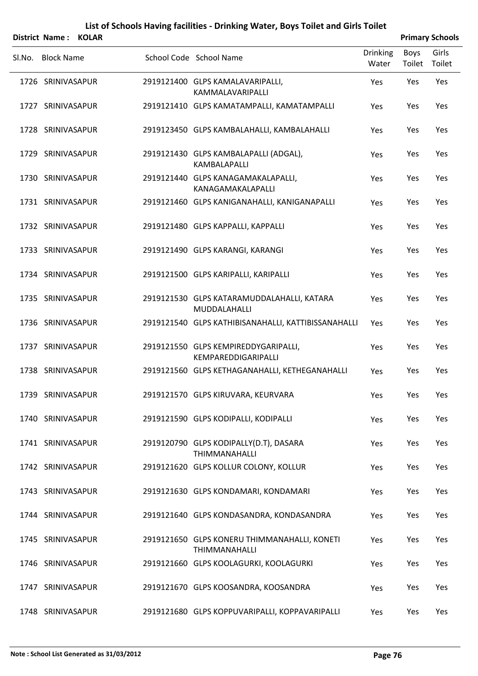SLNo. Block Name School Code School Name Drinking Water Boys Toilet Girls Toilet **District Name :** KOLAR **Primary** Schools *Primary* **Schools** SRINIVASAPUR 2919121400 GLPS KAMALAVARIPALLI, 1726 Yes Yes Yes KAMMALAVARIPALLI 1727 SRINIVASAPUR 2919121410 GLPS KAMATAMPALLI, KAMATAMPALLI Yes Yes Yes 1728 SRINIVASAPUR 2919123450 GLPS KAMBALAHALLI, KAMBALAHALLI Yes Yes Yes SRINIVASAPUR 2919121430 GLPS KAMBALAPALLI (ADGAL), 1729 Yes Yes Yes KAMBALAPALLI SRINIVASAPUR 2919121440 GLPS KANAGAMAKALAPALLI, 1730 Yes Yes Yes KANAGAMAKALAPALLI 1731 SRINIVASAPUR 2919121460 GLPS KANIGANAHALLI, KANIGANAPALLI Yes Yes Yes 1732 SRINIVASAPUR 2919121480 GLPS KAPPALLI, KAPPALLI Yes Yes Yes 1733 SRINIVASAPUR 2919121490 GLPS KARANGI, KARANGI Yes Yes Yes 1734 SRINIVASAPUR 2919121500 GLPS KARIPALLI, KARIPALLI Yes Yes Yes SRINIVASAPUR 2919121530 GLPS KATARAMUDDALAHALLI, KATARA 1735 Yes Yes Yes MUDDALAHALLI 1736 SRINIVASAPUR 2919121540 GLPS KATHIBISANAHALLI, KATTIBISSANAHALLI Yes Yes Yes SRINIVASAPUR 2919121550 GLPS KEMPIREDDYGARIPALLI, 1737 Yes Yes Yes KEMPAREDDIGARIPALLI 1738 SRINIVASAPUR 2919121560 GLPS KETHAGANAHALLI, KETHEGANAHALLI Yes Yes Yes 1739 SRINIVASAPUR 2919121570 GLPS KIRUVARA, KEURVARA Yes Yes Yes 1740 SRINIVASAPUR 2919121590 GLPS KODIPALLI, KODIPALLI Yes Yes Yes SRINIVASAPUR 2919120790 GLPS KODIPALLY(D.T), DASARA 1741 Yes Yes Yes THIMMANAHALLI 1742 SRINIVASAPUR 2919121620 GLPS KOLLUR COLONY, KOLLUR Yes Yes Yes 1743 SRINIVASAPUR 2919121630 GLPS KONDAMARI, KONDAMARI Yes Yes Yes 1744 SRINIVASAPUR 2919121640 GLPS KONDASANDRA, KONDASANDRA Yes Yes Yes SRINIVASAPUR 2919121650 GLPS KONERU THIMMANAHALLI, KONETI 1745 Yes Yes Yes THIMMANAHALLI 1746 SRINIVASAPUR 2919121660 GLPS KOOLAGURKI, KOOLAGURKI Yes Yes Yes 1747 SRINIVASAPUR 2919121670 GLPS KOOSANDRA, KOOSANDRA Yes Yes Yes 1748 SRINIVASAPUR 2919121680 GLPS KOPPUVARIPALLI, KOPPAVARIPALLI Yes Yes Yes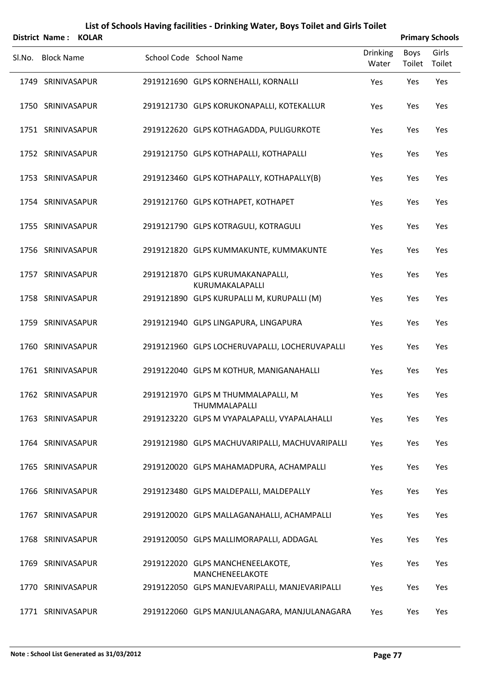|        | District Name: KOLAR |  |                                                            |                          |                | <b>Primary Schools</b> |
|--------|----------------------|--|------------------------------------------------------------|--------------------------|----------------|------------------------|
| SI.No. | <b>Block Name</b>    |  | School Code School Name                                    | <b>Drinking</b><br>Water | Boys<br>Toilet | Girls<br>Toilet        |
|        | 1749 SRINIVASAPUR    |  | 2919121690 GLPS KORNEHALLI, KORNALLI                       | Yes                      | Yes            | Yes                    |
|        | 1750 SRINIVASAPUR    |  | 2919121730 GLPS KORUKONAPALLI, KOTEKALLUR                  | Yes                      | Yes            | Yes                    |
|        | 1751 SRINIVASAPUR    |  | 2919122620 GLPS KOTHAGADDA, PULIGURKOTE                    | Yes                      | Yes            | Yes                    |
|        | 1752 SRINIVASAPUR    |  | 2919121750 GLPS KOTHAPALLI, KOTHAPALLI                     | Yes                      | Yes            | Yes                    |
|        | 1753 SRINIVASAPUR    |  | 2919123460 GLPS KOTHAPALLY, KOTHAPALLY(B)                  | Yes                      | Yes            | Yes                    |
|        | 1754 SRINIVASAPUR    |  | 2919121760 GLPS KOTHAPET, KOTHAPET                         | Yes                      | Yes            | Yes                    |
|        | 1755 SRINIVASAPUR    |  | 2919121790 GLPS KOTRAGULI, KOTRAGULI                       | Yes                      | Yes            | Yes                    |
|        | 1756 SRINIVASAPUR    |  | 2919121820 GLPS KUMMAKUNTE, KUMMAKUNTE                     | Yes                      | Yes            | Yes                    |
|        | 1757 SRINIVASAPUR    |  | 2919121870 GLPS KURUMAKANAPALLI,<br>KURUMAKALAPALLI        | Yes                      | Yes            | Yes                    |
|        | 1758 SRINIVASAPUR    |  | 2919121890 GLPS KURUPALLI M, KURUPALLI (M)                 | Yes                      | Yes            | Yes                    |
|        | 1759 SRINIVASAPUR    |  | 2919121940 GLPS LINGAPURA, LINGAPURA                       | Yes                      | Yes            | Yes                    |
|        | 1760 SRINIVASAPUR    |  | 2919121960 GLPS LOCHERUVAPALLI, LOCHERUVAPALLI             | Yes                      | Yes            | Yes                    |
|        | 1761 SRINIVASAPUR    |  | 2919122040 GLPS M KOTHUR, MANIGANAHALLI                    | Yes                      | Yes            | Yes                    |
|        | 1762 SRINIVASAPUR    |  | 2919121970 GLPS M THUMMALAPALLI, M<br><b>THUMMALAPALLI</b> | Yes                      | Yes            | Yes                    |
|        | 1763 SRINIVASAPUR    |  | 2919123220 GLPS M VYAPALAPALLI, VYAPALAHALLI               | Yes                      | Yes            | Yes                    |
|        | 1764 SRINIVASAPUR    |  | 2919121980 GLPS MACHUVARIPALLI, MACHUVARIPALLI             | Yes                      | Yes            | Yes                    |
|        | 1765 SRINIVASAPUR    |  | 2919120020 GLPS MAHAMADPURA, ACHAMPALLI                    | Yes                      | Yes            | Yes                    |
|        | 1766 SRINIVASAPUR    |  | 2919123480 GLPS MALDEPALLI, MALDEPALLY                     | Yes                      | Yes            | Yes                    |
|        | 1767 SRINIVASAPUR    |  | 2919120020 GLPS MALLAGANAHALLI, ACHAMPALLI                 | Yes                      | Yes            | Yes                    |
|        | 1768 SRINIVASAPUR    |  | 2919120050 GLPS MALLIMORAPALLI, ADDAGAL                    | Yes                      | Yes            | Yes                    |
|        | 1769 SRINIVASAPUR    |  | 2919122020 GLPS MANCHENEELAKOTE,<br>MANCHENEELAKOTE        | Yes                      | Yes            | Yes                    |
|        | 1770 SRINIVASAPUR    |  | 2919122050 GLPS MANJEVARIPALLI, MANJEVARIPALLI             | Yes                      | Yes            | Yes                    |
|        | 1771 SRINIVASAPUR    |  | 2919122060 GLPS MANJULANAGARA, MANJULANAGARA               | Yes                      | Yes            | Yes                    |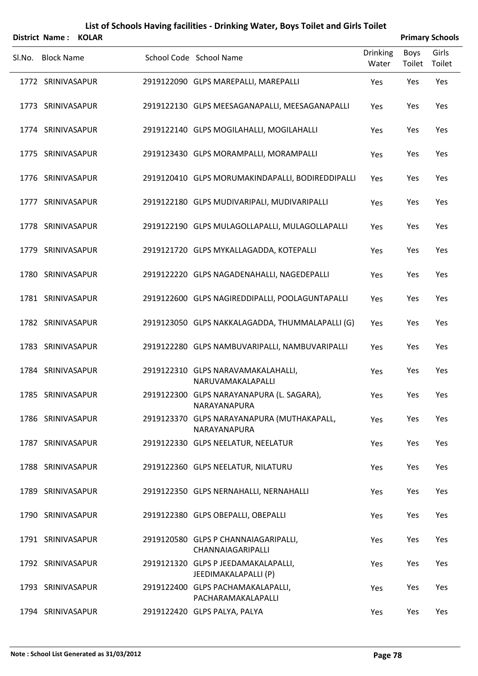|        | <b>District Name:</b> | <b>KOLAR</b> |                                                             |                          |                | <b>Primary Schools</b> |
|--------|-----------------------|--------------|-------------------------------------------------------------|--------------------------|----------------|------------------------|
| Sl.No. | <b>Block Name</b>     |              | School Code School Name                                     | <b>Drinking</b><br>Water | Boys<br>Toilet | Girls<br>Toilet        |
|        | 1772 SRINIVASAPUR     |              | 2919122090 GLPS MAREPALLI, MAREPALLI                        | Yes                      | Yes            | Yes                    |
|        | 1773 SRINIVASAPUR     |              | 2919122130 GLPS MEESAGANAPALLI, MEESAGANAPALLI              | Yes                      | Yes            | Yes                    |
|        | 1774 SRINIVASAPUR     |              | 2919122140 GLPS MOGILAHALLI, MOGILAHALLI                    | Yes                      | Yes            | Yes                    |
|        | 1775 SRINIVASAPUR     |              | 2919123430 GLPS MORAMPALLI, MORAMPALLI                      | Yes                      | Yes            | Yes                    |
|        | 1776 SRINIVASAPUR     |              | 2919120410 GLPS MORUMAKINDAPALLI, BODIREDDIPALLI            | Yes                      | Yes            | Yes                    |
|        | 1777 SRINIVASAPUR     |              | 2919122180 GLPS MUDIVARIPALI, MUDIVARIPALLI                 | Yes                      | Yes            | Yes                    |
|        | 1778 SRINIVASAPUR     |              | 2919122190 GLPS MULAGOLLAPALLI, MULAGOLLAPALLI              | Yes                      | Yes            | Yes                    |
|        | 1779 SRINIVASAPUR     |              | 2919121720 GLPS MYKALLAGADDA, KOTEPALLI                     | Yes                      | Yes            | Yes                    |
|        | 1780 SRINIVASAPUR     |              | 2919122220 GLPS NAGADENAHALLI, NAGEDEPALLI                  | Yes                      | Yes            | Yes                    |
|        | 1781 SRINIVASAPUR     |              | 2919122600 GLPS NAGIREDDIPALLI, POOLAGUNTAPALLI             | Yes                      | Yes            | Yes                    |
|        | 1782 SRINIVASAPUR     |              | 2919123050 GLPS NAKKALAGADDA, THUMMALAPALLI (G)             | Yes                      | Yes            | Yes                    |
|        | 1783 SRINIVASAPUR     |              | 2919122280 GLPS NAMBUVARIPALLI, NAMBUVARIPALLI              | Yes                      | Yes            | Yes                    |
|        | 1784 SRINIVASAPUR     |              | 2919122310 GLPS NARAVAMAKALAHALLI,<br>NARUVAMAKALAPALLI     | Yes                      | Yes            | Yes                    |
|        | 1785 SRINIVASAPUR     |              | 2919122300 GLPS NARAYANAPURA (L. SAGARA),<br>NARAYANAPURA   | Yes                      | Yes            | Yes                    |
|        | 1786 SRINIVASAPUR     |              | 2919123370 GLPS NARAYANAPURA (MUTHAKAPALL,<br>NARAYANAPURA  | Yes                      | Yes            | Yes                    |
|        | 1787 SRINIVASAPUR     |              | 2919122330 GLPS NEELATUR, NEELATUR                          | Yes                      | Yes            | Yes                    |
|        | 1788 SRINIVASAPUR     |              | 2919122360 GLPS NEELATUR, NILATURU                          | Yes                      | Yes            | Yes                    |
|        | 1789 SRINIVASAPUR     |              | 2919122350 GLPS NERNAHALLI, NERNAHALLI                      | Yes                      | Yes            | Yes                    |
|        | 1790 SRINIVASAPUR     |              | 2919122380 GLPS OBEPALLI, OBEPALLI                          | Yes                      | Yes            | Yes                    |
|        | 1791 SRINIVASAPUR     |              | 2919120580 GLPS P CHANNAIAGARIPALLI,<br>CHANNAIAGARIPALLI   | Yes                      | Yes            | Yes                    |
|        | 1792 SRINIVASAPUR     |              | 2919121320 GLPS P JEEDAMAKALAPALLI,<br>JEEDIMAKALAPALLI (P) | Yes                      | Yes            | Yes                    |
|        | 1793 SRINIVASAPUR     |              | 2919122400 GLPS PACHAMAKALAPALLI,<br>PACHARAMAKALAPALLI     | Yes                      | Yes            | Yes                    |
|        | 1794 SRINIVASAPUR     |              | 2919122420 GLPS PALYA, PALYA                                | Yes                      | Yes            | Yes                    |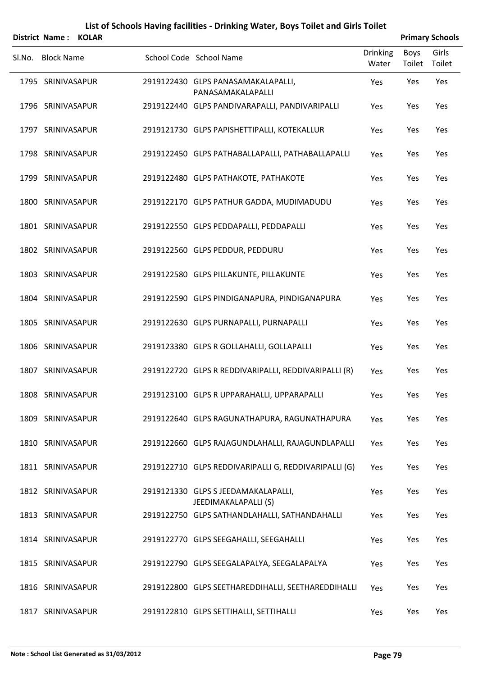|        | District Name: KOLAR |  |                                                             |                          |                | <b>Primary Schools</b> |
|--------|----------------------|--|-------------------------------------------------------------|--------------------------|----------------|------------------------|
| SI.No. | <b>Block Name</b>    |  | School Code School Name                                     | <b>Drinking</b><br>Water | Boys<br>Toilet | Girls<br>Toilet        |
|        | 1795 SRINIVASAPUR    |  | 2919122430 GLPS PANASAMAKALAPALLI,<br>PANASAMAKALAPALLI     | Yes                      | Yes            | Yes                    |
|        | 1796 SRINIVASAPUR    |  | 2919122440 GLPS PANDIVARAPALLI, PANDIVARIPALLI              | Yes                      | Yes            | Yes                    |
|        | 1797 SRINIVASAPUR    |  | 2919121730 GLPS PAPISHETTIPALLI, KOTEKALLUR                 | Yes                      | Yes            | Yes                    |
|        | 1798 SRINIVASAPUR    |  | 2919122450 GLPS PATHABALLAPALLI, PATHABALLAPALLI            | Yes                      | Yes            | Yes                    |
|        | 1799 SRINIVASAPUR    |  | 2919122480 GLPS PATHAKOTE, PATHAKOTE                        | Yes                      | Yes            | Yes                    |
|        | 1800 SRINIVASAPUR    |  | 2919122170 GLPS PATHUR GADDA, MUDIMADUDU                    | Yes                      | Yes            | Yes                    |
|        | 1801 SRINIVASAPUR    |  | 2919122550 GLPS PEDDAPALLI, PEDDAPALLI                      | Yes                      | Yes            | Yes                    |
|        | 1802 SRINIVASAPUR    |  | 2919122560 GLPS PEDDUR, PEDDURU                             | Yes                      | Yes            | Yes                    |
|        | 1803 SRINIVASAPUR    |  | 2919122580 GLPS PILLAKUNTE, PILLAKUNTE                      | Yes                      | Yes            | Yes                    |
|        | 1804 SRINIVASAPUR    |  | 2919122590 GLPS PINDIGANAPURA, PINDIGANAPURA                | Yes                      | Yes            | Yes                    |
|        | 1805 SRINIVASAPUR    |  | 2919122630 GLPS PURNAPALLI, PURNAPALLI                      | Yes                      | Yes            | Yes                    |
|        | 1806 SRINIVASAPUR    |  | 2919123380 GLPS R GOLLAHALLI, GOLLAPALLI                    | Yes                      | Yes            | Yes                    |
|        | 1807 SRINIVASAPUR    |  | 2919122720 GLPS R REDDIVARIPALLI, REDDIVARIPALLI (R)        | Yes                      | Yes            | Yes                    |
|        | 1808 SRINIVASAPUR    |  | 2919123100 GLPS R UPPARAHALLI, UPPARAPALLI                  | Yes                      | Yes            | Yes                    |
|        | 1809 SRINIVASAPUR    |  | 2919122640 GLPS RAGUNATHAPURA, RAGUNATHAPURA                | Yes                      | Yes            | Yes                    |
|        | 1810 SRINIVASAPUR    |  | 2919122660 GLPS RAJAGUNDLAHALLI, RAJAGUNDLAPALLI            | Yes                      | Yes            | Yes                    |
|        | 1811 SRINIVASAPUR    |  | 2919122710 GLPS REDDIVARIPALLI G, REDDIVARIPALLI (G)        | Yes                      | Yes            | Yes                    |
|        | 1812 SRINIVASAPUR    |  | 2919121330 GLPS S JEEDAMAKALAPALLI,<br>JEEDIMAKALAPALLI (S) | Yes                      | Yes            | Yes                    |
|        | 1813 SRINIVASAPUR    |  | 2919122750 GLPS SATHANDLAHALLI, SATHANDAHALLI               | Yes                      | Yes            | Yes                    |
|        | 1814 SRINIVASAPUR    |  | 2919122770 GLPS SEEGAHALLI, SEEGAHALLI                      | Yes                      | Yes            | Yes                    |
|        | 1815 SRINIVASAPUR    |  | 2919122790 GLPS SEEGALAPALYA, SEEGALAPALYA                  | Yes                      | Yes            | Yes                    |
|        | 1816 SRINIVASAPUR    |  | 2919122800 GLPS SEETHAREDDIHALLI, SEETHAREDDIHALLI          | Yes                      | Yes            | Yes                    |
|        | 1817 SRINIVASAPUR    |  | 2919122810 GLPS SETTIHALLI, SETTIHALLI                      | Yes                      | Yes            | Yes                    |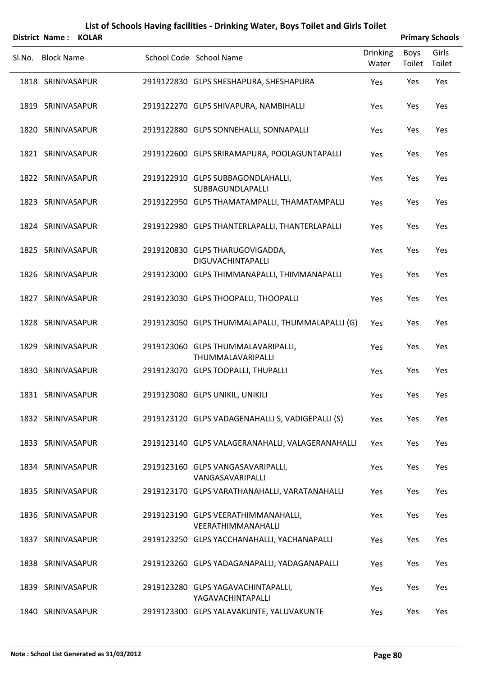|        | District Name: KOLAR |  |                                                                |                          |                | <b>Primary Schools</b> |
|--------|----------------------|--|----------------------------------------------------------------|--------------------------|----------------|------------------------|
| SI.No. | <b>Block Name</b>    |  | School Code School Name                                        | <b>Drinking</b><br>Water | Boys<br>Toilet | Girls<br>Toilet        |
|        | 1818 SRINIVASAPUR    |  | 2919122830 GLPS SHESHAPURA, SHESHAPURA                         | Yes                      | Yes            | Yes                    |
|        | 1819 SRINIVASAPUR    |  | 2919122270 GLPS SHIVAPURA, NAMBIHALLI                          | Yes                      | Yes            | Yes                    |
|        | 1820 SRINIVASAPUR    |  | 2919122880 GLPS SONNEHALLI, SONNAPALLI                         | Yes                      | Yes            | Yes                    |
|        | 1821 SRINIVASAPUR    |  | 2919122600 GLPS SRIRAMAPURA, POOLAGUNTAPALLI                   | Yes                      | Yes            | Yes                    |
|        | 1822 SRINIVASAPUR    |  | 2919122910 GLPS SUBBAGONDLAHALLI,<br>SUBBAGUNDLAPALLI          | Yes                      | Yes            | Yes                    |
|        | 1823 SRINIVASAPUR    |  | 2919122950 GLPS THAMATAMPALLI, THAMATAMPALLI                   | Yes                      | Yes            | Yes                    |
|        | 1824 SRINIVASAPUR    |  | 2919122980 GLPS THANTERLAPALLI, THANTERLAPALLI                 | Yes                      | Yes            | Yes                    |
|        | 1825 SRINIVASAPUR    |  | 2919120830 GLPS THARUGOVIGADDA,<br><b>DIGUVACHINTAPALLI</b>    | Yes                      | Yes            | Yes                    |
|        | 1826 SRINIVASAPUR    |  | 2919123000 GLPS THIMMANAPALLI, THIMMANAPALLI                   | Yes                      | Yes            | Yes                    |
|        | 1827 SRINIVASAPUR    |  | 2919123030 GLPS THOOPALLI, THOOPALLI                           | Yes                      | Yes            | Yes                    |
|        | 1828 SRINIVASAPUR    |  | 2919123050 GLPS THUMMALAPALLI, THUMMALAPALLI (G)               | Yes                      | Yes            | Yes                    |
|        | 1829 SRINIVASAPUR    |  | 2919123060 GLPS THUMMALAVARIPALLI,<br><b>THUMMALAVARIPALLI</b> | Yes                      | Yes            | Yes                    |
|        | 1830 SRINIVASAPUR    |  | 2919123070 GLPS TOOPALLI, THUPALLI                             | Yes                      | Yes            | Yes                    |
|        | 1831 SRINIVASAPUR    |  | 2919123080 GLPS UNIKIL, UNIKILI                                | Yes                      | Yes            | Yes                    |
|        | 1832 SRINIVASAPUR    |  | 2919123120 GLPS VADAGENAHALLI S, VADIGEPALLI (S)               | Yes                      | Yes            | Yes                    |
|        | 1833 SRINIVASAPUR    |  | 2919123140 GLPS VALAGERANAHALLI, VALAGERANAHALLI               | Yes                      | Yes            | Yes                    |
|        | 1834 SRINIVASAPUR    |  | 2919123160 GLPS VANGASAVARIPALLI,<br>VANGASAVARIPALLI          | Yes                      | Yes            | Yes                    |
|        | 1835 SRINIVASAPUR    |  | 2919123170 GLPS VARATHANAHALLI, VARATANAHALLI                  | Yes                      | Yes            | Yes                    |
|        | 1836 SRINIVASAPUR    |  | 2919123190 GLPS VEERATHIMMANAHALLI,<br>VEERATHIMMANAHALLI      | Yes                      | Yes            | Yes                    |
|        | 1837 SRINIVASAPUR    |  | 2919123250 GLPS YACCHANAHALLI, YACHANAPALLI                    | Yes                      | Yes            | Yes                    |
|        | 1838 SRINIVASAPUR    |  | 2919123260 GLPS YADAGANAPALLI, YADAGANAPALLI                   | Yes                      | Yes            | Yes                    |
|        | 1839 SRINIVASAPUR    |  | 2919123280 GLPS YAGAVACHINTAPALLI,<br>YAGAVACHINTAPALLI        | Yes                      | Yes            | Yes                    |
|        | 1840 SRINIVASAPUR    |  | 2919123300 GLPS YALAVAKUNTE, YALUVAKUNTE                       | Yes                      | Yes            | Yes                    |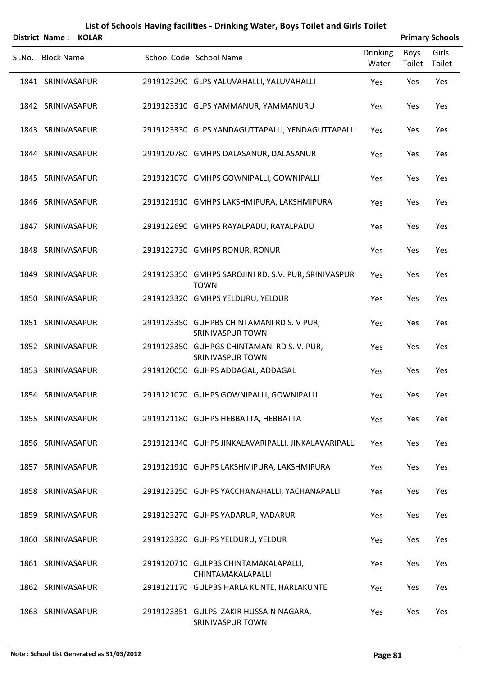| <b>District Name:</b> | <b>KOLAR</b> |                                                                       |                          |                | <b>Primary Schools</b> |
|-----------------------|--------------|-----------------------------------------------------------------------|--------------------------|----------------|------------------------|
| SI.No. Block Name     |              | School Code School Name                                               | <b>Drinking</b><br>Water | Boys<br>Toilet | Girls<br>Toilet        |
| 1841 SRINIVASAPUR     |              | 2919123290 GLPS YALUVAHALLI, YALUVAHALLI                              | Yes                      | Yes            | Yes                    |
| 1842 SRINIVASAPUR     |              | 2919123310 GLPS YAMMANUR, YAMMANURU                                   | Yes                      | Yes            | Yes                    |
| 1843 SRINIVASAPUR     |              | 2919123330 GLPS YANDAGUTTAPALLI, YENDAGUTTAPALLI                      | Yes                      | Yes            | Yes                    |
| 1844 SRINIVASAPUR     |              | 2919120780 GMHPS DALASANUR, DALASANUR                                 | Yes                      | Yes            | Yes                    |
| 1845 SRINIVASAPUR     |              | 2919121070 GMHPS GOWNIPALLI, GOWNIPALLI                               | Yes                      | Yes            | Yes                    |
| 1846 SRINIVASAPUR     |              | 2919121910 GMHPS LAKSHMIPURA, LAKSHMIPURA                             | Yes                      | Yes            | Yes                    |
| 1847 SRINIVASAPUR     |              | 2919122690 GMHPS RAYALPADU, RAYALPADU                                 | Yes                      | Yes            | Yes                    |
| 1848 SRINIVASAPUR     |              | 2919122730 GMHPS RONUR, RONUR                                         | Yes                      | Yes            | Yes                    |
| 1849 SRINIVASAPUR     |              | 2919123350 GMHPS SAROJINI RD. S.V. PUR, SRINIVASPUR<br><b>TOWN</b>    | Yes                      | Yes            | Yes                    |
| 1850 SRINIVASAPUR     |              | 2919123320 GMHPS YELDURU, YELDUR                                      | Yes                      | Yes            | Yes                    |
| 1851 SRINIVASAPUR     |              | 2919123350 GUHPBS CHINTAMANI RD S. V PUR,<br><b>SRINIVASPUR TOWN</b>  | Yes                      | Yes            | Yes                    |
| 1852 SRINIVASAPUR     |              | 2919123350 GUHPGS CHINTAMANI RD S. V. PUR,<br><b>SRINIVASPUR TOWN</b> | Yes                      | Yes            | Yes                    |
| 1853 SRINIVASAPUR     |              | 2919120050 GUHPS ADDAGAL, ADDAGAL                                     | Yes                      | Yes            | Yes                    |
| 1854 SRINIVASAPUR     |              | 2919121070 GUHPS GOWNIPALLI, GOWNIPALLI                               | Yes                      | Yes            | Yes                    |
| 1855 SRINIVASAPUR     |              | 2919121180 GUHPS HEBBATTA, HEBBATTA                                   | Yes                      | Yes            | Yes                    |
| 1856 SRINIVASAPUR     |              | 2919121340 GUHPS JINKALAVARIPALLI, JINKALAVARIPALLI                   | Yes                      | Yes            | Yes                    |
| 1857 SRINIVASAPUR     |              | 2919121910 GUHPS LAKSHMIPURA, LAKSHMIPURA                             | Yes                      | Yes            | Yes                    |
| 1858 SRINIVASAPUR     |              | 2919123250 GUHPS YACCHANAHALLI, YACHANAPALLI                          | Yes                      | Yes            | Yes                    |
| 1859 SRINIVASAPUR     |              | 2919123270 GUHPS YADARUR, YADARUR                                     | Yes                      | Yes            | Yes                    |
| 1860 SRINIVASAPUR     |              | 2919123320 GUHPS YELDURU, YELDUR                                      | Yes                      | Yes            | Yes                    |
| 1861 SRINIVASAPUR     |              | 2919120710 GULPBS CHINTAMAKALAPALLI,<br>CHINTAMAKALAPALLI             | Yes                      | Yes            | Yes                    |
| 1862 SRINIVASAPUR     |              | 2919121170 GULPBS HARLA KUNTE, HARLAKUNTE                             | Yes                      | Yes            | Yes                    |
| 1863 SRINIVASAPUR     |              | 2919123351 GULPS ZAKIR HUSSAIN NAGARA,<br>SRINIVASPUR TOWN            | Yes                      | Yes            | Yes                    |